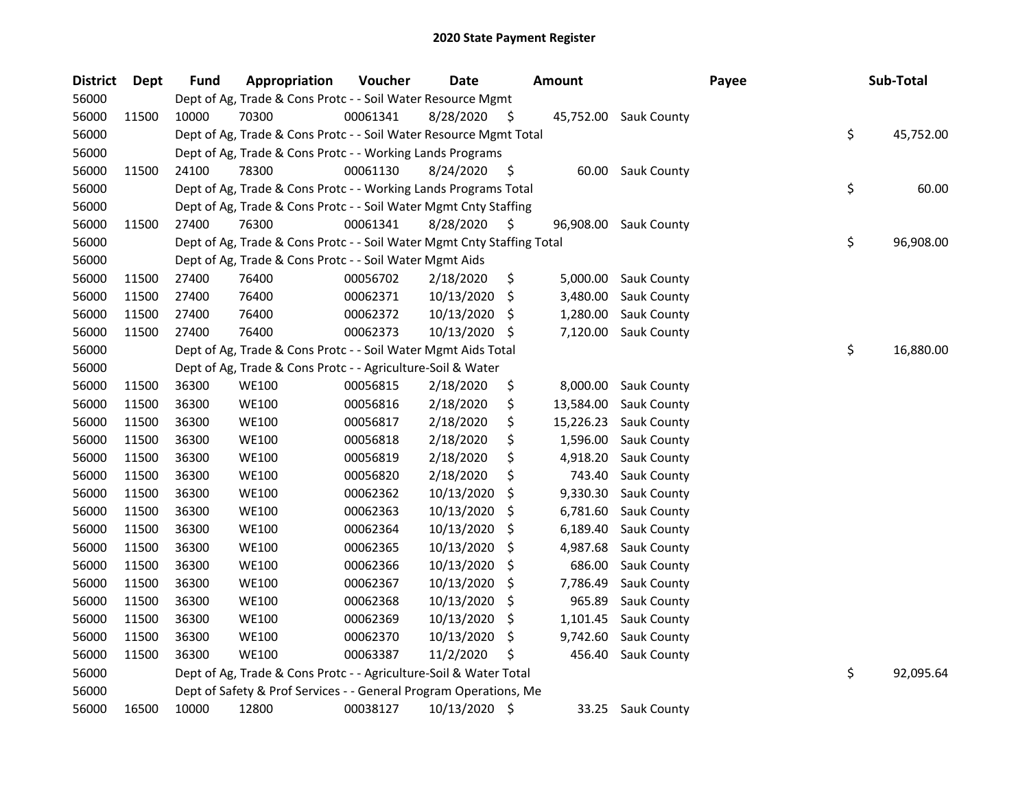| <b>District</b> | Dept  | <b>Fund</b> | Appropriation                                                          | Voucher  | <b>Date</b>   |     | <b>Amount</b> |                       | Payee | Sub-Total       |
|-----------------|-------|-------------|------------------------------------------------------------------------|----------|---------------|-----|---------------|-----------------------|-------|-----------------|
| 56000           |       |             | Dept of Ag, Trade & Cons Protc - - Soil Water Resource Mgmt            |          |               |     |               |                       |       |                 |
| 56000           | 11500 | 10000       | 70300                                                                  | 00061341 | 8/28/2020     | \$. |               | 45,752.00 Sauk County |       |                 |
| 56000           |       |             | Dept of Ag, Trade & Cons Protc - - Soil Water Resource Mgmt Total      |          |               |     |               |                       |       | \$<br>45,752.00 |
| 56000           |       |             | Dept of Ag, Trade & Cons Protc - - Working Lands Programs              |          |               |     |               |                       |       |                 |
| 56000           | 11500 | 24100       | 78300                                                                  | 00061130 | 8/24/2020     | \$  |               | 60.00 Sauk County     |       |                 |
| 56000           |       |             | Dept of Ag, Trade & Cons Protc - - Working Lands Programs Total        |          |               |     |               |                       |       | \$<br>60.00     |
| 56000           |       |             | Dept of Ag, Trade & Cons Protc - - Soil Water Mgmt Cnty Staffing       |          |               |     |               |                       |       |                 |
| 56000           | 11500 | 27400       | 76300                                                                  | 00061341 | 8/28/2020     | S   | 96,908.00     | <b>Sauk County</b>    |       |                 |
| 56000           |       |             | Dept of Ag, Trade & Cons Protc - - Soil Water Mgmt Cnty Staffing Total |          |               |     |               |                       |       | \$<br>96,908.00 |
| 56000           |       |             | Dept of Ag, Trade & Cons Protc - - Soil Water Mgmt Aids                |          |               |     |               |                       |       |                 |
| 56000           | 11500 | 27400       | 76400                                                                  | 00056702 | 2/18/2020     | \$  | 5,000.00      | <b>Sauk County</b>    |       |                 |
| 56000           | 11500 | 27400       | 76400                                                                  | 00062371 | 10/13/2020    | \$, | 3,480.00      | Sauk County           |       |                 |
| 56000           | 11500 | 27400       | 76400                                                                  | 00062372 | 10/13/2020    | S   | 1,280.00      | Sauk County           |       |                 |
| 56000           | 11500 | 27400       | 76400                                                                  | 00062373 | 10/13/2020    | \$. | 7,120.00      | Sauk County           |       |                 |
| 56000           |       |             | Dept of Ag, Trade & Cons Protc - - Soil Water Mgmt Aids Total          |          |               |     |               |                       |       | \$<br>16,880.00 |
| 56000           |       |             | Dept of Ag, Trade & Cons Protc - - Agriculture-Soil & Water            |          |               |     |               |                       |       |                 |
| 56000           | 11500 | 36300       | <b>WE100</b>                                                           | 00056815 | 2/18/2020     | \$  | 8,000.00      | Sauk County           |       |                 |
| 56000           | 11500 | 36300       | <b>WE100</b>                                                           | 00056816 | 2/18/2020     | \$  | 13,584.00     | Sauk County           |       |                 |
| 56000           | 11500 | 36300       | <b>WE100</b>                                                           | 00056817 | 2/18/2020     | \$  | 15,226.23     | Sauk County           |       |                 |
| 56000           | 11500 | 36300       | <b>WE100</b>                                                           | 00056818 | 2/18/2020     | \$  | 1,596.00      | Sauk County           |       |                 |
| 56000           | 11500 | 36300       | <b>WE100</b>                                                           | 00056819 | 2/18/2020     | \$  | 4,918.20      | <b>Sauk County</b>    |       |                 |
| 56000           | 11500 | 36300       | <b>WE100</b>                                                           | 00056820 | 2/18/2020     | \$  | 743.40        | Sauk County           |       |                 |
| 56000           | 11500 | 36300       | <b>WE100</b>                                                           | 00062362 | 10/13/2020    | \$  | 9,330.30      | Sauk County           |       |                 |
| 56000           | 11500 | 36300       | <b>WE100</b>                                                           | 00062363 | 10/13/2020    | \$  | 6,781.60      | Sauk County           |       |                 |
| 56000           | 11500 | 36300       | <b>WE100</b>                                                           | 00062364 | 10/13/2020    | \$  | 6,189.40      | Sauk County           |       |                 |
| 56000           | 11500 | 36300       | <b>WE100</b>                                                           | 00062365 | 10/13/2020    | S   | 4,987.68      | Sauk County           |       |                 |
| 56000           | 11500 | 36300       | <b>WE100</b>                                                           | 00062366 | 10/13/2020    | \$, | 686.00        | Sauk County           |       |                 |
| 56000           | 11500 | 36300       | <b>WE100</b>                                                           | 00062367 | 10/13/2020    | \$  | 7,786.49      | Sauk County           |       |                 |
| 56000           | 11500 | 36300       | <b>WE100</b>                                                           | 00062368 | 10/13/2020    | \$, | 965.89        | Sauk County           |       |                 |
| 56000           | 11500 | 36300       | <b>WE100</b>                                                           | 00062369 | 10/13/2020    | \$, | 1,101.45      | Sauk County           |       |                 |
| 56000           | 11500 | 36300       | <b>WE100</b>                                                           | 00062370 | 10/13/2020    | \$  | 9,742.60      | Sauk County           |       |                 |
| 56000           | 11500 | 36300       | <b>WE100</b>                                                           | 00063387 | 11/2/2020     | \$. | 456.40        | Sauk County           |       |                 |
| 56000           |       |             | Dept of Ag, Trade & Cons Protc - - Agriculture-Soil & Water Total      |          |               |     |               |                       |       | \$<br>92,095.64 |
| 56000           |       |             | Dept of Safety & Prof Services - - General Program Operations, Me      |          |               |     |               |                       |       |                 |
| 56000           | 16500 | 10000       | 12800                                                                  | 00038127 | 10/13/2020 \$ |     | 33.25         | <b>Sauk County</b>    |       |                 |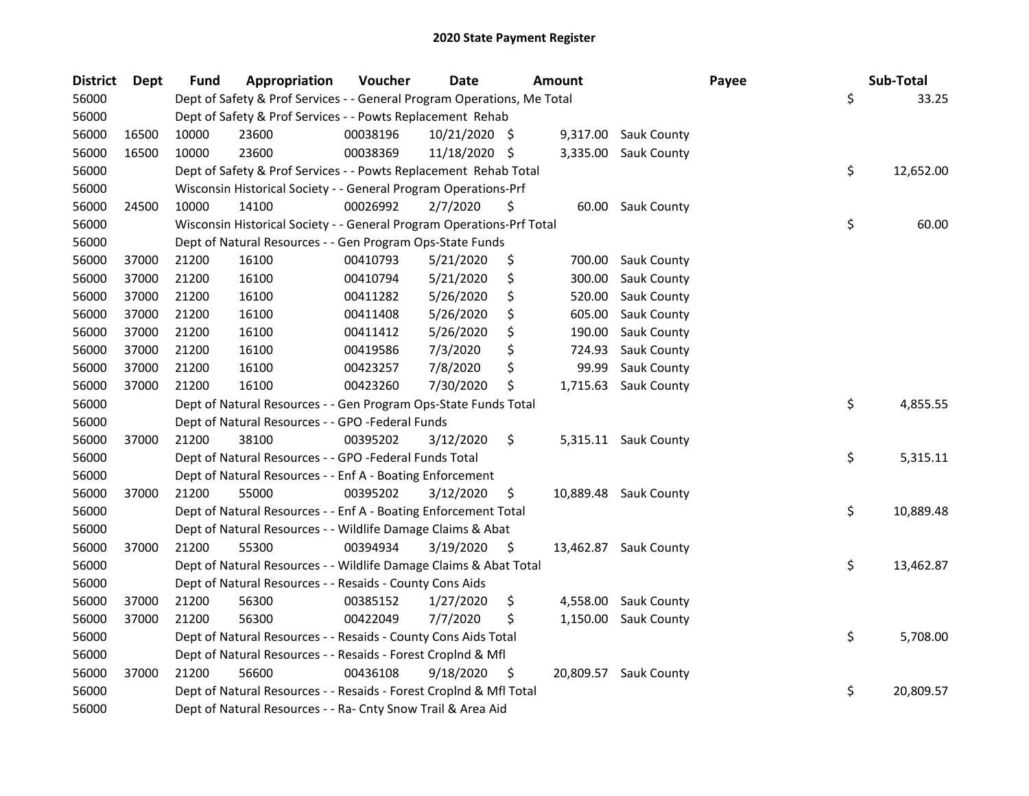| <b>District</b> | Dept  | <b>Fund</b> | Appropriation                                                           | Voucher  | <b>Date</b>   |     | <b>Amount</b> |                       | Payee | Sub-Total       |
|-----------------|-------|-------------|-------------------------------------------------------------------------|----------|---------------|-----|---------------|-----------------------|-------|-----------------|
| 56000           |       |             | Dept of Safety & Prof Services - - General Program Operations, Me Total |          |               |     |               |                       |       | \$<br>33.25     |
| 56000           |       |             | Dept of Safety & Prof Services - - Powts Replacement Rehab              |          |               |     |               |                       |       |                 |
| 56000           | 16500 | 10000       | 23600                                                                   | 00038196 | 10/21/2020 \$ |     |               | 9,317.00 Sauk County  |       |                 |
| 56000           | 16500 | 10000       | 23600                                                                   | 00038369 | 11/18/2020 \$ |     |               | 3,335.00 Sauk County  |       |                 |
| 56000           |       |             | Dept of Safety & Prof Services - - Powts Replacement Rehab Total        |          |               |     |               |                       |       | \$<br>12,652.00 |
| 56000           |       |             | Wisconsin Historical Society - - General Program Operations-Prf         |          |               |     |               |                       |       |                 |
| 56000           | 24500 | 10000       | 14100                                                                   | 00026992 | 2/7/2020      | \$  |               | 60.00 Sauk County     |       |                 |
| 56000           |       |             | Wisconsin Historical Society - - General Program Operations-Prf Total   |          |               |     |               |                       |       | \$<br>60.00     |
| 56000           |       |             | Dept of Natural Resources - - Gen Program Ops-State Funds               |          |               |     |               |                       |       |                 |
| 56000           | 37000 | 21200       | 16100                                                                   | 00410793 | 5/21/2020     | \$  | 700.00        | <b>Sauk County</b>    |       |                 |
| 56000           | 37000 | 21200       | 16100                                                                   | 00410794 | 5/21/2020     | \$  | 300.00        | Sauk County           |       |                 |
| 56000           | 37000 | 21200       | 16100                                                                   | 00411282 | 5/26/2020     | \$  | 520.00        | Sauk County           |       |                 |
| 56000           | 37000 | 21200       | 16100                                                                   | 00411408 | 5/26/2020     | \$  | 605.00        | Sauk County           |       |                 |
| 56000           | 37000 | 21200       | 16100                                                                   | 00411412 | 5/26/2020     | \$  | 190.00        | <b>Sauk County</b>    |       |                 |
| 56000           | 37000 | 21200       | 16100                                                                   | 00419586 | 7/3/2020      | \$  | 724.93        | Sauk County           |       |                 |
| 56000           | 37000 | 21200       | 16100                                                                   | 00423257 | 7/8/2020      | \$  | 99.99         | Sauk County           |       |                 |
| 56000           | 37000 | 21200       | 16100                                                                   | 00423260 | 7/30/2020     | \$  | 1,715.63      | Sauk County           |       |                 |
| 56000           |       |             | Dept of Natural Resources - - Gen Program Ops-State Funds Total         |          |               |     |               |                       |       | \$<br>4,855.55  |
| 56000           |       |             | Dept of Natural Resources - - GPO -Federal Funds                        |          |               |     |               |                       |       |                 |
| 56000           | 37000 | 21200       | 38100                                                                   | 00395202 | 3/12/2020     | \$  |               | 5,315.11 Sauk County  |       |                 |
| 56000           |       |             | Dept of Natural Resources - - GPO -Federal Funds Total                  |          |               |     |               |                       |       | \$<br>5,315.11  |
| 56000           |       |             | Dept of Natural Resources - - Enf A - Boating Enforcement               |          |               |     |               |                       |       |                 |
| 56000           | 37000 | 21200       | 55000                                                                   | 00395202 | 3/12/2020     | \$  |               | 10,889.48 Sauk County |       |                 |
| 56000           |       |             | Dept of Natural Resources - - Enf A - Boating Enforcement Total         |          |               |     |               |                       |       | \$<br>10,889.48 |
| 56000           |       |             | Dept of Natural Resources - - Wildlife Damage Claims & Abat             |          |               |     |               |                       |       |                 |
| 56000           | 37000 | 21200       | 55300                                                                   | 00394934 | 3/19/2020     | -\$ |               | 13,462.87 Sauk County |       |                 |
| 56000           |       |             | Dept of Natural Resources - - Wildlife Damage Claims & Abat Total       |          |               |     |               |                       |       | \$<br>13,462.87 |
| 56000           |       |             | Dept of Natural Resources - - Resaids - County Cons Aids                |          |               |     |               |                       |       |                 |
| 56000           | 37000 | 21200       | 56300                                                                   | 00385152 | 1/27/2020     | \$  | 4,558.00      | Sauk County           |       |                 |
| 56000           | 37000 | 21200       | 56300                                                                   | 00422049 | 7/7/2020      | \$  |               | 1,150.00 Sauk County  |       |                 |
| 56000           |       |             | Dept of Natural Resources - - Resaids - County Cons Aids Total          |          |               |     |               |                       |       | \$<br>5,708.00  |
| 56000           |       |             | Dept of Natural Resources - - Resaids - Forest Croplnd & Mfl            |          |               |     |               |                       |       |                 |
| 56000           | 37000 | 21200       | 56600                                                                   | 00436108 | 9/18/2020     | \$. | 20,809.57     | Sauk County           |       |                 |
| 56000           |       |             | Dept of Natural Resources - - Resaids - Forest CropInd & Mfl Total      |          |               |     |               |                       |       | \$<br>20,809.57 |
| 56000           |       |             | Dept of Natural Resources - - Ra- Cnty Snow Trail & Area Aid            |          |               |     |               |                       |       |                 |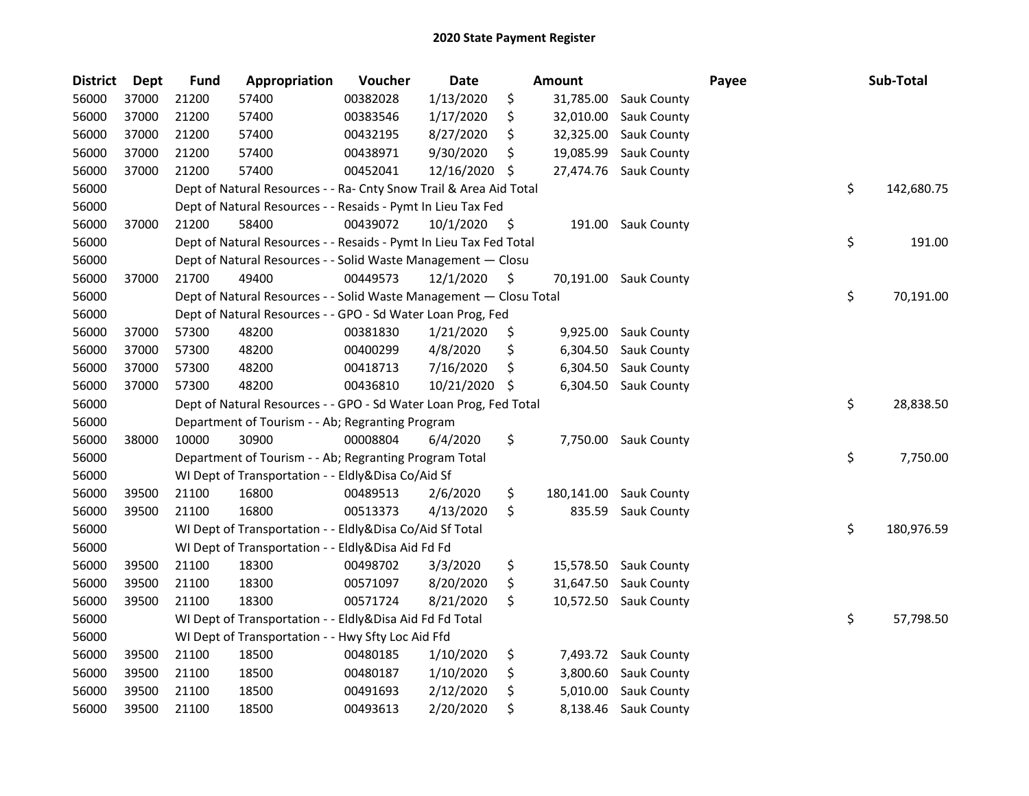| <b>District</b> | <b>Dept</b> | <b>Fund</b> | Appropriation                                                      | Voucher  | Date       |     | Amount     |                       | Payee | Sub-Total        |
|-----------------|-------------|-------------|--------------------------------------------------------------------|----------|------------|-----|------------|-----------------------|-------|------------------|
| 56000           | 37000       | 21200       | 57400                                                              | 00382028 | 1/13/2020  | \$  | 31,785.00  | Sauk County           |       |                  |
| 56000           | 37000       | 21200       | 57400                                                              | 00383546 | 1/17/2020  | \$  | 32,010.00  | Sauk County           |       |                  |
| 56000           | 37000       | 21200       | 57400                                                              | 00432195 | 8/27/2020  | \$  | 32,325.00  | Sauk County           |       |                  |
| 56000           | 37000       | 21200       | 57400                                                              | 00438971 | 9/30/2020  | Ś.  | 19,085.99  | Sauk County           |       |                  |
| 56000           | 37000       | 21200       | 57400                                                              | 00452041 | 12/16/2020 | S.  | 27,474.76  | Sauk County           |       |                  |
| 56000           |             |             | Dept of Natural Resources - - Ra- Cnty Snow Trail & Area Aid Total |          |            |     |            |                       |       | \$<br>142,680.75 |
| 56000           |             |             | Dept of Natural Resources - - Resaids - Pymt In Lieu Tax Fed       |          |            |     |            |                       |       |                  |
| 56000           | 37000       | 21200       | 58400                                                              | 00439072 | 10/1/2020  | \$  | 191.00     | <b>Sauk County</b>    |       |                  |
| 56000           |             |             | Dept of Natural Resources - - Resaids - Pymt In Lieu Tax Fed Total |          |            |     |            |                       |       | \$<br>191.00     |
| 56000           |             |             | Dept of Natural Resources - - Solid Waste Management - Closu       |          |            |     |            |                       |       |                  |
| 56000           | 37000       | 21700       | 49400                                                              | 00449573 | 12/1/2020  | \$. | 70,191.00  | <b>Sauk County</b>    |       |                  |
| 56000           |             |             | Dept of Natural Resources - - Solid Waste Management - Closu Total |          |            |     |            |                       |       | \$<br>70,191.00  |
| 56000           |             |             | Dept of Natural Resources - - GPO - Sd Water Loan Prog, Fed        |          |            |     |            |                       |       |                  |
| 56000           | 37000       | 57300       | 48200                                                              | 00381830 | 1/21/2020  | \$  | 9,925.00   | <b>Sauk County</b>    |       |                  |
| 56000           | 37000       | 57300       | 48200                                                              | 00400299 | 4/8/2020   | \$  | 6,304.50   | Sauk County           |       |                  |
| 56000           | 37000       | 57300       | 48200                                                              | 00418713 | 7/16/2020  | \$  | 6,304.50   | Sauk County           |       |                  |
| 56000           | 37000       | 57300       | 48200                                                              | 00436810 | 10/21/2020 | \$  | 6,304.50   | Sauk County           |       |                  |
| 56000           |             |             | Dept of Natural Resources - - GPO - Sd Water Loan Prog, Fed Total  |          |            |     |            |                       |       | \$<br>28,838.50  |
| 56000           |             |             | Department of Tourism - - Ab; Regranting Program                   |          |            |     |            |                       |       |                  |
| 56000           | 38000       | 10000       | 30900                                                              | 00008804 | 6/4/2020   | \$  | 7,750.00   | Sauk County           |       |                  |
| 56000           |             |             | Department of Tourism - - Ab; Regranting Program Total             |          |            |     |            |                       |       | \$<br>7,750.00   |
| 56000           |             |             | WI Dept of Transportation - - Eldly&Disa Co/Aid Sf                 |          |            |     |            |                       |       |                  |
| 56000           | 39500       | 21100       | 16800                                                              | 00489513 | 2/6/2020   | \$  | 180,141.00 | <b>Sauk County</b>    |       |                  |
| 56000           | 39500       | 21100       | 16800                                                              | 00513373 | 4/13/2020  | \$  | 835.59     | Sauk County           |       |                  |
| 56000           |             |             | WI Dept of Transportation - - Eldly&Disa Co/Aid Sf Total           |          |            |     |            |                       |       | \$<br>180,976.59 |
| 56000           |             |             | WI Dept of Transportation - - Eldly&Disa Aid Fd Fd                 |          |            |     |            |                       |       |                  |
| 56000           | 39500       | 21100       | 18300                                                              | 00498702 | 3/3/2020   | \$  | 15,578.50  | <b>Sauk County</b>    |       |                  |
| 56000           | 39500       | 21100       | 18300                                                              | 00571097 | 8/20/2020  | \$  | 31,647.50  | Sauk County           |       |                  |
| 56000           | 39500       | 21100       | 18300                                                              | 00571724 | 8/21/2020  | \$  |            | 10,572.50 Sauk County |       |                  |
| 56000           |             |             | WI Dept of Transportation - - Eldly&Disa Aid Fd Fd Total           |          |            |     |            |                       |       | \$<br>57,798.50  |
| 56000           |             |             | WI Dept of Transportation - - Hwy Sfty Loc Aid Ffd                 |          |            |     |            |                       |       |                  |
| 56000           | 39500       | 21100       | 18500                                                              | 00480185 | 1/10/2020  | \$  | 7,493.72   | <b>Sauk County</b>    |       |                  |
| 56000           | 39500       | 21100       | 18500                                                              | 00480187 | 1/10/2020  | \$  | 3,800.60   | Sauk County           |       |                  |
| 56000           | 39500       | 21100       | 18500                                                              | 00491693 | 2/12/2020  | \$  | 5,010.00   | Sauk County           |       |                  |
| 56000           | 39500       | 21100       | 18500                                                              | 00493613 | 2/20/2020  | \$  | 8,138.46   | <b>Sauk County</b>    |       |                  |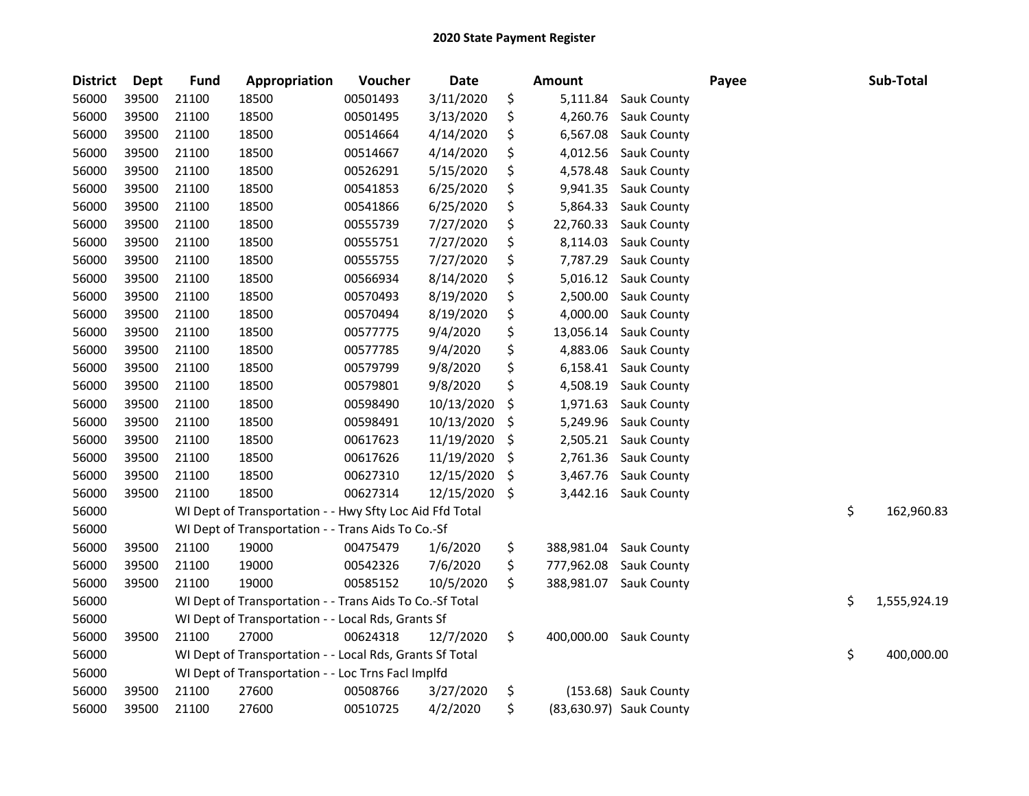| <b>District</b> | <b>Dept</b> | <b>Fund</b> | Appropriation                                            | Voucher  | Date       | <b>Amount</b>    |                         | Payee | Sub-Total          |
|-----------------|-------------|-------------|----------------------------------------------------------|----------|------------|------------------|-------------------------|-------|--------------------|
| 56000           | 39500       | 21100       | 18500                                                    | 00501493 | 3/11/2020  | \$<br>5,111.84   | Sauk County             |       |                    |
| 56000           | 39500       | 21100       | 18500                                                    | 00501495 | 3/13/2020  | \$<br>4,260.76   | Sauk County             |       |                    |
| 56000           | 39500       | 21100       | 18500                                                    | 00514664 | 4/14/2020  | \$<br>6,567.08   | Sauk County             |       |                    |
| 56000           | 39500       | 21100       | 18500                                                    | 00514667 | 4/14/2020  | \$<br>4,012.56   | Sauk County             |       |                    |
| 56000           | 39500       | 21100       | 18500                                                    | 00526291 | 5/15/2020  | \$<br>4,578.48   | Sauk County             |       |                    |
| 56000           | 39500       | 21100       | 18500                                                    | 00541853 | 6/25/2020  | \$<br>9,941.35   | Sauk County             |       |                    |
| 56000           | 39500       | 21100       | 18500                                                    | 00541866 | 6/25/2020  | \$<br>5,864.33   | Sauk County             |       |                    |
| 56000           | 39500       | 21100       | 18500                                                    | 00555739 | 7/27/2020  | \$<br>22,760.33  | Sauk County             |       |                    |
| 56000           | 39500       | 21100       | 18500                                                    | 00555751 | 7/27/2020  | \$<br>8,114.03   | Sauk County             |       |                    |
| 56000           | 39500       | 21100       | 18500                                                    | 00555755 | 7/27/2020  | \$<br>7,787.29   | <b>Sauk County</b>      |       |                    |
| 56000           | 39500       | 21100       | 18500                                                    | 00566934 | 8/14/2020  | \$<br>5,016.12   | Sauk County             |       |                    |
| 56000           | 39500       | 21100       | 18500                                                    | 00570493 | 8/19/2020  | \$<br>2,500.00   | Sauk County             |       |                    |
| 56000           | 39500       | 21100       | 18500                                                    | 00570494 | 8/19/2020  | \$<br>4,000.00   | Sauk County             |       |                    |
| 56000           | 39500       | 21100       | 18500                                                    | 00577775 | 9/4/2020   | \$<br>13,056.14  | Sauk County             |       |                    |
| 56000           | 39500       | 21100       | 18500                                                    | 00577785 | 9/4/2020   | \$<br>4,883.06   | Sauk County             |       |                    |
| 56000           | 39500       | 21100       | 18500                                                    | 00579799 | 9/8/2020   | \$<br>6,158.41   | Sauk County             |       |                    |
| 56000           | 39500       | 21100       | 18500                                                    | 00579801 | 9/8/2020   | \$<br>4,508.19   | Sauk County             |       |                    |
| 56000           | 39500       | 21100       | 18500                                                    | 00598490 | 10/13/2020 | \$<br>1,971.63   | Sauk County             |       |                    |
| 56000           | 39500       | 21100       | 18500                                                    | 00598491 | 10/13/2020 | \$<br>5,249.96   | Sauk County             |       |                    |
| 56000           | 39500       | 21100       | 18500                                                    | 00617623 | 11/19/2020 | \$<br>2,505.21   | Sauk County             |       |                    |
| 56000           | 39500       | 21100       | 18500                                                    | 00617626 | 11/19/2020 | \$<br>2,761.36   | Sauk County             |       |                    |
| 56000           | 39500       | 21100       | 18500                                                    | 00627310 | 12/15/2020 | \$<br>3,467.76   | Sauk County             |       |                    |
| 56000           | 39500       | 21100       | 18500                                                    | 00627314 | 12/15/2020 | \$<br>3,442.16   | Sauk County             |       |                    |
| 56000           |             |             | WI Dept of Transportation - - Hwy Sfty Loc Aid Ffd Total |          |            |                  |                         |       | \$<br>162,960.83   |
| 56000           |             |             | WI Dept of Transportation - - Trans Aids To Co.-Sf       |          |            |                  |                         |       |                    |
| 56000           | 39500       | 21100       | 19000                                                    | 00475479 | 1/6/2020   | \$<br>388,981.04 | Sauk County             |       |                    |
| 56000           | 39500       | 21100       | 19000                                                    | 00542326 | 7/6/2020   | \$<br>777,962.08 | Sauk County             |       |                    |
| 56000           | 39500       | 21100       | 19000                                                    | 00585152 | 10/5/2020  | \$<br>388,981.07 | Sauk County             |       |                    |
| 56000           |             |             | WI Dept of Transportation - - Trans Aids To Co.-Sf Total |          |            |                  |                         |       | \$<br>1,555,924.19 |
| 56000           |             |             | WI Dept of Transportation - - Local Rds, Grants Sf       |          |            |                  |                         |       |                    |
| 56000           | 39500       | 21100       | 27000                                                    | 00624318 | 12/7/2020  | \$<br>400,000.00 | <b>Sauk County</b>      |       |                    |
| 56000           |             |             | WI Dept of Transportation - - Local Rds, Grants Sf Total |          |            |                  |                         |       | \$<br>400,000.00   |
| 56000           |             |             | WI Dept of Transportation - - Loc Trns FacI Implfd       |          |            |                  |                         |       |                    |
| 56000           | 39500       | 21100       | 27600                                                    | 00508766 | 3/27/2020  | \$               | (153.68) Sauk County    |       |                    |
| 56000           | 39500       | 21100       | 27600                                                    | 00510725 | 4/2/2020   | \$               | (83,630.97) Sauk County |       |                    |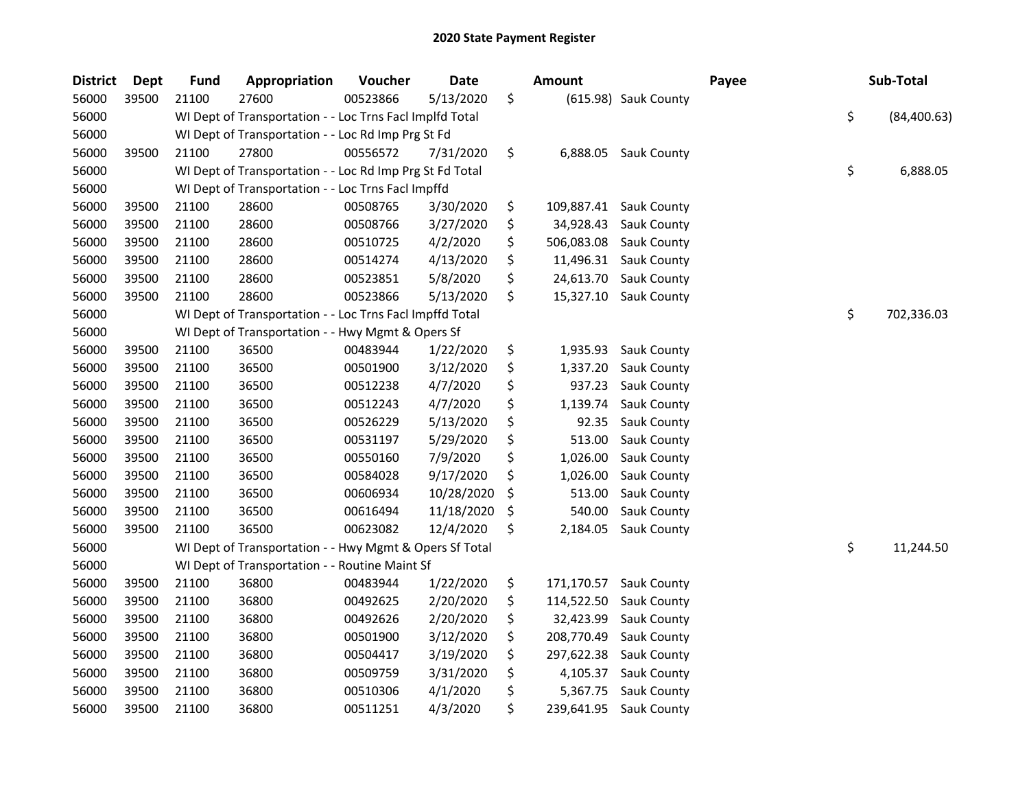| <b>District</b> | <b>Dept</b> | <b>Fund</b> | Appropriation                                            | Voucher  | <b>Date</b> | <b>Amount</b>    |                        | Payee | Sub-Total          |
|-----------------|-------------|-------------|----------------------------------------------------------|----------|-------------|------------------|------------------------|-------|--------------------|
| 56000           | 39500       | 21100       | 27600                                                    | 00523866 | 5/13/2020   | \$               | (615.98) Sauk County   |       |                    |
| 56000           |             |             | WI Dept of Transportation - - Loc Trns Facl Implfd Total |          |             |                  |                        |       | \$<br>(84, 400.63) |
| 56000           |             |             | WI Dept of Transportation - - Loc Rd Imp Prg St Fd       |          |             |                  |                        |       |                    |
| 56000           | 39500       | 21100       | 27800                                                    | 00556572 | 7/31/2020   | \$<br>6,888.05   | Sauk County            |       |                    |
| 56000           |             |             | WI Dept of Transportation - - Loc Rd Imp Prg St Fd Total |          |             |                  |                        |       | \$<br>6,888.05     |
| 56000           |             |             | WI Dept of Transportation - - Loc Trns Facl Impffd       |          |             |                  |                        |       |                    |
| 56000           | 39500       | 21100       | 28600                                                    | 00508765 | 3/30/2020   | \$               | 109,887.41 Sauk County |       |                    |
| 56000           | 39500       | 21100       | 28600                                                    | 00508766 | 3/27/2020   | \$<br>34,928.43  | Sauk County            |       |                    |
| 56000           | 39500       | 21100       | 28600                                                    | 00510725 | 4/2/2020    | \$<br>506,083.08 | Sauk County            |       |                    |
| 56000           | 39500       | 21100       | 28600                                                    | 00514274 | 4/13/2020   | \$<br>11,496.31  | Sauk County            |       |                    |
| 56000           | 39500       | 21100       | 28600                                                    | 00523851 | 5/8/2020    | \$               | 24,613.70 Sauk County  |       |                    |
| 56000           | 39500       | 21100       | 28600                                                    | 00523866 | 5/13/2020   | \$<br>15,327.10  | <b>Sauk County</b>     |       |                    |
| 56000           |             |             | WI Dept of Transportation - - Loc Trns Facl Impffd Total |          |             |                  |                        |       | \$<br>702,336.03   |
| 56000           |             |             | WI Dept of Transportation - - Hwy Mgmt & Opers Sf        |          |             |                  |                        |       |                    |
| 56000           | 39500       | 21100       | 36500                                                    | 00483944 | 1/22/2020   | \$<br>1,935.93   | Sauk County            |       |                    |
| 56000           | 39500       | 21100       | 36500                                                    | 00501900 | 3/12/2020   | \$<br>1,337.20   | Sauk County            |       |                    |
| 56000           | 39500       | 21100       | 36500                                                    | 00512238 | 4/7/2020    | \$<br>937.23     | Sauk County            |       |                    |
| 56000           | 39500       | 21100       | 36500                                                    | 00512243 | 4/7/2020    | \$<br>1,139.74   | Sauk County            |       |                    |
| 56000           | 39500       | 21100       | 36500                                                    | 00526229 | 5/13/2020   | \$<br>92.35      | Sauk County            |       |                    |
| 56000           | 39500       | 21100       | 36500                                                    | 00531197 | 5/29/2020   | \$<br>513.00     | Sauk County            |       |                    |
| 56000           | 39500       | 21100       | 36500                                                    | 00550160 | 7/9/2020    | \$<br>1,026.00   | Sauk County            |       |                    |
| 56000           | 39500       | 21100       | 36500                                                    | 00584028 | 9/17/2020   | \$<br>1,026.00   | Sauk County            |       |                    |
| 56000           | 39500       | 21100       | 36500                                                    | 00606934 | 10/28/2020  | \$<br>513.00     | Sauk County            |       |                    |
| 56000           | 39500       | 21100       | 36500                                                    | 00616494 | 11/18/2020  | \$<br>540.00     | Sauk County            |       |                    |
| 56000           | 39500       | 21100       | 36500                                                    | 00623082 | 12/4/2020   | \$<br>2,184.05   | Sauk County            |       |                    |
| 56000           |             |             | WI Dept of Transportation - - Hwy Mgmt & Opers Sf Total  |          |             |                  |                        |       | \$<br>11,244.50    |
| 56000           |             |             | WI Dept of Transportation - - Routine Maint Sf           |          |             |                  |                        |       |                    |
| 56000           | 39500       | 21100       | 36800                                                    | 00483944 | 1/22/2020   | \$<br>171,170.57 | Sauk County            |       |                    |
| 56000           | 39500       | 21100       | 36800                                                    | 00492625 | 2/20/2020   | \$<br>114,522.50 | Sauk County            |       |                    |
| 56000           | 39500       | 21100       | 36800                                                    | 00492626 | 2/20/2020   | \$<br>32,423.99  | Sauk County            |       |                    |
| 56000           | 39500       | 21100       | 36800                                                    | 00501900 | 3/12/2020   | \$<br>208,770.49 | Sauk County            |       |                    |
| 56000           | 39500       | 21100       | 36800                                                    | 00504417 | 3/19/2020   | \$<br>297,622.38 | Sauk County            |       |                    |
| 56000           | 39500       | 21100       | 36800                                                    | 00509759 | 3/31/2020   | \$<br>4,105.37   | Sauk County            |       |                    |
| 56000           | 39500       | 21100       | 36800                                                    | 00510306 | 4/1/2020    | \$<br>5,367.75   | Sauk County            |       |                    |
| 56000           | 39500       | 21100       | 36800                                                    | 00511251 | 4/3/2020    | \$<br>239,641.95 | Sauk County            |       |                    |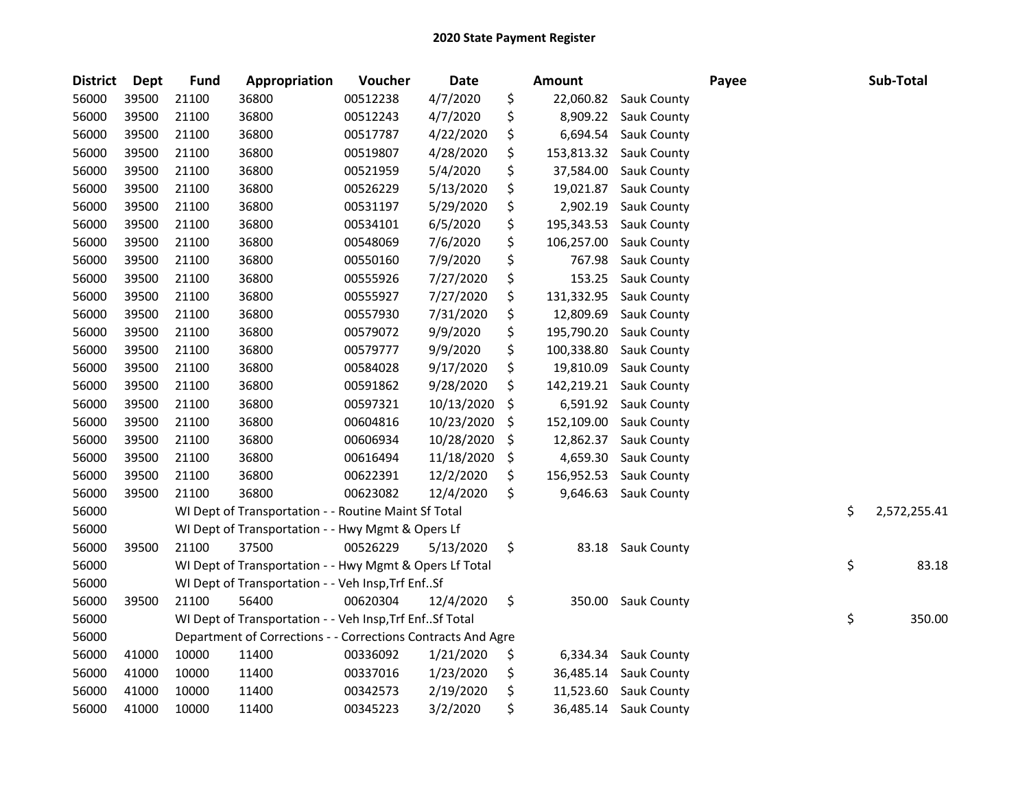| <b>District</b> | <b>Dept</b> | <b>Fund</b> | Appropriation                                                | Voucher  | Date       |     | <b>Amount</b> |                    | Payee | Sub-Total          |
|-----------------|-------------|-------------|--------------------------------------------------------------|----------|------------|-----|---------------|--------------------|-------|--------------------|
| 56000           | 39500       | 21100       | 36800                                                        | 00512238 | 4/7/2020   | \$  | 22,060.82     | <b>Sauk County</b> |       |                    |
| 56000           | 39500       | 21100       | 36800                                                        | 00512243 | 4/7/2020   | \$  | 8,909.22      | Sauk County        |       |                    |
| 56000           | 39500       | 21100       | 36800                                                        | 00517787 | 4/22/2020  | \$  | 6,694.54      | Sauk County        |       |                    |
| 56000           | 39500       | 21100       | 36800                                                        | 00519807 | 4/28/2020  | \$  | 153,813.32    | Sauk County        |       |                    |
| 56000           | 39500       | 21100       | 36800                                                        | 00521959 | 5/4/2020   | \$  | 37,584.00     | Sauk County        |       |                    |
| 56000           | 39500       | 21100       | 36800                                                        | 00526229 | 5/13/2020  | \$  | 19,021.87     | Sauk County        |       |                    |
| 56000           | 39500       | 21100       | 36800                                                        | 00531197 | 5/29/2020  | \$  | 2,902.19      | Sauk County        |       |                    |
| 56000           | 39500       | 21100       | 36800                                                        | 00534101 | 6/5/2020   | \$  | 195,343.53    | Sauk County        |       |                    |
| 56000           | 39500       | 21100       | 36800                                                        | 00548069 | 7/6/2020   | \$  | 106,257.00    | Sauk County        |       |                    |
| 56000           | 39500       | 21100       | 36800                                                        | 00550160 | 7/9/2020   | \$  | 767.98        | <b>Sauk County</b> |       |                    |
| 56000           | 39500       | 21100       | 36800                                                        | 00555926 | 7/27/2020  | \$  | 153.25        | Sauk County        |       |                    |
| 56000           | 39500       | 21100       | 36800                                                        | 00555927 | 7/27/2020  | \$  | 131,332.95    | Sauk County        |       |                    |
| 56000           | 39500       | 21100       | 36800                                                        | 00557930 | 7/31/2020  | \$  | 12,809.69     | Sauk County        |       |                    |
| 56000           | 39500       | 21100       | 36800                                                        | 00579072 | 9/9/2020   | \$  | 195,790.20    | Sauk County        |       |                    |
| 56000           | 39500       | 21100       | 36800                                                        | 00579777 | 9/9/2020   | \$  | 100,338.80    | Sauk County        |       |                    |
| 56000           | 39500       | 21100       | 36800                                                        | 00584028 | 9/17/2020  | \$  | 19,810.09     | Sauk County        |       |                    |
| 56000           | 39500       | 21100       | 36800                                                        | 00591862 | 9/28/2020  | \$  | 142,219.21    | Sauk County        |       |                    |
| 56000           | 39500       | 21100       | 36800                                                        | 00597321 | 10/13/2020 | \$  | 6,591.92      | Sauk County        |       |                    |
| 56000           | 39500       | 21100       | 36800                                                        | 00604816 | 10/23/2020 | \$  | 152,109.00    | Sauk County        |       |                    |
| 56000           | 39500       | 21100       | 36800                                                        | 00606934 | 10/28/2020 | \$  | 12,862.37     | Sauk County        |       |                    |
| 56000           | 39500       | 21100       | 36800                                                        | 00616494 | 11/18/2020 | \$  | 4,659.30      | Sauk County        |       |                    |
| 56000           | 39500       | 21100       | 36800                                                        | 00622391 | 12/2/2020  | \$  | 156,952.53    | Sauk County        |       |                    |
| 56000           | 39500       | 21100       | 36800                                                        | 00623082 | 12/4/2020  | \$  | 9,646.63      | Sauk County        |       |                    |
| 56000           |             |             | WI Dept of Transportation - - Routine Maint Sf Total         |          |            |     |               |                    |       | \$<br>2,572,255.41 |
| 56000           |             |             | WI Dept of Transportation - - Hwy Mgmt & Opers Lf            |          |            |     |               |                    |       |                    |
| 56000           | 39500       | 21100       | 37500                                                        | 00526229 | 5/13/2020  | \$  | 83.18         | Sauk County        |       |                    |
| 56000           |             |             | WI Dept of Transportation - - Hwy Mgmt & Opers Lf Total      |          |            |     |               |                    |       | \$<br>83.18        |
| 56000           |             |             | WI Dept of Transportation - - Veh Insp, Trf EnfSf            |          |            |     |               |                    |       |                    |
| 56000           | 39500       | 21100       | 56400                                                        | 00620304 | 12/4/2020  | \$  |               | 350.00 Sauk County |       |                    |
| 56000           |             |             | WI Dept of Transportation - - Veh Insp, Trf Enf Sf Total     |          |            |     |               |                    |       | \$<br>350.00       |
| 56000           |             |             | Department of Corrections - - Corrections Contracts And Agre |          |            |     |               |                    |       |                    |
| 56000           | 41000       | 10000       | 11400                                                        | 00336092 | 1/21/2020  | \$, | 6,334.34      | <b>Sauk County</b> |       |                    |
| 56000           | 41000       | 10000       | 11400                                                        | 00337016 | 1/23/2020  | \$  | 36,485.14     | Sauk County        |       |                    |
| 56000           | 41000       | 10000       | 11400                                                        | 00342573 | 2/19/2020  | \$  | 11,523.60     | Sauk County        |       |                    |
| 56000           | 41000       | 10000       | 11400                                                        | 00345223 | 3/2/2020   | \$  | 36,485.14     | <b>Sauk County</b> |       |                    |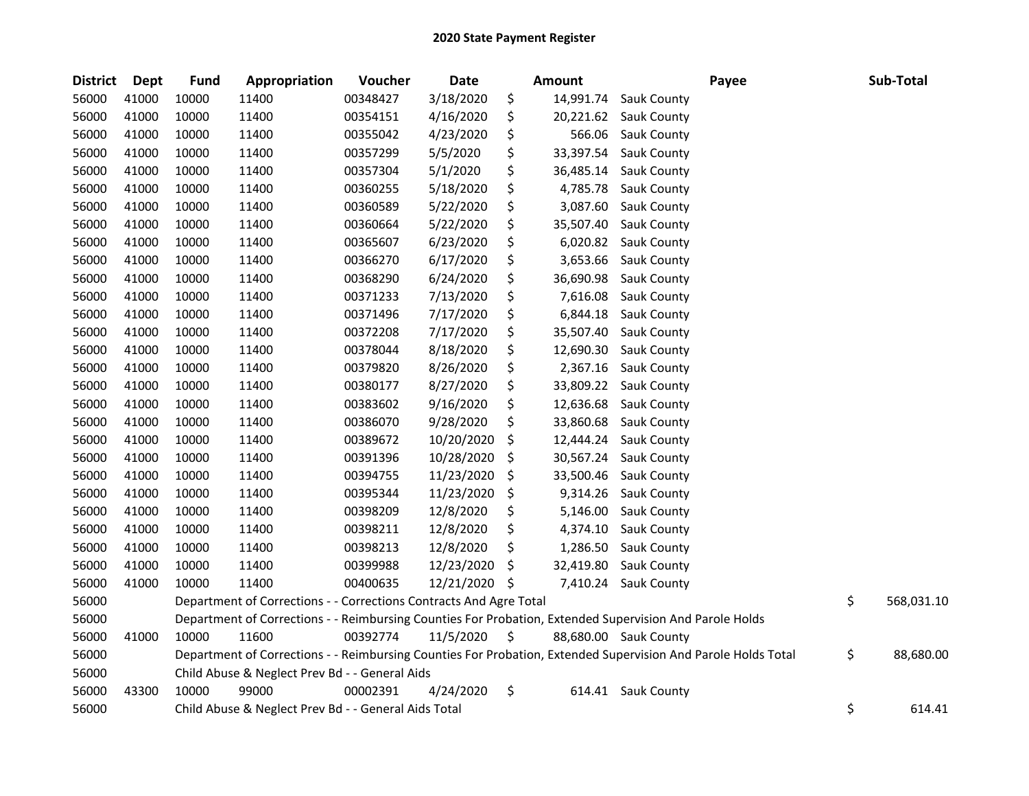| District | Dept  | <b>Fund</b> | Appropriation                                                      | Voucher  | <b>Date</b> | <b>Amount</b>   | Payee                                                                                                         | Sub-Total        |
|----------|-------|-------------|--------------------------------------------------------------------|----------|-------------|-----------------|---------------------------------------------------------------------------------------------------------------|------------------|
| 56000    | 41000 | 10000       | 11400                                                              | 00348427 | 3/18/2020   | \$<br>14,991.74 | Sauk County                                                                                                   |                  |
| 56000    | 41000 | 10000       | 11400                                                              | 00354151 | 4/16/2020   | \$<br>20,221.62 | Sauk County                                                                                                   |                  |
| 56000    | 41000 | 10000       | 11400                                                              | 00355042 | 4/23/2020   | \$<br>566.06    | Sauk County                                                                                                   |                  |
| 56000    | 41000 | 10000       | 11400                                                              | 00357299 | 5/5/2020    | \$<br>33,397.54 | Sauk County                                                                                                   |                  |
| 56000    | 41000 | 10000       | 11400                                                              | 00357304 | 5/1/2020    | \$<br>36,485.14 | Sauk County                                                                                                   |                  |
| 56000    | 41000 | 10000       | 11400                                                              | 00360255 | 5/18/2020   | \$<br>4,785.78  | <b>Sauk County</b>                                                                                            |                  |
| 56000    | 41000 | 10000       | 11400                                                              | 00360589 | 5/22/2020   | \$<br>3,087.60  | Sauk County                                                                                                   |                  |
| 56000    | 41000 | 10000       | 11400                                                              | 00360664 | 5/22/2020   | \$<br>35,507.40 | Sauk County                                                                                                   |                  |
| 56000    | 41000 | 10000       | 11400                                                              | 00365607 | 6/23/2020   | \$<br>6,020.82  | <b>Sauk County</b>                                                                                            |                  |
| 56000    | 41000 | 10000       | 11400                                                              | 00366270 | 6/17/2020   | \$<br>3,653.66  | Sauk County                                                                                                   |                  |
| 56000    | 41000 | 10000       | 11400                                                              | 00368290 | 6/24/2020   | \$<br>36,690.98 | <b>Sauk County</b>                                                                                            |                  |
| 56000    | 41000 | 10000       | 11400                                                              | 00371233 | 7/13/2020   | \$<br>7,616.08  | Sauk County                                                                                                   |                  |
| 56000    | 41000 | 10000       | 11400                                                              | 00371496 | 7/17/2020   | \$<br>6,844.18  | Sauk County                                                                                                   |                  |
| 56000    | 41000 | 10000       | 11400                                                              | 00372208 | 7/17/2020   | \$<br>35,507.40 | Sauk County                                                                                                   |                  |
| 56000    | 41000 | 10000       | 11400                                                              | 00378044 | 8/18/2020   | \$<br>12,690.30 | Sauk County                                                                                                   |                  |
| 56000    | 41000 | 10000       | 11400                                                              | 00379820 | 8/26/2020   | \$<br>2,367.16  | Sauk County                                                                                                   |                  |
| 56000    | 41000 | 10000       | 11400                                                              | 00380177 | 8/27/2020   | \$<br>33,809.22 | Sauk County                                                                                                   |                  |
| 56000    | 41000 | 10000       | 11400                                                              | 00383602 | 9/16/2020   | \$<br>12,636.68 | Sauk County                                                                                                   |                  |
| 56000    | 41000 | 10000       | 11400                                                              | 00386070 | 9/28/2020   | \$<br>33,860.68 | Sauk County                                                                                                   |                  |
| 56000    | 41000 | 10000       | 11400                                                              | 00389672 | 10/20/2020  | \$<br>12,444.24 | Sauk County                                                                                                   |                  |
| 56000    | 41000 | 10000       | 11400                                                              | 00391396 | 10/28/2020  | \$<br>30,567.24 | <b>Sauk County</b>                                                                                            |                  |
| 56000    | 41000 | 10000       | 11400                                                              | 00394755 | 11/23/2020  | \$<br>33,500.46 | <b>Sauk County</b>                                                                                            |                  |
| 56000    | 41000 | 10000       | 11400                                                              | 00395344 | 11/23/2020  | \$<br>9,314.26  | Sauk County                                                                                                   |                  |
| 56000    | 41000 | 10000       | 11400                                                              | 00398209 | 12/8/2020   | \$<br>5,146.00  | Sauk County                                                                                                   |                  |
| 56000    | 41000 | 10000       | 11400                                                              | 00398211 | 12/8/2020   | \$<br>4,374.10  | Sauk County                                                                                                   |                  |
| 56000    | 41000 | 10000       | 11400                                                              | 00398213 | 12/8/2020   | \$<br>1,286.50  | Sauk County                                                                                                   |                  |
| 56000    | 41000 | 10000       | 11400                                                              | 00399988 | 12/23/2020  | \$<br>32,419.80 | Sauk County                                                                                                   |                  |
| 56000    | 41000 | 10000       | 11400                                                              | 00400635 | 12/21/2020  | \$              | 7,410.24 Sauk County                                                                                          |                  |
| 56000    |       |             | Department of Corrections - - Corrections Contracts And Agre Total |          |             |                 |                                                                                                               | \$<br>568,031.10 |
| 56000    |       |             |                                                                    |          |             |                 | Department of Corrections - - Reimbursing Counties For Probation, Extended Supervision And Parole Holds       |                  |
| 56000    | 41000 | 10000       | 11600                                                              | 00392774 | 11/5/2020   | \$              | 88,680.00 Sauk County                                                                                         |                  |
| 56000    |       |             |                                                                    |          |             |                 | Department of Corrections - - Reimbursing Counties For Probation, Extended Supervision And Parole Holds Total | \$<br>88,680.00  |
| 56000    |       |             | Child Abuse & Neglect Prev Bd - - General Aids                     |          |             |                 |                                                                                                               |                  |
| 56000    | 43300 | 10000       | 99000                                                              | 00002391 | 4/24/2020   | \$              | 614.41 Sauk County                                                                                            |                  |
| 56000    |       |             | Child Abuse & Neglect Prev Bd - - General Aids Total               |          |             |                 |                                                                                                               | \$<br>614.41     |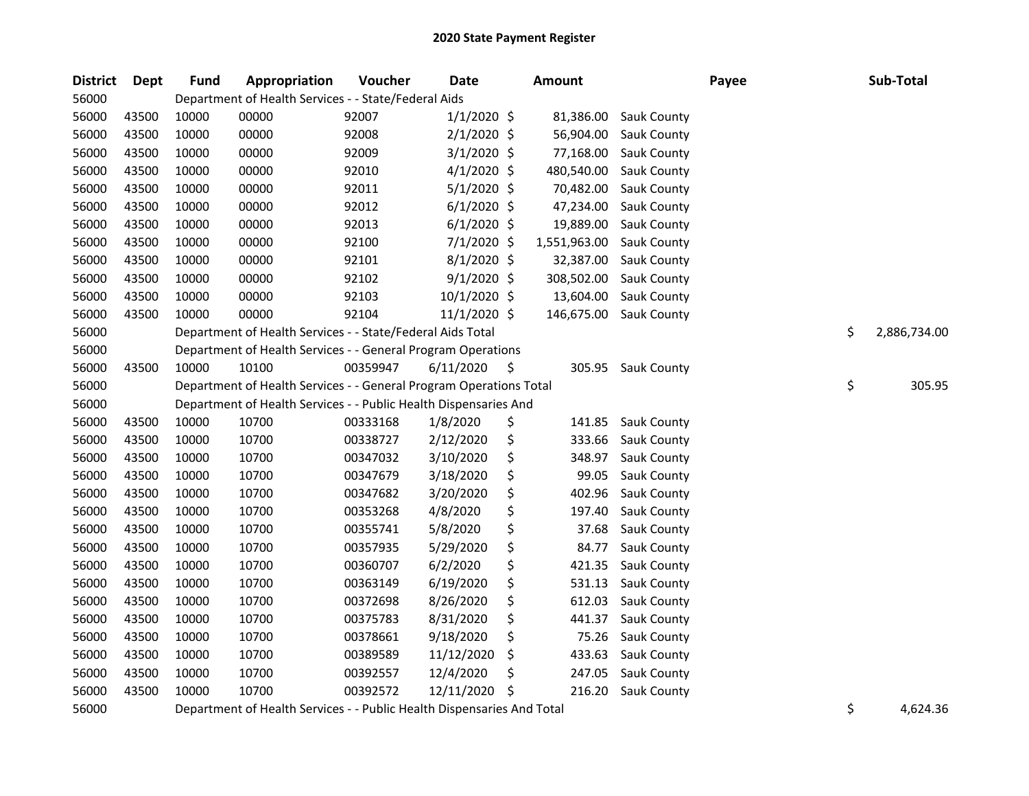| <b>District</b> | Dept  | <b>Fund</b> | Appropriation                                                      | Voucher  | <b>Date</b>   |     | <b>Amount</b> |                    | Payee | Sub-Total          |
|-----------------|-------|-------------|--------------------------------------------------------------------|----------|---------------|-----|---------------|--------------------|-------|--------------------|
| 56000           |       |             | Department of Health Services - - State/Federal Aids               |          |               |     |               |                    |       |                    |
| 56000           | 43500 | 10000       | 00000                                                              | 92007    | $1/1/2020$ \$ |     | 81,386.00     | <b>Sauk County</b> |       |                    |
| 56000           | 43500 | 10000       | 00000                                                              | 92008    | 2/1/2020 \$   |     | 56,904.00     | Sauk County        |       |                    |
| 56000           | 43500 | 10000       | 00000                                                              | 92009    | $3/1/2020$ \$ |     | 77,168.00     | Sauk County        |       |                    |
| 56000           | 43500 | 10000       | 00000                                                              | 92010    | $4/1/2020$ \$ |     | 480,540.00    | Sauk County        |       |                    |
| 56000           | 43500 | 10000       | 00000                                                              | 92011    | $5/1/2020$ \$ |     | 70,482.00     | Sauk County        |       |                    |
| 56000           | 43500 | 10000       | 00000                                                              | 92012    | $6/1/2020$ \$ |     | 47,234.00     | Sauk County        |       |                    |
| 56000           | 43500 | 10000       | 00000                                                              | 92013    | $6/1/2020$ \$ |     | 19,889.00     | Sauk County        |       |                    |
| 56000           | 43500 | 10000       | 00000                                                              | 92100    | 7/1/2020 \$   |     | 1,551,963.00  | Sauk County        |       |                    |
| 56000           | 43500 | 10000       | 00000                                                              | 92101    | 8/1/2020 \$   |     | 32,387.00     | <b>Sauk County</b> |       |                    |
| 56000           | 43500 | 10000       | 00000                                                              | 92102    | 9/1/2020 \$   |     | 308,502.00    | Sauk County        |       |                    |
| 56000           | 43500 | 10000       | 00000                                                              | 92103    | 10/1/2020 \$  |     | 13,604.00     | Sauk County        |       |                    |
| 56000           | 43500 | 10000       | 00000                                                              | 92104    | 11/1/2020 \$  |     | 146,675.00    | Sauk County        |       |                    |
| 56000           |       |             | Department of Health Services - - State/Federal Aids Total         |          |               |     |               |                    |       | \$<br>2,886,734.00 |
| 56000           |       |             | Department of Health Services - - General Program Operations       |          |               |     |               |                    |       |                    |
| 56000           | 43500 | 10000       | 10100                                                              | 00359947 | 6/11/2020     | \$. | 305.95        | <b>Sauk County</b> |       |                    |
| 56000           |       |             | Department of Health Services - - General Program Operations Total |          |               |     |               |                    |       | \$<br>305.95       |
| 56000           |       |             | Department of Health Services - - Public Health Dispensaries And   |          |               |     |               |                    |       |                    |
| 56000           | 43500 | 10000       | 10700                                                              | 00333168 | 1/8/2020      | \$  | 141.85        | Sauk County        |       |                    |
| 56000           | 43500 | 10000       | 10700                                                              | 00338727 | 2/12/2020     | \$  | 333.66        | Sauk County        |       |                    |
| 56000           | 43500 | 10000       | 10700                                                              | 00347032 | 3/10/2020     | \$  | 348.97        | Sauk County        |       |                    |
| 56000           | 43500 | 10000       | 10700                                                              | 00347679 | 3/18/2020     | \$  | 99.05         | Sauk County        |       |                    |
| 56000           | 43500 | 10000       | 10700                                                              | 00347682 | 3/20/2020     | \$  | 402.96        | Sauk County        |       |                    |
| 56000           | 43500 | 10000       | 10700                                                              | 00353268 | 4/8/2020      | \$  | 197.40        | Sauk County        |       |                    |
| 56000           | 43500 | 10000       | 10700                                                              | 00355741 | 5/8/2020      | \$  | 37.68         | Sauk County        |       |                    |
| 56000           | 43500 | 10000       | 10700                                                              | 00357935 | 5/29/2020     | \$  | 84.77         | Sauk County        |       |                    |
| 56000           | 43500 | 10000       | 10700                                                              | 00360707 | 6/2/2020      | \$  | 421.35        | Sauk County        |       |                    |
| 56000           | 43500 | 10000       | 10700                                                              | 00363149 | 6/19/2020     | \$  | 531.13        | Sauk County        |       |                    |
| 56000           | 43500 | 10000       | 10700                                                              | 00372698 | 8/26/2020     | \$  | 612.03        | Sauk County        |       |                    |
| 56000           | 43500 | 10000       | 10700                                                              | 00375783 | 8/31/2020     | \$  | 441.37        | Sauk County        |       |                    |
| 56000           | 43500 | 10000       | 10700                                                              | 00378661 | 9/18/2020     | \$  | 75.26         | Sauk County        |       |                    |
| 56000           | 43500 | 10000       | 10700                                                              | 00389589 | 11/12/2020    | \$  | 433.63        | <b>Sauk County</b> |       |                    |
| 56000           | 43500 | 10000       | 10700                                                              | 00392557 | 12/4/2020     | \$  | 247.05        | Sauk County        |       |                    |
| 56000           | 43500 | 10000       | 10700                                                              | 00392572 | 12/11/2020    | \$  | 216.20        | <b>Sauk County</b> |       |                    |
|                 |       |             |                                                                    |          |               |     |               |                    |       |                    |

56000 Department of Health Services - - Public Health Dispensaries And Total 4,620 extending the State of A,624.36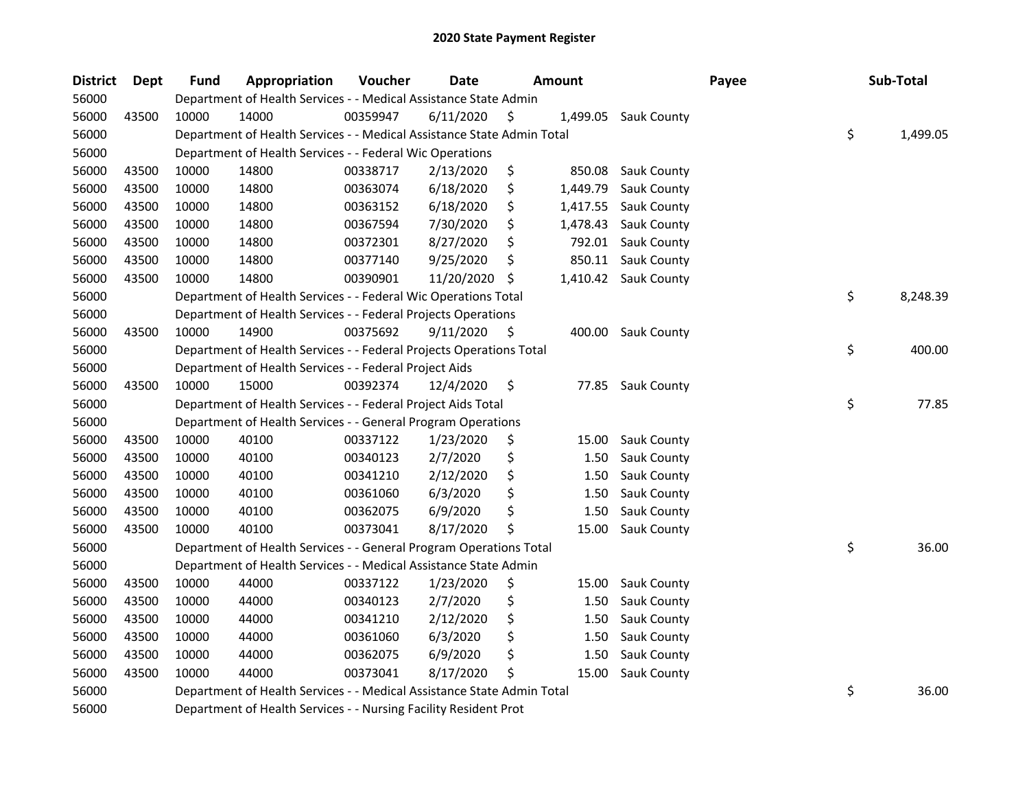| <b>District</b> | <b>Dept</b> | <b>Fund</b> | Appropriation                                                          | Voucher  | <b>Date</b> | <b>Amount</b> |          |                      | Payee | Sub-Total      |
|-----------------|-------------|-------------|------------------------------------------------------------------------|----------|-------------|---------------|----------|----------------------|-------|----------------|
| 56000           |             |             | Department of Health Services - - Medical Assistance State Admin       |          |             |               |          |                      |       |                |
| 56000           | 43500       | 10000       | 14000                                                                  | 00359947 | 6/11/2020   | \$            | 1,499.05 | <b>Sauk County</b>   |       |                |
| 56000           |             |             | Department of Health Services - - Medical Assistance State Admin Total |          |             |               |          |                      |       | \$<br>1,499.05 |
| 56000           |             |             | Department of Health Services - - Federal Wic Operations               |          |             |               |          |                      |       |                |
| 56000           | 43500       | 10000       | 14800                                                                  | 00338717 | 2/13/2020   | \$            | 850.08   | <b>Sauk County</b>   |       |                |
| 56000           | 43500       | 10000       | 14800                                                                  | 00363074 | 6/18/2020   | \$            | 1,449.79 | Sauk County          |       |                |
| 56000           | 43500       | 10000       | 14800                                                                  | 00363152 | 6/18/2020   | \$            | 1,417.55 | Sauk County          |       |                |
| 56000           | 43500       | 10000       | 14800                                                                  | 00367594 | 7/30/2020   | \$            | 1,478.43 | <b>Sauk County</b>   |       |                |
| 56000           | 43500       | 10000       | 14800                                                                  | 00372301 | 8/27/2020   | \$            | 792.01   | Sauk County          |       |                |
| 56000           | 43500       | 10000       | 14800                                                                  | 00377140 | 9/25/2020   | \$            | 850.11   | Sauk County          |       |                |
| 56000           | 43500       | 10000       | 14800                                                                  | 00390901 | 11/20/2020  | \$.           |          | 1,410.42 Sauk County |       |                |
| 56000           |             |             | Department of Health Services - - Federal Wic Operations Total         |          |             |               |          |                      |       | \$<br>8,248.39 |
| 56000           |             |             | Department of Health Services - - Federal Projects Operations          |          |             |               |          |                      |       |                |
| 56000           | 43500       | 10000       | 14900                                                                  | 00375692 | 9/11/2020   | \$.           | 400.00   | <b>Sauk County</b>   |       |                |
| 56000           |             |             | Department of Health Services - - Federal Projects Operations Total    |          |             |               |          |                      |       | \$<br>400.00   |
| 56000           |             |             | Department of Health Services - - Federal Project Aids                 |          |             |               |          |                      |       |                |
| 56000           | 43500       | 10000       | 15000                                                                  | 00392374 | 12/4/2020   | \$            | 77.85    | <b>Sauk County</b>   |       |                |
| 56000           |             |             | Department of Health Services - - Federal Project Aids Total           |          |             |               |          |                      |       | \$<br>77.85    |
| 56000           |             |             | Department of Health Services - - General Program Operations           |          |             |               |          |                      |       |                |
| 56000           | 43500       | 10000       | 40100                                                                  | 00337122 | 1/23/2020   | \$            | 15.00    | Sauk County          |       |                |
| 56000           | 43500       | 10000       | 40100                                                                  | 00340123 | 2/7/2020    | \$            | 1.50     | Sauk County          |       |                |
| 56000           | 43500       | 10000       | 40100                                                                  | 00341210 | 2/12/2020   | \$            | 1.50     | Sauk County          |       |                |
| 56000           | 43500       | 10000       | 40100                                                                  | 00361060 | 6/3/2020    | \$            | 1.50     | Sauk County          |       |                |
| 56000           | 43500       | 10000       | 40100                                                                  | 00362075 | 6/9/2020    | \$            | 1.50     | Sauk County          |       |                |
| 56000           | 43500       | 10000       | 40100                                                                  | 00373041 | 8/17/2020   | \$            | 15.00    | Sauk County          |       |                |
| 56000           |             |             | Department of Health Services - - General Program Operations Total     |          |             |               |          |                      |       | \$<br>36.00    |
| 56000           |             |             | Department of Health Services - - Medical Assistance State Admin       |          |             |               |          |                      |       |                |
| 56000           | 43500       | 10000       | 44000                                                                  | 00337122 | 1/23/2020   | \$            | 15.00    | <b>Sauk County</b>   |       |                |
| 56000           | 43500       | 10000       | 44000                                                                  | 00340123 | 2/7/2020    | \$            | 1.50     | Sauk County          |       |                |
| 56000           | 43500       | 10000       | 44000                                                                  | 00341210 | 2/12/2020   | \$            | 1.50     | Sauk County          |       |                |
| 56000           | 43500       | 10000       | 44000                                                                  | 00361060 | 6/3/2020    | \$            | 1.50     | Sauk County          |       |                |
| 56000           | 43500       | 10000       | 44000                                                                  | 00362075 | 6/9/2020    | \$            | 1.50     | Sauk County          |       |                |
| 56000           | 43500       | 10000       | 44000                                                                  | 00373041 | 8/17/2020   | \$            | 15.00    | Sauk County          |       |                |
| 56000           |             |             | Department of Health Services - - Medical Assistance State Admin Total |          |             |               |          |                      |       | \$<br>36.00    |
| 56000           |             |             | Department of Health Services - - Nursing Facility Resident Prot       |          |             |               |          |                      |       |                |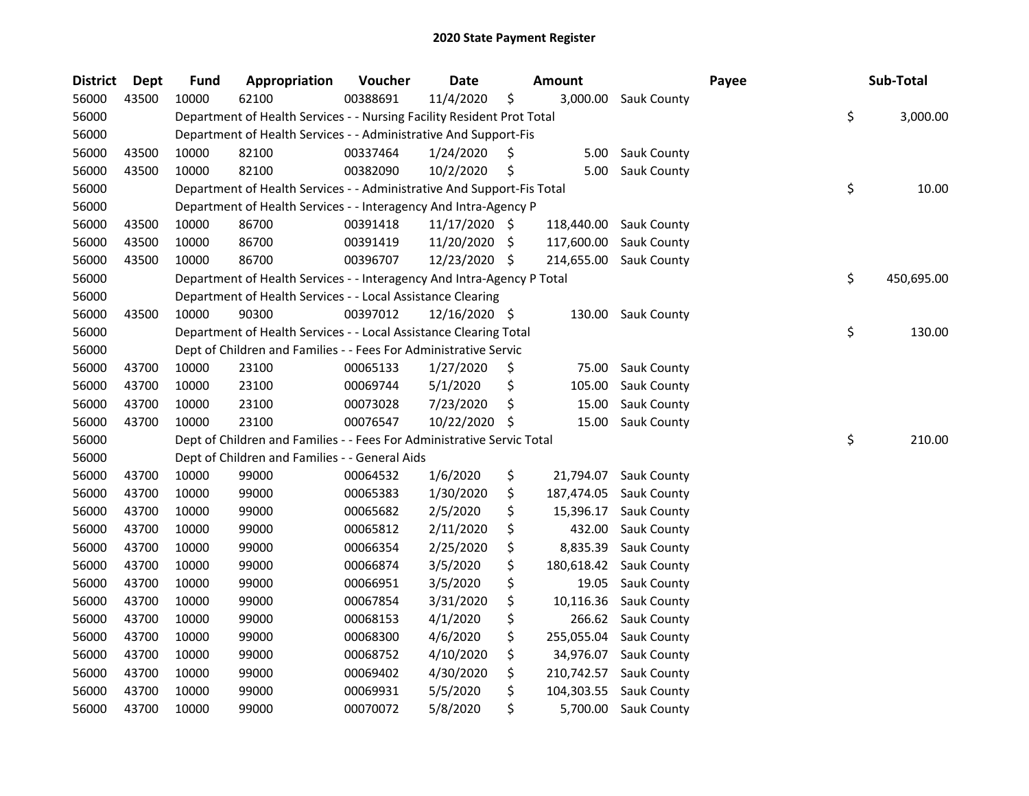| <b>District</b> | <b>Dept</b> | <b>Fund</b> | Appropriation                                                          | Voucher  | <b>Date</b>   |     | <b>Amount</b> |                      | Payee | Sub-Total        |
|-----------------|-------------|-------------|------------------------------------------------------------------------|----------|---------------|-----|---------------|----------------------|-------|------------------|
| 56000           | 43500       | 10000       | 62100                                                                  | 00388691 | 11/4/2020     | \$  |               | 3,000.00 Sauk County |       |                  |
| 56000           |             |             | Department of Health Services - - Nursing Facility Resident Prot Total |          |               |     |               |                      |       | \$<br>3,000.00   |
| 56000           |             |             | Department of Health Services - - Administrative And Support-Fis       |          |               |     |               |                      |       |                  |
| 56000           | 43500       | 10000       | 82100                                                                  | 00337464 | 1/24/2020     | S   | 5.00          | <b>Sauk County</b>   |       |                  |
| 56000           | 43500       | 10000       | 82100                                                                  | 00382090 | 10/2/2020     | \$  | 5.00          | <b>Sauk County</b>   |       |                  |
| 56000           |             |             | Department of Health Services - - Administrative And Support-Fis Total |          |               |     |               |                      |       | \$<br>10.00      |
| 56000           |             |             | Department of Health Services - - Interagency And Intra-Agency P       |          |               |     |               |                      |       |                  |
| 56000           | 43500       | 10000       | 86700                                                                  | 00391418 | 11/17/2020 \$ |     | 118,440.00    | <b>Sauk County</b>   |       |                  |
| 56000           | 43500       | 10000       | 86700                                                                  | 00391419 | 11/20/2020    | \$  | 117,600.00    | Sauk County          |       |                  |
| 56000           | 43500       | 10000       | 86700                                                                  | 00396707 | 12/23/2020    | -\$ | 214,655.00    | <b>Sauk County</b>   |       |                  |
| 56000           |             |             | Department of Health Services - - Interagency And Intra-Agency P Total |          |               |     |               |                      |       | \$<br>450,695.00 |
| 56000           |             |             | Department of Health Services - - Local Assistance Clearing            |          |               |     |               |                      |       |                  |
| 56000           | 43500       | 10000       | 90300                                                                  | 00397012 | 12/16/2020 \$ |     | 130.00        | <b>Sauk County</b>   |       |                  |
| 56000           |             |             | Department of Health Services - - Local Assistance Clearing Total      |          |               |     |               |                      |       | \$<br>130.00     |
| 56000           |             |             | Dept of Children and Families - - Fees For Administrative Servic       |          |               |     |               |                      |       |                  |
| 56000           | 43700       | 10000       | 23100                                                                  | 00065133 | 1/27/2020     | \$  | 75.00         | <b>Sauk County</b>   |       |                  |
| 56000           | 43700       | 10000       | 23100                                                                  | 00069744 | 5/1/2020      | \$  | 105.00        | Sauk County          |       |                  |
| 56000           | 43700       | 10000       | 23100                                                                  | 00073028 | 7/23/2020     | \$  | 15.00         | Sauk County          |       |                  |
| 56000           | 43700       | 10000       | 23100                                                                  | 00076547 | 10/22/2020    | S   | 15.00         | Sauk County          |       |                  |
| 56000           |             |             | Dept of Children and Families - - Fees For Administrative Servic Total |          |               |     |               |                      |       | \$<br>210.00     |
| 56000           |             |             | Dept of Children and Families - - General Aids                         |          |               |     |               |                      |       |                  |
| 56000           | 43700       | 10000       | 99000                                                                  | 00064532 | 1/6/2020      | \$  | 21,794.07     | <b>Sauk County</b>   |       |                  |
| 56000           | 43700       | 10000       | 99000                                                                  | 00065383 | 1/30/2020     | \$  | 187,474.05    | Sauk County          |       |                  |
| 56000           | 43700       | 10000       | 99000                                                                  | 00065682 | 2/5/2020      | \$  | 15,396.17     | Sauk County          |       |                  |
| 56000           | 43700       | 10000       | 99000                                                                  | 00065812 | 2/11/2020     | \$  | 432.00        | Sauk County          |       |                  |
| 56000           | 43700       | 10000       | 99000                                                                  | 00066354 | 2/25/2020     | \$  | 8,835.39      | <b>Sauk County</b>   |       |                  |
| 56000           | 43700       | 10000       | 99000                                                                  | 00066874 | 3/5/2020      | \$  | 180,618.42    | Sauk County          |       |                  |
| 56000           | 43700       | 10000       | 99000                                                                  | 00066951 | 3/5/2020      | \$  | 19.05         | Sauk County          |       |                  |
| 56000           | 43700       | 10000       | 99000                                                                  | 00067854 | 3/31/2020     | \$  | 10,116.36     | Sauk County          |       |                  |
| 56000           | 43700       | 10000       | 99000                                                                  | 00068153 | 4/1/2020      | \$  | 266.62        | <b>Sauk County</b>   |       |                  |
| 56000           | 43700       | 10000       | 99000                                                                  | 00068300 | 4/6/2020      | \$  | 255,055.04    | Sauk County          |       |                  |
| 56000           | 43700       | 10000       | 99000                                                                  | 00068752 | 4/10/2020     | \$  | 34,976.07     | Sauk County          |       |                  |
| 56000           | 43700       | 10000       | 99000                                                                  | 00069402 | 4/30/2020     | \$  | 210,742.57    | Sauk County          |       |                  |
| 56000           | 43700       | 10000       | 99000                                                                  | 00069931 | 5/5/2020      | \$  | 104,303.55    | Sauk County          |       |                  |
| 56000           | 43700       | 10000       | 99000                                                                  | 00070072 | 5/8/2020      | \$  | 5,700.00      | <b>Sauk County</b>   |       |                  |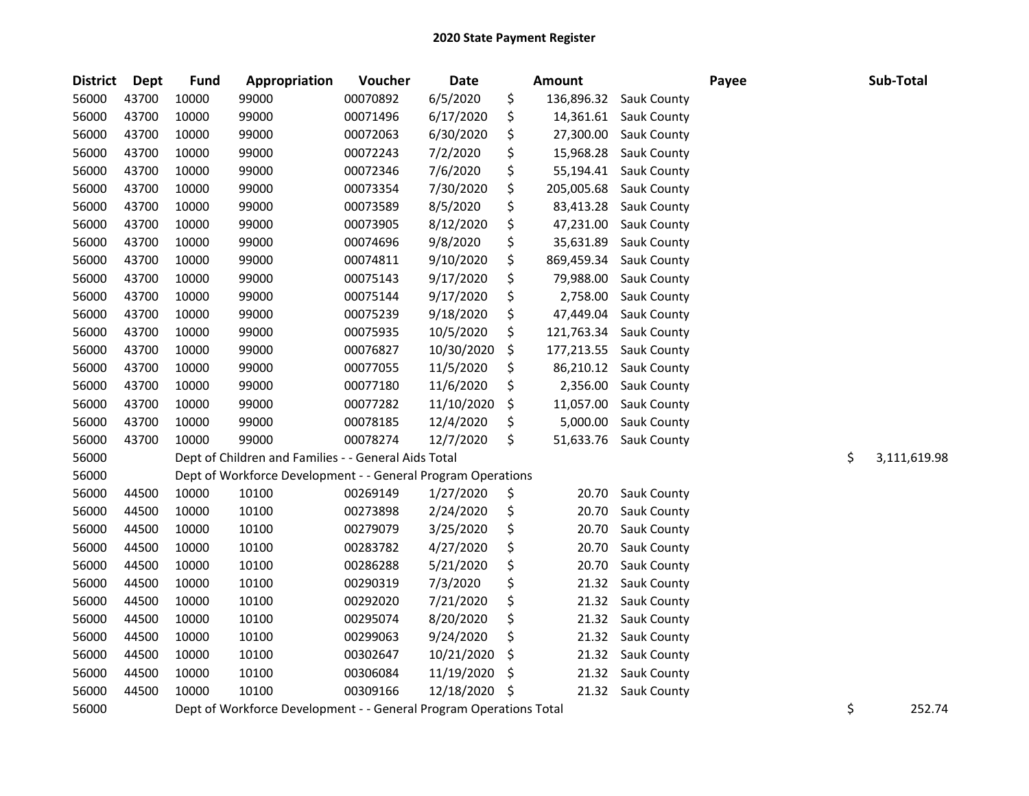| <b>District</b> | <b>Dept</b> | <b>Fund</b> | Appropriation                                                      | Voucher  | <b>Date</b> | Amount           |                    | Payee | Sub-Total          |
|-----------------|-------------|-------------|--------------------------------------------------------------------|----------|-------------|------------------|--------------------|-------|--------------------|
| 56000           | 43700       | 10000       | 99000                                                              | 00070892 | 6/5/2020    | \$<br>136,896.32 | Sauk County        |       |                    |
| 56000           | 43700       | 10000       | 99000                                                              | 00071496 | 6/17/2020   | \$<br>14,361.61  | <b>Sauk County</b> |       |                    |
| 56000           | 43700       | 10000       | 99000                                                              | 00072063 | 6/30/2020   | \$<br>27,300.00  | Sauk County        |       |                    |
| 56000           | 43700       | 10000       | 99000                                                              | 00072243 | 7/2/2020    | \$<br>15,968.28  | Sauk County        |       |                    |
| 56000           | 43700       | 10000       | 99000                                                              | 00072346 | 7/6/2020    | \$<br>55,194.41  | Sauk County        |       |                    |
| 56000           | 43700       | 10000       | 99000                                                              | 00073354 | 7/30/2020   | \$<br>205,005.68 | Sauk County        |       |                    |
| 56000           | 43700       | 10000       | 99000                                                              | 00073589 | 8/5/2020    | \$<br>83,413.28  | Sauk County        |       |                    |
| 56000           | 43700       | 10000       | 99000                                                              | 00073905 | 8/12/2020   | \$<br>47,231.00  | Sauk County        |       |                    |
| 56000           | 43700       | 10000       | 99000                                                              | 00074696 | 9/8/2020    | \$<br>35,631.89  | Sauk County        |       |                    |
| 56000           | 43700       | 10000       | 99000                                                              | 00074811 | 9/10/2020   | \$<br>869,459.34 | Sauk County        |       |                    |
| 56000           | 43700       | 10000       | 99000                                                              | 00075143 | 9/17/2020   | \$<br>79,988.00  | Sauk County        |       |                    |
| 56000           | 43700       | 10000       | 99000                                                              | 00075144 | 9/17/2020   | \$<br>2,758.00   | Sauk County        |       |                    |
| 56000           | 43700       | 10000       | 99000                                                              | 00075239 | 9/18/2020   | \$<br>47,449.04  | Sauk County        |       |                    |
| 56000           | 43700       | 10000       | 99000                                                              | 00075935 | 10/5/2020   | \$<br>121,763.34 | Sauk County        |       |                    |
| 56000           | 43700       | 10000       | 99000                                                              | 00076827 | 10/30/2020  | \$<br>177,213.55 | Sauk County        |       |                    |
| 56000           | 43700       | 10000       | 99000                                                              | 00077055 | 11/5/2020   | \$<br>86,210.12  | Sauk County        |       |                    |
| 56000           | 43700       | 10000       | 99000                                                              | 00077180 | 11/6/2020   | \$<br>2,356.00   | Sauk County        |       |                    |
| 56000           | 43700       | 10000       | 99000                                                              | 00077282 | 11/10/2020  | \$<br>11,057.00  | Sauk County        |       |                    |
| 56000           | 43700       | 10000       | 99000                                                              | 00078185 | 12/4/2020   | \$<br>5,000.00   | Sauk County        |       |                    |
| 56000           | 43700       | 10000       | 99000                                                              | 00078274 | 12/7/2020   | \$<br>51,633.76  | Sauk County        |       |                    |
| 56000           |             |             | Dept of Children and Families - - General Aids Total               |          |             |                  |                    |       | \$<br>3,111,619.98 |
| 56000           |             |             | Dept of Workforce Development - - General Program Operations       |          |             |                  |                    |       |                    |
| 56000           | 44500       | 10000       | 10100                                                              | 00269149 | 1/27/2020   | \$<br>20.70      | Sauk County        |       |                    |
| 56000           | 44500       | 10000       | 10100                                                              | 00273898 | 2/24/2020   | \$<br>20.70      | Sauk County        |       |                    |
| 56000           | 44500       | 10000       | 10100                                                              | 00279079 | 3/25/2020   | \$<br>20.70      | Sauk County        |       |                    |
| 56000           | 44500       | 10000       | 10100                                                              | 00283782 | 4/27/2020   | \$<br>20.70      | Sauk County        |       |                    |
| 56000           | 44500       | 10000       | 10100                                                              | 00286288 | 5/21/2020   | \$<br>20.70      | Sauk County        |       |                    |
| 56000           | 44500       | 10000       | 10100                                                              | 00290319 | 7/3/2020    | \$<br>21.32      | Sauk County        |       |                    |
| 56000           | 44500       | 10000       | 10100                                                              | 00292020 | 7/21/2020   | \$<br>21.32      | Sauk County        |       |                    |
| 56000           | 44500       | 10000       | 10100                                                              | 00295074 | 8/20/2020   | \$<br>21.32      | Sauk County        |       |                    |
| 56000           | 44500       | 10000       | 10100                                                              | 00299063 | 9/24/2020   | \$<br>21.32      | Sauk County        |       |                    |
| 56000           | 44500       | 10000       | 10100                                                              | 00302647 | 10/21/2020  | \$<br>21.32      | <b>Sauk County</b> |       |                    |
| 56000           | 44500       | 10000       | 10100                                                              | 00306084 | 11/19/2020  | \$<br>21.32      | <b>Sauk County</b> |       |                    |
| 56000           | 44500       | 10000       | 10100                                                              | 00309166 | 12/18/2020  | \$<br>21.32      | <b>Sauk County</b> |       |                    |
| 56000           |             |             | Dept of Workforce Development - - General Program Operations Total |          |             |                  |                    |       | \$<br>252.74       |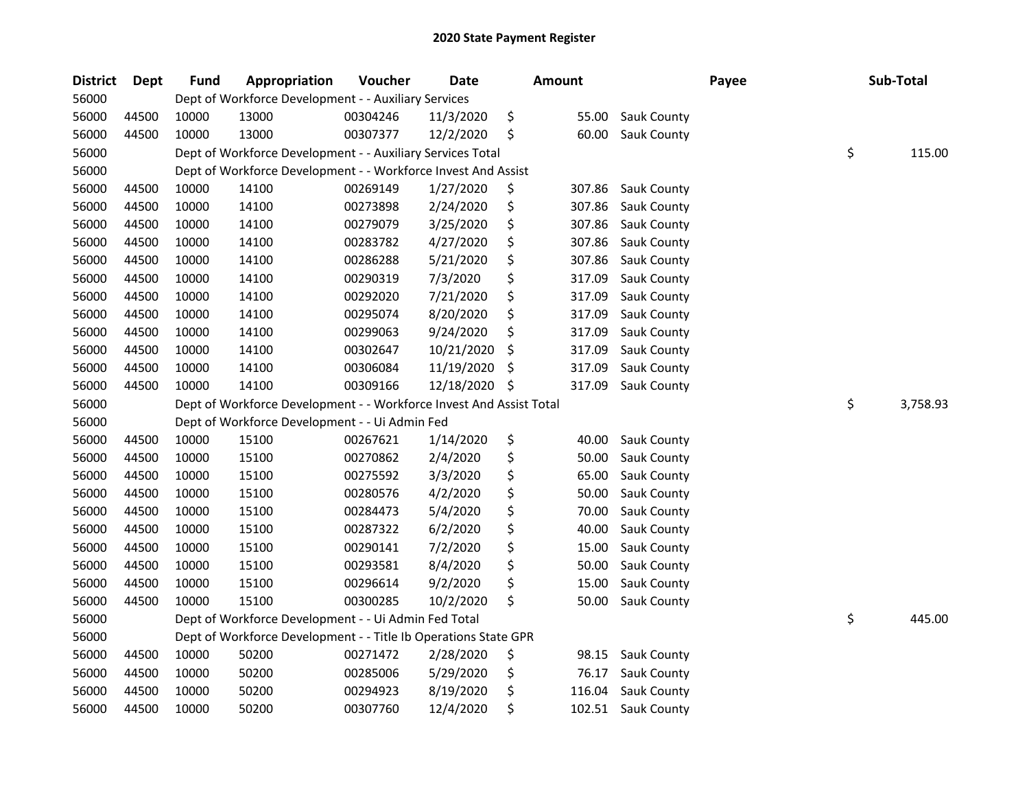| <b>District</b> | Dept  | <b>Fund</b> | Appropriation                                                       | Voucher  | <b>Date</b> | Amount       |                    | Payee | Sub-Total      |
|-----------------|-------|-------------|---------------------------------------------------------------------|----------|-------------|--------------|--------------------|-------|----------------|
| 56000           |       |             | Dept of Workforce Development - - Auxiliary Services                |          |             |              |                    |       |                |
| 56000           | 44500 | 10000       | 13000                                                               | 00304246 | 11/3/2020   | \$<br>55.00  | Sauk County        |       |                |
| 56000           | 44500 | 10000       | 13000                                                               | 00307377 | 12/2/2020   | \$<br>60.00  | Sauk County        |       |                |
| 56000           |       |             | Dept of Workforce Development - - Auxiliary Services Total          |          |             |              |                    |       | \$<br>115.00   |
| 56000           |       |             | Dept of Workforce Development - - Workforce Invest And Assist       |          |             |              |                    |       |                |
| 56000           | 44500 | 10000       | 14100                                                               | 00269149 | 1/27/2020   | \$<br>307.86 | Sauk County        |       |                |
| 56000           | 44500 | 10000       | 14100                                                               | 00273898 | 2/24/2020   | \$<br>307.86 | Sauk County        |       |                |
| 56000           | 44500 | 10000       | 14100                                                               | 00279079 | 3/25/2020   | \$<br>307.86 | Sauk County        |       |                |
| 56000           | 44500 | 10000       | 14100                                                               | 00283782 | 4/27/2020   | \$<br>307.86 | Sauk County        |       |                |
| 56000           | 44500 | 10000       | 14100                                                               | 00286288 | 5/21/2020   | \$<br>307.86 | Sauk County        |       |                |
| 56000           | 44500 | 10000       | 14100                                                               | 00290319 | 7/3/2020    | \$<br>317.09 | Sauk County        |       |                |
| 56000           | 44500 | 10000       | 14100                                                               | 00292020 | 7/21/2020   | \$<br>317.09 | Sauk County        |       |                |
| 56000           | 44500 | 10000       | 14100                                                               | 00295074 | 8/20/2020   | \$<br>317.09 | Sauk County        |       |                |
| 56000           | 44500 | 10000       | 14100                                                               | 00299063 | 9/24/2020   | \$<br>317.09 | Sauk County        |       |                |
| 56000           | 44500 | 10000       | 14100                                                               | 00302647 | 10/21/2020  | \$<br>317.09 | Sauk County        |       |                |
| 56000           | 44500 | 10000       | 14100                                                               | 00306084 | 11/19/2020  | \$<br>317.09 | Sauk County        |       |                |
| 56000           | 44500 | 10000       | 14100                                                               | 00309166 | 12/18/2020  | \$<br>317.09 | Sauk County        |       |                |
| 56000           |       |             | Dept of Workforce Development - - Workforce Invest And Assist Total |          |             |              |                    |       | \$<br>3,758.93 |
| 56000           |       |             | Dept of Workforce Development - - Ui Admin Fed                      |          |             |              |                    |       |                |
| 56000           | 44500 | 10000       | 15100                                                               | 00267621 | 1/14/2020   | \$<br>40.00  | Sauk County        |       |                |
| 56000           | 44500 | 10000       | 15100                                                               | 00270862 | 2/4/2020    | \$<br>50.00  | Sauk County        |       |                |
| 56000           | 44500 | 10000       | 15100                                                               | 00275592 | 3/3/2020    | \$<br>65.00  | Sauk County        |       |                |
| 56000           | 44500 | 10000       | 15100                                                               | 00280576 | 4/2/2020    | \$<br>50.00  | Sauk County        |       |                |
| 56000           | 44500 | 10000       | 15100                                                               | 00284473 | 5/4/2020    | \$<br>70.00  | Sauk County        |       |                |
| 56000           | 44500 | 10000       | 15100                                                               | 00287322 | 6/2/2020    | \$<br>40.00  | Sauk County        |       |                |
| 56000           | 44500 | 10000       | 15100                                                               | 00290141 | 7/2/2020    | \$<br>15.00  | Sauk County        |       |                |
| 56000           | 44500 | 10000       | 15100                                                               | 00293581 | 8/4/2020    | \$<br>50.00  | Sauk County        |       |                |
| 56000           | 44500 | 10000       | 15100                                                               | 00296614 | 9/2/2020    | \$<br>15.00  | Sauk County        |       |                |
| 56000           | 44500 | 10000       | 15100                                                               | 00300285 | 10/2/2020   | \$<br>50.00  | Sauk County        |       |                |
| 56000           |       |             | Dept of Workforce Development - - Ui Admin Fed Total                |          |             |              |                    |       | \$<br>445.00   |
| 56000           |       |             | Dept of Workforce Development - - Title Ib Operations State GPR     |          |             |              |                    |       |                |
| 56000           | 44500 | 10000       | 50200                                                               | 00271472 | 2/28/2020   | \$<br>98.15  | <b>Sauk County</b> |       |                |
| 56000           | 44500 | 10000       | 50200                                                               | 00285006 | 5/29/2020   | \$<br>76.17  | Sauk County        |       |                |
| 56000           | 44500 | 10000       | 50200                                                               | 00294923 | 8/19/2020   | \$<br>116.04 | Sauk County        |       |                |
| 56000           | 44500 | 10000       | 50200                                                               | 00307760 | 12/4/2020   | \$<br>102.51 | <b>Sauk County</b> |       |                |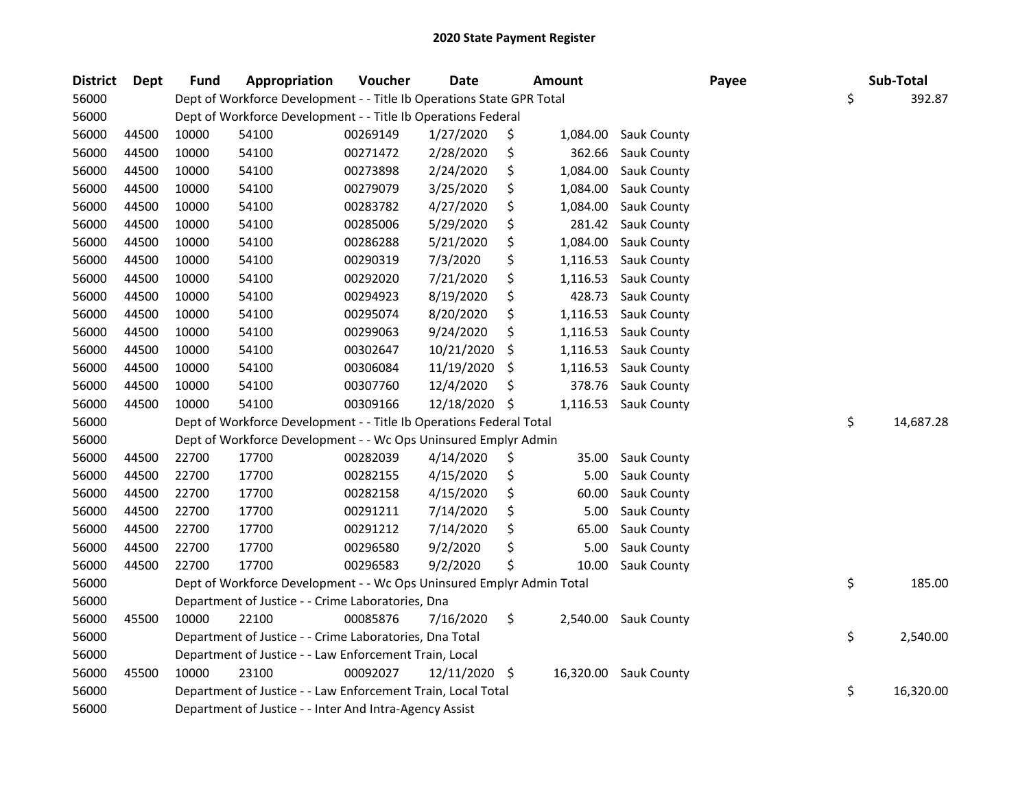| <b>District</b> | Dept  | <b>Fund</b> | Appropriation                                                         | Voucher  | <b>Date</b> |     | <b>Amount</b> |                       | Payee | Sub-Total       |
|-----------------|-------|-------------|-----------------------------------------------------------------------|----------|-------------|-----|---------------|-----------------------|-------|-----------------|
| 56000           |       |             | Dept of Workforce Development - - Title Ib Operations State GPR Total |          |             |     |               |                       |       | \$<br>392.87    |
| 56000           |       |             | Dept of Workforce Development - - Title Ib Operations Federal         |          |             |     |               |                       |       |                 |
| 56000           | 44500 | 10000       | 54100                                                                 | 00269149 | 1/27/2020   | \$  | 1,084.00      | Sauk County           |       |                 |
| 56000           | 44500 | 10000       | 54100                                                                 | 00271472 | 2/28/2020   | \$  | 362.66        | Sauk County           |       |                 |
| 56000           | 44500 | 10000       | 54100                                                                 | 00273898 | 2/24/2020   | \$  | 1,084.00      | Sauk County           |       |                 |
| 56000           | 44500 | 10000       | 54100                                                                 | 00279079 | 3/25/2020   | \$  | 1,084.00      | Sauk County           |       |                 |
| 56000           | 44500 | 10000       | 54100                                                                 | 00283782 | 4/27/2020   | \$  | 1,084.00      | Sauk County           |       |                 |
| 56000           | 44500 | 10000       | 54100                                                                 | 00285006 | 5/29/2020   | \$  | 281.42        | Sauk County           |       |                 |
| 56000           | 44500 | 10000       | 54100                                                                 | 00286288 | 5/21/2020   | \$  | 1,084.00      | Sauk County           |       |                 |
| 56000           | 44500 | 10000       | 54100                                                                 | 00290319 | 7/3/2020    | \$  | 1,116.53      | Sauk County           |       |                 |
| 56000           | 44500 | 10000       | 54100                                                                 | 00292020 | 7/21/2020   | \$  | 1,116.53      | Sauk County           |       |                 |
| 56000           | 44500 | 10000       | 54100                                                                 | 00294923 | 8/19/2020   | \$  | 428.73        | Sauk County           |       |                 |
| 56000           | 44500 | 10000       | 54100                                                                 | 00295074 | 8/20/2020   | \$  | 1,116.53      | Sauk County           |       |                 |
| 56000           | 44500 | 10000       | 54100                                                                 | 00299063 | 9/24/2020   | \$  | 1,116.53      | Sauk County           |       |                 |
| 56000           | 44500 | 10000       | 54100                                                                 | 00302647 | 10/21/2020  | \$  | 1,116.53      | Sauk County           |       |                 |
| 56000           | 44500 | 10000       | 54100                                                                 | 00306084 | 11/19/2020  | \$, | 1,116.53      | Sauk County           |       |                 |
| 56000           | 44500 | 10000       | 54100                                                                 | 00307760 | 12/4/2020   | \$  | 378.76        | Sauk County           |       |                 |
| 56000           | 44500 | 10000       | 54100                                                                 | 00309166 | 12/18/2020  | \$, | 1,116.53      | Sauk County           |       |                 |
| 56000           |       |             | Dept of Workforce Development - - Title Ib Operations Federal Total   |          |             |     |               |                       |       | \$<br>14,687.28 |
| 56000           |       |             | Dept of Workforce Development - - Wc Ops Uninsured Emplyr Admin       |          |             |     |               |                       |       |                 |
| 56000           | 44500 | 22700       | 17700                                                                 | 00282039 | 4/14/2020   | \$  | 35.00         | Sauk County           |       |                 |
| 56000           | 44500 | 22700       | 17700                                                                 | 00282155 | 4/15/2020   | \$  | 5.00          | Sauk County           |       |                 |
| 56000           | 44500 | 22700       | 17700                                                                 | 00282158 | 4/15/2020   | \$  | 60.00         | Sauk County           |       |                 |
| 56000           | 44500 | 22700       | 17700                                                                 | 00291211 | 7/14/2020   | \$  | 5.00          | Sauk County           |       |                 |
| 56000           | 44500 | 22700       | 17700                                                                 | 00291212 | 7/14/2020   | \$  | 65.00         | Sauk County           |       |                 |
| 56000           | 44500 | 22700       | 17700                                                                 | 00296580 | 9/2/2020    | \$  | 5.00          | Sauk County           |       |                 |
| 56000           | 44500 | 22700       | 17700                                                                 | 00296583 | 9/2/2020    | \$  | 10.00         | Sauk County           |       |                 |
| 56000           |       |             | Dept of Workforce Development - - Wc Ops Uninsured Emplyr Admin Total |          |             |     |               |                       |       | \$<br>185.00    |
| 56000           |       |             | Department of Justice - - Crime Laboratories, Dna                     |          |             |     |               |                       |       |                 |
| 56000           | 45500 | 10000       | 22100                                                                 | 00085876 | 7/16/2020   | \$  | 2,540.00      | Sauk County           |       |                 |
| 56000           |       |             | Department of Justice - - Crime Laboratories, Dna Total               |          |             |     |               |                       |       | \$<br>2,540.00  |
| 56000           |       |             | Department of Justice - - Law Enforcement Train, Local                |          |             |     |               |                       |       |                 |
| 56000           | 45500 | 10000       | 23100                                                                 | 00092027 | 12/11/2020  | \$  |               | 16,320.00 Sauk County |       |                 |
| 56000           |       |             | Department of Justice - - Law Enforcement Train, Local Total          |          |             |     |               |                       |       | \$<br>16,320.00 |
| 56000           |       |             | Department of Justice - - Inter And Intra-Agency Assist               |          |             |     |               |                       |       |                 |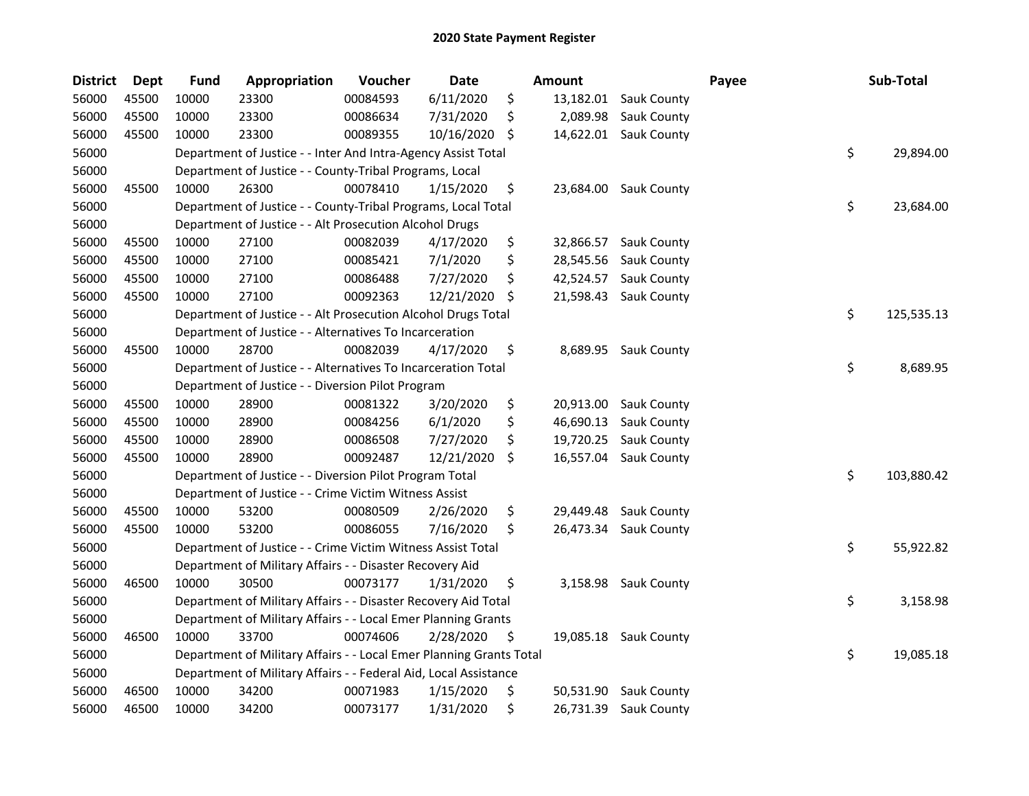| District | <b>Dept</b> | <b>Fund</b> | Appropriation                                                       | Voucher  | <b>Date</b> |     | <b>Amount</b> |                       | Payee | Sub-Total        |
|----------|-------------|-------------|---------------------------------------------------------------------|----------|-------------|-----|---------------|-----------------------|-------|------------------|
| 56000    | 45500       | 10000       | 23300                                                               | 00084593 | 6/11/2020   | \$  | 13,182.01     | <b>Sauk County</b>    |       |                  |
| 56000    | 45500       | 10000       | 23300                                                               | 00086634 | 7/31/2020   | \$  | 2,089.98      | <b>Sauk County</b>    |       |                  |
| 56000    | 45500       | 10000       | 23300                                                               | 00089355 | 10/16/2020  | \$. |               | 14,622.01 Sauk County |       |                  |
| 56000    |             |             | Department of Justice - - Inter And Intra-Agency Assist Total       |          |             |     |               |                       |       | \$<br>29,894.00  |
| 56000    |             |             | Department of Justice - - County-Tribal Programs, Local             |          |             |     |               |                       |       |                  |
| 56000    | 45500       | 10000       | 26300                                                               | 00078410 | 1/15/2020   | \$  |               | 23,684.00 Sauk County |       |                  |
| 56000    |             |             | Department of Justice - - County-Tribal Programs, Local Total       |          |             |     |               |                       |       | \$<br>23,684.00  |
| 56000    |             |             | Department of Justice - - Alt Prosecution Alcohol Drugs             |          |             |     |               |                       |       |                  |
| 56000    | 45500       | 10000       | 27100                                                               | 00082039 | 4/17/2020   | \$  | 32,866.57     | <b>Sauk County</b>    |       |                  |
| 56000    | 45500       | 10000       | 27100                                                               | 00085421 | 7/1/2020    | \$  | 28,545.56     | <b>Sauk County</b>    |       |                  |
| 56000    | 45500       | 10000       | 27100                                                               | 00086488 | 7/27/2020   | \$  | 42,524.57     | <b>Sauk County</b>    |       |                  |
| 56000    | 45500       | 10000       | 27100                                                               | 00092363 | 12/21/2020  | \$  | 21,598.43     | <b>Sauk County</b>    |       |                  |
| 56000    |             |             | Department of Justice - - Alt Prosecution Alcohol Drugs Total       |          |             |     |               |                       |       | \$<br>125,535.13 |
| 56000    |             |             | Department of Justice - - Alternatives To Incarceration             |          |             |     |               |                       |       |                  |
| 56000    | 45500       | 10000       | 28700                                                               | 00082039 | 4/17/2020   | \$  | 8,689.95      | Sauk County           |       |                  |
| 56000    |             |             | Department of Justice - - Alternatives To Incarceration Total       |          |             |     |               |                       |       | \$<br>8,689.95   |
| 56000    |             |             | Department of Justice - - Diversion Pilot Program                   |          |             |     |               |                       |       |                  |
| 56000    | 45500       | 10000       | 28900                                                               | 00081322 | 3/20/2020   | \$  | 20,913.00     | Sauk County           |       |                  |
| 56000    | 45500       | 10000       | 28900                                                               | 00084256 | 6/1/2020    | \$  | 46,690.13     | Sauk County           |       |                  |
| 56000    | 45500       | 10000       | 28900                                                               | 00086508 | 7/27/2020   | \$  | 19,720.25     | Sauk County           |       |                  |
| 56000    | 45500       | 10000       | 28900                                                               | 00092487 | 12/21/2020  | \$  | 16,557.04     | <b>Sauk County</b>    |       |                  |
| 56000    |             |             | Department of Justice - - Diversion Pilot Program Total             |          |             |     |               |                       |       | \$<br>103,880.42 |
| 56000    |             |             | Department of Justice - - Crime Victim Witness Assist               |          |             |     |               |                       |       |                  |
| 56000    | 45500       | 10000       | 53200                                                               | 00080509 | 2/26/2020   | \$  | 29,449.48     | Sauk County           |       |                  |
| 56000    | 45500       | 10000       | 53200                                                               | 00086055 | 7/16/2020   | \$  | 26,473.34     | <b>Sauk County</b>    |       |                  |
| 56000    |             |             | Department of Justice - - Crime Victim Witness Assist Total         |          |             |     |               |                       |       | \$<br>55,922.82  |
| 56000    |             |             | Department of Military Affairs - - Disaster Recovery Aid            |          |             |     |               |                       |       |                  |
| 56000    | 46500       | 10000       | 30500                                                               | 00073177 | 1/31/2020   | \$  |               | 3,158.98 Sauk County  |       |                  |
| 56000    |             |             | Department of Military Affairs - - Disaster Recovery Aid Total      |          |             |     |               |                       |       | \$<br>3,158.98   |
| 56000    |             |             | Department of Military Affairs - - Local Emer Planning Grants       |          |             |     |               |                       |       |                  |
| 56000    | 46500       | 10000       | 33700                                                               | 00074606 | 2/28/2020   | \$  |               | 19,085.18 Sauk County |       |                  |
| 56000    |             |             | Department of Military Affairs - - Local Emer Planning Grants Total |          |             |     |               |                       |       | \$<br>19,085.18  |
| 56000    |             |             | Department of Military Affairs - - Federal Aid, Local Assistance    |          |             |     |               |                       |       |                  |
| 56000    | 46500       | 10000       | 34200                                                               | 00071983 | 1/15/2020   | \$  | 50,531.90     | <b>Sauk County</b>    |       |                  |
| 56000    | 46500       | 10000       | 34200                                                               | 00073177 | 1/31/2020   | \$  |               | 26,731.39 Sauk County |       |                  |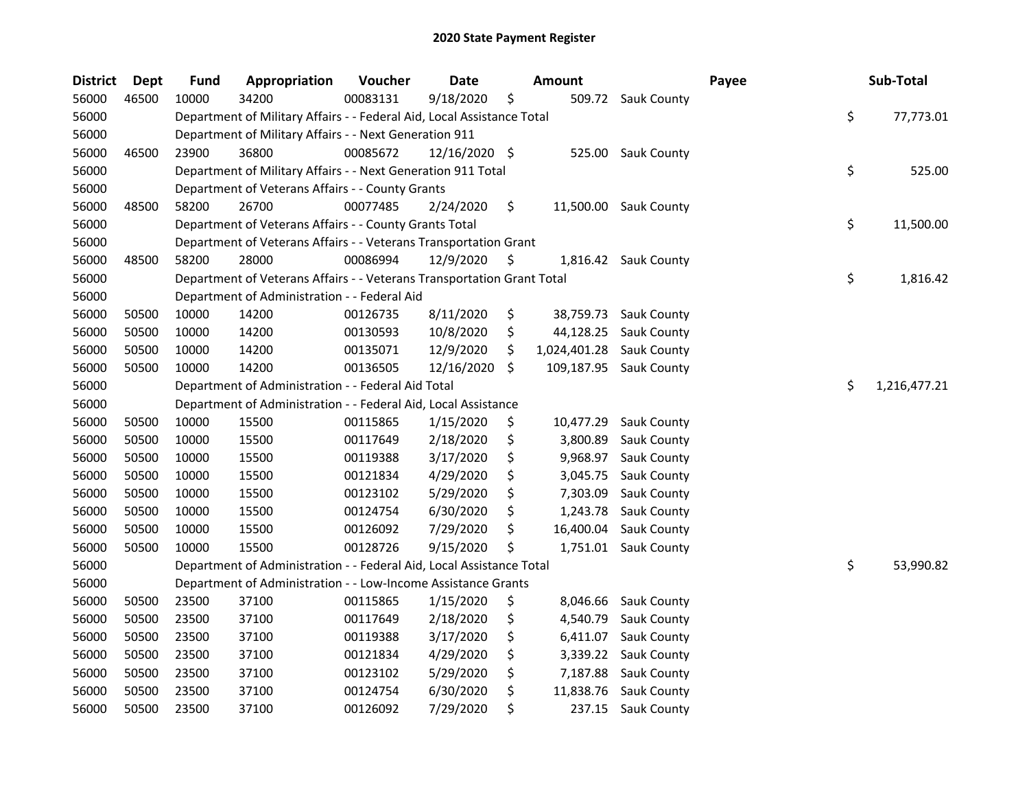| <b>District</b> | <b>Dept</b> | <b>Fund</b> | Appropriation                                                          | Voucher  | <b>Date</b>   | <b>Amount</b>      |                       | Payee | Sub-Total          |
|-----------------|-------------|-------------|------------------------------------------------------------------------|----------|---------------|--------------------|-----------------------|-------|--------------------|
| 56000           | 46500       | 10000       | 34200                                                                  | 00083131 | 9/18/2020     | \$                 | 509.72 Sauk County    |       |                    |
| 56000           |             |             | Department of Military Affairs - - Federal Aid, Local Assistance Total |          |               |                    |                       |       | \$<br>77,773.01    |
| 56000           |             |             | Department of Military Affairs - - Next Generation 911                 |          |               |                    |                       |       |                    |
| 56000           | 46500       | 23900       | 36800                                                                  | 00085672 | 12/16/2020 \$ | 525.00             | Sauk County           |       |                    |
| 56000           |             |             | Department of Military Affairs - - Next Generation 911 Total           |          |               |                    |                       |       | \$<br>525.00       |
| 56000           |             |             | Department of Veterans Affairs - - County Grants                       |          |               |                    |                       |       |                    |
| 56000           | 48500       | 58200       | 26700                                                                  | 00077485 | 2/24/2020     | \$                 | 11,500.00 Sauk County |       |                    |
| 56000           |             |             | Department of Veterans Affairs - - County Grants Total                 |          |               |                    |                       |       | \$<br>11,500.00    |
| 56000           |             |             | Department of Veterans Affairs - - Veterans Transportation Grant       |          |               |                    |                       |       |                    |
| 56000           | 48500       | 58200       | 28000                                                                  | 00086994 | 12/9/2020     | \$                 | 1,816.42 Sauk County  |       |                    |
| 56000           |             |             | Department of Veterans Affairs - - Veterans Transportation Grant Total |          |               |                    |                       |       | \$<br>1,816.42     |
| 56000           |             |             | Department of Administration - - Federal Aid                           |          |               |                    |                       |       |                    |
| 56000           | 50500       | 10000       | 14200                                                                  | 00126735 | 8/11/2020     | \$                 | 38,759.73 Sauk County |       |                    |
| 56000           | 50500       | 10000       | 14200                                                                  | 00130593 | 10/8/2020     | \$<br>44,128.25    | Sauk County           |       |                    |
| 56000           | 50500       | 10000       | 14200                                                                  | 00135071 | 12/9/2020     | \$<br>1,024,401.28 | <b>Sauk County</b>    |       |                    |
| 56000           | 50500       | 10000       | 14200                                                                  | 00136505 | 12/16/2020    | \$<br>109,187.95   | Sauk County           |       |                    |
| 56000           |             |             | Department of Administration - - Federal Aid Total                     |          |               |                    |                       |       | \$<br>1,216,477.21 |
| 56000           |             |             | Department of Administration - - Federal Aid, Local Assistance         |          |               |                    |                       |       |                    |
| 56000           | 50500       | 10000       | 15500                                                                  | 00115865 | 1/15/2020     | \$<br>10,477.29    | <b>Sauk County</b>    |       |                    |
| 56000           | 50500       | 10000       | 15500                                                                  | 00117649 | 2/18/2020     | \$<br>3,800.89     | Sauk County           |       |                    |
| 56000           | 50500       | 10000       | 15500                                                                  | 00119388 | 3/17/2020     | \$<br>9,968.97     | Sauk County           |       |                    |
| 56000           | 50500       | 10000       | 15500                                                                  | 00121834 | 4/29/2020     | \$<br>3,045.75     | Sauk County           |       |                    |
| 56000           | 50500       | 10000       | 15500                                                                  | 00123102 | 5/29/2020     | \$<br>7,303.09     | Sauk County           |       |                    |
| 56000           | 50500       | 10000       | 15500                                                                  | 00124754 | 6/30/2020     | \$<br>1,243.78     | Sauk County           |       |                    |
| 56000           | 50500       | 10000       | 15500                                                                  | 00126092 | 7/29/2020     | \$<br>16,400.04    | <b>Sauk County</b>    |       |                    |
| 56000           | 50500       | 10000       | 15500                                                                  | 00128726 | 9/15/2020     | \$                 | 1,751.01 Sauk County  |       |                    |
| 56000           |             |             | Department of Administration - - Federal Aid, Local Assistance Total   |          |               |                    |                       |       | \$<br>53,990.82    |
| 56000           |             |             | Department of Administration - - Low-Income Assistance Grants          |          |               |                    |                       |       |                    |
| 56000           | 50500       | 23500       | 37100                                                                  | 00115865 | 1/15/2020     | \$<br>8,046.66     | <b>Sauk County</b>    |       |                    |
| 56000           | 50500       | 23500       | 37100                                                                  | 00117649 | 2/18/2020     | \$<br>4,540.79     | Sauk County           |       |                    |
| 56000           | 50500       | 23500       | 37100                                                                  | 00119388 | 3/17/2020     | \$<br>6,411.07     | Sauk County           |       |                    |
| 56000           | 50500       | 23500       | 37100                                                                  | 00121834 | 4/29/2020     | \$<br>3,339.22     | Sauk County           |       |                    |
| 56000           | 50500       | 23500       | 37100                                                                  | 00123102 | 5/29/2020     | \$<br>7,187.88     | <b>Sauk County</b>    |       |                    |
| 56000           | 50500       | 23500       | 37100                                                                  | 00124754 | 6/30/2020     | \$<br>11,838.76    | Sauk County           |       |                    |
| 56000           | 50500       | 23500       | 37100                                                                  | 00126092 | 7/29/2020     | \$<br>237.15       | <b>Sauk County</b>    |       |                    |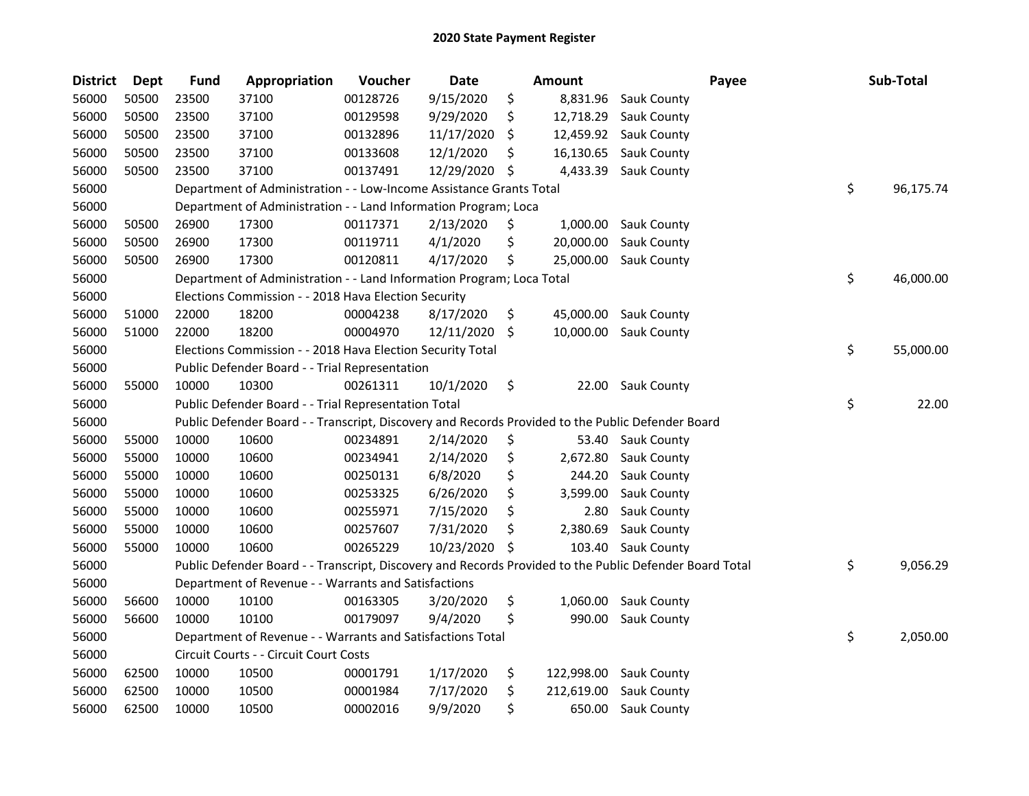| <b>District</b> | Dept  | <b>Fund</b> | Appropriation                                                                                     | Voucher  | <b>Date</b> | Amount           | Payee                                                                                                   | Sub-Total       |
|-----------------|-------|-------------|---------------------------------------------------------------------------------------------------|----------|-------------|------------------|---------------------------------------------------------------------------------------------------------|-----------------|
| 56000           | 50500 | 23500       | 37100                                                                                             | 00128726 | 9/15/2020   | \$<br>8,831.96   | <b>Sauk County</b>                                                                                      |                 |
| 56000           | 50500 | 23500       | 37100                                                                                             | 00129598 | 9/29/2020   | \$<br>12,718.29  | <b>Sauk County</b>                                                                                      |                 |
| 56000           | 50500 | 23500       | 37100                                                                                             | 00132896 | 11/17/2020  | \$<br>12,459.92  | Sauk County                                                                                             |                 |
| 56000           | 50500 | 23500       | 37100                                                                                             | 00133608 | 12/1/2020   | \$<br>16,130.65  | Sauk County                                                                                             |                 |
| 56000           | 50500 | 23500       | 37100                                                                                             | 00137491 | 12/29/2020  | \$<br>4,433.39   | Sauk County                                                                                             |                 |
| 56000           |       |             | Department of Administration - - Low-Income Assistance Grants Total                               |          |             |                  |                                                                                                         | \$<br>96,175.74 |
| 56000           |       |             | Department of Administration - - Land Information Program; Loca                                   |          |             |                  |                                                                                                         |                 |
| 56000           | 50500 | 26900       | 17300                                                                                             | 00117371 | 2/13/2020   | \$<br>1,000.00   | <b>Sauk County</b>                                                                                      |                 |
| 56000           | 50500 | 26900       | 17300                                                                                             | 00119711 | 4/1/2020    | \$<br>20,000.00  | Sauk County                                                                                             |                 |
| 56000           | 50500 | 26900       | 17300                                                                                             | 00120811 | 4/17/2020   | \$<br>25,000.00  | Sauk County                                                                                             |                 |
| 56000           |       |             | Department of Administration - - Land Information Program; Loca Total                             |          |             |                  |                                                                                                         | \$<br>46,000.00 |
| 56000           |       |             | Elections Commission - - 2018 Hava Election Security                                              |          |             |                  |                                                                                                         |                 |
| 56000           | 51000 | 22000       | 18200                                                                                             | 00004238 | 8/17/2020   | \$<br>45,000.00  | <b>Sauk County</b>                                                                                      |                 |
| 56000           | 51000 | 22000       | 18200                                                                                             | 00004970 | 12/11/2020  | \$<br>10,000.00  | <b>Sauk County</b>                                                                                      |                 |
| 56000           |       |             | Elections Commission - - 2018 Hava Election Security Total                                        |          |             |                  |                                                                                                         | \$<br>55,000.00 |
| 56000           |       |             | Public Defender Board - - Trial Representation                                                    |          |             |                  |                                                                                                         |                 |
| 56000           | 55000 | 10000       | 10300                                                                                             | 00261311 | 10/1/2020   | \$<br>22.00      | Sauk County                                                                                             |                 |
| 56000           |       |             | Public Defender Board - - Trial Representation Total                                              |          |             |                  |                                                                                                         | \$<br>22.00     |
| 56000           |       |             | Public Defender Board - - Transcript, Discovery and Records Provided to the Public Defender Board |          |             |                  |                                                                                                         |                 |
| 56000           | 55000 | 10000       | 10600                                                                                             | 00234891 | 2/14/2020   | \$<br>53.40      | <b>Sauk County</b>                                                                                      |                 |
| 56000           | 55000 | 10000       | 10600                                                                                             | 00234941 | 2/14/2020   | \$<br>2,672.80   | Sauk County                                                                                             |                 |
| 56000           | 55000 | 10000       | 10600                                                                                             | 00250131 | 6/8/2020    | \$<br>244.20     | Sauk County                                                                                             |                 |
| 56000           | 55000 | 10000       | 10600                                                                                             | 00253325 | 6/26/2020   | \$<br>3,599.00   | Sauk County                                                                                             |                 |
| 56000           | 55000 | 10000       | 10600                                                                                             | 00255971 | 7/15/2020   | \$<br>2.80       | Sauk County                                                                                             |                 |
| 56000           | 55000 | 10000       | 10600                                                                                             | 00257607 | 7/31/2020   | \$<br>2,380.69   | Sauk County                                                                                             |                 |
| 56000           | 55000 | 10000       | 10600                                                                                             | 00265229 | 10/23/2020  | \$<br>103.40     | Sauk County                                                                                             |                 |
| 56000           |       |             |                                                                                                   |          |             |                  | Public Defender Board - - Transcript, Discovery and Records Provided to the Public Defender Board Total | \$<br>9,056.29  |
| 56000           |       |             | Department of Revenue - - Warrants and Satisfactions                                              |          |             |                  |                                                                                                         |                 |
| 56000           | 56600 | 10000       | 10100                                                                                             | 00163305 | 3/20/2020   | \$<br>1,060.00   | Sauk County                                                                                             |                 |
| 56000           | 56600 | 10000       | 10100                                                                                             | 00179097 | 9/4/2020    | \$<br>990.00     | Sauk County                                                                                             |                 |
| 56000           |       |             | Department of Revenue - - Warrants and Satisfactions Total                                        |          |             |                  |                                                                                                         | \$<br>2,050.00  |
| 56000           |       |             | Circuit Courts - - Circuit Court Costs                                                            |          |             |                  |                                                                                                         |                 |
| 56000           | 62500 | 10000       | 10500                                                                                             | 00001791 | 1/17/2020   | \$<br>122,998.00 | Sauk County                                                                                             |                 |
| 56000           | 62500 | 10000       | 10500                                                                                             | 00001984 | 7/17/2020   | \$<br>212,619.00 | Sauk County                                                                                             |                 |
| 56000           | 62500 | 10000       | 10500                                                                                             | 00002016 | 9/9/2020    | \$<br>650.00     | Sauk County                                                                                             |                 |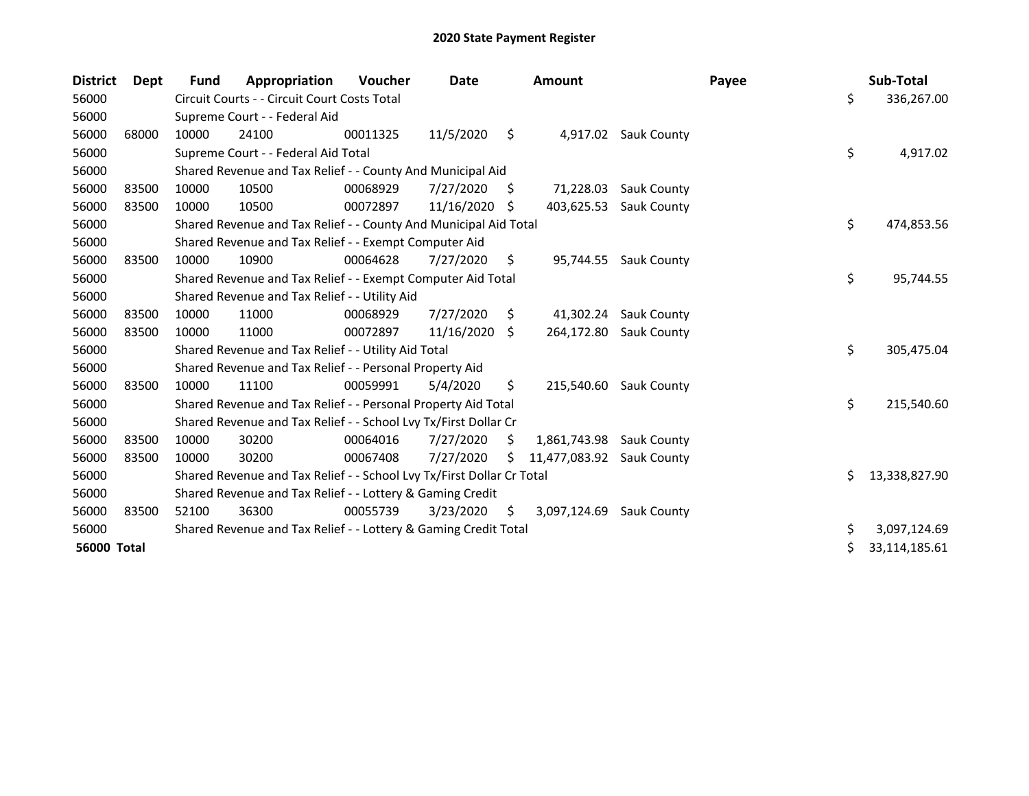| <b>District</b>    | <b>Dept</b> | Fund  | Appropriation                                                         | <b>Voucher</b> | Date       |     | <b>Amount</b>             |                      | Payee |    | Sub-Total     |
|--------------------|-------------|-------|-----------------------------------------------------------------------|----------------|------------|-----|---------------------------|----------------------|-------|----|---------------|
| 56000              |             |       | Circuit Courts - - Circuit Court Costs Total                          |                |            |     |                           |                      |       | \$ | 336,267.00    |
| 56000              |             |       | Supreme Court - - Federal Aid                                         |                |            |     |                           |                      |       |    |               |
| 56000              | 68000       | 10000 | 24100                                                                 | 00011325       | 11/5/2020  | \$  |                           | 4,917.02 Sauk County |       |    |               |
| 56000              |             |       | Supreme Court - - Federal Aid Total                                   |                |            |     |                           |                      |       | \$ | 4,917.02      |
| 56000              |             |       | Shared Revenue and Tax Relief - - County And Municipal Aid            |                |            |     |                           |                      |       |    |               |
| 56000              | 83500       | 10000 | 10500                                                                 | 00068929       | 7/27/2020  | \$. | 71,228.03                 | <b>Sauk County</b>   |       |    |               |
| 56000              | 83500       | 10000 | 10500                                                                 | 00072897       | 11/16/2020 | -S  | 403,625.53                | <b>Sauk County</b>   |       |    |               |
| 56000              |             |       | Shared Revenue and Tax Relief - - County And Municipal Aid Total      |                |            |     |                           |                      |       | \$ | 474,853.56    |
| 56000              |             |       | Shared Revenue and Tax Relief - - Exempt Computer Aid                 |                |            |     |                           |                      |       |    |               |
| 56000              | 83500       | 10000 | 10900                                                                 | 00064628       | 7/27/2020  | \$  | 95,744.55                 | <b>Sauk County</b>   |       |    |               |
| 56000              |             |       | Shared Revenue and Tax Relief - - Exempt Computer Aid Total           |                |            |     |                           |                      |       | \$ | 95,744.55     |
| 56000              |             |       | Shared Revenue and Tax Relief - - Utility Aid                         |                |            |     |                           |                      |       |    |               |
| 56000              | 83500       | 10000 | 11000                                                                 | 00068929       | 7/27/2020  | \$  | 41,302.24                 | <b>Sauk County</b>   |       |    |               |
| 56000              | 83500       | 10000 | 11000                                                                 | 00072897       | 11/16/2020 | \$  | 264,172.80                | <b>Sauk County</b>   |       |    |               |
| 56000              |             |       | Shared Revenue and Tax Relief - - Utility Aid Total                   |                |            |     |                           |                      |       | \$ | 305,475.04    |
| 56000              |             |       | Shared Revenue and Tax Relief - - Personal Property Aid               |                |            |     |                           |                      |       |    |               |
| 56000              | 83500       | 10000 | 11100                                                                 | 00059991       | 5/4/2020   | \$. | 215,540.60                | Sauk County          |       |    |               |
| 56000              |             |       | Shared Revenue and Tax Relief - - Personal Property Aid Total         |                |            |     |                           |                      |       | \$ | 215,540.60    |
| 56000              |             |       | Shared Revenue and Tax Relief - - School Lvy Tx/First Dollar Cr       |                |            |     |                           |                      |       |    |               |
| 56000              | 83500       | 10000 | 30200                                                                 | 00064016       | 7/27/2020  | Ś   | 1,861,743.98 Sauk County  |                      |       |    |               |
| 56000              | 83500       | 10000 | 30200                                                                 | 00067408       | 7/27/2020  | S.  | 11,477,083.92 Sauk County |                      |       |    |               |
| 56000              |             |       | Shared Revenue and Tax Relief - - School Lvy Tx/First Dollar Cr Total |                |            |     |                           |                      |       | Ś. | 13,338,827.90 |
| 56000              |             |       | Shared Revenue and Tax Relief - - Lottery & Gaming Credit             |                |            |     |                           |                      |       |    |               |
| 56000              | 83500       | 52100 | 36300                                                                 | 00055739       | 3/23/2020  | S.  | 3,097,124.69              | <b>Sauk County</b>   |       |    |               |
| 56000              |             |       | Shared Revenue and Tax Relief - - Lottery & Gaming Credit Total       |                |            |     |                           |                      |       | \$ | 3,097,124.69  |
| <b>56000 Total</b> |             |       |                                                                       |                |            |     |                           |                      |       |    | 33,114,185.61 |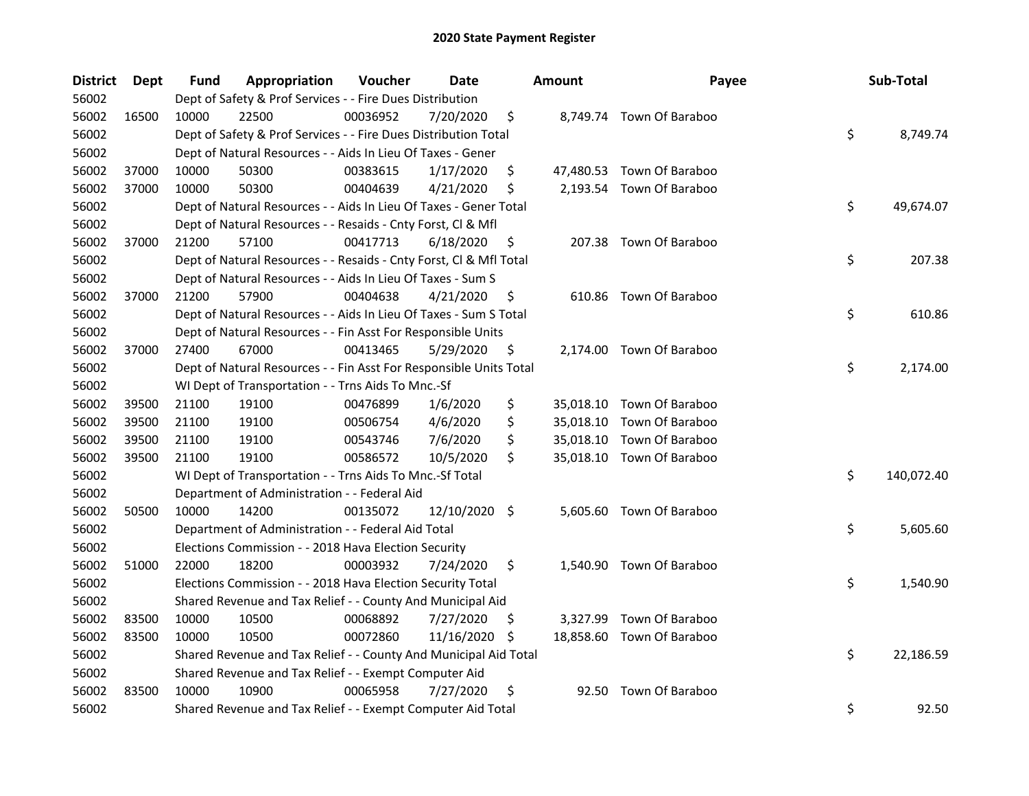| <b>District</b> | Dept  | Fund  | Appropriation                                                      | Voucher  | <b>Date</b>   |     | <b>Amount</b> | Payee                     | Sub-Total        |
|-----------------|-------|-------|--------------------------------------------------------------------|----------|---------------|-----|---------------|---------------------------|------------------|
| 56002           |       |       | Dept of Safety & Prof Services - - Fire Dues Distribution          |          |               |     |               |                           |                  |
| 56002           | 16500 | 10000 | 22500                                                              | 00036952 | 7/20/2020     | \$  |               | 8,749.74 Town Of Baraboo  |                  |
| 56002           |       |       | Dept of Safety & Prof Services - - Fire Dues Distribution Total    |          |               |     |               |                           | \$<br>8,749.74   |
| 56002           |       |       | Dept of Natural Resources - - Aids In Lieu Of Taxes - Gener        |          |               |     |               |                           |                  |
| 56002           | 37000 | 10000 | 50300                                                              | 00383615 | 1/17/2020     | \$  |               | 47,480.53 Town Of Baraboo |                  |
| 56002           | 37000 | 10000 | 50300                                                              | 00404639 | 4/21/2020     | \$  |               | 2,193.54 Town Of Baraboo  |                  |
| 56002           |       |       | Dept of Natural Resources - - Aids In Lieu Of Taxes - Gener Total  |          |               |     |               |                           | \$<br>49,674.07  |
| 56002           |       |       | Dept of Natural Resources - - Resaids - Cnty Forst, Cl & Mfl       |          |               |     |               |                           |                  |
| 56002           | 37000 | 21200 | 57100                                                              | 00417713 | 6/18/2020     | \$  |               | 207.38 Town Of Baraboo    |                  |
| 56002           |       |       | Dept of Natural Resources - - Resaids - Cnty Forst, Cl & Mfl Total |          |               |     |               |                           | \$<br>207.38     |
| 56002           |       |       | Dept of Natural Resources - - Aids In Lieu Of Taxes - Sum S        |          |               |     |               |                           |                  |
| 56002           | 37000 | 21200 | 57900                                                              | 00404638 | 4/21/2020     | \$  |               | 610.86 Town Of Baraboo    |                  |
| 56002           |       |       | Dept of Natural Resources - - Aids In Lieu Of Taxes - Sum S Total  |          |               |     |               |                           | \$<br>610.86     |
| 56002           |       |       | Dept of Natural Resources - - Fin Asst For Responsible Units       |          |               |     |               |                           |                  |
| 56002           | 37000 | 27400 | 67000                                                              | 00413465 | 5/29/2020     | \$  |               | 2,174.00 Town Of Baraboo  |                  |
| 56002           |       |       | Dept of Natural Resources - - Fin Asst For Responsible Units Total |          |               |     |               |                           | \$<br>2,174.00   |
| 56002           |       |       | WI Dept of Transportation - - Trns Aids To Mnc.-Sf                 |          |               |     |               |                           |                  |
| 56002           | 39500 | 21100 | 19100                                                              | 00476899 | 1/6/2020      | \$  |               | 35,018.10 Town Of Baraboo |                  |
| 56002           | 39500 | 21100 | 19100                                                              | 00506754 | 4/6/2020      | \$  |               | 35,018.10 Town Of Baraboo |                  |
| 56002           | 39500 | 21100 | 19100                                                              | 00543746 | 7/6/2020      | \$  |               | 35,018.10 Town Of Baraboo |                  |
| 56002           | 39500 | 21100 | 19100                                                              | 00586572 | 10/5/2020     | \$  |               | 35,018.10 Town Of Baraboo |                  |
| 56002           |       |       | WI Dept of Transportation - - Trns Aids To Mnc.-Sf Total           |          |               |     |               |                           | \$<br>140,072.40 |
| 56002           |       |       | Department of Administration - - Federal Aid                       |          |               |     |               |                           |                  |
| 56002           | 50500 | 10000 | 14200                                                              | 00135072 | 12/10/2020 \$ |     |               | 5,605.60 Town Of Baraboo  |                  |
| 56002           |       |       | Department of Administration - - Federal Aid Total                 |          |               |     |               |                           | \$<br>5,605.60   |
| 56002           |       |       | Elections Commission - - 2018 Hava Election Security               |          |               |     |               |                           |                  |
| 56002           | 51000 | 22000 | 18200                                                              | 00003932 | 7/24/2020     | \$  |               | 1,540.90 Town Of Baraboo  |                  |
| 56002           |       |       | Elections Commission - - 2018 Hava Election Security Total         |          |               |     |               |                           | \$<br>1,540.90   |
| 56002           |       |       | Shared Revenue and Tax Relief - - County And Municipal Aid         |          |               |     |               |                           |                  |
| 56002           | 83500 | 10000 | 10500                                                              | 00068892 | 7/27/2020     | \$  |               | 3,327.99 Town Of Baraboo  |                  |
| 56002           | 83500 | 10000 | 10500                                                              | 00072860 | 11/16/2020    | \$. |               | 18,858.60 Town Of Baraboo |                  |
| 56002           |       |       | Shared Revenue and Tax Relief - - County And Municipal Aid Total   |          |               |     |               |                           | \$<br>22,186.59  |
| 56002           |       |       | Shared Revenue and Tax Relief - - Exempt Computer Aid              |          |               |     |               |                           |                  |
| 56002           | 83500 | 10000 | 10900                                                              | 00065958 | 7/27/2020     | \$  |               | 92.50 Town Of Baraboo     |                  |
| 56002           |       |       | Shared Revenue and Tax Relief - - Exempt Computer Aid Total        |          |               |     |               |                           | \$<br>92.50      |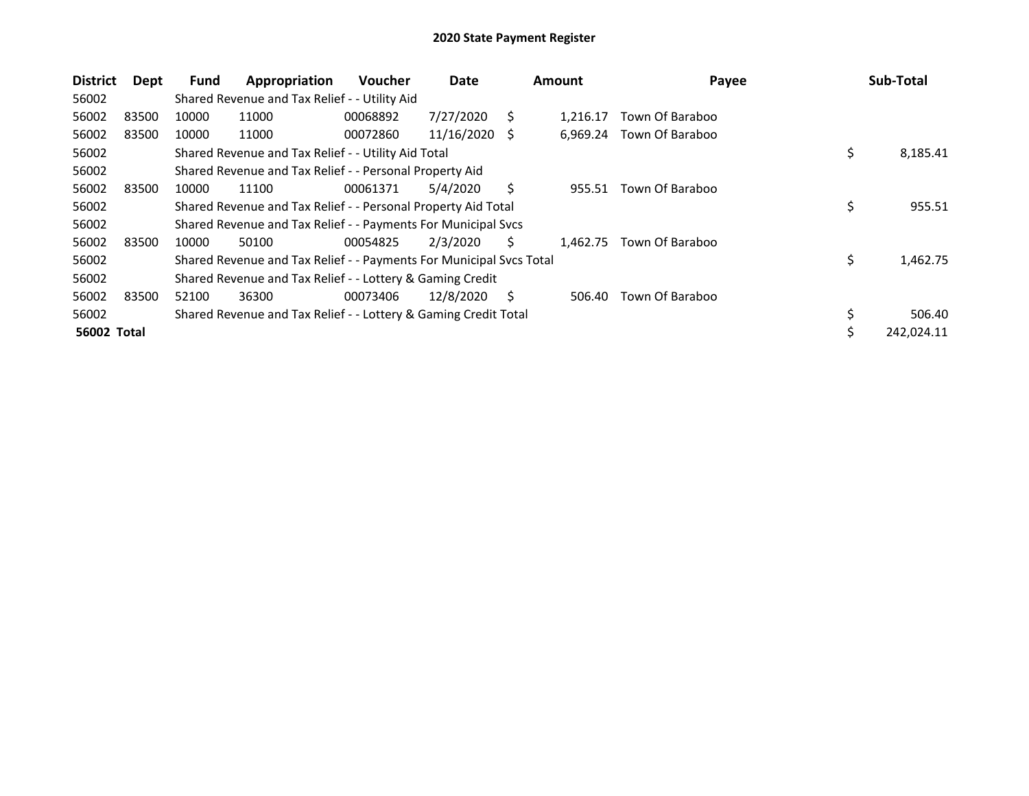| <b>District</b>    | Dept  | <b>Fund</b> | Appropriation                                                       | <b>Voucher</b> | Date       |     | <b>Amount</b> | Payee           | Sub-Total        |
|--------------------|-------|-------------|---------------------------------------------------------------------|----------------|------------|-----|---------------|-----------------|------------------|
| 56002              |       |             | Shared Revenue and Tax Relief - - Utility Aid                       |                |            |     |               |                 |                  |
| 56002              | 83500 | 10000       | 11000                                                               | 00068892       | 7/27/2020  | S   | 1.216.17      | Town Of Baraboo |                  |
| 56002              | 83500 | 10000       | 11000                                                               | 00072860       | 11/16/2020 | - S | 6.969.24      | Town Of Baraboo |                  |
| 56002              |       |             | Shared Revenue and Tax Relief - - Utility Aid Total                 |                |            |     |               |                 | \$<br>8,185.41   |
| 56002              |       |             | Shared Revenue and Tax Relief - - Personal Property Aid             |                |            |     |               |                 |                  |
| 56002              | 83500 | 10000       | 11100                                                               | 00061371       | 5/4/2020   | S.  | 955.51        | Town Of Baraboo |                  |
| 56002              |       |             | Shared Revenue and Tax Relief - - Personal Property Aid Total       |                |            |     |               |                 | \$<br>955.51     |
| 56002              |       |             | Shared Revenue and Tax Relief - - Payments For Municipal Svcs       |                |            |     |               |                 |                  |
| 56002              | 83500 | 10000       | 50100                                                               | 00054825       | 2/3/2020   | S.  | 1.462.75      | Town Of Baraboo |                  |
| 56002              |       |             | Shared Revenue and Tax Relief - - Payments For Municipal Svcs Total |                |            |     |               |                 | \$<br>1,462.75   |
| 56002              |       |             | Shared Revenue and Tax Relief - - Lottery & Gaming Credit           |                |            |     |               |                 |                  |
| 56002              | 83500 | 52100       | 36300                                                               | 00073406       | 12/8/2020  | S   | 506.40        | Town Of Baraboo |                  |
| 56002              |       |             | Shared Revenue and Tax Relief - - Lottery & Gaming Credit Total     |                |            |     |               |                 | \$<br>506.40     |
| <b>56002 Total</b> |       |             |                                                                     |                |            |     |               |                 | \$<br>242,024.11 |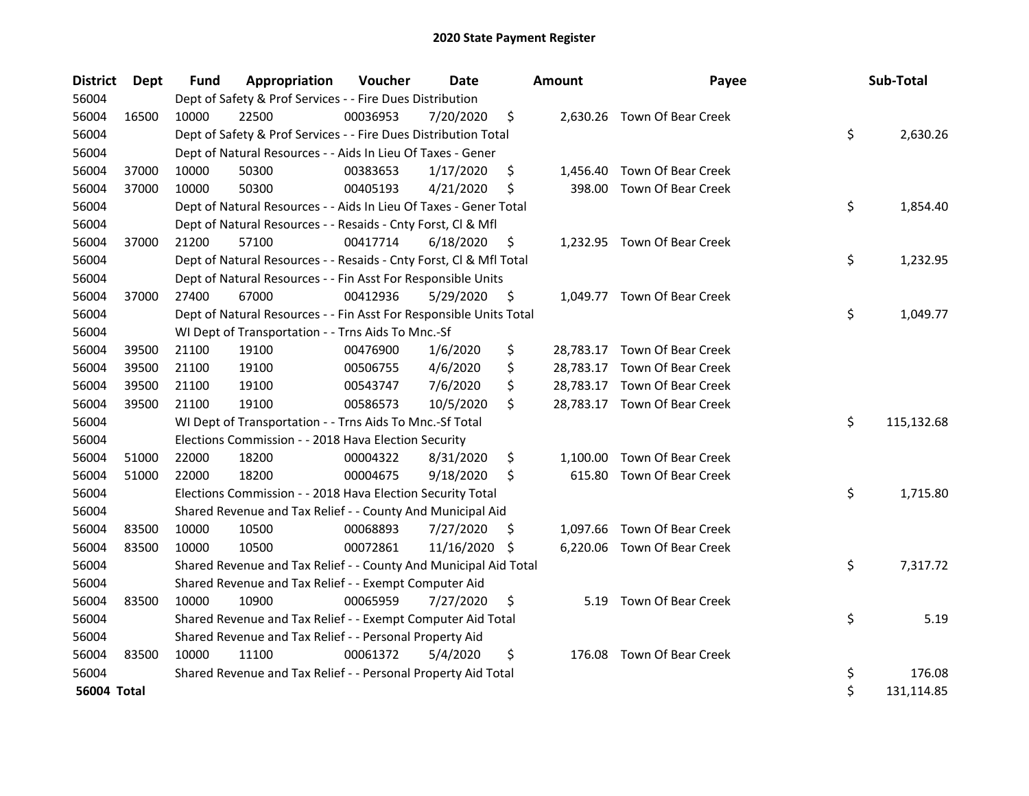| <b>District</b>    | Dept  | <b>Fund</b> | Appropriation                                                      | Voucher  | <b>Date</b>   |     | <b>Amount</b> | Payee                        | Sub-Total        |
|--------------------|-------|-------------|--------------------------------------------------------------------|----------|---------------|-----|---------------|------------------------------|------------------|
| 56004              |       |             | Dept of Safety & Prof Services - - Fire Dues Distribution          |          |               |     |               |                              |                  |
| 56004              | 16500 | 10000       | 22500                                                              | 00036953 | 7/20/2020     | \$  |               | 2,630.26 Town Of Bear Creek  |                  |
| 56004              |       |             | Dept of Safety & Prof Services - - Fire Dues Distribution Total    |          |               |     |               |                              | \$<br>2,630.26   |
| 56004              |       |             | Dept of Natural Resources - - Aids In Lieu Of Taxes - Gener        |          |               |     |               |                              |                  |
| 56004              | 37000 | 10000       | 50300                                                              | 00383653 | 1/17/2020     | \$  |               | 1,456.40 Town Of Bear Creek  |                  |
| 56004              | 37000 | 10000       | 50300                                                              | 00405193 | 4/21/2020     | \$, | 398.00        | Town Of Bear Creek           |                  |
| 56004              |       |             | Dept of Natural Resources - - Aids In Lieu Of Taxes - Gener Total  |          |               |     |               |                              | \$<br>1,854.40   |
| 56004              |       |             | Dept of Natural Resources - - Resaids - Cnty Forst, Cl & Mfl       |          |               |     |               |                              |                  |
| 56004              | 37000 | 21200       | 57100                                                              | 00417714 | 6/18/2020     | \$  |               | 1,232.95 Town Of Bear Creek  |                  |
| 56004              |       |             | Dept of Natural Resources - - Resaids - Cnty Forst, CI & Mfl Total |          |               |     |               |                              | \$<br>1,232.95   |
| 56004              |       |             | Dept of Natural Resources - - Fin Asst For Responsible Units       |          |               |     |               |                              |                  |
| 56004              | 37000 | 27400       | 67000                                                              | 00412936 | 5/29/2020     | \$  |               | 1,049.77 Town Of Bear Creek  |                  |
| 56004              |       |             | Dept of Natural Resources - - Fin Asst For Responsible Units Total |          |               |     |               |                              | \$<br>1,049.77   |
| 56004              |       |             | WI Dept of Transportation - - Trns Aids To Mnc.-Sf                 |          |               |     |               |                              |                  |
| 56004              | 39500 | 21100       | 19100                                                              | 00476900 | 1/6/2020      | \$  |               | 28,783.17 Town Of Bear Creek |                  |
| 56004              | 39500 | 21100       | 19100                                                              | 00506755 | 4/6/2020      | \$  |               | 28,783.17 Town Of Bear Creek |                  |
| 56004              | 39500 | 21100       | 19100                                                              | 00543747 | 7/6/2020      | \$  |               | 28,783.17 Town Of Bear Creek |                  |
| 56004              | 39500 | 21100       | 19100                                                              | 00586573 | 10/5/2020     | \$  |               | 28,783.17 Town Of Bear Creek |                  |
| 56004              |       |             | WI Dept of Transportation - - Trns Aids To Mnc.-Sf Total           |          |               |     |               |                              | \$<br>115,132.68 |
| 56004              |       |             | Elections Commission - - 2018 Hava Election Security               |          |               |     |               |                              |                  |
| 56004              | 51000 | 22000       | 18200                                                              | 00004322 | 8/31/2020     | \$  | 1,100.00      | Town Of Bear Creek           |                  |
| 56004              | 51000 | 22000       | 18200                                                              | 00004675 | 9/18/2020     | \$  | 615.80        | Town Of Bear Creek           |                  |
| 56004              |       |             | Elections Commission - - 2018 Hava Election Security Total         |          |               |     |               |                              | \$<br>1,715.80   |
| 56004              |       |             | Shared Revenue and Tax Relief - - County And Municipal Aid         |          |               |     |               |                              |                  |
| 56004              | 83500 | 10000       | 10500                                                              | 00068893 | 7/27/2020     | \$  |               | 1,097.66 Town Of Bear Creek  |                  |
| 56004              | 83500 | 10000       | 10500                                                              | 00072861 | 11/16/2020 \$ |     |               | 6,220.06 Town Of Bear Creek  |                  |
| 56004              |       |             | Shared Revenue and Tax Relief - - County And Municipal Aid Total   |          |               |     |               |                              | \$<br>7,317.72   |
| 56004              |       |             | Shared Revenue and Tax Relief - - Exempt Computer Aid              |          |               |     |               |                              |                  |
| 56004              | 83500 | 10000       | 10900                                                              | 00065959 | 7/27/2020     | \$  | 5.19          | Town Of Bear Creek           |                  |
| 56004              |       |             | Shared Revenue and Tax Relief - - Exempt Computer Aid Total        |          |               |     |               |                              | \$<br>5.19       |
| 56004              |       |             | Shared Revenue and Tax Relief - - Personal Property Aid            |          |               |     |               |                              |                  |
| 56004              | 83500 | 10000       | 11100                                                              | 00061372 | 5/4/2020      | \$  | 176.08        | Town Of Bear Creek           |                  |
| 56004              |       |             | Shared Revenue and Tax Relief - - Personal Property Aid Total      |          |               |     |               |                              | \$<br>176.08     |
| <b>56004 Total</b> |       |             |                                                                    |          |               |     |               |                              | \$<br>131,114.85 |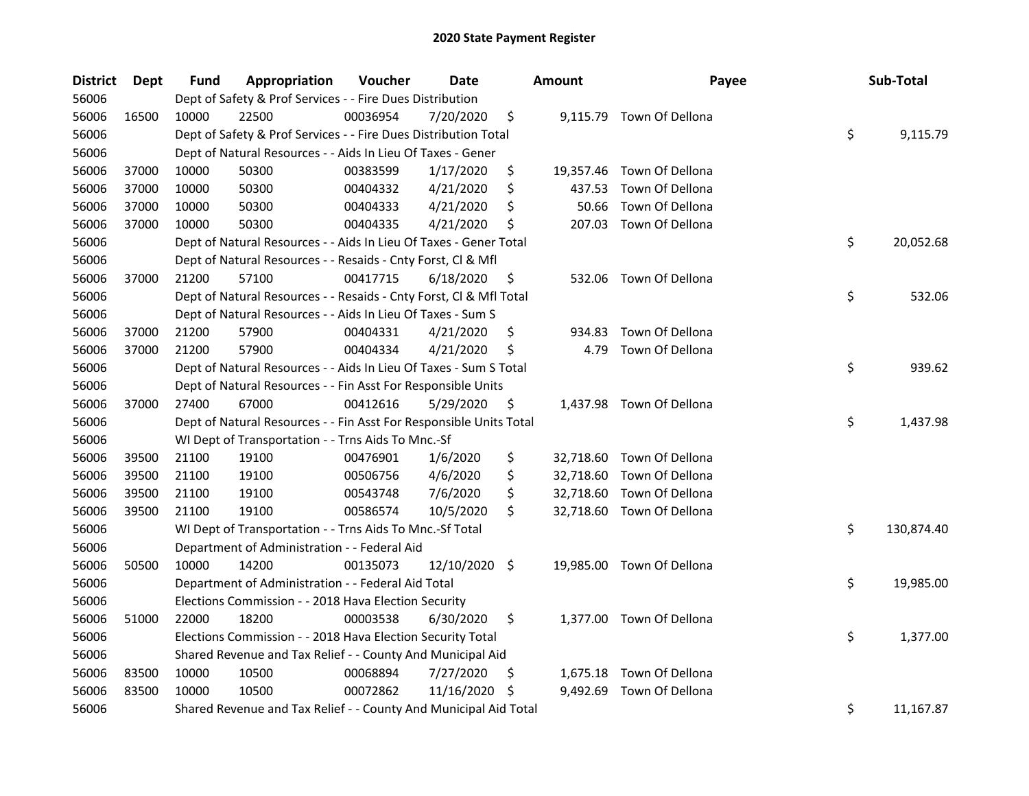| District | <b>Dept</b> | Fund  | Appropriation                                                      | Voucher  | Date          |     | <b>Amount</b> | Payee                     | Sub-Total        |
|----------|-------------|-------|--------------------------------------------------------------------|----------|---------------|-----|---------------|---------------------------|------------------|
| 56006    |             |       | Dept of Safety & Prof Services - - Fire Dues Distribution          |          |               |     |               |                           |                  |
| 56006    | 16500       | 10000 | 22500                                                              | 00036954 | 7/20/2020     | \$  |               | 9,115.79 Town Of Dellona  |                  |
| 56006    |             |       | Dept of Safety & Prof Services - - Fire Dues Distribution Total    |          |               |     |               |                           | \$<br>9,115.79   |
| 56006    |             |       | Dept of Natural Resources - - Aids In Lieu Of Taxes - Gener        |          |               |     |               |                           |                  |
| 56006    | 37000       | 10000 | 50300                                                              | 00383599 | 1/17/2020     | \$  |               | 19,357.46 Town Of Dellona |                  |
| 56006    | 37000       | 10000 | 50300                                                              | 00404332 | 4/21/2020     | \$  | 437.53        | Town Of Dellona           |                  |
| 56006    | 37000       | 10000 | 50300                                                              | 00404333 | 4/21/2020     | \$  | 50.66         | Town Of Dellona           |                  |
| 56006    | 37000       | 10000 | 50300                                                              | 00404335 | 4/21/2020     | \$  |               | 207.03 Town Of Dellona    |                  |
| 56006    |             |       | Dept of Natural Resources - - Aids In Lieu Of Taxes - Gener Total  |          |               |     |               |                           | \$<br>20,052.68  |
| 56006    |             |       | Dept of Natural Resources - - Resaids - Cnty Forst, Cl & Mfl       |          |               |     |               |                           |                  |
| 56006    | 37000       | 21200 | 57100                                                              | 00417715 | 6/18/2020     | \$  |               | 532.06 Town Of Dellona    |                  |
| 56006    |             |       | Dept of Natural Resources - - Resaids - Cnty Forst, Cl & Mfl Total |          |               |     |               |                           | \$<br>532.06     |
| 56006    |             |       | Dept of Natural Resources - - Aids In Lieu Of Taxes - Sum S        |          |               |     |               |                           |                  |
| 56006    | 37000       | 21200 | 57900                                                              | 00404331 | 4/21/2020     | \$  | 934.83        | Town Of Dellona           |                  |
| 56006    | 37000       | 21200 | 57900                                                              | 00404334 | 4/21/2020     | \$  | 4.79          | Town Of Dellona           |                  |
| 56006    |             |       | Dept of Natural Resources - - Aids In Lieu Of Taxes - Sum S Total  |          |               |     |               |                           | \$<br>939.62     |
| 56006    |             |       | Dept of Natural Resources - - Fin Asst For Responsible Units       |          |               |     |               |                           |                  |
| 56006    | 37000       | 27400 | 67000                                                              | 00412616 | 5/29/2020     | \$  |               | 1,437.98 Town Of Dellona  |                  |
| 56006    |             |       | Dept of Natural Resources - - Fin Asst For Responsible Units Total |          |               |     |               |                           | \$<br>1,437.98   |
| 56006    |             |       | WI Dept of Transportation - - Trns Aids To Mnc.-Sf                 |          |               |     |               |                           |                  |
| 56006    | 39500       | 21100 | 19100                                                              | 00476901 | 1/6/2020      | \$  |               | 32,718.60 Town Of Dellona |                  |
| 56006    | 39500       | 21100 | 19100                                                              | 00506756 | 4/6/2020      | \$  |               | 32,718.60 Town Of Dellona |                  |
| 56006    | 39500       | 21100 | 19100                                                              | 00543748 | 7/6/2020      | \$  |               | 32,718.60 Town Of Dellona |                  |
| 56006    | 39500       | 21100 | 19100                                                              | 00586574 | 10/5/2020     | \$  |               | 32,718.60 Town Of Dellona |                  |
| 56006    |             |       | WI Dept of Transportation - - Trns Aids To Mnc.-Sf Total           |          |               |     |               |                           | \$<br>130,874.40 |
| 56006    |             |       | Department of Administration - - Federal Aid                       |          |               |     |               |                           |                  |
| 56006    | 50500       | 10000 | 14200                                                              | 00135073 | 12/10/2020 \$ |     |               | 19,985.00 Town Of Dellona |                  |
| 56006    |             |       | Department of Administration - - Federal Aid Total                 |          |               |     |               |                           | \$<br>19,985.00  |
| 56006    |             |       | Elections Commission - - 2018 Hava Election Security               |          |               |     |               |                           |                  |
| 56006    | 51000       | 22000 | 18200                                                              | 00003538 | 6/30/2020     | \$  |               | 1,377.00 Town Of Dellona  |                  |
| 56006    |             |       | Elections Commission - - 2018 Hava Election Security Total         |          |               |     |               |                           | \$<br>1,377.00   |
| 56006    |             |       | Shared Revenue and Tax Relief - - County And Municipal Aid         |          |               |     |               |                           |                  |
| 56006    | 83500       | 10000 | 10500                                                              | 00068894 | 7/27/2020     | \$. |               | 1,675.18 Town Of Dellona  |                  |
| 56006    | 83500       | 10000 | 10500                                                              | 00072862 | 11/16/2020 \$ |     | 9,492.69      | Town Of Dellona           |                  |
| 56006    |             |       | Shared Revenue and Tax Relief - - County And Municipal Aid Total   |          |               |     |               |                           | \$<br>11,167.87  |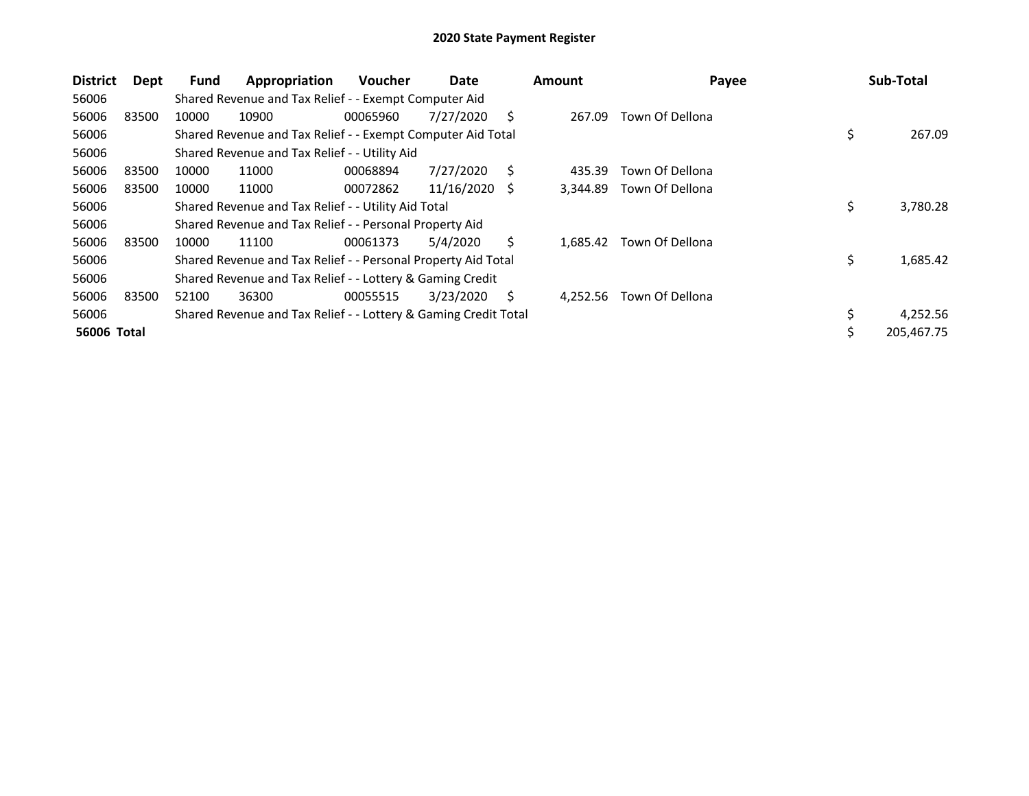| <b>District</b>    | Dept  | <b>Fund</b> | Appropriation                                                   | <b>Voucher</b> | Date       |    | <b>Amount</b> | Payee           | Sub-Total        |
|--------------------|-------|-------------|-----------------------------------------------------------------|----------------|------------|----|---------------|-----------------|------------------|
| 56006              |       |             | Shared Revenue and Tax Relief - - Exempt Computer Aid           |                |            |    |               |                 |                  |
| 56006              | 83500 | 10000       | 10900                                                           | 00065960       | 7/27/2020  | S  | 267.09        | Town Of Dellona |                  |
| 56006              |       |             | Shared Revenue and Tax Relief - - Exempt Computer Aid Total     |                |            |    |               |                 | \$<br>267.09     |
| 56006              |       |             | Shared Revenue and Tax Relief - - Utility Aid                   |                |            |    |               |                 |                  |
| 56006              | 83500 | 10000       | 11000                                                           | 00068894       | 7/27/2020  | Ś  | 435.39        | Town Of Dellona |                  |
| 56006              | 83500 | 10000       | 11000                                                           | 00072862       | 11/16/2020 | -S | 3,344.89      | Town Of Dellona |                  |
| 56006              |       |             | Shared Revenue and Tax Relief - - Utility Aid Total             |                |            |    |               |                 | \$<br>3,780.28   |
| 56006              |       |             | Shared Revenue and Tax Relief - - Personal Property Aid         |                |            |    |               |                 |                  |
| 56006              | 83500 | 10000       | 11100                                                           | 00061373       | 5/4/2020   | Ś. | 1.685.42      | Town Of Dellona |                  |
| 56006              |       |             | Shared Revenue and Tax Relief - - Personal Property Aid Total   |                |            |    |               |                 | \$<br>1,685.42   |
| 56006              |       |             | Shared Revenue and Tax Relief - - Lottery & Gaming Credit       |                |            |    |               |                 |                  |
| 56006              | 83500 | 52100       | 36300                                                           | 00055515       | 3/23/2020  | S  | 4,252.56      | Town Of Dellona |                  |
| 56006              |       |             | Shared Revenue and Tax Relief - - Lottery & Gaming Credit Total |                |            |    |               |                 | \$<br>4,252.56   |
| <b>56006 Total</b> |       |             |                                                                 |                |            |    |               |                 | \$<br>205,467.75 |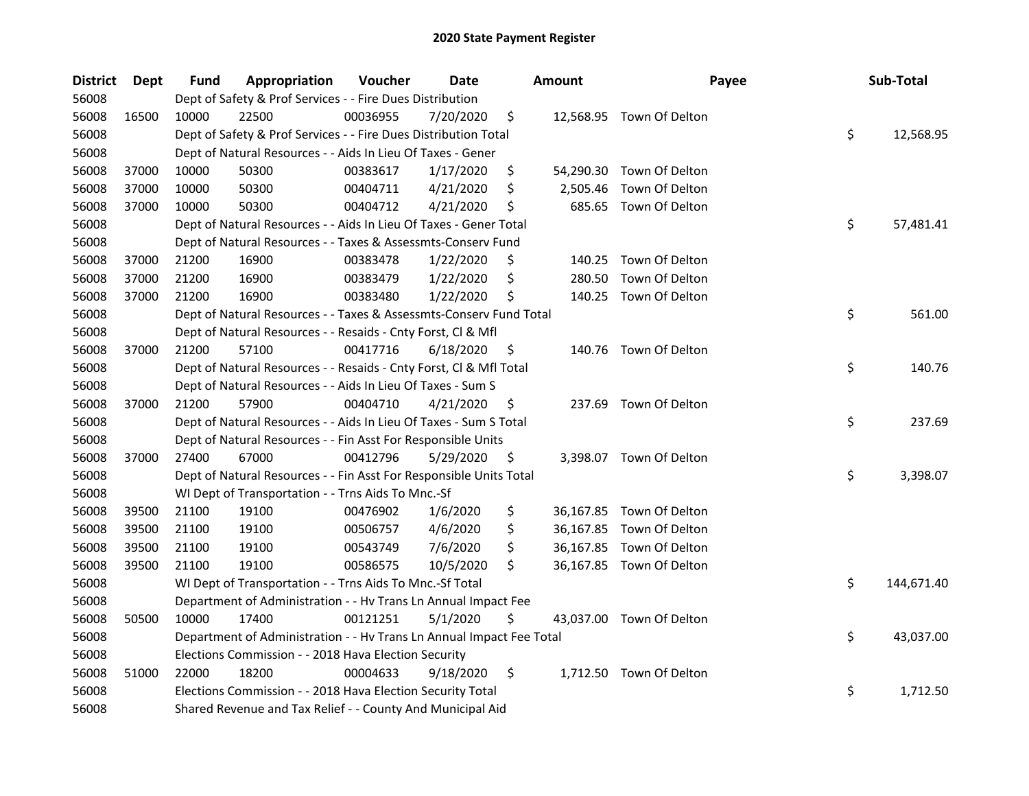| <b>District</b> | Dept  | Fund  | Appropriation                                                        | Voucher  | <b>Date</b> | <b>Amount</b>  | Payee                    | Sub-Total        |
|-----------------|-------|-------|----------------------------------------------------------------------|----------|-------------|----------------|--------------------------|------------------|
| 56008           |       |       | Dept of Safety & Prof Services - - Fire Dues Distribution            |          |             |                |                          |                  |
| 56008           | 16500 | 10000 | 22500                                                                | 00036955 | 7/20/2020   | \$             | 12,568.95 Town Of Delton |                  |
| 56008           |       |       | Dept of Safety & Prof Services - - Fire Dues Distribution Total      |          |             |                |                          | \$<br>12,568.95  |
| 56008           |       |       | Dept of Natural Resources - - Aids In Lieu Of Taxes - Gener          |          |             |                |                          |                  |
| 56008           | 37000 | 10000 | 50300                                                                | 00383617 | 1/17/2020   | \$             | 54,290.30 Town Of Delton |                  |
| 56008           | 37000 | 10000 | 50300                                                                | 00404711 | 4/21/2020   | \$<br>2,505.46 | Town Of Delton           |                  |
| 56008           | 37000 | 10000 | 50300                                                                | 00404712 | 4/21/2020   | \$             | 685.65 Town Of Delton    |                  |
| 56008           |       |       | Dept of Natural Resources - - Aids In Lieu Of Taxes - Gener Total    |          |             |                |                          | \$<br>57,481.41  |
| 56008           |       |       | Dept of Natural Resources - - Taxes & Assessmts-Conserv Fund         |          |             |                |                          |                  |
| 56008           | 37000 | 21200 | 16900                                                                | 00383478 | 1/22/2020   | \$             | 140.25 Town Of Delton    |                  |
| 56008           | 37000 | 21200 | 16900                                                                | 00383479 | 1/22/2020   | \$<br>280.50   | Town Of Delton           |                  |
| 56008           | 37000 | 21200 | 16900                                                                | 00383480 | 1/22/2020   | \$<br>140.25   | Town Of Delton           |                  |
| 56008           |       |       | Dept of Natural Resources - - Taxes & Assessmts-Conserv Fund Total   |          |             |                |                          | \$<br>561.00     |
| 56008           |       |       | Dept of Natural Resources - - Resaids - Cnty Forst, Cl & Mfl         |          |             |                |                          |                  |
| 56008           | 37000 | 21200 | 57100                                                                | 00417716 | 6/18/2020   | \$             | 140.76 Town Of Delton    |                  |
| 56008           |       |       | Dept of Natural Resources - - Resaids - Cnty Forst, Cl & Mfl Total   |          |             |                |                          | \$<br>140.76     |
| 56008           |       |       | Dept of Natural Resources - - Aids In Lieu Of Taxes - Sum S          |          |             |                |                          |                  |
| 56008           | 37000 | 21200 | 57900                                                                | 00404710 | 4/21/2020   | \$<br>237.69   | Town Of Delton           |                  |
| 56008           |       |       | Dept of Natural Resources - - Aids In Lieu Of Taxes - Sum S Total    |          |             |                |                          | \$<br>237.69     |
| 56008           |       |       | Dept of Natural Resources - - Fin Asst For Responsible Units         |          |             |                |                          |                  |
| 56008           | 37000 | 27400 | 67000                                                                | 00412796 | 5/29/2020   | \$             | 3,398.07 Town Of Delton  |                  |
| 56008           |       |       | Dept of Natural Resources - - Fin Asst For Responsible Units Total   |          |             |                |                          | \$<br>3,398.07   |
| 56008           |       |       | WI Dept of Transportation - - Trns Aids To Mnc.-Sf                   |          |             |                |                          |                  |
| 56008           | 39500 | 21100 | 19100                                                                | 00476902 | 1/6/2020    | \$             | 36,167.85 Town Of Delton |                  |
| 56008           | 39500 | 21100 | 19100                                                                | 00506757 | 4/6/2020    | \$             | 36,167.85 Town Of Delton |                  |
| 56008           | 39500 | 21100 | 19100                                                                | 00543749 | 7/6/2020    | \$             | 36,167.85 Town Of Delton |                  |
| 56008           | 39500 | 21100 | 19100                                                                | 00586575 | 10/5/2020   | \$             | 36,167.85 Town Of Delton |                  |
| 56008           |       |       | WI Dept of Transportation - - Trns Aids To Mnc.-Sf Total             |          |             |                |                          | \$<br>144,671.40 |
| 56008           |       |       | Department of Administration - - Hv Trans Ln Annual Impact Fee       |          |             |                |                          |                  |
| 56008           | 50500 | 10000 | 17400                                                                | 00121251 | 5/1/2020    | \$             | 43,037.00 Town Of Delton |                  |
| 56008           |       |       | Department of Administration - - Hv Trans Ln Annual Impact Fee Total |          |             |                |                          | \$<br>43,037.00  |
| 56008           |       |       | Elections Commission - - 2018 Hava Election Security                 |          |             |                |                          |                  |
| 56008           | 51000 | 22000 | 18200                                                                | 00004633 | 9/18/2020   | \$             | 1,712.50 Town Of Delton  |                  |
| 56008           |       |       | Elections Commission - - 2018 Hava Election Security Total           |          |             |                |                          | \$<br>1,712.50   |
| 56008           |       |       | Shared Revenue and Tax Relief - - County And Municipal Aid           |          |             |                |                          |                  |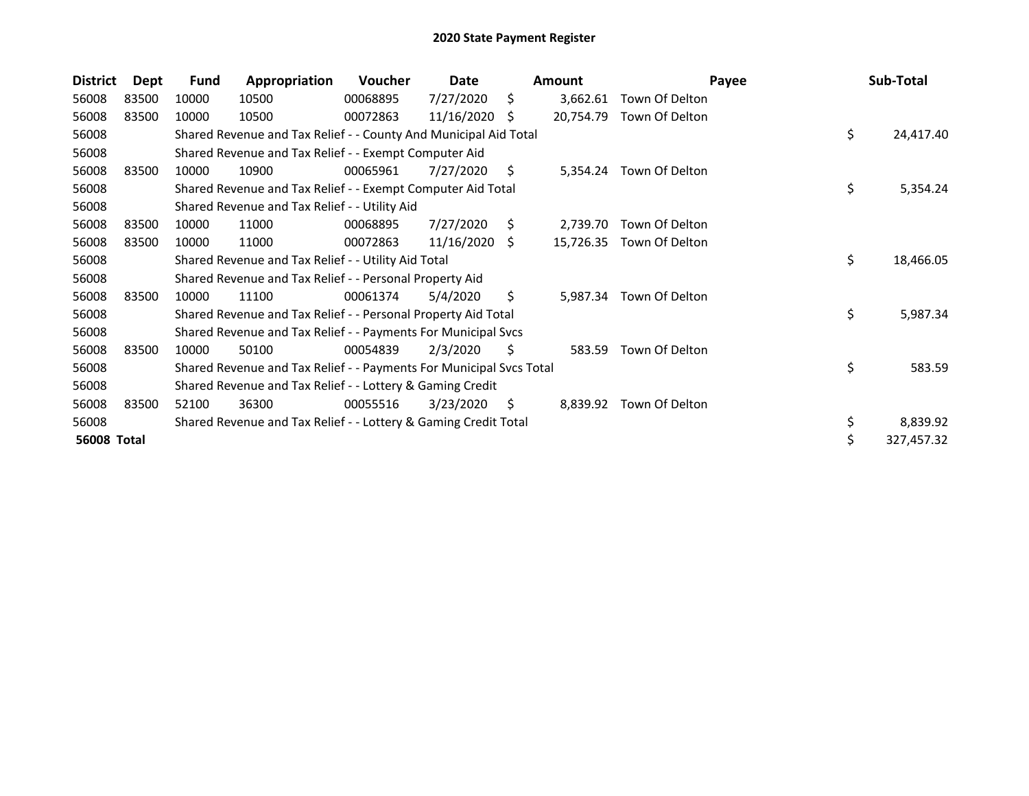| <b>District</b>    | Dept  | Fund  | Appropriation                                                       | <b>Voucher</b> | Date       |    | <b>Amount</b> | Payee                    | Sub-Total        |
|--------------------|-------|-------|---------------------------------------------------------------------|----------------|------------|----|---------------|--------------------------|------------------|
| 56008              | 83500 | 10000 | 10500                                                               | 00068895       | 7/27/2020  | Ŝ. | 3,662.61      | Town Of Delton           |                  |
| 56008              | 83500 | 10000 | 10500                                                               | 00072863       | 11/16/2020 | S  | 20,754.79     | Town Of Delton           |                  |
| 56008              |       |       | Shared Revenue and Tax Relief - - County And Municipal Aid Total    |                |            |    |               |                          | \$<br>24,417.40  |
| 56008              |       |       | Shared Revenue and Tax Relief - - Exempt Computer Aid               |                |            |    |               |                          |                  |
| 56008              | 83500 | 10000 | 10900                                                               | 00065961       | 7/27/2020  | S  |               | 5,354.24 Town Of Delton  |                  |
| 56008              |       |       | Shared Revenue and Tax Relief - - Exempt Computer Aid Total         |                |            |    |               |                          | \$<br>5,354.24   |
| 56008              |       |       | Shared Revenue and Tax Relief - - Utility Aid                       |                |            |    |               |                          |                  |
| 56008              | 83500 | 10000 | 11000                                                               | 00068895       | 7/27/2020  | S  | 2,739.70      | Town Of Delton           |                  |
| 56008              | 83500 | 10000 | 11000                                                               | 00072863       | 11/16/2020 | S. |               | 15,726.35 Town Of Delton |                  |
| 56008              |       |       | Shared Revenue and Tax Relief - - Utility Aid Total                 |                |            |    |               |                          | \$<br>18,466.05  |
| 56008              |       |       | Shared Revenue and Tax Relief - - Personal Property Aid             |                |            |    |               |                          |                  |
| 56008              | 83500 | 10000 | 11100                                                               | 00061374       | 5/4/2020   | \$ | 5,987.34      | Town Of Delton           |                  |
| 56008              |       |       | Shared Revenue and Tax Relief - - Personal Property Aid Total       |                |            |    |               |                          | \$<br>5,987.34   |
| 56008              |       |       | Shared Revenue and Tax Relief - - Payments For Municipal Svcs       |                |            |    |               |                          |                  |
| 56008              | 83500 | 10000 | 50100                                                               | 00054839       | 2/3/2020   | \$ | 583.59        | Town Of Delton           |                  |
| 56008              |       |       | Shared Revenue and Tax Relief - - Payments For Municipal Svcs Total |                |            |    |               |                          | \$<br>583.59     |
| 56008              |       |       | Shared Revenue and Tax Relief - - Lottery & Gaming Credit           |                |            |    |               |                          |                  |
| 56008              | 83500 | 52100 | 36300                                                               | 00055516       | 3/23/2020  | S  | 8,839.92      | Town Of Delton           |                  |
| 56008              |       |       | Shared Revenue and Tax Relief - - Lottery & Gaming Credit Total     |                |            |    |               |                          | \$<br>8,839.92   |
| <b>56008 Total</b> |       |       |                                                                     |                |            |    |               |                          | \$<br>327,457.32 |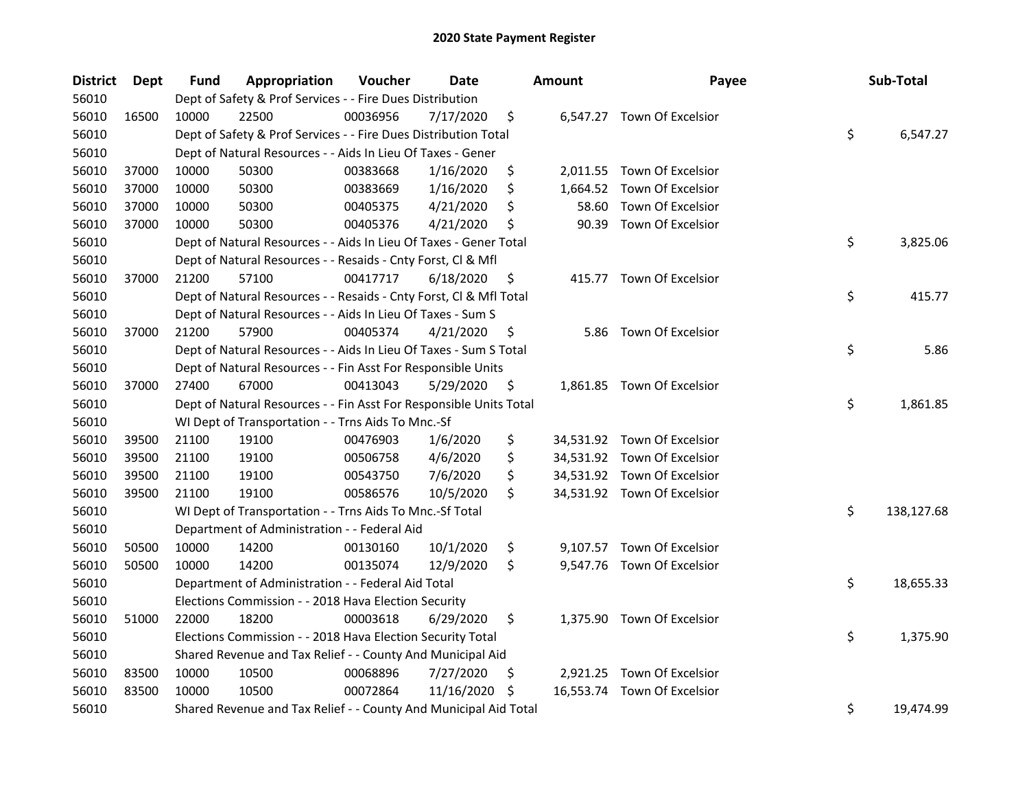| <b>District</b> | Dept  | Fund  | Appropriation                                                      | Voucher  | Date       |    | <b>Amount</b> | Payee                       | Sub-Total        |
|-----------------|-------|-------|--------------------------------------------------------------------|----------|------------|----|---------------|-----------------------------|------------------|
| 56010           |       |       | Dept of Safety & Prof Services - - Fire Dues Distribution          |          |            |    |               |                             |                  |
| 56010           | 16500 | 10000 | 22500                                                              | 00036956 | 7/17/2020  | \$ |               | 6,547.27 Town Of Excelsior  |                  |
| 56010           |       |       | Dept of Safety & Prof Services - - Fire Dues Distribution Total    |          |            |    |               |                             | \$<br>6,547.27   |
| 56010           |       |       | Dept of Natural Resources - - Aids In Lieu Of Taxes - Gener        |          |            |    |               |                             |                  |
| 56010           | 37000 | 10000 | 50300                                                              | 00383668 | 1/16/2020  | \$ |               | 2,011.55 Town Of Excelsior  |                  |
| 56010           | 37000 | 10000 | 50300                                                              | 00383669 | 1/16/2020  | \$ | 1,664.52      | Town Of Excelsior           |                  |
| 56010           | 37000 | 10000 | 50300                                                              | 00405375 | 4/21/2020  | \$ | 58.60         | Town Of Excelsior           |                  |
| 56010           | 37000 | 10000 | 50300                                                              | 00405376 | 4/21/2020  | \$ | 90.39         | Town Of Excelsior           |                  |
| 56010           |       |       | Dept of Natural Resources - - Aids In Lieu Of Taxes - Gener Total  |          |            |    |               |                             | \$<br>3,825.06   |
| 56010           |       |       | Dept of Natural Resources - - Resaids - Cnty Forst, Cl & Mfl       |          |            |    |               |                             |                  |
| 56010           | 37000 | 21200 | 57100                                                              | 00417717 | 6/18/2020  | \$ |               | 415.77 Town Of Excelsior    |                  |
| 56010           |       |       | Dept of Natural Resources - - Resaids - Cnty Forst, Cl & Mfl Total |          |            |    |               |                             | \$<br>415.77     |
| 56010           |       |       | Dept of Natural Resources - - Aids In Lieu Of Taxes - Sum S        |          |            |    |               |                             |                  |
| 56010           | 37000 | 21200 | 57900                                                              | 00405374 | 4/21/2020  | \$ | 5.86          | Town Of Excelsior           |                  |
| 56010           |       |       | Dept of Natural Resources - - Aids In Lieu Of Taxes - Sum S Total  |          |            |    |               |                             | \$<br>5.86       |
| 56010           |       |       | Dept of Natural Resources - - Fin Asst For Responsible Units       |          |            |    |               |                             |                  |
| 56010           | 37000 | 27400 | 67000                                                              | 00413043 | 5/29/2020  | \$ |               | 1,861.85 Town Of Excelsior  |                  |
| 56010           |       |       | Dept of Natural Resources - - Fin Asst For Responsible Units Total |          |            |    |               |                             | \$<br>1,861.85   |
| 56010           |       |       | WI Dept of Transportation - - Trns Aids To Mnc.-Sf                 |          |            |    |               |                             |                  |
| 56010           | 39500 | 21100 | 19100                                                              | 00476903 | 1/6/2020   | \$ |               | 34,531.92 Town Of Excelsior |                  |
| 56010           | 39500 | 21100 | 19100                                                              | 00506758 | 4/6/2020   | \$ |               | 34,531.92 Town Of Excelsior |                  |
| 56010           | 39500 | 21100 | 19100                                                              | 00543750 | 7/6/2020   | \$ |               | 34,531.92 Town Of Excelsior |                  |
| 56010           | 39500 | 21100 | 19100                                                              | 00586576 | 10/5/2020  | \$ |               | 34,531.92 Town Of Excelsior |                  |
| 56010           |       |       | WI Dept of Transportation - - Trns Aids To Mnc.-Sf Total           |          |            |    |               |                             | \$<br>138,127.68 |
| 56010           |       |       | Department of Administration - - Federal Aid                       |          |            |    |               |                             |                  |
| 56010           | 50500 | 10000 | 14200                                                              | 00130160 | 10/1/2020  | \$ |               | 9,107.57 Town Of Excelsior  |                  |
| 56010           | 50500 | 10000 | 14200                                                              | 00135074 | 12/9/2020  | \$ |               | 9,547.76 Town Of Excelsior  |                  |
| 56010           |       |       | Department of Administration - - Federal Aid Total                 |          |            |    |               |                             | \$<br>18,655.33  |
| 56010           |       |       | Elections Commission - - 2018 Hava Election Security               |          |            |    |               |                             |                  |
| 56010           | 51000 | 22000 | 18200                                                              | 00003618 | 6/29/2020  | \$ |               | 1,375.90 Town Of Excelsior  |                  |
| 56010           |       |       | Elections Commission - - 2018 Hava Election Security Total         |          |            |    |               |                             | \$<br>1,375.90   |
| 56010           |       |       | Shared Revenue and Tax Relief - - County And Municipal Aid         |          |            |    |               |                             |                  |
| 56010           | 83500 | 10000 | 10500                                                              | 00068896 | 7/27/2020  | \$ |               | 2,921.25 Town Of Excelsior  |                  |
| 56010           | 83500 | 10000 | 10500                                                              | 00072864 | 11/16/2020 | S  |               | 16,553.74 Town Of Excelsior |                  |
| 56010           |       |       | Shared Revenue and Tax Relief - - County And Municipal Aid Total   |          |            |    |               |                             | \$<br>19,474.99  |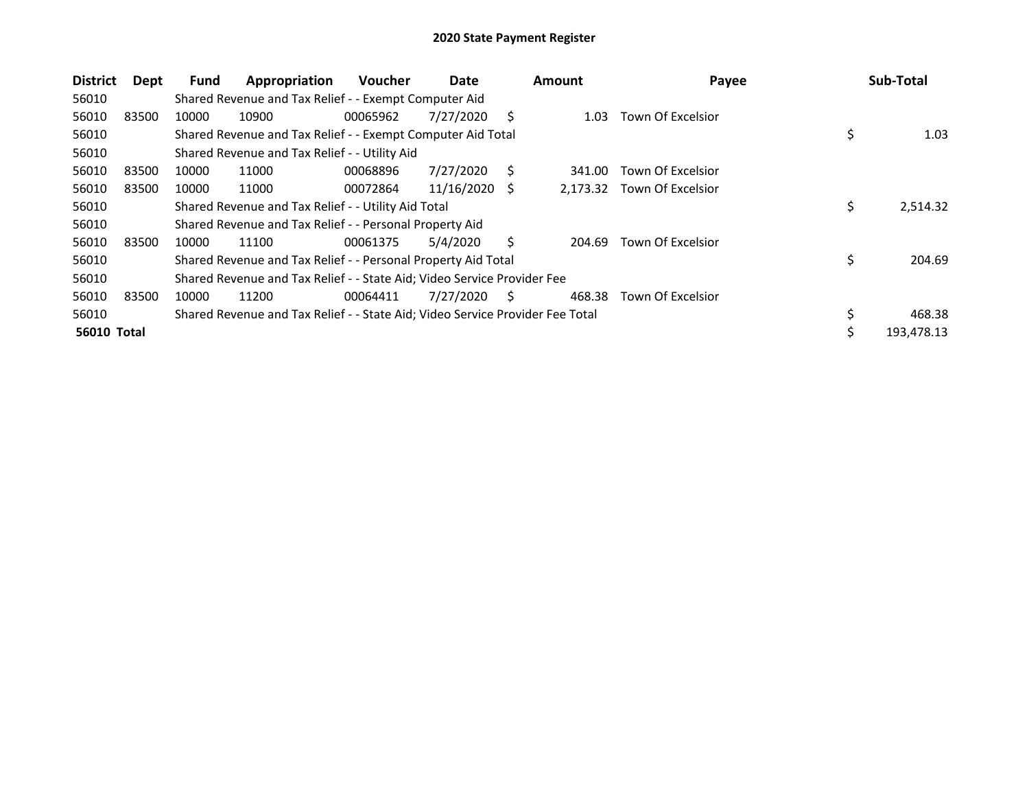| <b>District</b>    | Dept  | <b>Fund</b> | Appropriation                                                                 | <b>Voucher</b> | Date       |     | Amount   | Payee                    |    | Sub-Total  |
|--------------------|-------|-------------|-------------------------------------------------------------------------------|----------------|------------|-----|----------|--------------------------|----|------------|
| 56010              |       |             | Shared Revenue and Tax Relief - - Exempt Computer Aid                         |                |            |     |          |                          |    |            |
| 56010              | 83500 | 10000       | 10900                                                                         | 00065962       | 7/27/2020  | S   | 1.03     | Town Of Excelsior        |    |            |
| 56010              |       |             | Shared Revenue and Tax Relief - - Exempt Computer Aid Total                   |                |            |     |          |                          | \$ | 1.03       |
| 56010              |       |             | Shared Revenue and Tax Relief - - Utility Aid                                 |                |            |     |          |                          |    |            |
| 56010              | 83500 | 10000       | 11000                                                                         | 00068896       | 7/27/2020  | S   | 341.00   | Town Of Excelsior        |    |            |
| 56010              | 83500 | 10000       | 11000                                                                         | 00072864       | 11/16/2020 | - S | 2,173.32 | <b>Town Of Excelsior</b> |    |            |
| 56010              |       |             | Shared Revenue and Tax Relief - - Utility Aid Total                           |                |            |     |          |                          | \$ | 2,514.32   |
| 56010              |       |             | Shared Revenue and Tax Relief - - Personal Property Aid                       |                |            |     |          |                          |    |            |
| 56010              | 83500 | 10000       | 11100                                                                         | 00061375       | 5/4/2020   | S.  | 204.69   | Town Of Excelsior        |    |            |
| 56010              |       |             | Shared Revenue and Tax Relief - - Personal Property Aid Total                 |                |            |     |          |                          | \$ | 204.69     |
| 56010              |       |             | Shared Revenue and Tax Relief - - State Aid; Video Service Provider Fee       |                |            |     |          |                          |    |            |
| 56010              | 83500 | 10000       | 11200                                                                         | 00064411       | 7/27/2020  | S   | 468.38   | Town Of Excelsior        |    |            |
| 56010              |       |             | Shared Revenue and Tax Relief - - State Aid; Video Service Provider Fee Total |                |            |     |          |                          | \$ | 468.38     |
| <b>56010 Total</b> |       |             |                                                                               |                |            |     |          |                          | Ś  | 193,478.13 |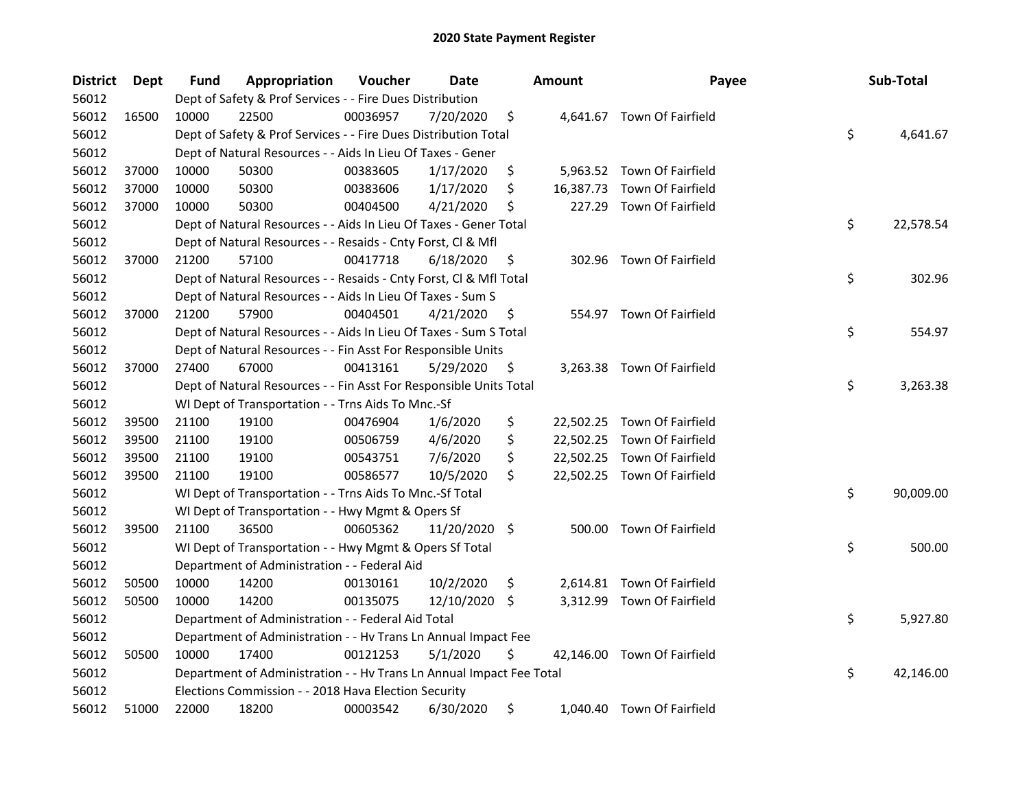| <b>District</b> | Dept  | Fund  | Appropriation                                                        | Voucher  | Date          | <b>Amount</b> | Payee                       | Sub-Total       |
|-----------------|-------|-------|----------------------------------------------------------------------|----------|---------------|---------------|-----------------------------|-----------------|
| 56012           |       |       | Dept of Safety & Prof Services - - Fire Dues Distribution            |          |               |               |                             |                 |
| 56012           | 16500 | 10000 | 22500                                                                | 00036957 | 7/20/2020     | \$            | 4,641.67 Town Of Fairfield  |                 |
| 56012           |       |       | Dept of Safety & Prof Services - - Fire Dues Distribution Total      |          |               |               |                             | \$<br>4,641.67  |
| 56012           |       |       | Dept of Natural Resources - - Aids In Lieu Of Taxes - Gener          |          |               |               |                             |                 |
| 56012           | 37000 | 10000 | 50300                                                                | 00383605 | 1/17/2020     | \$            | 5,963.52 Town Of Fairfield  |                 |
| 56012           | 37000 | 10000 | 50300                                                                | 00383606 | 1/17/2020     | \$            | 16,387.73 Town Of Fairfield |                 |
| 56012           | 37000 | 10000 | 50300                                                                | 00404500 | 4/21/2020     | \$            | 227.29 Town Of Fairfield    |                 |
| 56012           |       |       | Dept of Natural Resources - - Aids In Lieu Of Taxes - Gener Total    |          |               |               |                             | \$<br>22,578.54 |
| 56012           |       |       | Dept of Natural Resources - - Resaids - Cnty Forst, Cl & Mfl         |          |               |               |                             |                 |
| 56012           | 37000 | 21200 | 57100                                                                | 00417718 | 6/18/2020     | \$            | 302.96 Town Of Fairfield    |                 |
| 56012           |       |       | Dept of Natural Resources - - Resaids - Cnty Forst, Cl & Mfl Total   |          |               |               |                             | \$<br>302.96    |
| 56012           |       |       | Dept of Natural Resources - - Aids In Lieu Of Taxes - Sum S          |          |               |               |                             |                 |
| 56012           | 37000 | 21200 | 57900                                                                | 00404501 | 4/21/2020     | \$            | 554.97 Town Of Fairfield    |                 |
| 56012           |       |       | Dept of Natural Resources - - Aids In Lieu Of Taxes - Sum S Total    |          |               |               |                             | \$<br>554.97    |
| 56012           |       |       | Dept of Natural Resources - - Fin Asst For Responsible Units         |          |               |               |                             |                 |
| 56012           | 37000 | 27400 | 67000                                                                | 00413161 | 5/29/2020     | \$            | 3,263.38 Town Of Fairfield  |                 |
| 56012           |       |       | Dept of Natural Resources - - Fin Asst For Responsible Units Total   |          |               |               |                             | \$<br>3,263.38  |
| 56012           |       |       | WI Dept of Transportation - - Trns Aids To Mnc.-Sf                   |          |               |               |                             |                 |
| 56012           | 39500 | 21100 | 19100                                                                | 00476904 | 1/6/2020      | \$            | 22,502.25 Town Of Fairfield |                 |
| 56012           | 39500 | 21100 | 19100                                                                | 00506759 | 4/6/2020      | \$            | 22,502.25 Town Of Fairfield |                 |
| 56012           | 39500 | 21100 | 19100                                                                | 00543751 | 7/6/2020      | \$            | 22,502.25 Town Of Fairfield |                 |
| 56012           | 39500 | 21100 | 19100                                                                | 00586577 | 10/5/2020     | \$            | 22,502.25 Town Of Fairfield |                 |
| 56012           |       |       | WI Dept of Transportation - - Trns Aids To Mnc.-Sf Total             |          |               |               |                             | \$<br>90,009.00 |
| 56012           |       |       | WI Dept of Transportation - - Hwy Mgmt & Opers Sf                    |          |               |               |                             |                 |
| 56012           | 39500 | 21100 | 36500                                                                | 00605362 | 11/20/2020 \$ |               | 500.00 Town Of Fairfield    |                 |
| 56012           |       |       | WI Dept of Transportation - - Hwy Mgmt & Opers Sf Total              |          |               |               |                             | \$<br>500.00    |
| 56012           |       |       | Department of Administration - - Federal Aid                         |          |               |               |                             |                 |
| 56012           | 50500 | 10000 | 14200                                                                | 00130161 | 10/2/2020     | \$            | 2,614.81 Town Of Fairfield  |                 |
| 56012           | 50500 | 10000 | 14200                                                                | 00135075 | 12/10/2020    | \$            | 3,312.99 Town Of Fairfield  |                 |
| 56012           |       |       | Department of Administration - - Federal Aid Total                   |          |               |               |                             | \$<br>5,927.80  |
| 56012           |       |       | Department of Administration - - Hv Trans Ln Annual Impact Fee       |          |               |               |                             |                 |
| 56012           | 50500 | 10000 | 17400                                                                | 00121253 | 5/1/2020      | \$            | 42,146.00 Town Of Fairfield |                 |
| 56012           |       |       | Department of Administration - - Hv Trans Ln Annual Impact Fee Total |          |               |               |                             | \$<br>42,146.00 |
| 56012           |       |       | Elections Commission - - 2018 Hava Election Security                 |          |               |               |                             |                 |
| 56012           | 51000 | 22000 | 18200                                                                | 00003542 | 6/30/2020     | \$            | 1,040.40 Town Of Fairfield  |                 |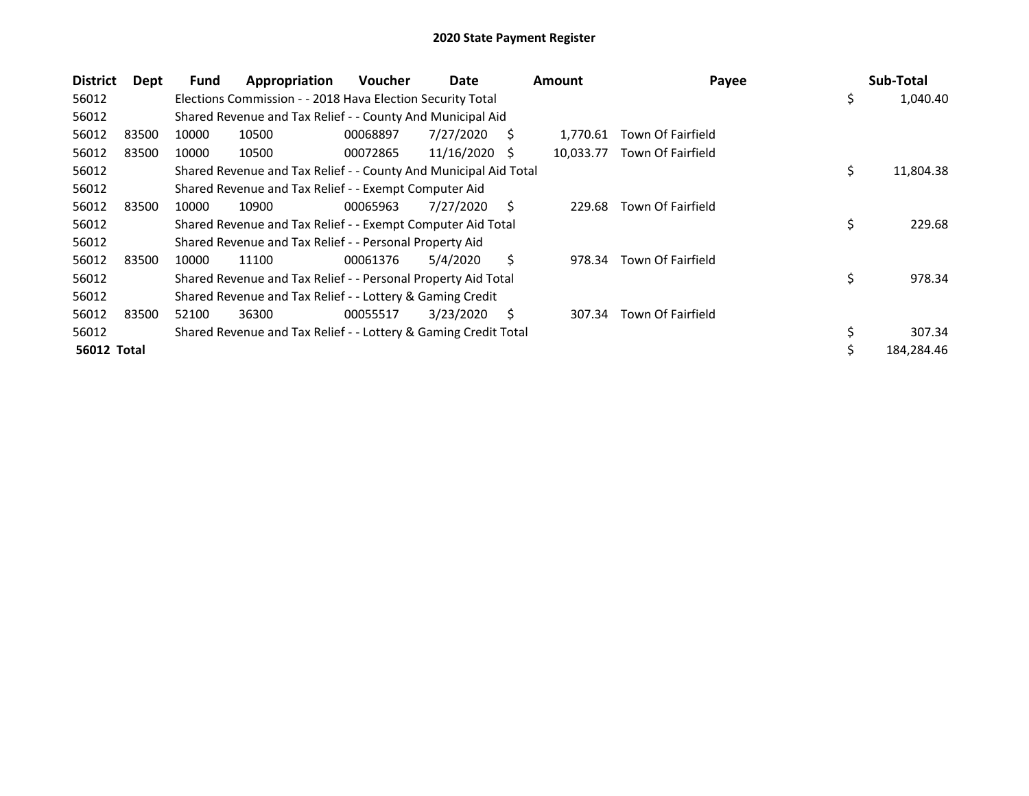| <b>District</b>    | Dept | Fund  | Appropriation                                                    | <b>Voucher</b> | Date       |    | <b>Amount</b> | Payee                    | Sub-Total        |
|--------------------|------|-------|------------------------------------------------------------------|----------------|------------|----|---------------|--------------------------|------------------|
| 56012              |      |       | Elections Commission - - 2018 Hava Election Security Total       |                |            |    |               |                          | \$<br>1,040.40   |
| 56012              |      |       | Shared Revenue and Tax Relief - - County And Municipal Aid       |                |            |    |               |                          |                  |
| 56012<br>83500     |      | 10000 | 10500                                                            | 00068897       | 7/27/2020  | S  | 1,770.61      | Town Of Fairfield        |                  |
| 56012<br>83500     |      | 10000 | 10500                                                            | 00072865       | 11/16/2020 | -S | 10,033.77     | Town Of Fairfield        |                  |
| 56012              |      |       | Shared Revenue and Tax Relief - - County And Municipal Aid Total |                |            |    |               |                          | \$<br>11,804.38  |
| 56012              |      |       | Shared Revenue and Tax Relief - - Exempt Computer Aid            |                |            |    |               |                          |                  |
| 56012<br>83500     |      | 10000 | 10900                                                            | 00065963       | 7/27/2020  | Ś  | 229.68        | Town Of Fairfield        |                  |
| 56012              |      |       | Shared Revenue and Tax Relief - - Exempt Computer Aid Total      |                |            |    |               |                          | \$<br>229.68     |
| 56012              |      |       | Shared Revenue and Tax Relief - - Personal Property Aid          |                |            |    |               |                          |                  |
| 56012<br>83500     |      | 10000 | 11100                                                            | 00061376       | 5/4/2020   | Ś. | 978.34        | Town Of Fairfield        |                  |
| 56012              |      |       | Shared Revenue and Tax Relief - - Personal Property Aid Total    |                |            |    |               |                          | \$<br>978.34     |
| 56012              |      |       | Shared Revenue and Tax Relief - - Lottery & Gaming Credit        |                |            |    |               |                          |                  |
| 56012<br>83500     |      | 52100 | 36300                                                            | 00055517       | 3/23/2020  | Ś. | 307.34        | <b>Town Of Fairfield</b> |                  |
| 56012              |      |       | Shared Revenue and Tax Relief - - Lottery & Gaming Credit Total  |                |            |    |               |                          | 307.34           |
| <b>56012 Total</b> |      |       |                                                                  |                |            |    |               |                          | \$<br>184,284.46 |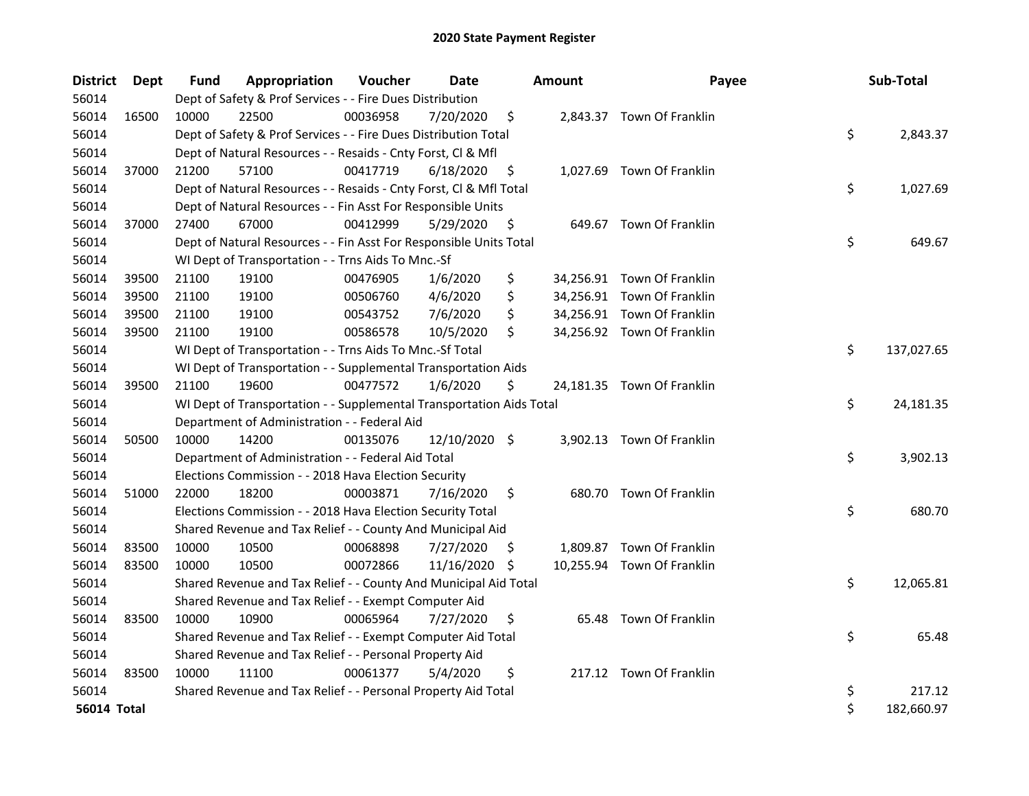| <b>District</b> | Dept  | Fund  | Appropriation                                                        | Voucher  | Date          |     | <b>Amount</b> | Payee                      | Sub-Total        |
|-----------------|-------|-------|----------------------------------------------------------------------|----------|---------------|-----|---------------|----------------------------|------------------|
| 56014           |       |       | Dept of Safety & Prof Services - - Fire Dues Distribution            |          |               |     |               |                            |                  |
| 56014           | 16500 | 10000 | 22500                                                                | 00036958 | 7/20/2020     | \$  |               | 2,843.37 Town Of Franklin  |                  |
| 56014           |       |       | Dept of Safety & Prof Services - - Fire Dues Distribution Total      |          |               |     |               |                            | \$<br>2,843.37   |
| 56014           |       |       | Dept of Natural Resources - - Resaids - Cnty Forst, CI & Mfl         |          |               |     |               |                            |                  |
| 56014           | 37000 | 21200 | 57100                                                                | 00417719 | 6/18/2020     | \$  |               | 1,027.69 Town Of Franklin  |                  |
| 56014           |       |       | Dept of Natural Resources - - Resaids - Cnty Forst, Cl & Mfl Total   |          |               |     |               |                            | \$<br>1,027.69   |
| 56014           |       |       | Dept of Natural Resources - - Fin Asst For Responsible Units         |          |               |     |               |                            |                  |
| 56014           | 37000 | 27400 | 67000                                                                | 00412999 | 5/29/2020     | \$  |               | 649.67 Town Of Franklin    |                  |
| 56014           |       |       | Dept of Natural Resources - - Fin Asst For Responsible Units Total   |          |               |     |               |                            | \$<br>649.67     |
| 56014           |       |       | WI Dept of Transportation - - Trns Aids To Mnc.-Sf                   |          |               |     |               |                            |                  |
| 56014           | 39500 | 21100 | 19100                                                                | 00476905 | 1/6/2020      | \$  |               | 34,256.91 Town Of Franklin |                  |
| 56014           | 39500 | 21100 | 19100                                                                | 00506760 | 4/6/2020      | \$  |               | 34,256.91 Town Of Franklin |                  |
| 56014           | 39500 | 21100 | 19100                                                                | 00543752 | 7/6/2020      | \$  |               | 34,256.91 Town Of Franklin |                  |
| 56014           | 39500 | 21100 | 19100                                                                | 00586578 | 10/5/2020     | \$  |               | 34,256.92 Town Of Franklin |                  |
| 56014           |       |       | WI Dept of Transportation - - Trns Aids To Mnc.-Sf Total             |          |               |     |               |                            | \$<br>137,027.65 |
| 56014           |       |       | WI Dept of Transportation - - Supplemental Transportation Aids       |          |               |     |               |                            |                  |
| 56014           | 39500 | 21100 | 19600                                                                | 00477572 | 1/6/2020      | \$  |               | 24,181.35 Town Of Franklin |                  |
| 56014           |       |       | WI Dept of Transportation - - Supplemental Transportation Aids Total |          |               |     |               |                            | \$<br>24,181.35  |
| 56014           |       |       | Department of Administration - - Federal Aid                         |          |               |     |               |                            |                  |
| 56014           | 50500 | 10000 | 14200                                                                | 00135076 | 12/10/2020 \$ |     |               | 3,902.13 Town Of Franklin  |                  |
| 56014           |       |       | Department of Administration - - Federal Aid Total                   |          |               |     |               |                            | \$<br>3,902.13   |
| 56014           |       |       | Elections Commission - - 2018 Hava Election Security                 |          |               |     |               |                            |                  |
| 56014           | 51000 | 22000 | 18200                                                                | 00003871 | 7/16/2020     | \$  |               | 680.70 Town Of Franklin    |                  |
| 56014           |       |       | Elections Commission - - 2018 Hava Election Security Total           |          |               |     |               |                            | \$<br>680.70     |
| 56014           |       |       | Shared Revenue and Tax Relief - - County And Municipal Aid           |          |               |     |               |                            |                  |
| 56014           | 83500 | 10000 | 10500                                                                | 00068898 | 7/27/2020     | \$. |               | 1,809.87 Town Of Franklin  |                  |
| 56014           | 83500 | 10000 | 10500                                                                | 00072866 | 11/16/2020 \$ |     |               | 10,255.94 Town Of Franklin |                  |
| 56014           |       |       | Shared Revenue and Tax Relief - - County And Municipal Aid Total     |          |               |     |               |                            | \$<br>12,065.81  |
| 56014           |       |       | Shared Revenue and Tax Relief - - Exempt Computer Aid                |          |               |     |               |                            |                  |
| 56014           | 83500 | 10000 | 10900                                                                | 00065964 | 7/27/2020     | \$  |               | 65.48 Town Of Franklin     |                  |
| 56014           |       |       | Shared Revenue and Tax Relief - - Exempt Computer Aid Total          |          |               |     |               |                            | \$<br>65.48      |
| 56014           |       |       | Shared Revenue and Tax Relief - - Personal Property Aid              |          |               |     |               |                            |                  |
| 56014           | 83500 | 10000 | 11100                                                                | 00061377 | 5/4/2020      | \$  |               | 217.12 Town Of Franklin    |                  |
| 56014           |       |       | Shared Revenue and Tax Relief - - Personal Property Aid Total        |          |               |     |               |                            | \$<br>217.12     |
| 56014 Total     |       |       |                                                                      |          |               |     |               |                            | \$<br>182,660.97 |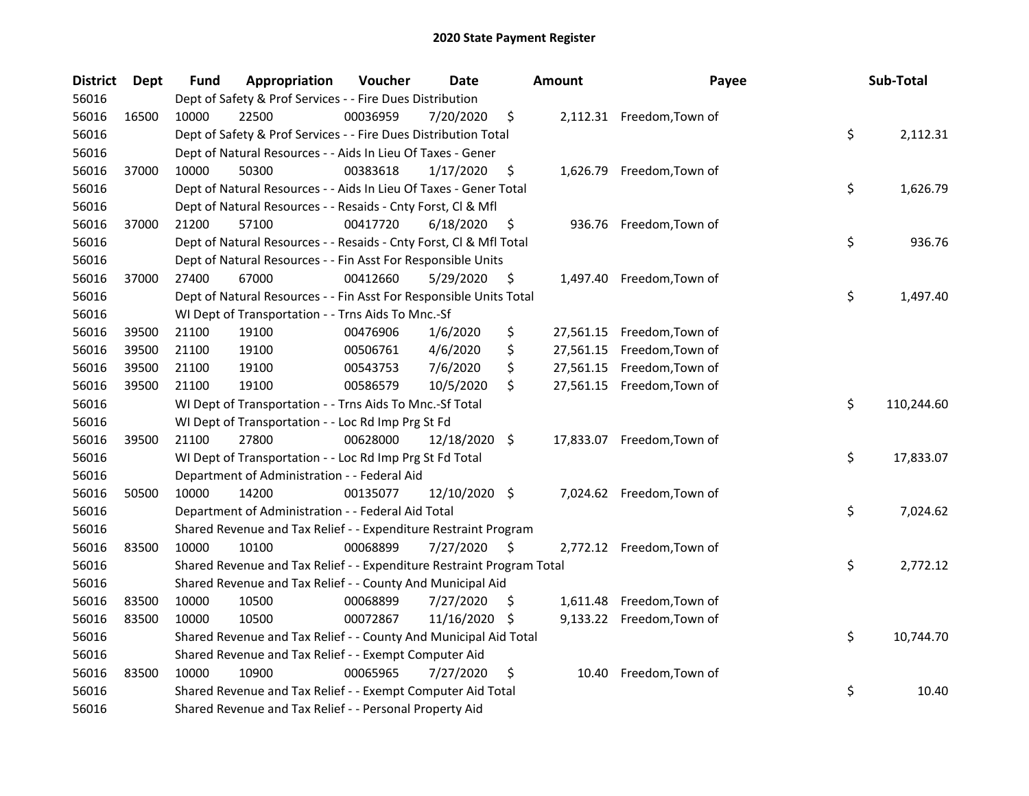| <b>District</b> | Dept  | Fund  | Appropriation                                                         | Voucher  | <b>Date</b>   |     | <b>Amount</b> | Payee                      | Sub-Total        |
|-----------------|-------|-------|-----------------------------------------------------------------------|----------|---------------|-----|---------------|----------------------------|------------------|
| 56016           |       |       | Dept of Safety & Prof Services - - Fire Dues Distribution             |          |               |     |               |                            |                  |
| 56016           | 16500 | 10000 | 22500                                                                 | 00036959 | 7/20/2020     | \$  |               | 2,112.31 Freedom, Town of  |                  |
| 56016           |       |       | Dept of Safety & Prof Services - - Fire Dues Distribution Total       |          |               |     |               |                            | \$<br>2,112.31   |
| 56016           |       |       | Dept of Natural Resources - - Aids In Lieu Of Taxes - Gener           |          |               |     |               |                            |                  |
| 56016           | 37000 | 10000 | 50300                                                                 | 00383618 | 1/17/2020     | \$  |               | 1,626.79 Freedom, Town of  |                  |
| 56016           |       |       | Dept of Natural Resources - - Aids In Lieu Of Taxes - Gener Total     |          |               |     |               |                            | \$<br>1,626.79   |
| 56016           |       |       | Dept of Natural Resources - - Resaids - Cnty Forst, Cl & Mfl          |          |               |     |               |                            |                  |
| 56016           | 37000 | 21200 | 57100                                                                 | 00417720 | 6/18/2020     | \$  |               | 936.76 Freedom, Town of    |                  |
| 56016           |       |       | Dept of Natural Resources - - Resaids - Cnty Forst, Cl & Mfl Total    |          |               |     |               |                            | \$<br>936.76     |
| 56016           |       |       | Dept of Natural Resources - - Fin Asst For Responsible Units          |          |               |     |               |                            |                  |
| 56016           | 37000 | 27400 | 67000                                                                 | 00412660 | 5/29/2020     | \$  |               | 1,497.40 Freedom, Town of  |                  |
| 56016           |       |       | Dept of Natural Resources - - Fin Asst For Responsible Units Total    |          |               |     |               |                            | \$<br>1,497.40   |
| 56016           |       |       | WI Dept of Transportation - - Trns Aids To Mnc.-Sf                    |          |               |     |               |                            |                  |
| 56016           | 39500 | 21100 | 19100                                                                 | 00476906 | 1/6/2020      | \$  |               | 27,561.15 Freedom, Town of |                  |
| 56016           | 39500 | 21100 | 19100                                                                 | 00506761 | 4/6/2020      | \$  |               | 27,561.15 Freedom, Town of |                  |
| 56016           | 39500 | 21100 | 19100                                                                 | 00543753 | 7/6/2020      | \$  |               | 27,561.15 Freedom, Town of |                  |
| 56016           | 39500 | 21100 | 19100                                                                 | 00586579 | 10/5/2020     | \$  |               | 27,561.15 Freedom, Town of |                  |
| 56016           |       |       | WI Dept of Transportation - - Trns Aids To Mnc.-Sf Total              |          |               |     |               |                            | \$<br>110,244.60 |
| 56016           |       |       | WI Dept of Transportation - - Loc Rd Imp Prg St Fd                    |          |               |     |               |                            |                  |
| 56016           | 39500 | 21100 | 27800                                                                 | 00628000 | 12/18/2020 \$ |     |               | 17,833.07 Freedom, Town of |                  |
| 56016           |       |       | WI Dept of Transportation - - Loc Rd Imp Prg St Fd Total              |          |               |     |               |                            | \$<br>17,833.07  |
| 56016           |       |       | Department of Administration - - Federal Aid                          |          |               |     |               |                            |                  |
| 56016           | 50500 | 10000 | 14200                                                                 | 00135077 | 12/10/2020 \$ |     |               | 7,024.62 Freedom, Town of  |                  |
| 56016           |       |       | Department of Administration - - Federal Aid Total                    |          |               |     |               |                            | \$<br>7,024.62   |
| 56016           |       |       | Shared Revenue and Tax Relief - - Expenditure Restraint Program       |          |               |     |               |                            |                  |
| 56016           | 83500 | 10000 | 10100                                                                 | 00068899 | 7/27/2020     | \$. |               | 2,772.12 Freedom, Town of  |                  |
| 56016           |       |       | Shared Revenue and Tax Relief - - Expenditure Restraint Program Total |          |               |     |               |                            | \$<br>2,772.12   |
| 56016           |       |       | Shared Revenue and Tax Relief - - County And Municipal Aid            |          |               |     |               |                            |                  |
| 56016           | 83500 | 10000 | 10500                                                                 | 00068899 | 7/27/2020     | \$. |               | 1,611.48 Freedom, Town of  |                  |
| 56016           | 83500 | 10000 | 10500                                                                 | 00072867 | 11/16/2020    | \$. |               | 9,133.22 Freedom, Town of  |                  |
| 56016           |       |       | Shared Revenue and Tax Relief - - County And Municipal Aid Total      |          |               |     |               |                            | \$<br>10,744.70  |
| 56016           |       |       | Shared Revenue and Tax Relief - - Exempt Computer Aid                 |          |               |     |               |                            |                  |
| 56016           | 83500 | 10000 | 10900                                                                 | 00065965 | 7/27/2020     | \$  | 10.40         | Freedom, Town of           |                  |
| 56016           |       |       | Shared Revenue and Tax Relief - - Exempt Computer Aid Total           |          |               |     |               |                            | \$<br>10.40      |
| 56016           |       |       | Shared Revenue and Tax Relief - - Personal Property Aid               |          |               |     |               |                            |                  |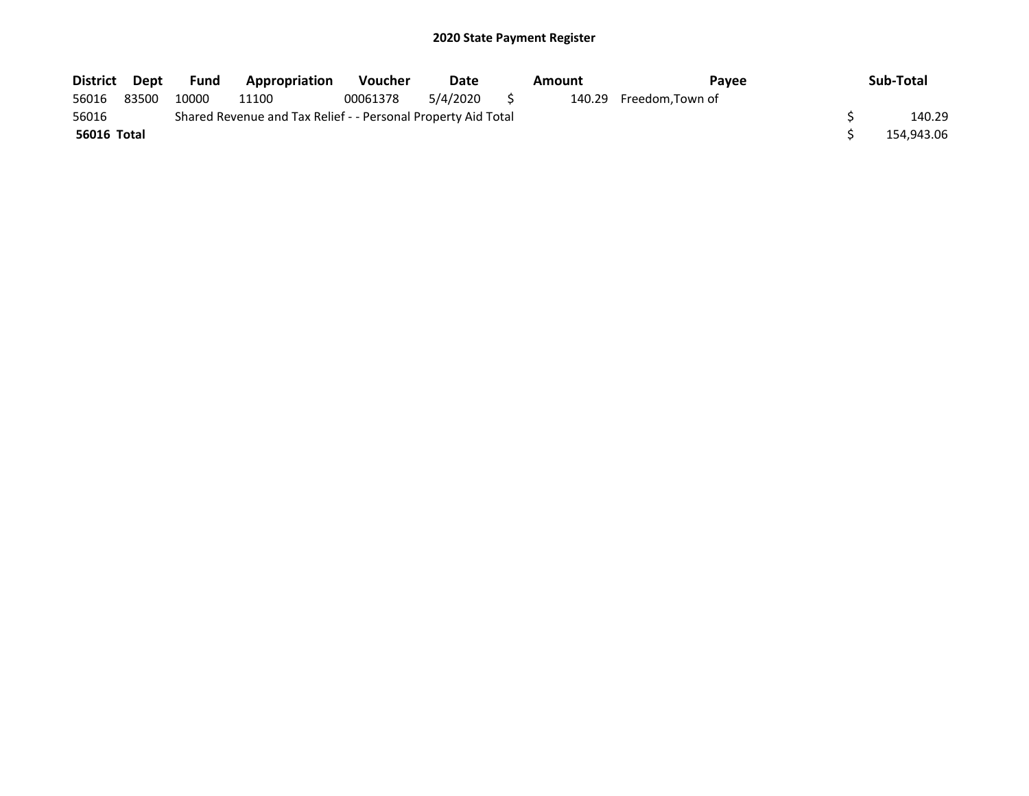| District    | Dept  | Fund  | Appropriation                                                 | <b>Voucher</b> | Date     |   | Amount | <b>Pavee</b>            | Sub-Total  |
|-------------|-------|-------|---------------------------------------------------------------|----------------|----------|---|--------|-------------------------|------------|
| 56016       | 83500 | 10000 | 11100                                                         | 00061378       | 5/4/2020 | S |        | 140.29 Freedom, Town of |            |
| 56016       |       |       | Shared Revenue and Tax Relief - - Personal Property Aid Total |                |          |   |        |                         | 140.29     |
| 56016 Total |       |       |                                                               |                |          |   |        |                         | 154.943.06 |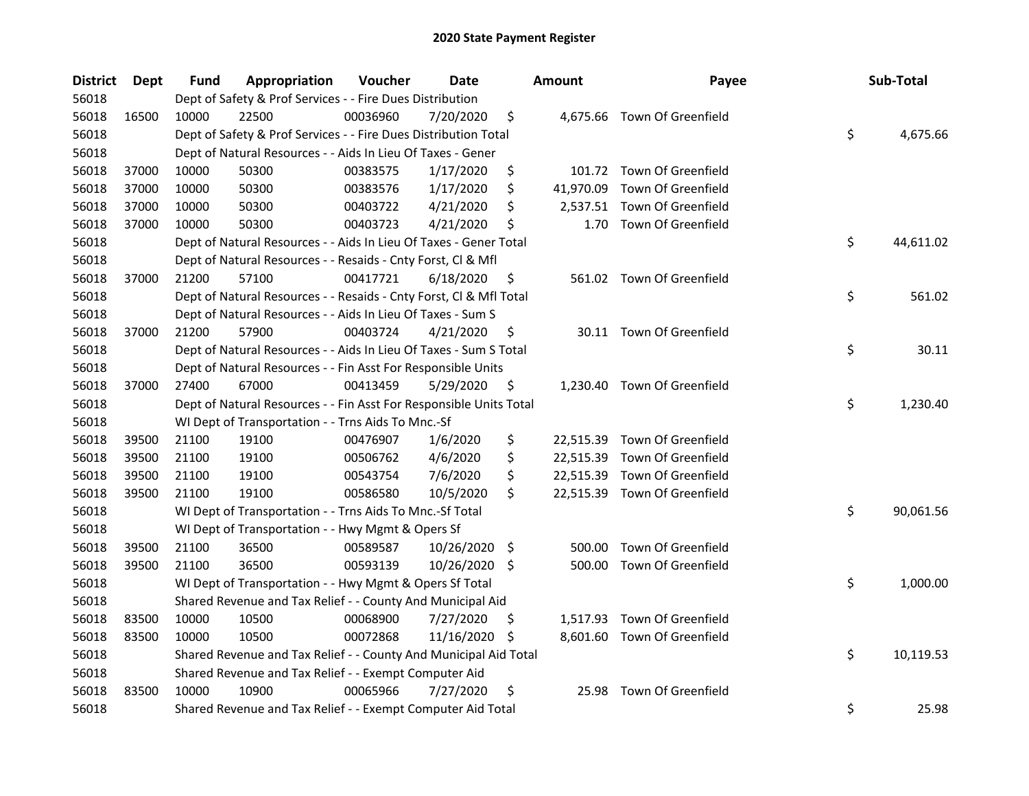| <b>District</b> | Dept  | Fund  | Appropriation                                                      | Voucher  | Date          |     | <b>Amount</b> | Payee                        | Sub-Total       |
|-----------------|-------|-------|--------------------------------------------------------------------|----------|---------------|-----|---------------|------------------------------|-----------------|
| 56018           |       |       | Dept of Safety & Prof Services - - Fire Dues Distribution          |          |               |     |               |                              |                 |
| 56018           | 16500 | 10000 | 22500                                                              | 00036960 | 7/20/2020     | \$  |               | 4,675.66 Town Of Greenfield  |                 |
| 56018           |       |       | Dept of Safety & Prof Services - - Fire Dues Distribution Total    |          |               |     |               |                              | \$<br>4,675.66  |
| 56018           |       |       | Dept of Natural Resources - - Aids In Lieu Of Taxes - Gener        |          |               |     |               |                              |                 |
| 56018           | 37000 | 10000 | 50300                                                              | 00383575 | 1/17/2020     | \$  |               | 101.72 Town Of Greenfield    |                 |
| 56018           | 37000 | 10000 | 50300                                                              | 00383576 | 1/17/2020     | \$  | 41,970.09     | Town Of Greenfield           |                 |
| 56018           | 37000 | 10000 | 50300                                                              | 00403722 | 4/21/2020     | \$  |               | 2,537.51 Town Of Greenfield  |                 |
| 56018           | 37000 | 10000 | 50300                                                              | 00403723 | 4/21/2020     | \$  | 1.70          | Town Of Greenfield           |                 |
| 56018           |       |       | Dept of Natural Resources - - Aids In Lieu Of Taxes - Gener Total  |          |               |     |               |                              | \$<br>44,611.02 |
| 56018           |       |       | Dept of Natural Resources - - Resaids - Cnty Forst, Cl & Mfl       |          |               |     |               |                              |                 |
| 56018           | 37000 | 21200 | 57100                                                              | 00417721 | 6/18/2020     | \$  |               | 561.02 Town Of Greenfield    |                 |
| 56018           |       |       | Dept of Natural Resources - - Resaids - Cnty Forst, Cl & Mfl Total |          |               |     |               |                              | \$<br>561.02    |
| 56018           |       |       | Dept of Natural Resources - - Aids In Lieu Of Taxes - Sum S        |          |               |     |               |                              |                 |
| 56018           | 37000 | 21200 | 57900                                                              | 00403724 | 4/21/2020     | \$  |               | 30.11 Town Of Greenfield     |                 |
| 56018           |       |       | Dept of Natural Resources - - Aids In Lieu Of Taxes - Sum S Total  |          |               |     |               |                              | \$<br>30.11     |
| 56018           |       |       | Dept of Natural Resources - - Fin Asst For Responsible Units       |          |               |     |               |                              |                 |
| 56018           | 37000 | 27400 | 67000                                                              | 00413459 | 5/29/2020     | \$  | 1,230.40      | Town Of Greenfield           |                 |
| 56018           |       |       | Dept of Natural Resources - - Fin Asst For Responsible Units Total |          |               |     |               |                              | \$<br>1,230.40  |
| 56018           |       |       | WI Dept of Transportation - - Trns Aids To Mnc.-Sf                 |          |               |     |               |                              |                 |
| 56018           | 39500 | 21100 | 19100                                                              | 00476907 | 1/6/2020      | \$  |               | 22,515.39 Town Of Greenfield |                 |
| 56018           | 39500 | 21100 | 19100                                                              | 00506762 | 4/6/2020      | \$  |               | 22,515.39 Town Of Greenfield |                 |
| 56018           | 39500 | 21100 | 19100                                                              | 00543754 | 7/6/2020      | \$  |               | 22,515.39 Town Of Greenfield |                 |
| 56018           | 39500 | 21100 | 19100                                                              | 00586580 | 10/5/2020     | \$  |               | 22,515.39 Town Of Greenfield |                 |
| 56018           |       |       | WI Dept of Transportation - - Trns Aids To Mnc.-Sf Total           |          |               |     |               |                              | \$<br>90,061.56 |
| 56018           |       |       | WI Dept of Transportation - - Hwy Mgmt & Opers Sf                  |          |               |     |               |                              |                 |
| 56018           | 39500 | 21100 | 36500                                                              | 00589587 | 10/26/2020    | \$  | 500.00        | Town Of Greenfield           |                 |
| 56018           | 39500 | 21100 | 36500                                                              | 00593139 | 10/26/2020 \$ |     | 500.00        | Town Of Greenfield           |                 |
| 56018           |       |       | WI Dept of Transportation - - Hwy Mgmt & Opers Sf Total            |          |               |     |               |                              | \$<br>1,000.00  |
| 56018           |       |       | Shared Revenue and Tax Relief - - County And Municipal Aid         |          |               |     |               |                              |                 |
| 56018           | 83500 | 10000 | 10500                                                              | 00068900 | 7/27/2020     | \$. |               | 1,517.93 Town Of Greenfield  |                 |
| 56018           | 83500 | 10000 | 10500                                                              | 00072868 | 11/16/2020    | -\$ |               | 8,601.60 Town Of Greenfield  |                 |
| 56018           |       |       | Shared Revenue and Tax Relief - - County And Municipal Aid Total   |          |               |     |               |                              | \$<br>10,119.53 |
| 56018           |       |       | Shared Revenue and Tax Relief - - Exempt Computer Aid              |          |               |     |               |                              |                 |
| 56018           | 83500 | 10000 | 10900                                                              | 00065966 | 7/27/2020     | \$  | 25.98         | Town Of Greenfield           |                 |
| 56018           |       |       | Shared Revenue and Tax Relief - - Exempt Computer Aid Total        |          |               |     |               |                              | \$<br>25.98     |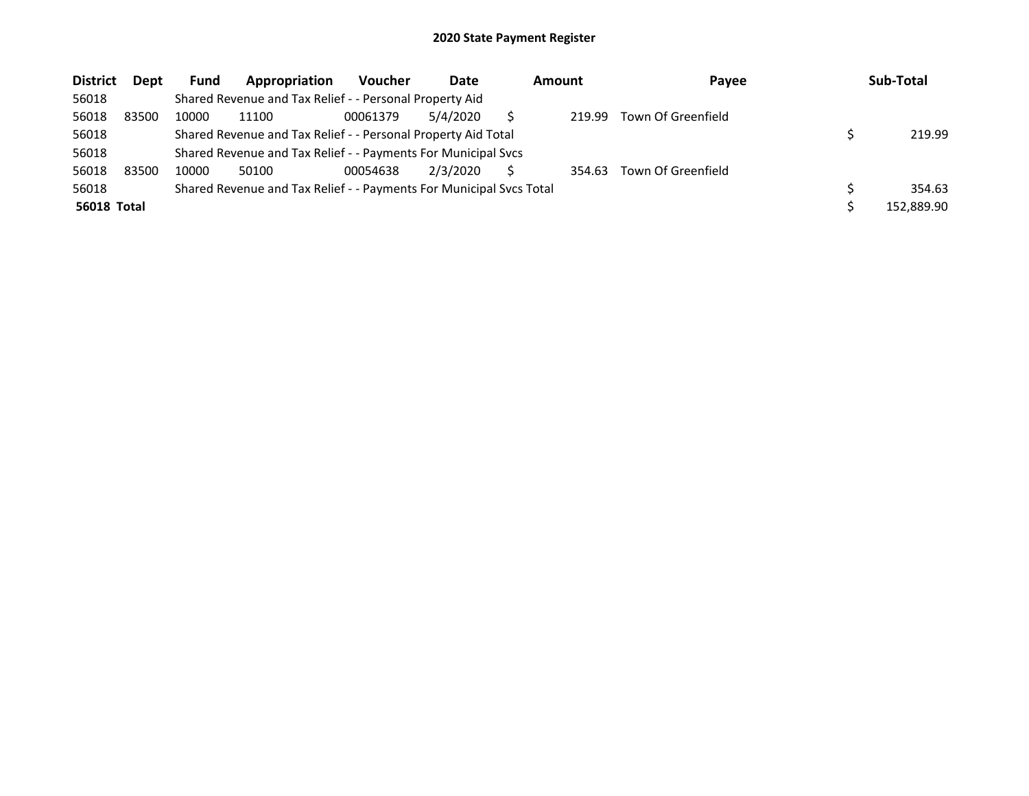| <b>District</b>    | <b>Dept</b> | <b>Fund</b> | Appropriation                                                       | <b>Voucher</b> | Date     | Amount | Payee              | Sub-Total  |
|--------------------|-------------|-------------|---------------------------------------------------------------------|----------------|----------|--------|--------------------|------------|
| 56018              |             |             | Shared Revenue and Tax Relief - - Personal Property Aid             |                |          |        |                    |            |
| 56018              | 83500       | 10000       | 11100                                                               | 00061379       | 5/4/2020 | 219.99 | Town Of Greenfield |            |
| 56018              |             |             | Shared Revenue and Tax Relief - - Personal Property Aid Total       |                |          |        |                    | 219.99     |
| 56018              |             |             | Shared Revenue and Tax Relief - - Payments For Municipal Svcs       |                |          |        |                    |            |
| 56018              | 83500       | 10000       | 50100                                                               | 00054638       | 2/3/2020 | 354.63 | Town Of Greenfield |            |
| 56018              |             |             | Shared Revenue and Tax Relief - - Payments For Municipal Svcs Total |                |          |        |                    | 354.63     |
| <b>56018 Total</b> |             |             |                                                                     |                |          |        |                    | 152.889.90 |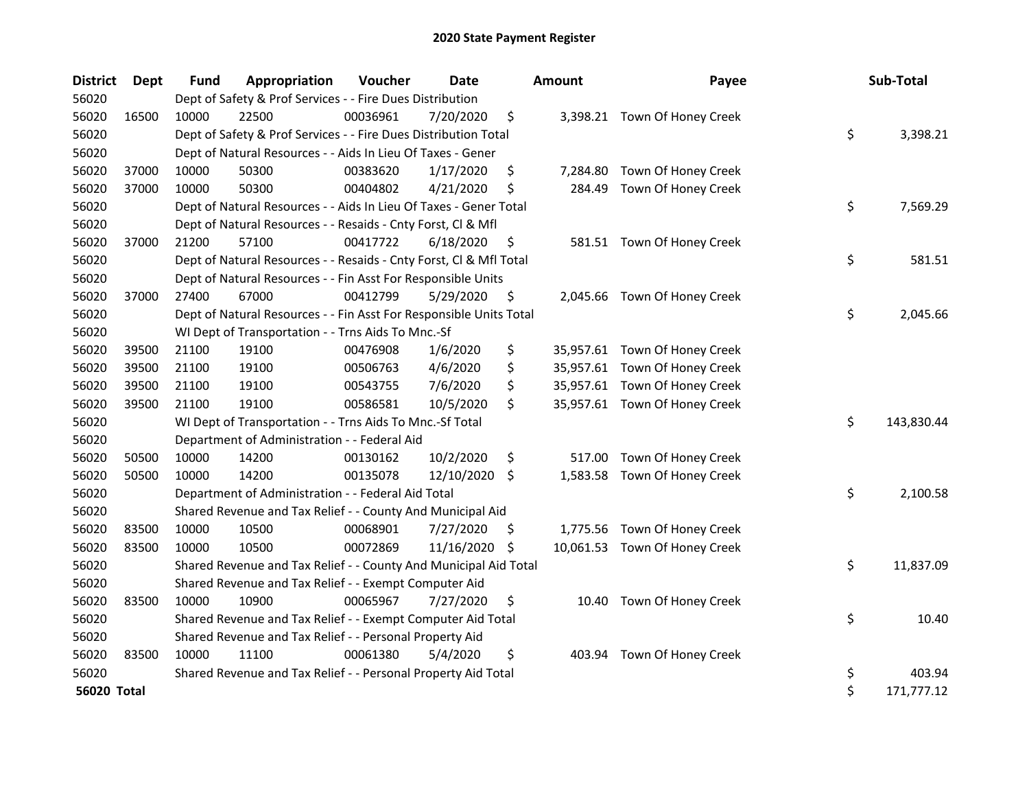| <b>District</b> | Dept  | <b>Fund</b> | Appropriation                                                      | Voucher  | <b>Date</b> | <b>Amount</b>  | Payee                         | Sub-Total        |
|-----------------|-------|-------------|--------------------------------------------------------------------|----------|-------------|----------------|-------------------------------|------------------|
| 56020           |       |             | Dept of Safety & Prof Services - - Fire Dues Distribution          |          |             |                |                               |                  |
| 56020           | 16500 | 10000       | 22500                                                              | 00036961 | 7/20/2020   | \$             | 3,398.21 Town Of Honey Creek  |                  |
| 56020           |       |             | Dept of Safety & Prof Services - - Fire Dues Distribution Total    |          |             |                |                               | \$<br>3,398.21   |
| 56020           |       |             | Dept of Natural Resources - - Aids In Lieu Of Taxes - Gener        |          |             |                |                               |                  |
| 56020           | 37000 | 10000       | 50300                                                              | 00383620 | 1/17/2020   | \$             | 7,284.80 Town Of Honey Creek  |                  |
| 56020           | 37000 | 10000       | 50300                                                              | 00404802 | 4/21/2020   | \$<br>284.49   | Town Of Honey Creek           |                  |
| 56020           |       |             | Dept of Natural Resources - - Aids In Lieu Of Taxes - Gener Total  |          |             |                |                               | \$<br>7,569.29   |
| 56020           |       |             | Dept of Natural Resources - - Resaids - Cnty Forst, Cl & Mfl       |          |             |                |                               |                  |
| 56020           | 37000 | 21200       | 57100                                                              | 00417722 | 6/18/2020   | \$             | 581.51 Town Of Honey Creek    |                  |
| 56020           |       |             | Dept of Natural Resources - - Resaids - Cnty Forst, Cl & Mfl Total |          |             |                |                               | \$<br>581.51     |
| 56020           |       |             | Dept of Natural Resources - - Fin Asst For Responsible Units       |          |             |                |                               |                  |
| 56020           | 37000 | 27400       | 67000                                                              | 00412799 | 5/29/2020   | \$             | 2,045.66 Town Of Honey Creek  |                  |
| 56020           |       |             | Dept of Natural Resources - - Fin Asst For Responsible Units Total |          |             |                |                               | \$<br>2,045.66   |
| 56020           |       |             | WI Dept of Transportation - - Trns Aids To Mnc.-Sf                 |          |             |                |                               |                  |
| 56020           | 39500 | 21100       | 19100                                                              | 00476908 | 1/6/2020    | \$             | 35,957.61 Town Of Honey Creek |                  |
| 56020           | 39500 | 21100       | 19100                                                              | 00506763 | 4/6/2020    | \$             | 35,957.61 Town Of Honey Creek |                  |
| 56020           | 39500 | 21100       | 19100                                                              | 00543755 | 7/6/2020    | \$             | 35,957.61 Town Of Honey Creek |                  |
| 56020           | 39500 | 21100       | 19100                                                              | 00586581 | 10/5/2020   | \$             | 35,957.61 Town Of Honey Creek |                  |
| 56020           |       |             | WI Dept of Transportation - - Trns Aids To Mnc.-Sf Total           |          |             |                |                               | \$<br>143,830.44 |
| 56020           |       |             | Department of Administration - - Federal Aid                       |          |             |                |                               |                  |
| 56020           | 50500 | 10000       | 14200                                                              | 00130162 | 10/2/2020   | \$<br>517.00   | Town Of Honey Creek           |                  |
| 56020           | 50500 | 10000       | 14200                                                              | 00135078 | 12/10/2020  | \$<br>1,583.58 | Town Of Honey Creek           |                  |
| 56020           |       |             | Department of Administration - - Federal Aid Total                 |          |             |                |                               | \$<br>2,100.58   |
| 56020           |       |             | Shared Revenue and Tax Relief - - County And Municipal Aid         |          |             |                |                               |                  |
| 56020           | 83500 | 10000       | 10500                                                              | 00068901 | 7/27/2020   | \$             | 1,775.56 Town Of Honey Creek  |                  |
| 56020           | 83500 | 10000       | 10500                                                              | 00072869 | 11/16/2020  | \$             | 10,061.53 Town Of Honey Creek |                  |
| 56020           |       |             | Shared Revenue and Tax Relief - - County And Municipal Aid Total   |          |             |                |                               | \$<br>11,837.09  |
| 56020           |       |             | Shared Revenue and Tax Relief - - Exempt Computer Aid              |          |             |                |                               |                  |
| 56020           | 83500 | 10000       | 10900                                                              | 00065967 | 7/27/2020   | \$<br>10.40    | Town Of Honey Creek           |                  |
| 56020           |       |             | Shared Revenue and Tax Relief - - Exempt Computer Aid Total        |          |             |                |                               | \$<br>10.40      |
| 56020           |       |             | Shared Revenue and Tax Relief - - Personal Property Aid            |          |             |                |                               |                  |
| 56020           | 83500 | 10000       | 11100                                                              | 00061380 | 5/4/2020    | \$<br>403.94   | Town Of Honey Creek           |                  |
| 56020           |       |             | Shared Revenue and Tax Relief - - Personal Property Aid Total      |          |             |                |                               | \$<br>403.94     |
| 56020 Total     |       |             |                                                                    |          |             |                |                               | \$<br>171,777.12 |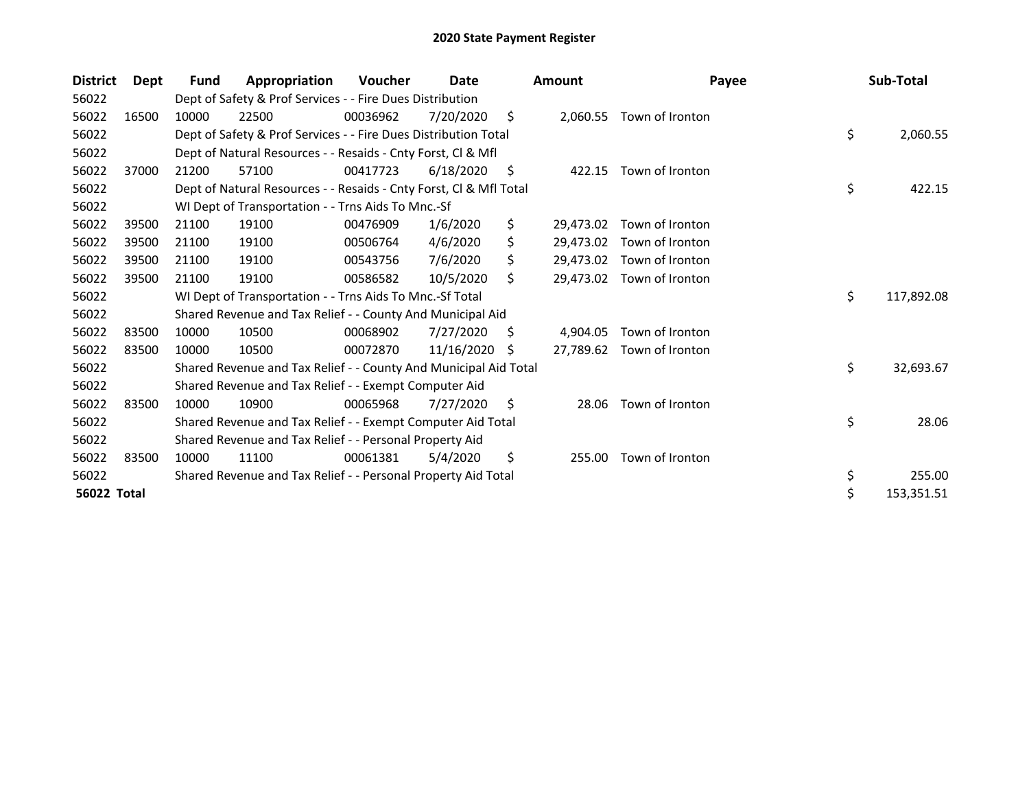| <b>District</b>    | Dept  | Fund  | Appropriation                                                      | Voucher  | Date       |    | <b>Amount</b> | Payee                     | Sub-Total        |
|--------------------|-------|-------|--------------------------------------------------------------------|----------|------------|----|---------------|---------------------------|------------------|
| 56022              |       |       | Dept of Safety & Prof Services - - Fire Dues Distribution          |          |            |    |               |                           |                  |
| 56022              | 16500 | 10000 | 22500                                                              | 00036962 | 7/20/2020  | \$ | 2,060.55      | Town of Ironton           |                  |
| 56022              |       |       | Dept of Safety & Prof Services - - Fire Dues Distribution Total    |          |            |    |               |                           | \$<br>2,060.55   |
| 56022              |       |       | Dept of Natural Resources - - Resaids - Cnty Forst, CI & Mfl       |          |            |    |               |                           |                  |
| 56022              | 37000 | 21200 | 57100                                                              | 00417723 | 6/18/2020  | S  |               | 422.15 Town of Ironton    |                  |
| 56022              |       |       | Dept of Natural Resources - - Resaids - Cnty Forst, CI & Mfl Total |          |            |    |               |                           | \$<br>422.15     |
| 56022              |       |       | WI Dept of Transportation - - Trns Aids To Mnc.-Sf                 |          |            |    |               |                           |                  |
| 56022              | 39500 | 21100 | 19100                                                              | 00476909 | 1/6/2020   | \$ | 29,473.02     | Town of Ironton           |                  |
| 56022              | 39500 | 21100 | 19100                                                              | 00506764 | 4/6/2020   | \$ |               | 29,473.02 Town of Ironton |                  |
| 56022              | 39500 | 21100 | 19100                                                              | 00543756 | 7/6/2020   | \$ |               | 29,473.02 Town of Ironton |                  |
| 56022              | 39500 | 21100 | 19100                                                              | 00586582 | 10/5/2020  | \$ | 29.473.02     | Town of Ironton           |                  |
| 56022              |       |       | WI Dept of Transportation - - Trns Aids To Mnc.-Sf Total           |          |            |    |               |                           | \$<br>117,892.08 |
| 56022              |       |       | Shared Revenue and Tax Relief - - County And Municipal Aid         |          |            |    |               |                           |                  |
| 56022              | 83500 | 10000 | 10500                                                              | 00068902 | 7/27/2020  | S  | 4,904.05      | Town of Ironton           |                  |
| 56022              | 83500 | 10000 | 10500                                                              | 00072870 | 11/16/2020 | S  | 27,789.62     | Town of Ironton           |                  |
| 56022              |       |       | Shared Revenue and Tax Relief - - County And Municipal Aid Total   |          |            |    |               |                           | \$<br>32,693.67  |
| 56022              |       |       | Shared Revenue and Tax Relief - - Exempt Computer Aid              |          |            |    |               |                           |                  |
| 56022              | 83500 | 10000 | 10900                                                              | 00065968 | 7/27/2020  | S  | 28.06         | Town of Ironton           |                  |
| 56022              |       |       | Shared Revenue and Tax Relief - - Exempt Computer Aid Total        |          |            |    |               |                           | \$<br>28.06      |
| 56022              |       |       | Shared Revenue and Tax Relief - - Personal Property Aid            |          |            |    |               |                           |                  |
| 56022              | 83500 | 10000 | 11100                                                              | 00061381 | 5/4/2020   | \$ | 255.00        | Town of Ironton           |                  |
| 56022              |       |       | Shared Revenue and Tax Relief - - Personal Property Aid Total      |          |            |    |               |                           | \$<br>255.00     |
| <b>56022 Total</b> |       |       |                                                                    |          |            |    |               |                           | \$<br>153,351.51 |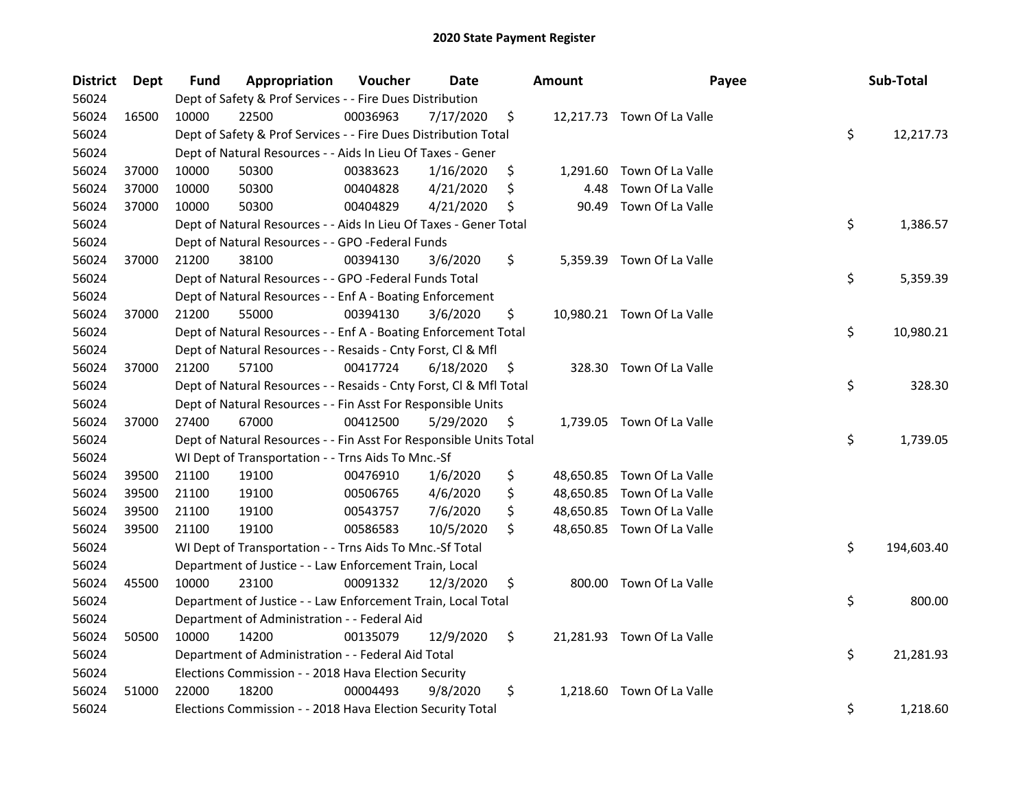| <b>District</b> | Dept  | <b>Fund</b> | Appropriation                                                      | Voucher  | <b>Date</b> |     | <b>Amount</b> | Payee                      | Sub-Total        |
|-----------------|-------|-------------|--------------------------------------------------------------------|----------|-------------|-----|---------------|----------------------------|------------------|
| 56024           |       |             | Dept of Safety & Prof Services - - Fire Dues Distribution          |          |             |     |               |                            |                  |
| 56024           | 16500 | 10000       | 22500                                                              | 00036963 | 7/17/2020   | \$  |               | 12,217.73 Town Of La Valle |                  |
| 56024           |       |             | Dept of Safety & Prof Services - - Fire Dues Distribution Total    |          |             |     |               |                            | \$<br>12,217.73  |
| 56024           |       |             | Dept of Natural Resources - - Aids In Lieu Of Taxes - Gener        |          |             |     |               |                            |                  |
| 56024           | 37000 | 10000       | 50300                                                              | 00383623 | 1/16/2020   | \$  |               | 1,291.60 Town Of La Valle  |                  |
| 56024           | 37000 | 10000       | 50300                                                              | 00404828 | 4/21/2020   | \$  | 4.48          | Town Of La Valle           |                  |
| 56024           | 37000 | 10000       | 50300                                                              | 00404829 | 4/21/2020   | \$  | 90.49         | Town Of La Valle           |                  |
| 56024           |       |             | Dept of Natural Resources - - Aids In Lieu Of Taxes - Gener Total  |          |             |     |               |                            | \$<br>1,386.57   |
| 56024           |       |             | Dept of Natural Resources - - GPO -Federal Funds                   |          |             |     |               |                            |                  |
| 56024           | 37000 | 21200       | 38100                                                              | 00394130 | 3/6/2020    | \$  |               | 5,359.39 Town Of La Valle  |                  |
| 56024           |       |             | Dept of Natural Resources - - GPO -Federal Funds Total             |          |             |     |               |                            | \$<br>5,359.39   |
| 56024           |       |             | Dept of Natural Resources - - Enf A - Boating Enforcement          |          |             |     |               |                            |                  |
| 56024           | 37000 | 21200       | 55000                                                              | 00394130 | 3/6/2020    | \$  |               | 10,980.21 Town Of La Valle |                  |
| 56024           |       |             | Dept of Natural Resources - - Enf A - Boating Enforcement Total    |          |             |     |               |                            | \$<br>10,980.21  |
| 56024           |       |             | Dept of Natural Resources - - Resaids - Cnty Forst, Cl & Mfl       |          |             |     |               |                            |                  |
| 56024           | 37000 | 21200       | 57100                                                              | 00417724 | 6/18/2020   | \$. | 328.30        | Town Of La Valle           |                  |
| 56024           |       |             | Dept of Natural Resources - - Resaids - Cnty Forst, Cl & Mfl Total |          |             |     |               |                            | \$<br>328.30     |
| 56024           |       |             | Dept of Natural Resources - - Fin Asst For Responsible Units       |          |             |     |               |                            |                  |
| 56024           | 37000 | 27400       | 67000                                                              | 00412500 | 5/29/2020   | \$  |               | 1,739.05 Town Of La Valle  |                  |
| 56024           |       |             | Dept of Natural Resources - - Fin Asst For Responsible Units Total |          |             |     |               |                            | \$<br>1,739.05   |
| 56024           |       |             | WI Dept of Transportation - - Trns Aids To Mnc.-Sf                 |          |             |     |               |                            |                  |
| 56024           | 39500 | 21100       | 19100                                                              | 00476910 | 1/6/2020    | \$  |               | 48,650.85 Town Of La Valle |                  |
| 56024           | 39500 | 21100       | 19100                                                              | 00506765 | 4/6/2020    | \$  |               | 48,650.85 Town Of La Valle |                  |
| 56024           | 39500 | 21100       | 19100                                                              | 00543757 | 7/6/2020    | \$  |               | 48,650.85 Town Of La Valle |                  |
| 56024           | 39500 | 21100       | 19100                                                              | 00586583 | 10/5/2020   | \$  |               | 48,650.85 Town Of La Valle |                  |
| 56024           |       |             | WI Dept of Transportation - - Trns Aids To Mnc.-Sf Total           |          |             |     |               |                            | \$<br>194,603.40 |
| 56024           |       |             | Department of Justice - - Law Enforcement Train, Local             |          |             |     |               |                            |                  |
| 56024           | 45500 | 10000       | 23100                                                              | 00091332 | 12/3/2020   | \$  |               | 800.00 Town Of La Valle    |                  |
| 56024           |       |             | Department of Justice - - Law Enforcement Train, Local Total       |          |             |     |               |                            | \$<br>800.00     |
| 56024           |       |             | Department of Administration - - Federal Aid                       |          |             |     |               |                            |                  |
| 56024           | 50500 | 10000       | 14200                                                              | 00135079 | 12/9/2020   | \$  |               | 21,281.93 Town Of La Valle |                  |
| 56024           |       |             | Department of Administration - - Federal Aid Total                 |          |             |     |               |                            | \$<br>21,281.93  |
| 56024           |       |             | Elections Commission - - 2018 Hava Election Security               |          |             |     |               |                            |                  |
| 56024           | 51000 | 22000       | 18200                                                              | 00004493 | 9/8/2020    | \$  |               | 1,218.60 Town Of La Valle  |                  |
| 56024           |       |             | Elections Commission - - 2018 Hava Election Security Total         |          |             |     |               |                            | \$<br>1,218.60   |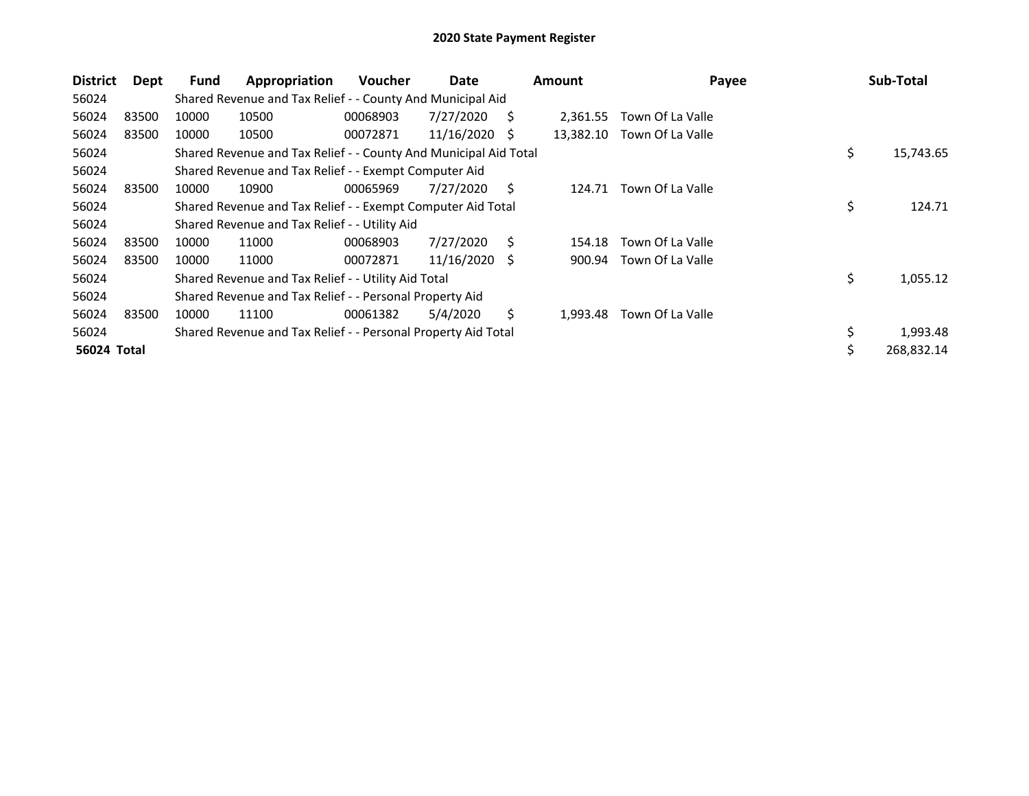| <b>District</b> | Dept  | Fund  | Appropriation                                                    | <b>Voucher</b> | Date       |    | <b>Amount</b> | Payee            |    | Sub-Total  |
|-----------------|-------|-------|------------------------------------------------------------------|----------------|------------|----|---------------|------------------|----|------------|
| 56024           |       |       | Shared Revenue and Tax Relief - - County And Municipal Aid       |                |            |    |               |                  |    |            |
| 56024           | 83500 | 10000 | 10500                                                            | 00068903       | 7/27/2020  | S  | 2,361.55      | Town Of La Valle |    |            |
| 56024           | 83500 | 10000 | 10500                                                            | 00072871       | 11/16/2020 | -S | 13,382.10     | Town Of La Valle |    |            |
| 56024           |       |       | Shared Revenue and Tax Relief - - County And Municipal Aid Total |                |            |    |               |                  | \$ | 15,743.65  |
| 56024           |       |       | Shared Revenue and Tax Relief - - Exempt Computer Aid            |                |            |    |               |                  |    |            |
| 56024           | 83500 | 10000 | 10900                                                            | 00065969       | 7/27/2020  | S  | 124.71        | Town Of La Valle |    |            |
| 56024           |       |       | Shared Revenue and Tax Relief - - Exempt Computer Aid Total      |                |            |    |               |                  | \$ | 124.71     |
| 56024           |       |       | Shared Revenue and Tax Relief - - Utility Aid                    |                |            |    |               |                  |    |            |
| 56024           | 83500 | 10000 | 11000                                                            | 00068903       | 7/27/2020  | Ś. | 154.18        | Town Of La Valle |    |            |
| 56024           | 83500 | 10000 | 11000                                                            | 00072871       | 11/16/2020 | -S | 900.94        | Town Of La Valle |    |            |
| 56024           |       |       | Shared Revenue and Tax Relief - - Utility Aid Total              |                |            |    |               |                  | \$ | 1,055.12   |
| 56024           |       |       | Shared Revenue and Tax Relief - - Personal Property Aid          |                |            |    |               |                  |    |            |
| 56024           | 83500 | 10000 | 11100                                                            | 00061382       | 5/4/2020   | S  | 1,993.48      | Town Of La Valle |    |            |
| 56024           |       |       | Shared Revenue and Tax Relief - - Personal Property Aid Total    |                |            |    |               |                  | \$ | 1,993.48   |
| 56024 Total     |       |       |                                                                  |                |            |    |               |                  | Ś  | 268,832.14 |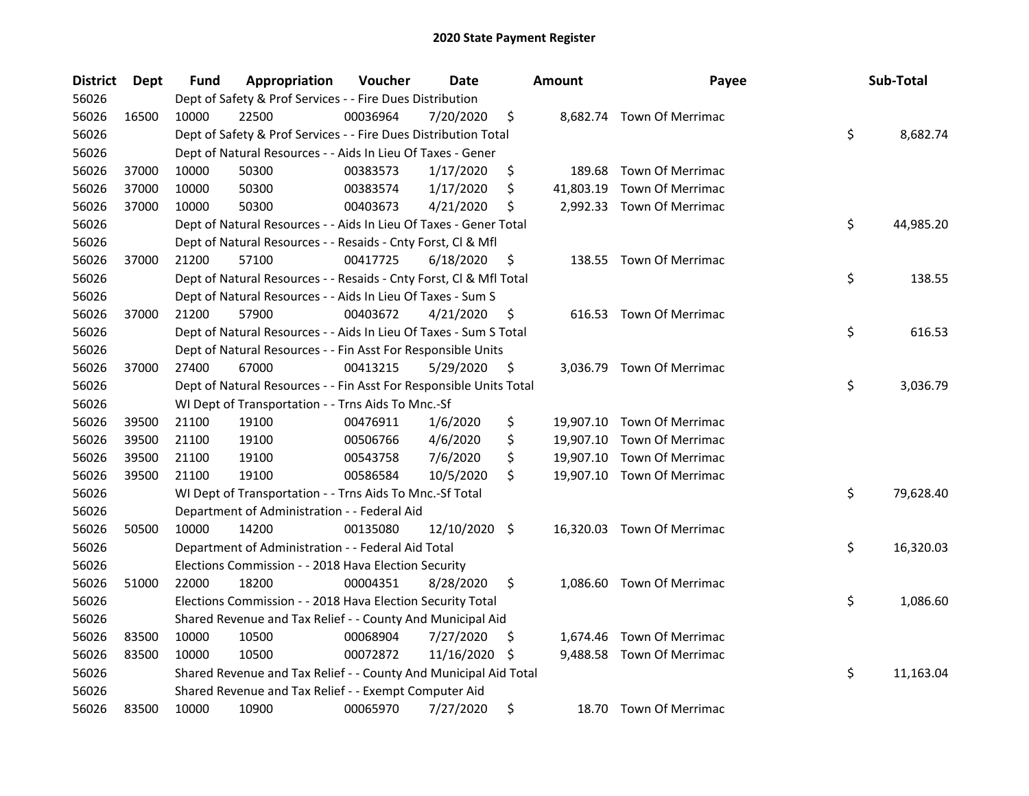| <b>District</b> | <b>Dept</b> | Fund  | Appropriation                                                      | Voucher  | Date          |     | <b>Amount</b> | Payee                      | Sub-Total       |
|-----------------|-------------|-------|--------------------------------------------------------------------|----------|---------------|-----|---------------|----------------------------|-----------------|
| 56026           |             |       | Dept of Safety & Prof Services - - Fire Dues Distribution          |          |               |     |               |                            |                 |
| 56026           | 16500       | 10000 | 22500                                                              | 00036964 | 7/20/2020     | \$  |               | 8,682.74 Town Of Merrimac  |                 |
| 56026           |             |       | Dept of Safety & Prof Services - - Fire Dues Distribution Total    |          |               |     |               |                            | \$<br>8,682.74  |
| 56026           |             |       | Dept of Natural Resources - - Aids In Lieu Of Taxes - Gener        |          |               |     |               |                            |                 |
| 56026           | 37000       | 10000 | 50300                                                              | 00383573 | 1/17/2020     | \$  | 189.68        | Town Of Merrimac           |                 |
| 56026           | 37000       | 10000 | 50300                                                              | 00383574 | 1/17/2020     | \$  | 41,803.19     | <b>Town Of Merrimac</b>    |                 |
| 56026           | 37000       | 10000 | 50300                                                              | 00403673 | 4/21/2020     | \$  |               | 2,992.33 Town Of Merrimac  |                 |
| 56026           |             |       | Dept of Natural Resources - - Aids In Lieu Of Taxes - Gener Total  |          |               |     |               |                            | \$<br>44,985.20 |
| 56026           |             |       | Dept of Natural Resources - - Resaids - Cnty Forst, Cl & Mfl       |          |               |     |               |                            |                 |
| 56026           | 37000       | 21200 | 57100                                                              | 00417725 | 6/18/2020     | \$, |               | 138.55 Town Of Merrimac    |                 |
| 56026           |             |       | Dept of Natural Resources - - Resaids - Cnty Forst, Cl & Mfl Total |          |               |     |               |                            | \$<br>138.55    |
| 56026           |             |       | Dept of Natural Resources - - Aids In Lieu Of Taxes - Sum S        |          |               |     |               |                            |                 |
| 56026           | 37000       | 21200 | 57900                                                              | 00403672 | 4/21/2020     | \$. |               | 616.53 Town Of Merrimac    |                 |
| 56026           |             |       | Dept of Natural Resources - - Aids In Lieu Of Taxes - Sum S Total  |          |               |     |               |                            | \$<br>616.53    |
| 56026           |             |       | Dept of Natural Resources - - Fin Asst For Responsible Units       |          |               |     |               |                            |                 |
| 56026           | 37000       | 27400 | 67000                                                              | 00413215 | 5/29/2020     | \$  |               | 3,036.79 Town Of Merrimac  |                 |
| 56026           |             |       | Dept of Natural Resources - - Fin Asst For Responsible Units Total |          |               |     |               |                            | \$<br>3,036.79  |
| 56026           |             |       | WI Dept of Transportation - - Trns Aids To Mnc.-Sf                 |          |               |     |               |                            |                 |
| 56026           | 39500       | 21100 | 19100                                                              | 00476911 | 1/6/2020      | \$  |               | 19,907.10 Town Of Merrimac |                 |
| 56026           | 39500       | 21100 | 19100                                                              | 00506766 | 4/6/2020      | \$  |               | 19,907.10 Town Of Merrimac |                 |
| 56026           | 39500       | 21100 | 19100                                                              | 00543758 | 7/6/2020      | \$  |               | 19,907.10 Town Of Merrimac |                 |
| 56026           | 39500       | 21100 | 19100                                                              | 00586584 | 10/5/2020     | \$  |               | 19,907.10 Town Of Merrimac |                 |
| 56026           |             |       | WI Dept of Transportation - - Trns Aids To Mnc.-Sf Total           |          |               |     |               |                            | \$<br>79,628.40 |
| 56026           |             |       | Department of Administration - - Federal Aid                       |          |               |     |               |                            |                 |
| 56026           | 50500       | 10000 | 14200                                                              | 00135080 | 12/10/2020 \$ |     |               | 16,320.03 Town Of Merrimac |                 |
| 56026           |             |       | Department of Administration - - Federal Aid Total                 |          |               |     |               |                            | \$<br>16,320.03 |
| 56026           |             |       | Elections Commission - - 2018 Hava Election Security               |          |               |     |               |                            |                 |
| 56026           | 51000       | 22000 | 18200                                                              | 00004351 | 8/28/2020     | \$  |               | 1,086.60 Town Of Merrimac  |                 |
| 56026           |             |       | Elections Commission - - 2018 Hava Election Security Total         |          |               |     |               |                            | \$<br>1,086.60  |
| 56026           |             |       | Shared Revenue and Tax Relief - - County And Municipal Aid         |          |               |     |               |                            |                 |
| 56026           | 83500       | 10000 | 10500                                                              | 00068904 | 7/27/2020     | \$  |               | 1,674.46 Town Of Merrimac  |                 |
| 56026           | 83500       | 10000 | 10500                                                              | 00072872 | 11/16/2020    | \$. |               | 9,488.58 Town Of Merrimac  |                 |
| 56026           |             |       | Shared Revenue and Tax Relief - - County And Municipal Aid Total   |          |               |     |               |                            | \$<br>11,163.04 |
| 56026           |             |       | Shared Revenue and Tax Relief - - Exempt Computer Aid              |          |               |     |               |                            |                 |
| 56026           | 83500       | 10000 | 10900                                                              | 00065970 | 7/27/2020     | \$  |               | 18.70 Town Of Merrimac     |                 |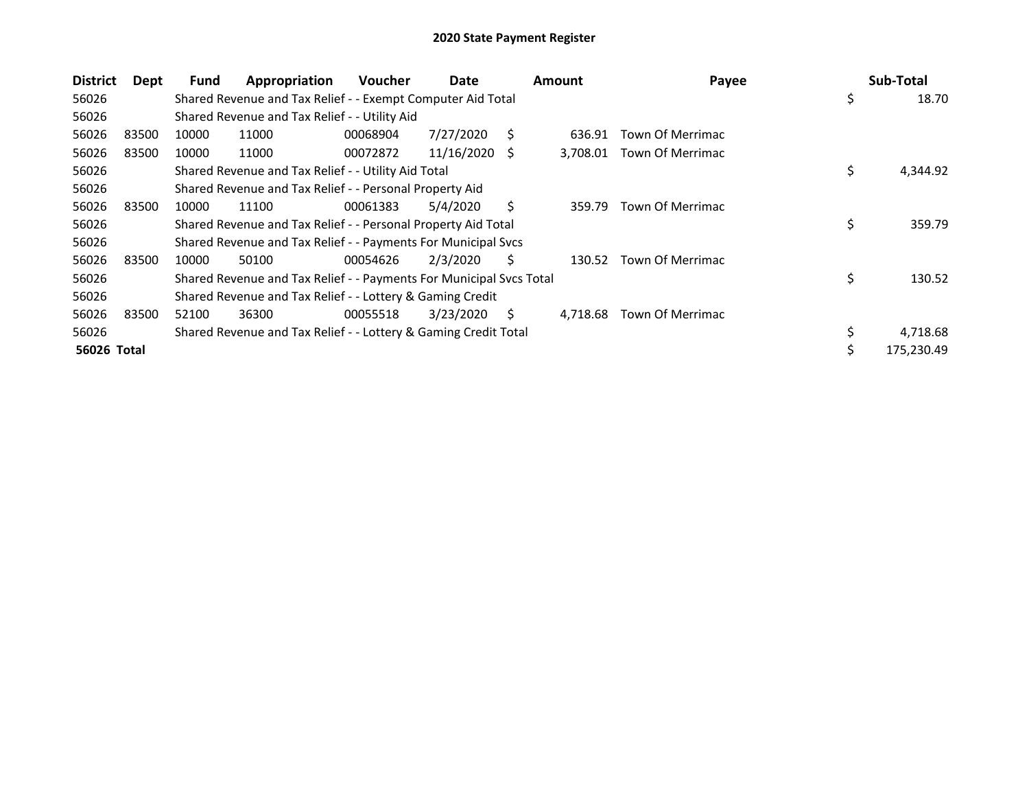| <b>District</b> | Dept  | Fund  | Appropriation                                                       | <b>Voucher</b> | Date       |    | <b>Amount</b> | Payee            | Sub-Total      |
|-----------------|-------|-------|---------------------------------------------------------------------|----------------|------------|----|---------------|------------------|----------------|
| 56026           |       |       | Shared Revenue and Tax Relief - - Exempt Computer Aid Total         |                |            |    |               |                  | \$<br>18.70    |
| 56026           |       |       | Shared Revenue and Tax Relief - - Utility Aid                       |                |            |    |               |                  |                |
| 56026           | 83500 | 10000 | 11000                                                               | 00068904       | 7/27/2020  | S. | 636.91        | Town Of Merrimac |                |
| 56026           | 83500 | 10000 | 11000                                                               | 00072872       | 11/16/2020 | S  | 3,708.01      | Town Of Merrimac |                |
| 56026           |       |       | Shared Revenue and Tax Relief - - Utility Aid Total                 |                |            |    |               |                  | \$<br>4,344.92 |
| 56026           |       |       | Shared Revenue and Tax Relief - - Personal Property Aid             |                |            |    |               |                  |                |
| 56026           | 83500 | 10000 | 11100                                                               | 00061383       | 5/4/2020   | S. | 359.79        | Town Of Merrimac |                |
| 56026           |       |       | Shared Revenue and Tax Relief - - Personal Property Aid Total       |                |            |    |               |                  | \$<br>359.79   |
| 56026           |       |       | Shared Revenue and Tax Relief - - Payments For Municipal Svcs       |                |            |    |               |                  |                |
| 56026           | 83500 | 10000 | 50100                                                               | 00054626       | 2/3/2020   | Ś. | 130.52        | Town Of Merrimac |                |
| 56026           |       |       | Shared Revenue and Tax Relief - - Payments For Municipal Svcs Total |                |            |    |               |                  | \$<br>130.52   |
| 56026           |       |       | Shared Revenue and Tax Relief - - Lottery & Gaming Credit           |                |            |    |               |                  |                |
| 56026           | 83500 | 52100 | 36300                                                               | 00055518       | 3/23/2020  | S  | 4,718.68      | Town Of Merrimac |                |
| 56026           |       |       | Shared Revenue and Tax Relief - - Lottery & Gaming Credit Total     |                |            |    |               |                  | 4,718.68       |
| 56026 Total     |       |       |                                                                     |                |            |    |               |                  | 175,230.49     |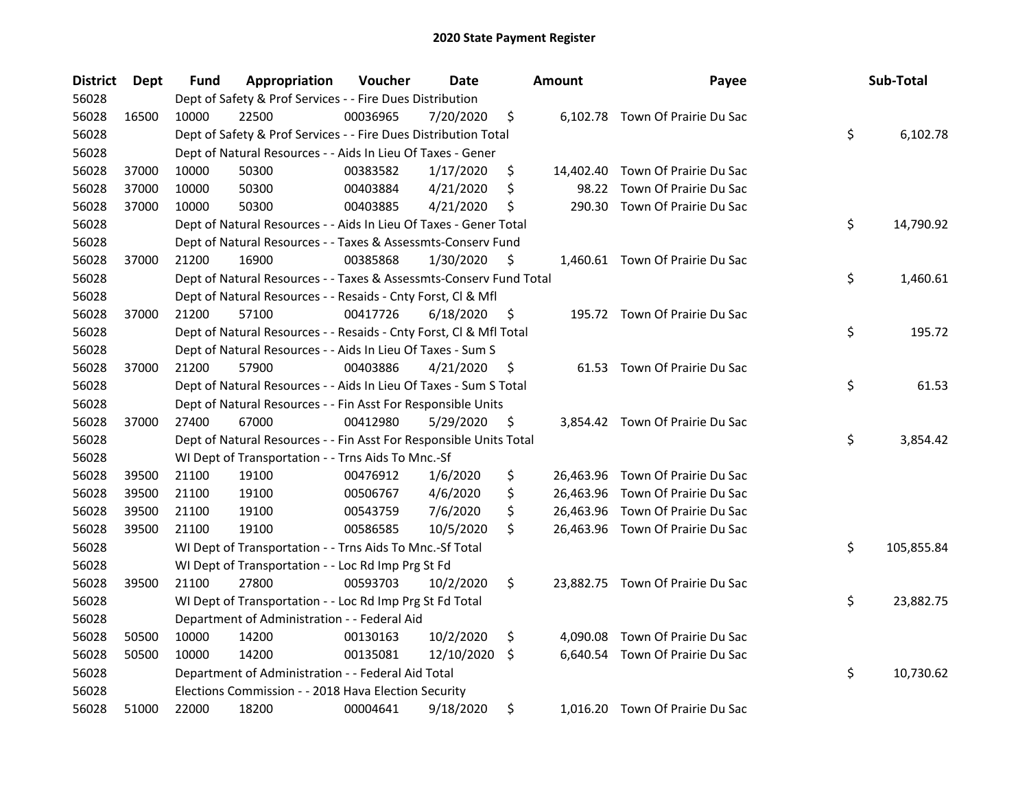| <b>District</b> | Dept  | <b>Fund</b> | Appropriation                                                      | Voucher  | <b>Date</b> |     | <b>Amount</b> | Payee                            | Sub-Total        |
|-----------------|-------|-------------|--------------------------------------------------------------------|----------|-------------|-----|---------------|----------------------------------|------------------|
| 56028           |       |             | Dept of Safety & Prof Services - - Fire Dues Distribution          |          |             |     |               |                                  |                  |
| 56028           | 16500 | 10000       | 22500                                                              | 00036965 | 7/20/2020   | \$  |               | 6,102.78 Town Of Prairie Du Sac  |                  |
| 56028           |       |             | Dept of Safety & Prof Services - - Fire Dues Distribution Total    |          |             |     |               |                                  | \$<br>6,102.78   |
| 56028           |       |             | Dept of Natural Resources - - Aids In Lieu Of Taxes - Gener        |          |             |     |               |                                  |                  |
| 56028           | 37000 | 10000       | 50300                                                              | 00383582 | 1/17/2020   | \$  |               | 14,402.40 Town Of Prairie Du Sac |                  |
| 56028           | 37000 | 10000       | 50300                                                              | 00403884 | 4/21/2020   | \$  | 98.22         | Town Of Prairie Du Sac           |                  |
| 56028           | 37000 | 10000       | 50300                                                              | 00403885 | 4/21/2020   | \$  | 290.30        | Town Of Prairie Du Sac           |                  |
| 56028           |       |             | Dept of Natural Resources - - Aids In Lieu Of Taxes - Gener Total  |          |             |     |               |                                  | \$<br>14,790.92  |
| 56028           |       |             | Dept of Natural Resources - - Taxes & Assessmts-Conserv Fund       |          |             |     |               |                                  |                  |
| 56028           | 37000 | 21200       | 16900                                                              | 00385868 | 1/30/2020   | \$. |               | 1,460.61 Town Of Prairie Du Sac  |                  |
| 56028           |       |             | Dept of Natural Resources - - Taxes & Assessmts-Conserv Fund Total |          |             |     |               |                                  | \$<br>1,460.61   |
| 56028           |       |             | Dept of Natural Resources - - Resaids - Cnty Forst, Cl & Mfl       |          |             |     |               |                                  |                  |
| 56028           | 37000 | 21200       | 57100                                                              | 00417726 | 6/18/2020   | \$. |               | 195.72 Town Of Prairie Du Sac    |                  |
| 56028           |       |             | Dept of Natural Resources - - Resaids - Cnty Forst, Cl & Mfl Total |          |             |     |               |                                  | \$<br>195.72     |
| 56028           |       |             | Dept of Natural Resources - - Aids In Lieu Of Taxes - Sum S        |          |             |     |               |                                  |                  |
| 56028           | 37000 | 21200       | 57900                                                              | 00403886 | 4/21/2020   | \$  |               | 61.53 Town Of Prairie Du Sac     |                  |
| 56028           |       |             | Dept of Natural Resources - - Aids In Lieu Of Taxes - Sum S Total  |          |             |     |               |                                  | \$<br>61.53      |
| 56028           |       |             | Dept of Natural Resources - - Fin Asst For Responsible Units       |          |             |     |               |                                  |                  |
| 56028           | 37000 | 27400       | 67000                                                              | 00412980 | 5/29/2020   | \$  |               | 3,854.42 Town Of Prairie Du Sac  |                  |
| 56028           |       |             | Dept of Natural Resources - - Fin Asst For Responsible Units Total |          |             |     |               |                                  | \$<br>3,854.42   |
| 56028           |       |             | WI Dept of Transportation - - Trns Aids To Mnc.-Sf                 |          |             |     |               |                                  |                  |
| 56028           | 39500 | 21100       | 19100                                                              | 00476912 | 1/6/2020    | \$  |               | 26,463.96 Town Of Prairie Du Sac |                  |
| 56028           | 39500 | 21100       | 19100                                                              | 00506767 | 4/6/2020    | \$  |               | 26,463.96 Town Of Prairie Du Sac |                  |
| 56028           | 39500 | 21100       | 19100                                                              | 00543759 | 7/6/2020    | \$  | 26,463.96     | Town Of Prairie Du Sac           |                  |
| 56028           | 39500 | 21100       | 19100                                                              | 00586585 | 10/5/2020   | \$  |               | 26,463.96 Town Of Prairie Du Sac |                  |
| 56028           |       |             | WI Dept of Transportation - - Trns Aids To Mnc.-Sf Total           |          |             |     |               |                                  | \$<br>105,855.84 |
| 56028           |       |             | WI Dept of Transportation - - Loc Rd Imp Prg St Fd                 |          |             |     |               |                                  |                  |
| 56028           | 39500 | 21100       | 27800                                                              | 00593703 | 10/2/2020   | \$  |               | 23,882.75 Town Of Prairie Du Sac |                  |
| 56028           |       |             | WI Dept of Transportation - - Loc Rd Imp Prg St Fd Total           |          |             |     |               |                                  | \$<br>23,882.75  |
| 56028           |       |             | Department of Administration - - Federal Aid                       |          |             |     |               |                                  |                  |
| 56028           | 50500 | 10000       | 14200                                                              | 00130163 | 10/2/2020   | \$  | 4,090.08      | Town Of Prairie Du Sac           |                  |
| 56028           | 50500 | 10000       | 14200                                                              | 00135081 | 12/10/2020  | \$  |               | 6,640.54 Town Of Prairie Du Sac  |                  |
| 56028           |       |             | Department of Administration - - Federal Aid Total                 |          |             |     |               |                                  | \$<br>10,730.62  |
| 56028           |       |             | Elections Commission - - 2018 Hava Election Security               |          |             |     |               |                                  |                  |
| 56028           | 51000 | 22000       | 18200                                                              | 00004641 | 9/18/2020   | \$  |               | 1,016.20 Town Of Prairie Du Sac  |                  |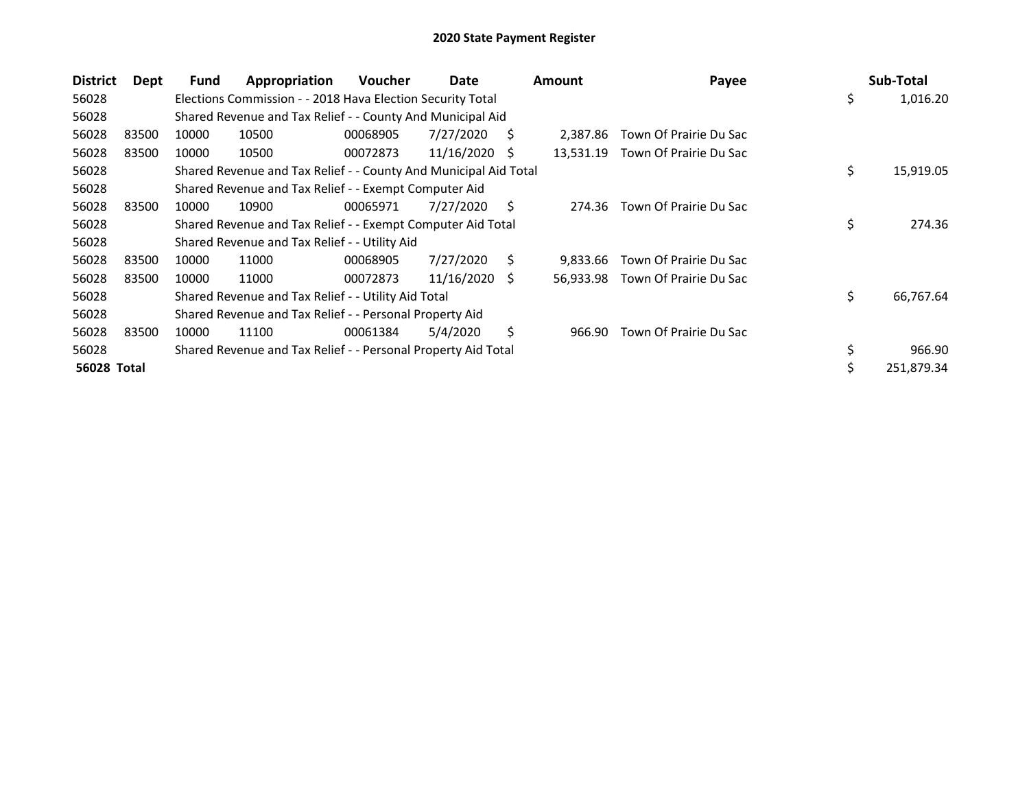| <b>District</b> | Dept  | Fund  | Appropriation                                                    | Voucher  | Date       |    | <b>Amount</b> | Payee                            | Sub-Total       |
|-----------------|-------|-------|------------------------------------------------------------------|----------|------------|----|---------------|----------------------------------|-----------------|
| 56028           |       |       | Elections Commission - - 2018 Hava Election Security Total       |          |            |    |               |                                  | \$<br>1,016.20  |
| 56028           |       |       | Shared Revenue and Tax Relief - - County And Municipal Aid       |          |            |    |               |                                  |                 |
| 56028           | 83500 | 10000 | 10500                                                            | 00068905 | 7/27/2020  | S. | 2,387.86      | Town Of Prairie Du Sac           |                 |
| 56028           | 83500 | 10000 | 10500                                                            | 00072873 | 11/16/2020 | S  | 13,531.19     | Town Of Prairie Du Sac           |                 |
| 56028           |       |       | Shared Revenue and Tax Relief - - County And Municipal Aid Total |          |            |    |               |                                  | \$<br>15,919.05 |
| 56028           |       |       | Shared Revenue and Tax Relief - - Exempt Computer Aid            |          |            |    |               |                                  |                 |
| 56028           | 83500 | 10000 | 10900                                                            | 00065971 | 7/27/2020  | S. | 274.36        | Town Of Prairie Du Sac           |                 |
| 56028           |       |       | Shared Revenue and Tax Relief - - Exempt Computer Aid Total      |          |            |    |               |                                  | \$<br>274.36    |
| 56028           |       |       | Shared Revenue and Tax Relief - - Utility Aid                    |          |            |    |               |                                  |                 |
| 56028           | 83500 | 10000 | 11000                                                            | 00068905 | 7/27/2020  | Ś. | 9.833.66      | Town Of Prairie Du Sac           |                 |
| 56028           | 83500 | 10000 | 11000                                                            | 00072873 | 11/16/2020 | -S |               | 56,933.98 Town Of Prairie Du Sac |                 |
| 56028           |       |       | Shared Revenue and Tax Relief - - Utility Aid Total              |          |            |    |               |                                  | \$<br>66,767.64 |
| 56028           |       |       | Shared Revenue and Tax Relief - - Personal Property Aid          |          |            |    |               |                                  |                 |
| 56028           | 83500 | 10000 | 11100                                                            | 00061384 | 5/4/2020   | Ś. | 966.90        | Town Of Prairie Du Sac           |                 |
| 56028           |       |       | Shared Revenue and Tax Relief - - Personal Property Aid Total    |          |            |    |               |                                  | \$<br>966.90    |
| 56028 Total     |       |       |                                                                  |          |            |    |               |                                  | 251,879.34      |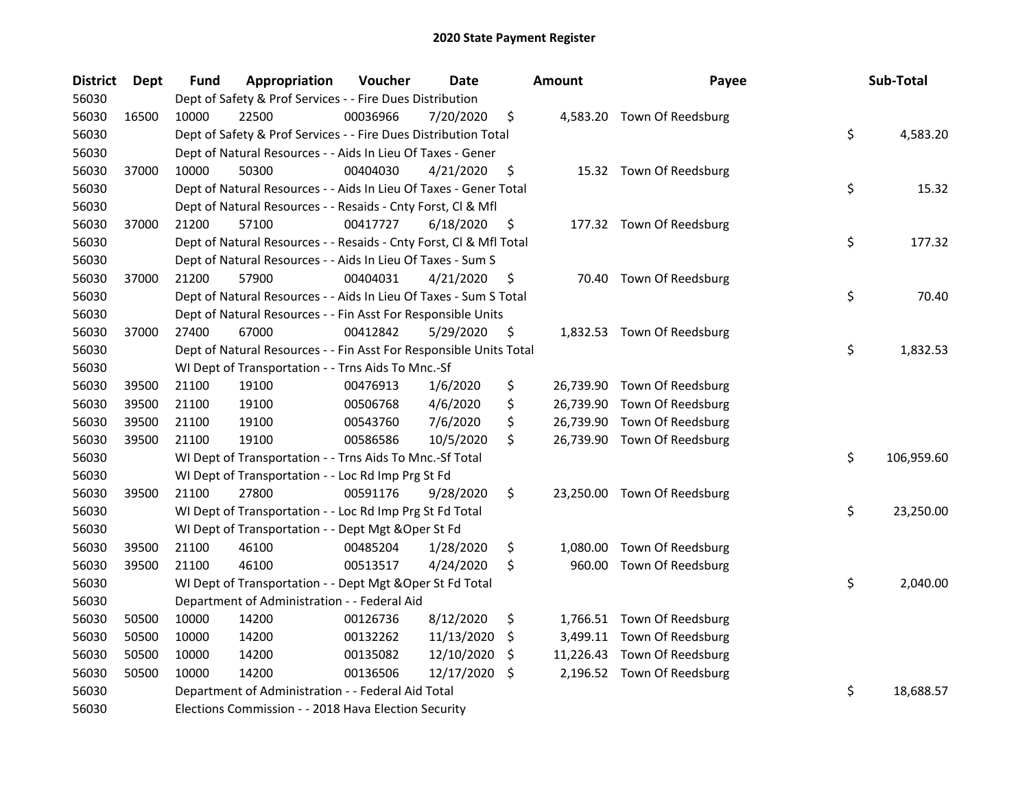| <b>District</b> | <b>Dept</b> | Fund  | Appropriation                                                      | Voucher  | <b>Date</b> |     | <b>Amount</b> | Payee                       | Sub-Total        |
|-----------------|-------------|-------|--------------------------------------------------------------------|----------|-------------|-----|---------------|-----------------------------|------------------|
| 56030           |             |       | Dept of Safety & Prof Services - - Fire Dues Distribution          |          |             |     |               |                             |                  |
| 56030           | 16500       | 10000 | 22500                                                              | 00036966 | 7/20/2020   | \$  |               | 4,583.20 Town Of Reedsburg  |                  |
| 56030           |             |       | Dept of Safety & Prof Services - - Fire Dues Distribution Total    |          |             |     |               |                             | \$<br>4,583.20   |
| 56030           |             |       | Dept of Natural Resources - - Aids In Lieu Of Taxes - Gener        |          |             |     |               |                             |                  |
| 56030           | 37000       | 10000 | 50300                                                              | 00404030 | 4/21/2020   | \$  |               | 15.32 Town Of Reedsburg     |                  |
| 56030           |             |       | Dept of Natural Resources - - Aids In Lieu Of Taxes - Gener Total  |          |             |     |               |                             | \$<br>15.32      |
| 56030           |             |       | Dept of Natural Resources - - Resaids - Cnty Forst, Cl & Mfl       |          |             |     |               |                             |                  |
| 56030           | 37000       | 21200 | 57100                                                              | 00417727 | 6/18/2020   | \$  |               | 177.32 Town Of Reedsburg    |                  |
| 56030           |             |       | Dept of Natural Resources - - Resaids - Cnty Forst, Cl & Mfl Total |          |             |     |               |                             | \$<br>177.32     |
| 56030           |             |       | Dept of Natural Resources - - Aids In Lieu Of Taxes - Sum S        |          |             |     |               |                             |                  |
| 56030           | 37000       | 21200 | 57900                                                              | 00404031 | 4/21/2020   | \$  |               | 70.40 Town Of Reedsburg     |                  |
| 56030           |             |       | Dept of Natural Resources - - Aids In Lieu Of Taxes - Sum S Total  |          |             |     |               |                             | \$<br>70.40      |
| 56030           |             |       | Dept of Natural Resources - - Fin Asst For Responsible Units       |          |             |     |               |                             |                  |
| 56030           | 37000       | 27400 | 67000                                                              | 00412842 | 5/29/2020   | \$  |               | 1,832.53 Town Of Reedsburg  |                  |
| 56030           |             |       | Dept of Natural Resources - - Fin Asst For Responsible Units Total |          |             |     |               |                             | \$<br>1,832.53   |
| 56030           |             |       | WI Dept of Transportation - - Trns Aids To Mnc.-Sf                 |          |             |     |               |                             |                  |
| 56030           | 39500       | 21100 | 19100                                                              | 00476913 | 1/6/2020    | \$  |               | 26,739.90 Town Of Reedsburg |                  |
| 56030           | 39500       | 21100 | 19100                                                              | 00506768 | 4/6/2020    | \$  |               | 26,739.90 Town Of Reedsburg |                  |
| 56030           | 39500       | 21100 | 19100                                                              | 00543760 | 7/6/2020    | \$  |               | 26,739.90 Town Of Reedsburg |                  |
| 56030           | 39500       | 21100 | 19100                                                              | 00586586 | 10/5/2020   | \$  |               | 26,739.90 Town Of Reedsburg |                  |
| 56030           |             |       | WI Dept of Transportation - - Trns Aids To Mnc.-Sf Total           |          |             |     |               |                             | \$<br>106,959.60 |
| 56030           |             |       | WI Dept of Transportation - - Loc Rd Imp Prg St Fd                 |          |             |     |               |                             |                  |
| 56030           | 39500       | 21100 | 27800                                                              | 00591176 | 9/28/2020   | \$  |               | 23,250.00 Town Of Reedsburg |                  |
| 56030           |             |       | WI Dept of Transportation - - Loc Rd Imp Prg St Fd Total           |          |             |     |               |                             | \$<br>23,250.00  |
| 56030           |             |       | WI Dept of Transportation - - Dept Mgt & Oper St Fd                |          |             |     |               |                             |                  |
| 56030           | 39500       | 21100 | 46100                                                              | 00485204 | 1/28/2020   | \$  | 1,080.00      | Town Of Reedsburg           |                  |
| 56030           | 39500       | 21100 | 46100                                                              | 00513517 | 4/24/2020   | \$  | 960.00        | Town Of Reedsburg           |                  |
| 56030           |             |       | WI Dept of Transportation - - Dept Mgt & Oper St Fd Total          |          |             |     |               |                             | \$<br>2,040.00   |
| 56030           |             |       | Department of Administration - - Federal Aid                       |          |             |     |               |                             |                  |
| 56030           | 50500       | 10000 | 14200                                                              | 00126736 | 8/12/2020   | \$  |               | 1,766.51 Town Of Reedsburg  |                  |
| 56030           | 50500       | 10000 | 14200                                                              | 00132262 | 11/13/2020  | \$  |               | 3,499.11 Town Of Reedsburg  |                  |
| 56030           | 50500       | 10000 | 14200                                                              | 00135082 | 12/10/2020  | S.  |               | 11,226.43 Town Of Reedsburg |                  |
| 56030           | 50500       | 10000 | 14200                                                              | 00136506 | 12/17/2020  | -\$ |               | 2,196.52 Town Of Reedsburg  |                  |
| 56030           |             |       | Department of Administration - - Federal Aid Total                 |          |             |     |               |                             | \$<br>18,688.57  |
| 56030           |             |       | Elections Commission - - 2018 Hava Election Security               |          |             |     |               |                             |                  |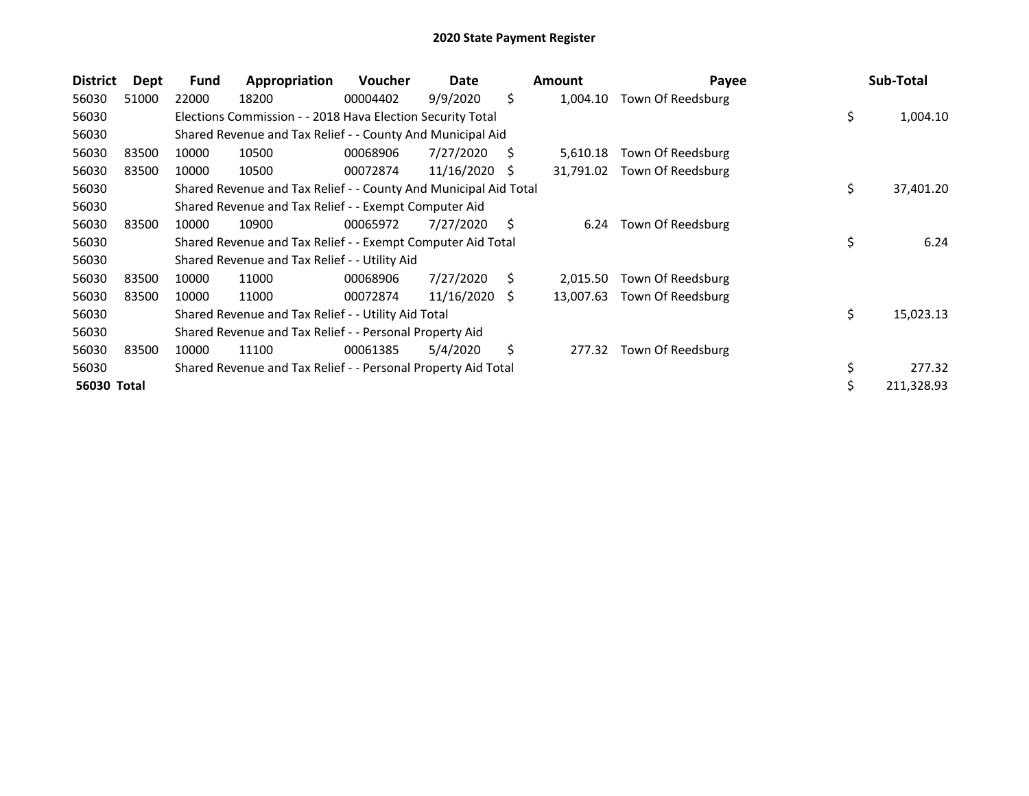| <b>District</b> | Dept  | <b>Fund</b> | Appropriation                                                    | <b>Voucher</b> | Date       |    | <b>Amount</b> | Payee             |     | Sub-Total  |
|-----------------|-------|-------------|------------------------------------------------------------------|----------------|------------|----|---------------|-------------------|-----|------------|
| 56030           | 51000 | 22000       | 18200                                                            | 00004402       | 9/9/2020   | \$ | 1,004.10      | Town Of Reedsburg |     |            |
| 56030           |       |             | Elections Commission - - 2018 Hava Election Security Total       |                |            |    |               |                   | \$  | 1,004.10   |
| 56030           |       |             | Shared Revenue and Tax Relief - - County And Municipal Aid       |                |            |    |               |                   |     |            |
| 56030           | 83500 | 10000       | 10500                                                            | 00068906       | 7/27/2020  | Ś  | 5,610.18      | Town Of Reedsburg |     |            |
| 56030           | 83500 | 10000       | 10500                                                            | 00072874       | 11/16/2020 | S  | 31,791.02     | Town Of Reedsburg |     |            |
| 56030           |       |             | Shared Revenue and Tax Relief - - County And Municipal Aid Total |                |            |    |               |                   | \$. | 37,401.20  |
| 56030           |       |             | Shared Revenue and Tax Relief - - Exempt Computer Aid            |                |            |    |               |                   |     |            |
| 56030           | 83500 | 10000       | 10900                                                            | 00065972       | 7/27/2020  | Ŝ. | 6.24          | Town Of Reedsburg |     |            |
| 56030           |       |             | Shared Revenue and Tax Relief - - Exempt Computer Aid Total      |                |            |    |               |                   | \$  | 6.24       |
| 56030           |       |             | Shared Revenue and Tax Relief - - Utility Aid                    |                |            |    |               |                   |     |            |
| 56030           | 83500 | 10000       | 11000                                                            | 00068906       | 7/27/2020  | S. | 2,015.50      | Town Of Reedsburg |     |            |
| 56030           | 83500 | 10000       | 11000                                                            | 00072874       | 11/16/2020 | -S | 13,007.63     | Town Of Reedsburg |     |            |
| 56030           |       |             | Shared Revenue and Tax Relief - - Utility Aid Total              |                |            |    |               |                   | \$  | 15,023.13  |
| 56030           |       |             | Shared Revenue and Tax Relief - - Personal Property Aid          |                |            |    |               |                   |     |            |
| 56030           | 83500 | 10000       | 11100                                                            | 00061385       | 5/4/2020   | Ś. | 277.32        | Town Of Reedsburg |     |            |
| 56030           |       |             | Shared Revenue and Tax Relief - - Personal Property Aid Total    |                |            |    |               |                   |     | 277.32     |
| 56030 Total     |       |             |                                                                  |                |            |    |               |                   |     | 211,328.93 |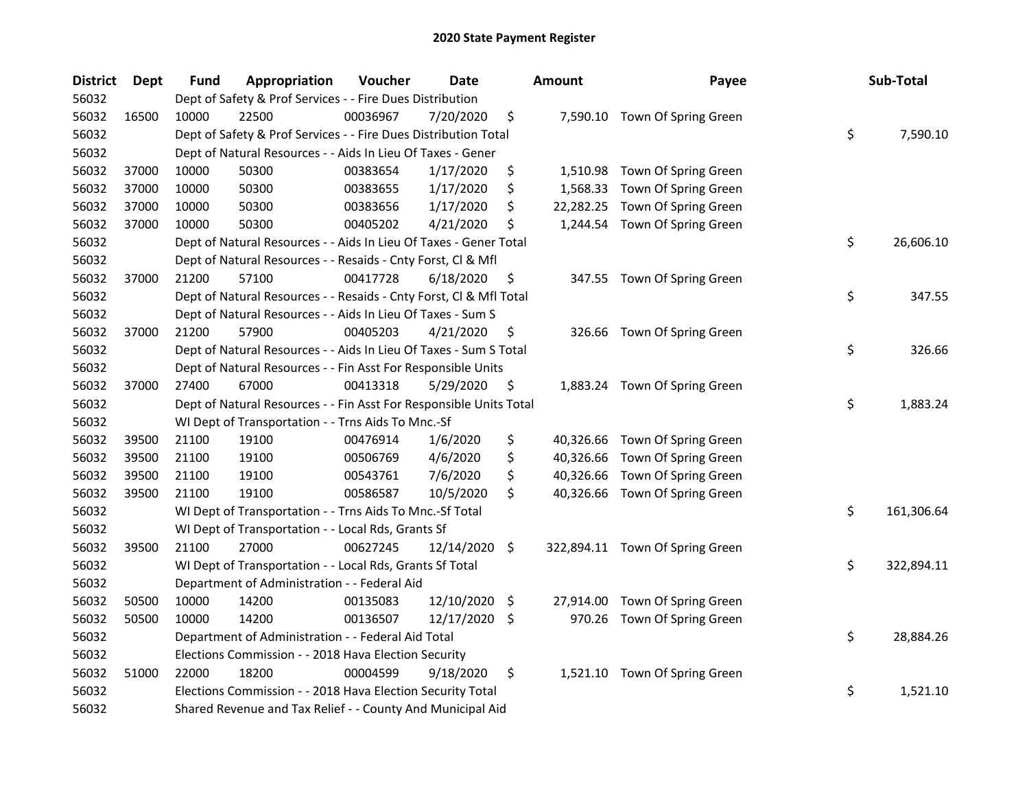| <b>District</b> | Dept  | <b>Fund</b> | Appropriation                                                      | Voucher  | <b>Date</b>   |     | <b>Amount</b> | Payee                           | Sub-Total        |
|-----------------|-------|-------------|--------------------------------------------------------------------|----------|---------------|-----|---------------|---------------------------------|------------------|
| 56032           |       |             | Dept of Safety & Prof Services - - Fire Dues Distribution          |          |               |     |               |                                 |                  |
| 56032           | 16500 | 10000       | 22500                                                              | 00036967 | 7/20/2020     | \$  |               | 7,590.10 Town Of Spring Green   |                  |
| 56032           |       |             | Dept of Safety & Prof Services - - Fire Dues Distribution Total    |          |               |     |               |                                 | \$<br>7,590.10   |
| 56032           |       |             | Dept of Natural Resources - - Aids In Lieu Of Taxes - Gener        |          |               |     |               |                                 |                  |
| 56032           | 37000 | 10000       | 50300                                                              | 00383654 | 1/17/2020     | \$  |               | 1,510.98 Town Of Spring Green   |                  |
| 56032           | 37000 | 10000       | 50300                                                              | 00383655 | 1/17/2020     | \$  | 1,568.33      | Town Of Spring Green            |                  |
| 56032           | 37000 | 10000       | 50300                                                              | 00383656 | 1/17/2020     | \$  | 22,282.25     | Town Of Spring Green            |                  |
| 56032           | 37000 | 10000       | 50300                                                              | 00405202 | 4/21/2020     | \$  |               | 1,244.54 Town Of Spring Green   |                  |
| 56032           |       |             | Dept of Natural Resources - - Aids In Lieu Of Taxes - Gener Total  |          |               |     |               |                                 | \$<br>26,606.10  |
| 56032           |       |             | Dept of Natural Resources - - Resaids - Cnty Forst, Cl & Mfl       |          |               |     |               |                                 |                  |
| 56032           | 37000 | 21200       | 57100                                                              | 00417728 | 6/18/2020     | \$  |               | 347.55 Town Of Spring Green     |                  |
| 56032           |       |             | Dept of Natural Resources - - Resaids - Cnty Forst, Cl & Mfl Total |          |               |     |               |                                 | \$<br>347.55     |
| 56032           |       |             | Dept of Natural Resources - - Aids In Lieu Of Taxes - Sum S        |          |               |     |               |                                 |                  |
| 56032           | 37000 | 21200       | 57900                                                              | 00405203 | 4/21/2020     | \$  |               | 326.66 Town Of Spring Green     |                  |
| 56032           |       |             | Dept of Natural Resources - - Aids In Lieu Of Taxes - Sum S Total  |          |               |     |               |                                 | \$<br>326.66     |
| 56032           |       |             | Dept of Natural Resources - - Fin Asst For Responsible Units       |          |               |     |               |                                 |                  |
| 56032           | 37000 | 27400       | 67000                                                              | 00413318 | 5/29/2020     | \$  |               | 1,883.24 Town Of Spring Green   |                  |
| 56032           |       |             | Dept of Natural Resources - - Fin Asst For Responsible Units Total |          |               |     |               |                                 | \$<br>1,883.24   |
| 56032           |       |             | WI Dept of Transportation - - Trns Aids To Mnc.-Sf                 |          |               |     |               |                                 |                  |
| 56032           | 39500 | 21100       | 19100                                                              | 00476914 | 1/6/2020      | \$  |               | 40,326.66 Town Of Spring Green  |                  |
| 56032           | 39500 | 21100       | 19100                                                              | 00506769 | 4/6/2020      | \$  |               | 40,326.66 Town Of Spring Green  |                  |
| 56032           | 39500 | 21100       | 19100                                                              | 00543761 | 7/6/2020      | \$  |               | 40,326.66 Town Of Spring Green  |                  |
| 56032           | 39500 | 21100       | 19100                                                              | 00586587 | 10/5/2020     | \$  |               | 40,326.66 Town Of Spring Green  |                  |
| 56032           |       |             | WI Dept of Transportation - - Trns Aids To Mnc.-Sf Total           |          |               |     |               |                                 | \$<br>161,306.64 |
| 56032           |       |             | WI Dept of Transportation - - Local Rds, Grants Sf                 |          |               |     |               |                                 |                  |
| 56032           | 39500 | 21100       | 27000                                                              | 00627245 | 12/14/2020    | \$  |               | 322,894.11 Town Of Spring Green |                  |
| 56032           |       |             | WI Dept of Transportation - - Local Rds, Grants Sf Total           |          |               |     |               |                                 | \$<br>322,894.11 |
| 56032           |       |             | Department of Administration - - Federal Aid                       |          |               |     |               |                                 |                  |
| 56032           | 50500 | 10000       | 14200                                                              | 00135083 | 12/10/2020 \$ |     | 27,914.00     | Town Of Spring Green            |                  |
| 56032           | 50500 | 10000       | 14200                                                              | 00136507 | 12/17/2020    | \$. | 970.26        | Town Of Spring Green            |                  |
| 56032           |       |             | Department of Administration - - Federal Aid Total                 |          |               |     |               |                                 | \$<br>28,884.26  |
| 56032           |       |             | Elections Commission - - 2018 Hava Election Security               |          |               |     |               |                                 |                  |
| 56032           | 51000 | 22000       | 18200                                                              | 00004599 | 9/18/2020     | \$  |               | 1,521.10 Town Of Spring Green   |                  |
| 56032           |       |             | Elections Commission - - 2018 Hava Election Security Total         |          |               |     |               |                                 | \$<br>1,521.10   |
| 56032           |       |             | Shared Revenue and Tax Relief - - County And Municipal Aid         |          |               |     |               |                                 |                  |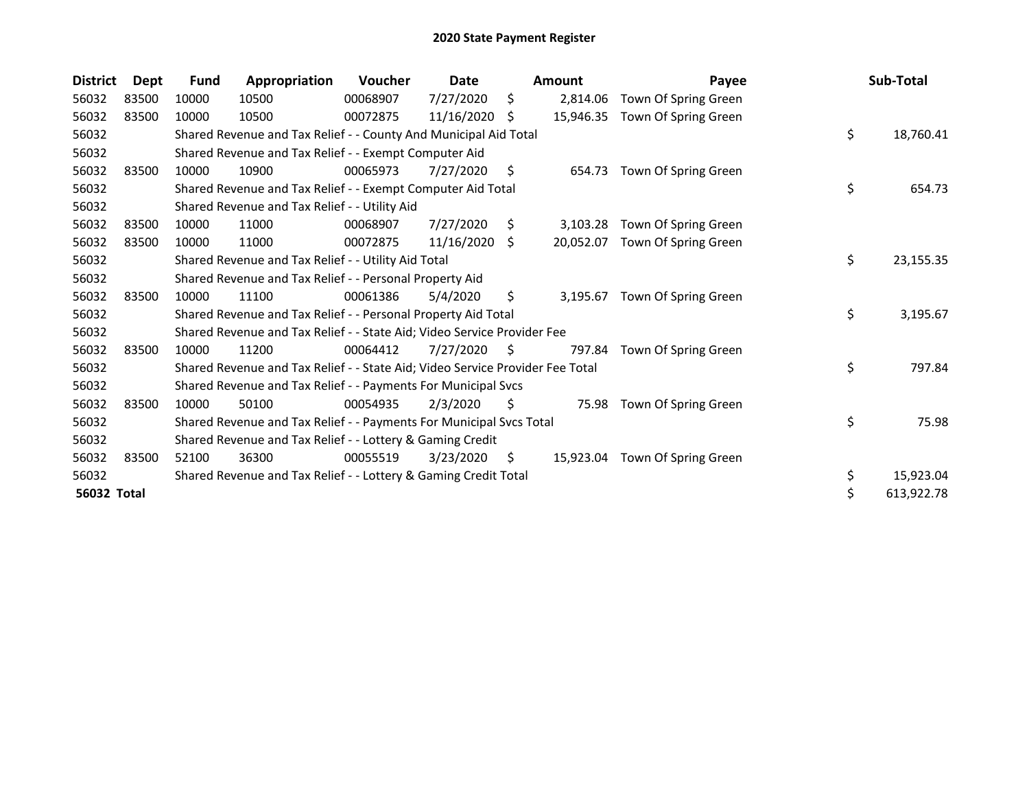| <b>District</b> | Dept  | <b>Fund</b> | Appropriation                                                                 | <b>Voucher</b> | Date       |     | Amount    | Payee                          | Sub-Total        |
|-----------------|-------|-------------|-------------------------------------------------------------------------------|----------------|------------|-----|-----------|--------------------------------|------------------|
| 56032           | 83500 | 10000       | 10500                                                                         | 00068907       | 7/27/2020  | S.  | 2,814.06  | Town Of Spring Green           |                  |
| 56032           | 83500 | 10000       | 10500                                                                         | 00072875       | 11/16/2020 | -S  | 15,946.35 | Town Of Spring Green           |                  |
| 56032           |       |             | Shared Revenue and Tax Relief - - County And Municipal Aid Total              |                |            |     |           |                                | \$<br>18,760.41  |
| 56032           |       |             | Shared Revenue and Tax Relief - - Exempt Computer Aid                         |                |            |     |           |                                |                  |
| 56032           | 83500 | 10000       | 10900                                                                         | 00065973       | 7/27/2020  | \$  | 654.73    | Town Of Spring Green           |                  |
| 56032           |       |             | Shared Revenue and Tax Relief - - Exempt Computer Aid Total                   |                |            |     |           |                                | \$<br>654.73     |
| 56032           |       |             | Shared Revenue and Tax Relief - - Utility Aid                                 |                |            |     |           |                                |                  |
| 56032           | 83500 | 10000       | 11000                                                                         | 00068907       | 7/27/2020  | S.  | 3,103.28  | Town Of Spring Green           |                  |
| 56032           | 83500 | 10000       | 11000                                                                         | 00072875       | 11/16/2020 | \$  | 20,052.07 | Town Of Spring Green           |                  |
| 56032           |       |             | Shared Revenue and Tax Relief - - Utility Aid Total                           |                |            |     |           |                                | \$<br>23,155.35  |
| 56032           |       |             | Shared Revenue and Tax Relief - - Personal Property Aid                       |                |            |     |           |                                |                  |
| 56032           | 83500 | 10000       | 11100                                                                         | 00061386       | 5/4/2020   | \$  | 3.195.67  | Town Of Spring Green           |                  |
| 56032           |       |             | Shared Revenue and Tax Relief - - Personal Property Aid Total                 |                |            |     |           |                                | \$<br>3,195.67   |
| 56032           |       |             | Shared Revenue and Tax Relief - - State Aid; Video Service Provider Fee       |                |            |     |           |                                |                  |
| 56032           | 83500 | 10000       | 11200                                                                         | 00064412       | 7/27/2020  | S.  | 797.84    | Town Of Spring Green           |                  |
| 56032           |       |             | Shared Revenue and Tax Relief - - State Aid; Video Service Provider Fee Total |                |            |     |           |                                | \$<br>797.84     |
| 56032           |       |             | Shared Revenue and Tax Relief - - Payments For Municipal Svcs                 |                |            |     |           |                                |                  |
| 56032           | 83500 | 10000       | 50100                                                                         | 00054935       | 2/3/2020   | \$. | 75.98     | Town Of Spring Green           |                  |
| 56032           |       |             | Shared Revenue and Tax Relief - - Payments For Municipal Svcs Total           |                |            |     |           |                                | \$<br>75.98      |
| 56032           |       |             | Shared Revenue and Tax Relief - - Lottery & Gaming Credit                     |                |            |     |           |                                |                  |
| 56032           | 83500 | 52100       | 36300                                                                         | 00055519       | 3/23/2020  | \$. |           | 15,923.04 Town Of Spring Green |                  |
| 56032           |       |             | Shared Revenue and Tax Relief - - Lottery & Gaming Credit Total               |                |            |     |           |                                | \$<br>15,923.04  |
| 56032 Total     |       |             |                                                                               |                |            |     |           |                                | \$<br>613,922.78 |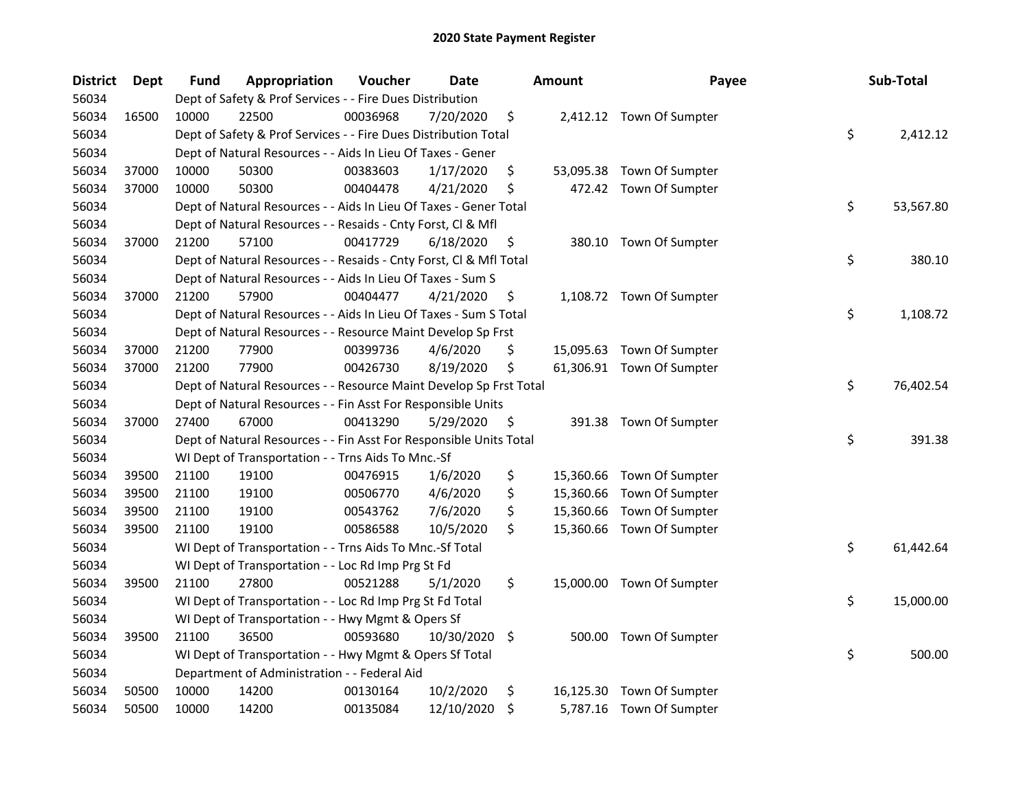| <b>District</b> | <b>Dept</b> | Fund  | Appropriation                                                      | Voucher  | <b>Date</b> | <b>Amount</b>   | Payee                     | Sub-Total       |
|-----------------|-------------|-------|--------------------------------------------------------------------|----------|-------------|-----------------|---------------------------|-----------------|
| 56034           |             |       | Dept of Safety & Prof Services - - Fire Dues Distribution          |          |             |                 |                           |                 |
| 56034           | 16500       | 10000 | 22500                                                              | 00036968 | 7/20/2020   | \$              | 2,412.12 Town Of Sumpter  |                 |
| 56034           |             |       | Dept of Safety & Prof Services - - Fire Dues Distribution Total    |          |             |                 |                           | \$<br>2,412.12  |
| 56034           |             |       | Dept of Natural Resources - - Aids In Lieu Of Taxes - Gener        |          |             |                 |                           |                 |
| 56034           | 37000       | 10000 | 50300                                                              | 00383603 | 1/17/2020   | \$<br>53,095.38 | Town Of Sumpter           |                 |
| 56034           | 37000       | 10000 | 50300                                                              | 00404478 | 4/21/2020   | \$              | 472.42 Town Of Sumpter    |                 |
| 56034           |             |       | Dept of Natural Resources - - Aids In Lieu Of Taxes - Gener Total  |          |             |                 |                           | \$<br>53,567.80 |
| 56034           |             |       | Dept of Natural Resources - - Resaids - Cnty Forst, Cl & Mfl       |          |             |                 |                           |                 |
| 56034           | 37000       | 21200 | 57100                                                              | 00417729 | 6/18/2020   | \$              | 380.10 Town Of Sumpter    |                 |
| 56034           |             |       | Dept of Natural Resources - - Resaids - Cnty Forst, Cl & Mfl Total |          |             |                 |                           | \$<br>380.10    |
| 56034           |             |       | Dept of Natural Resources - - Aids In Lieu Of Taxes - Sum S        |          |             |                 |                           |                 |
| 56034           | 37000       | 21200 | 57900                                                              | 00404477 | 4/21/2020   | \$              | 1,108.72 Town Of Sumpter  |                 |
| 56034           |             |       | Dept of Natural Resources - - Aids In Lieu Of Taxes - Sum S Total  |          |             |                 |                           | \$<br>1,108.72  |
| 56034           |             |       | Dept of Natural Resources - - Resource Maint Develop Sp Frst       |          |             |                 |                           |                 |
| 56034           | 37000       | 21200 | 77900                                                              | 00399736 | 4/6/2020    | \$              | 15,095.63 Town Of Sumpter |                 |
| 56034           | 37000       | 21200 | 77900                                                              | 00426730 | 8/19/2020   | \$              | 61,306.91 Town Of Sumpter |                 |
| 56034           |             |       | Dept of Natural Resources - - Resource Maint Develop Sp Frst Total |          |             |                 |                           | \$<br>76,402.54 |
| 56034           |             |       | Dept of Natural Resources - - Fin Asst For Responsible Units       |          |             |                 |                           |                 |
| 56034           | 37000       | 27400 | 67000                                                              | 00413290 | 5/29/2020   | \$              | 391.38 Town Of Sumpter    |                 |
| 56034           |             |       | Dept of Natural Resources - - Fin Asst For Responsible Units Total |          |             |                 |                           | \$<br>391.38    |
| 56034           |             |       | WI Dept of Transportation - - Trns Aids To Mnc.-Sf                 |          |             |                 |                           |                 |
| 56034           | 39500       | 21100 | 19100                                                              | 00476915 | 1/6/2020    | \$<br>15,360.66 | Town Of Sumpter           |                 |
| 56034           | 39500       | 21100 | 19100                                                              | 00506770 | 4/6/2020    | \$<br>15,360.66 | Town Of Sumpter           |                 |
| 56034           | 39500       | 21100 | 19100                                                              | 00543762 | 7/6/2020    | \$<br>15,360.66 | Town Of Sumpter           |                 |
| 56034           | 39500       | 21100 | 19100                                                              | 00586588 | 10/5/2020   | \$              | 15,360.66 Town Of Sumpter |                 |
| 56034           |             |       | WI Dept of Transportation - - Trns Aids To Mnc.-Sf Total           |          |             |                 |                           | \$<br>61,442.64 |
| 56034           |             |       | WI Dept of Transportation - - Loc Rd Imp Prg St Fd                 |          |             |                 |                           |                 |
| 56034           | 39500       | 21100 | 27800                                                              | 00521288 | 5/1/2020    | \$              | 15,000.00 Town Of Sumpter |                 |
| 56034           |             |       | WI Dept of Transportation - - Loc Rd Imp Prg St Fd Total           |          |             |                 |                           | \$<br>15,000.00 |
| 56034           |             |       | WI Dept of Transportation - - Hwy Mgmt & Opers Sf                  |          |             |                 |                           |                 |
| 56034           | 39500       | 21100 | 36500                                                              | 00593680 | 10/30/2020  | \$              | 500.00 Town Of Sumpter    |                 |
| 56034           |             |       | WI Dept of Transportation - - Hwy Mgmt & Opers Sf Total            |          |             |                 |                           | \$<br>500.00    |
| 56034           |             |       | Department of Administration - - Federal Aid                       |          |             |                 |                           |                 |
| 56034           | 50500       | 10000 | 14200                                                              | 00130164 | 10/2/2020   | \$<br>16,125.30 | Town Of Sumpter           |                 |
| 56034           | 50500       | 10000 | 14200                                                              | 00135084 | 12/10/2020  | \$              | 5,787.16 Town Of Sumpter  |                 |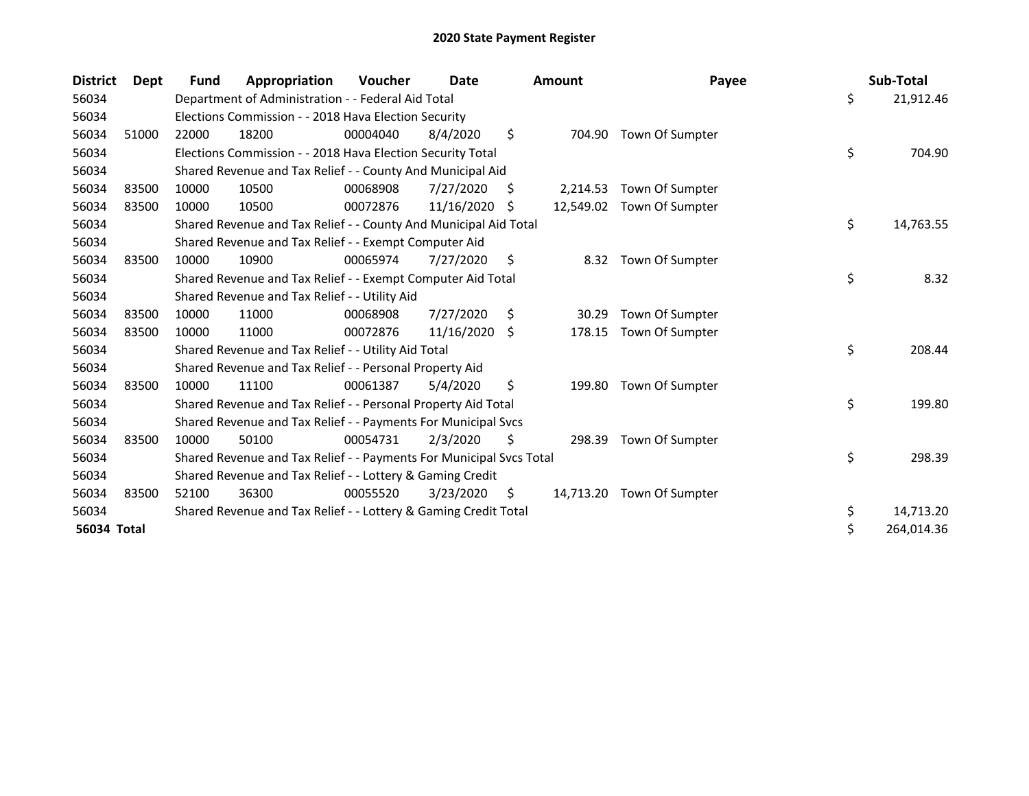| <b>District</b>    | Dept  | Fund  | Appropriation                                                       | Voucher  | Date       |    | <b>Amount</b> | Payee                     | Sub-Total        |
|--------------------|-------|-------|---------------------------------------------------------------------|----------|------------|----|---------------|---------------------------|------------------|
| 56034              |       |       | Department of Administration - - Federal Aid Total                  |          |            |    |               |                           | \$<br>21,912.46  |
| 56034              |       |       | Elections Commission - - 2018 Hava Election Security                |          |            |    |               |                           |                  |
| 56034              | 51000 | 22000 | 18200                                                               | 00004040 | 8/4/2020   | \$ | 704.90        | Town Of Sumpter           |                  |
| 56034              |       |       | Elections Commission - - 2018 Hava Election Security Total          |          |            |    |               |                           | \$<br>704.90     |
| 56034              |       |       | Shared Revenue and Tax Relief - - County And Municipal Aid          |          |            |    |               |                           |                  |
| 56034              | 83500 | 10000 | 10500                                                               | 00068908 | 7/27/2020  | \$ | 2,214.53      | Town Of Sumpter           |                  |
| 56034              | 83500 | 10000 | 10500                                                               | 00072876 | 11/16/2020 | -S |               | 12,549.02 Town Of Sumpter |                  |
| 56034              |       |       | Shared Revenue and Tax Relief - - County And Municipal Aid Total    |          |            |    |               |                           | \$<br>14,763.55  |
| 56034              |       |       | Shared Revenue and Tax Relief - - Exempt Computer Aid               |          |            |    |               |                           |                  |
| 56034              | 83500 | 10000 | 10900                                                               | 00065974 | 7/27/2020  | \$ | 8.32          | Town Of Sumpter           |                  |
| 56034              |       |       | Shared Revenue and Tax Relief - - Exempt Computer Aid Total         |          |            |    |               |                           | \$<br>8.32       |
| 56034              |       |       | Shared Revenue and Tax Relief - - Utility Aid                       |          |            |    |               |                           |                  |
| 56034              | 83500 | 10000 | 11000                                                               | 00068908 | 7/27/2020  | \$ | 30.29         | Town Of Sumpter           |                  |
| 56034              | 83500 | 10000 | 11000                                                               | 00072876 | 11/16/2020 | \$ | 178.15        | Town Of Sumpter           |                  |
| 56034              |       |       | Shared Revenue and Tax Relief - - Utility Aid Total                 |          |            |    |               |                           | \$<br>208.44     |
| 56034              |       |       | Shared Revenue and Tax Relief - - Personal Property Aid             |          |            |    |               |                           |                  |
| 56034              | 83500 | 10000 | 11100                                                               | 00061387 | 5/4/2020   | \$ | 199.80        | Town Of Sumpter           |                  |
| 56034              |       |       | Shared Revenue and Tax Relief - - Personal Property Aid Total       |          |            |    |               |                           | \$<br>199.80     |
| 56034              |       |       | Shared Revenue and Tax Relief - - Payments For Municipal Svcs       |          |            |    |               |                           |                  |
| 56034              | 83500 | 10000 | 50100                                                               | 00054731 | 2/3/2020   | \$ |               | 298.39 Town Of Sumpter    |                  |
| 56034              |       |       | Shared Revenue and Tax Relief - - Payments For Municipal Svcs Total |          |            |    |               |                           | \$<br>298.39     |
| 56034              |       |       | Shared Revenue and Tax Relief - - Lottery & Gaming Credit           |          |            |    |               |                           |                  |
| 56034              | 83500 | 52100 | 36300                                                               | 00055520 | 3/23/2020  | S. | 14,713.20     | Town Of Sumpter           |                  |
| 56034              |       |       | Shared Revenue and Tax Relief - - Lottery & Gaming Credit Total     |          |            |    |               |                           | \$<br>14,713.20  |
| <b>56034 Total</b> |       |       |                                                                     |          |            |    |               |                           | \$<br>264,014.36 |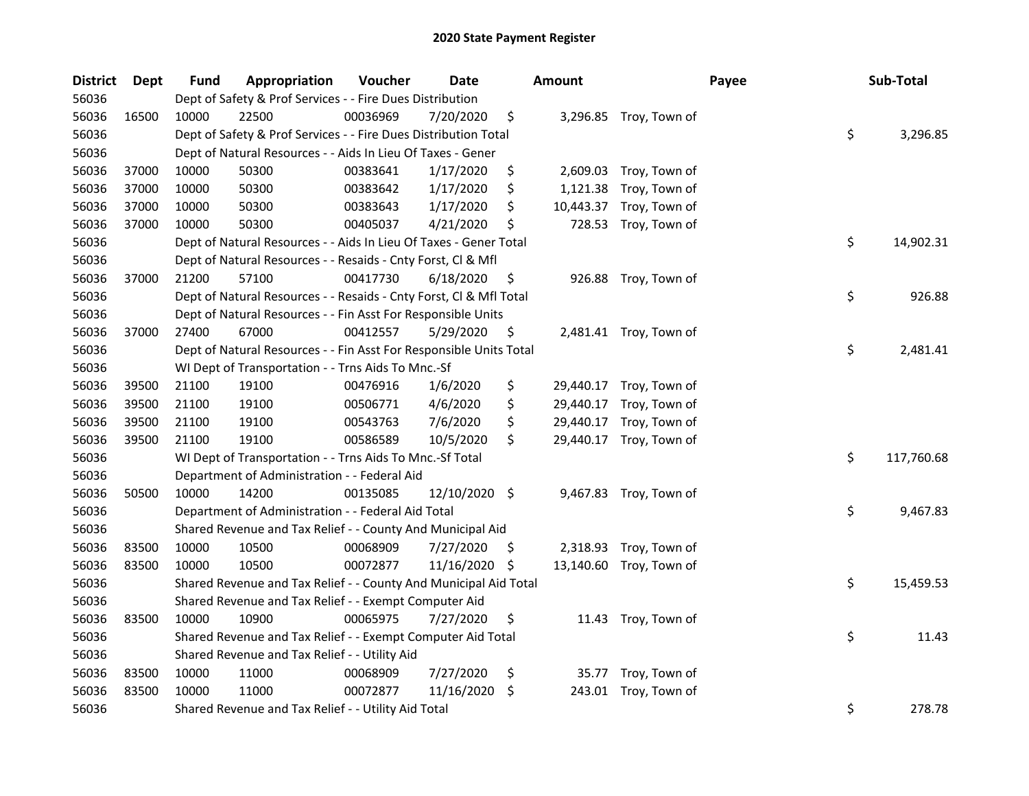| <b>District</b> | <b>Dept</b> | <b>Fund</b> | Appropriation                                                      | Voucher  | Date          |     | <b>Amount</b> |                         | Payee | Sub-Total        |
|-----------------|-------------|-------------|--------------------------------------------------------------------|----------|---------------|-----|---------------|-------------------------|-------|------------------|
| 56036           |             |             | Dept of Safety & Prof Services - - Fire Dues Distribution          |          |               |     |               |                         |       |                  |
| 56036           | 16500       | 10000       | 22500                                                              | 00036969 | 7/20/2020     | \$  |               | 3,296.85 Troy, Town of  |       |                  |
| 56036           |             |             | Dept of Safety & Prof Services - - Fire Dues Distribution Total    |          |               |     |               |                         |       | \$<br>3,296.85   |
| 56036           |             |             | Dept of Natural Resources - - Aids In Lieu Of Taxes - Gener        |          |               |     |               |                         |       |                  |
| 56036           | 37000       | 10000       | 50300                                                              | 00383641 | 1/17/2020     | \$  |               | 2,609.03 Troy, Town of  |       |                  |
| 56036           | 37000       | 10000       | 50300                                                              | 00383642 | 1/17/2020     | \$  | 1,121.38      | Troy, Town of           |       |                  |
| 56036           | 37000       | 10000       | 50300                                                              | 00383643 | 1/17/2020     | \$  | 10,443.37     | Troy, Town of           |       |                  |
| 56036           | 37000       | 10000       | 50300                                                              | 00405037 | 4/21/2020     | \$  |               | 728.53 Troy, Town of    |       |                  |
| 56036           |             |             | Dept of Natural Resources - - Aids In Lieu Of Taxes - Gener Total  |          |               |     |               |                         |       | \$<br>14,902.31  |
| 56036           |             |             | Dept of Natural Resources - - Resaids - Cnty Forst, Cl & Mfl       |          |               |     |               |                         |       |                  |
| 56036           | 37000       | 21200       | 57100                                                              | 00417730 | 6/18/2020     | \$  |               | 926.88 Troy, Town of    |       |                  |
| 56036           |             |             | Dept of Natural Resources - - Resaids - Cnty Forst, Cl & Mfl Total |          |               |     |               |                         |       | \$<br>926.88     |
| 56036           |             |             | Dept of Natural Resources - - Fin Asst For Responsible Units       |          |               |     |               |                         |       |                  |
| 56036           | 37000       | 27400       | 67000                                                              | 00412557 | 5/29/2020     | \$. |               | 2,481.41 Troy, Town of  |       |                  |
| 56036           |             |             | Dept of Natural Resources - - Fin Asst For Responsible Units Total |          |               |     |               |                         |       | \$<br>2,481.41   |
| 56036           |             |             | WI Dept of Transportation - - Trns Aids To Mnc.-Sf                 |          |               |     |               |                         |       |                  |
| 56036           | 39500       | 21100       | 19100                                                              | 00476916 | 1/6/2020      | \$  | 29,440.17     | Troy, Town of           |       |                  |
| 56036           | 39500       | 21100       | 19100                                                              | 00506771 | 4/6/2020      | \$  | 29,440.17     | Troy, Town of           |       |                  |
| 56036           | 39500       | 21100       | 19100                                                              | 00543763 | 7/6/2020      | \$  | 29,440.17     | Troy, Town of           |       |                  |
| 56036           | 39500       | 21100       | 19100                                                              | 00586589 | 10/5/2020     | \$  | 29,440.17     | Troy, Town of           |       |                  |
| 56036           |             |             | WI Dept of Transportation - - Trns Aids To Mnc.-Sf Total           |          |               |     |               |                         |       | \$<br>117,760.68 |
| 56036           |             |             | Department of Administration - - Federal Aid                       |          |               |     |               |                         |       |                  |
| 56036           | 50500       | 10000       | 14200                                                              | 00135085 | 12/10/2020 \$ |     |               | 9,467.83 Troy, Town of  |       |                  |
| 56036           |             |             | Department of Administration - - Federal Aid Total                 |          |               |     |               |                         |       | \$<br>9,467.83   |
| 56036           |             |             | Shared Revenue and Tax Relief - - County And Municipal Aid         |          |               |     |               |                         |       |                  |
| 56036           | 83500       | 10000       | 10500                                                              | 00068909 | 7/27/2020     | \$. |               | 2,318.93 Troy, Town of  |       |                  |
| 56036           | 83500       | 10000       | 10500                                                              | 00072877 | 11/16/2020    | \$  |               | 13,140.60 Troy, Town of |       |                  |
| 56036           |             |             | Shared Revenue and Tax Relief - - County And Municipal Aid Total   |          |               |     |               |                         |       | \$<br>15,459.53  |
| 56036           |             |             | Shared Revenue and Tax Relief - - Exempt Computer Aid              |          |               |     |               |                         |       |                  |
| 56036           | 83500       | 10000       | 10900                                                              | 00065975 | 7/27/2020     | \$  |               | 11.43 Troy, Town of     |       |                  |
| 56036           |             |             | Shared Revenue and Tax Relief - - Exempt Computer Aid Total        |          |               |     |               |                         |       | \$<br>11.43      |
| 56036           |             |             | Shared Revenue and Tax Relief - - Utility Aid                      |          |               |     |               |                         |       |                  |
| 56036           | 83500       | 10000       | 11000                                                              | 00068909 | 7/27/2020     | \$  | 35.77         | Troy, Town of           |       |                  |
| 56036           | 83500       | 10000       | 11000                                                              | 00072877 | 11/16/2020    | \$  | 243.01        | Troy, Town of           |       |                  |
| 56036           |             |             | Shared Revenue and Tax Relief - - Utility Aid Total                |          |               |     |               |                         |       | \$<br>278.78     |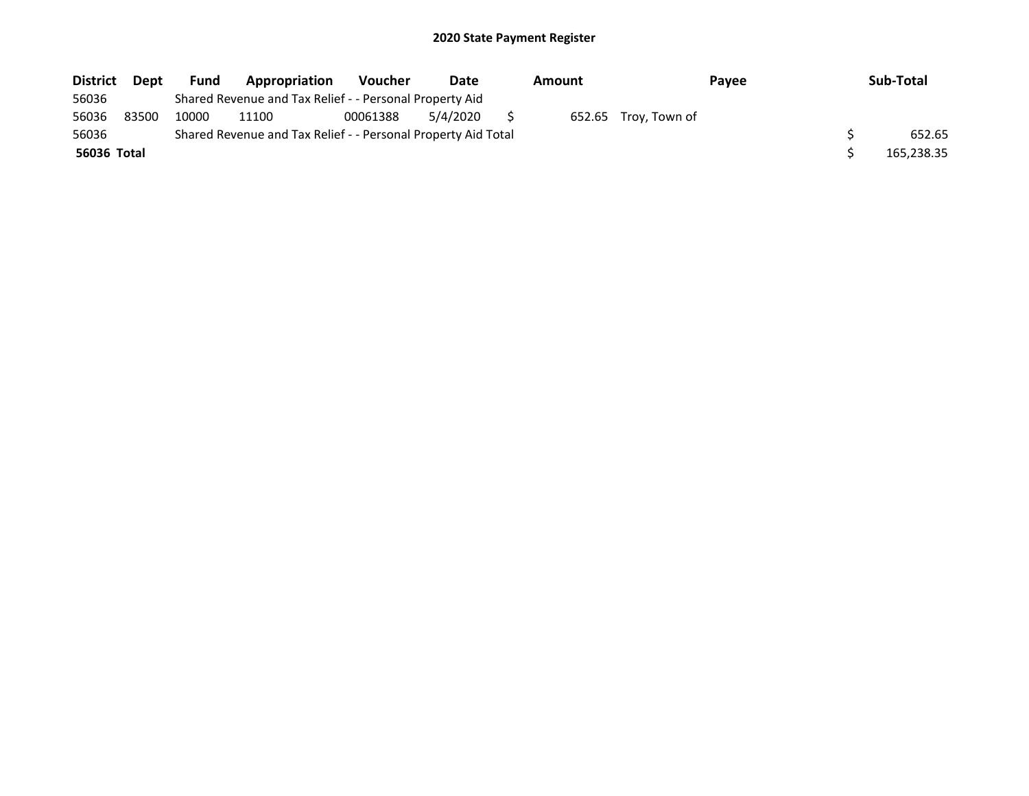| <b>District</b> | Dept  | <b>Fund</b> | Appropriation                                                 | <b>Voucher</b> | Date     | Amount |                      | Payee | Sub-Total  |
|-----------------|-------|-------------|---------------------------------------------------------------|----------------|----------|--------|----------------------|-------|------------|
| 56036           |       |             | Shared Revenue and Tax Relief - - Personal Property Aid       |                |          |        |                      |       |            |
| 56036           | 83500 | 10000       | 11100                                                         | 00061388       | 5/4/2020 |        | 652.65 Troy, Town of |       |            |
| 56036           |       |             | Shared Revenue and Tax Relief - - Personal Property Aid Total |                |          |        |                      |       | 652.65     |
| 56036 Total     |       |             |                                                               |                |          |        |                      |       | 165,238.35 |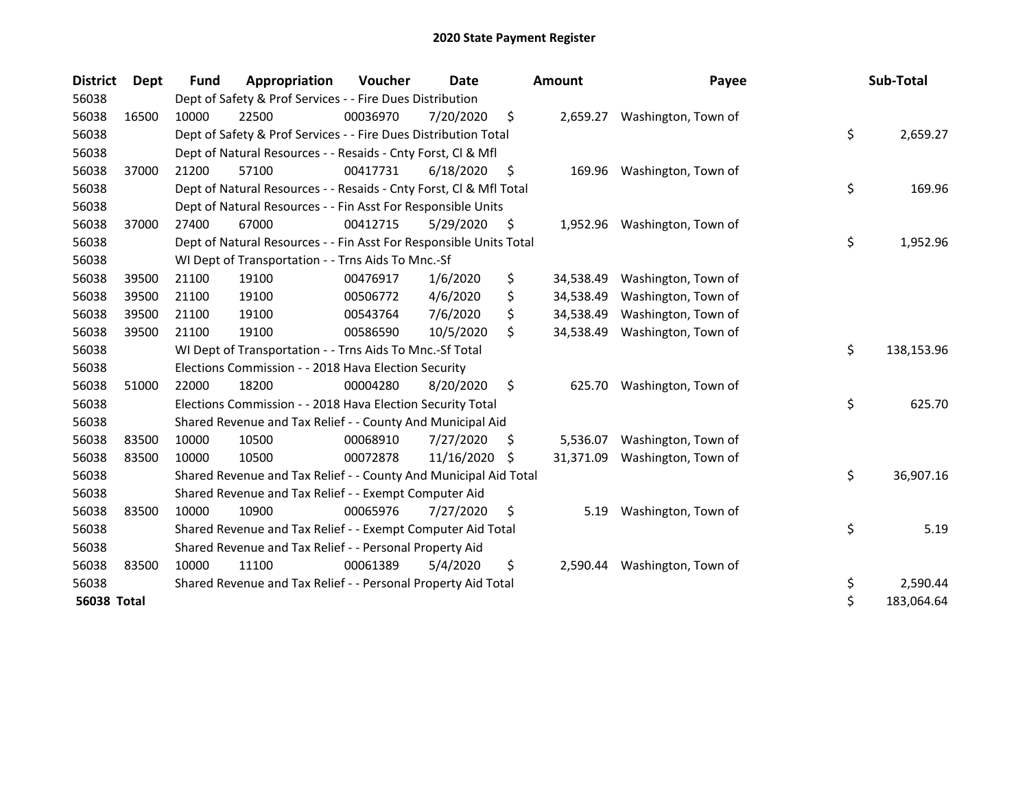| <b>District</b> | <b>Dept</b> | <b>Fund</b> | Appropriation                                                      | <b>Voucher</b> | Date       |     | <b>Amount</b> | Payee               | Sub-Total        |
|-----------------|-------------|-------------|--------------------------------------------------------------------|----------------|------------|-----|---------------|---------------------|------------------|
| 56038           |             |             | Dept of Safety & Prof Services - - Fire Dues Distribution          |                |            |     |               |                     |                  |
| 56038           | 16500       | 10000       | 22500                                                              | 00036970       | 7/20/2020  | \$  | 2,659.27      | Washington, Town of |                  |
| 56038           |             |             | Dept of Safety & Prof Services - - Fire Dues Distribution Total    |                |            |     |               |                     | \$<br>2,659.27   |
| 56038           |             |             | Dept of Natural Resources - - Resaids - Cnty Forst, Cl & Mfl       |                |            |     |               |                     |                  |
| 56038           | 37000       | 21200       | 57100                                                              | 00417731       | 6/18/2020  | \$  | 169.96        | Washington, Town of |                  |
| 56038           |             |             | Dept of Natural Resources - - Resaids - Cnty Forst, Cl & Mfl Total |                |            |     |               |                     | \$<br>169.96     |
| 56038           |             |             | Dept of Natural Resources - - Fin Asst For Responsible Units       |                |            |     |               |                     |                  |
| 56038           | 37000       | 27400       | 67000                                                              | 00412715       | 5/29/2020  | \$  | 1,952.96      | Washington, Town of |                  |
| 56038           |             |             | Dept of Natural Resources - - Fin Asst For Responsible Units Total |                |            |     |               |                     | \$<br>1,952.96   |
| 56038           |             |             | WI Dept of Transportation - - Trns Aids To Mnc.-Sf                 |                |            |     |               |                     |                  |
| 56038           | 39500       | 21100       | 19100                                                              | 00476917       | 1/6/2020   | \$  | 34,538.49     | Washington, Town of |                  |
| 56038           | 39500       | 21100       | 19100                                                              | 00506772       | 4/6/2020   | \$  | 34,538.49     | Washington, Town of |                  |
| 56038           | 39500       | 21100       | 19100                                                              | 00543764       | 7/6/2020   | \$  | 34,538.49     | Washington, Town of |                  |
| 56038           | 39500       | 21100       | 19100                                                              | 00586590       | 10/5/2020  | \$  | 34,538.49     | Washington, Town of |                  |
| 56038           |             |             | WI Dept of Transportation - - Trns Aids To Mnc.-Sf Total           |                |            |     |               |                     | \$<br>138,153.96 |
| 56038           |             |             | Elections Commission - - 2018 Hava Election Security               |                |            |     |               |                     |                  |
| 56038           | 51000       | 22000       | 18200                                                              | 00004280       | 8/20/2020  | \$  | 625.70        | Washington, Town of |                  |
| 56038           |             |             | Elections Commission - - 2018 Hava Election Security Total         |                |            |     |               |                     | \$<br>625.70     |
| 56038           |             |             | Shared Revenue and Tax Relief - - County And Municipal Aid         |                |            |     |               |                     |                  |
| 56038           | 83500       | 10000       | 10500                                                              | 00068910       | 7/27/2020  | \$. | 5,536.07      | Washington, Town of |                  |
| 56038           | 83500       | 10000       | 10500                                                              | 00072878       | 11/16/2020 | -S  | 31,371.09     | Washington, Town of |                  |
| 56038           |             |             | Shared Revenue and Tax Relief - - County And Municipal Aid Total   |                |            |     |               |                     | \$<br>36,907.16  |
| 56038           |             |             | Shared Revenue and Tax Relief - - Exempt Computer Aid              |                |            |     |               |                     |                  |
| 56038           | 83500       | 10000       | 10900                                                              | 00065976       | 7/27/2020  | \$  | 5.19          | Washington, Town of |                  |
| 56038           |             |             | Shared Revenue and Tax Relief - - Exempt Computer Aid Total        |                |            |     |               |                     | \$<br>5.19       |
| 56038           |             |             | Shared Revenue and Tax Relief - - Personal Property Aid            |                |            |     |               |                     |                  |
| 56038           | 83500       | 10000       | 11100                                                              | 00061389       | 5/4/2020   | \$  | 2,590.44      | Washington, Town of |                  |
| 56038           |             |             | Shared Revenue and Tax Relief - - Personal Property Aid Total      |                |            |     |               |                     | \$<br>2,590.44   |
| 56038 Total     |             |             |                                                                    |                |            |     |               |                     | \$<br>183,064.64 |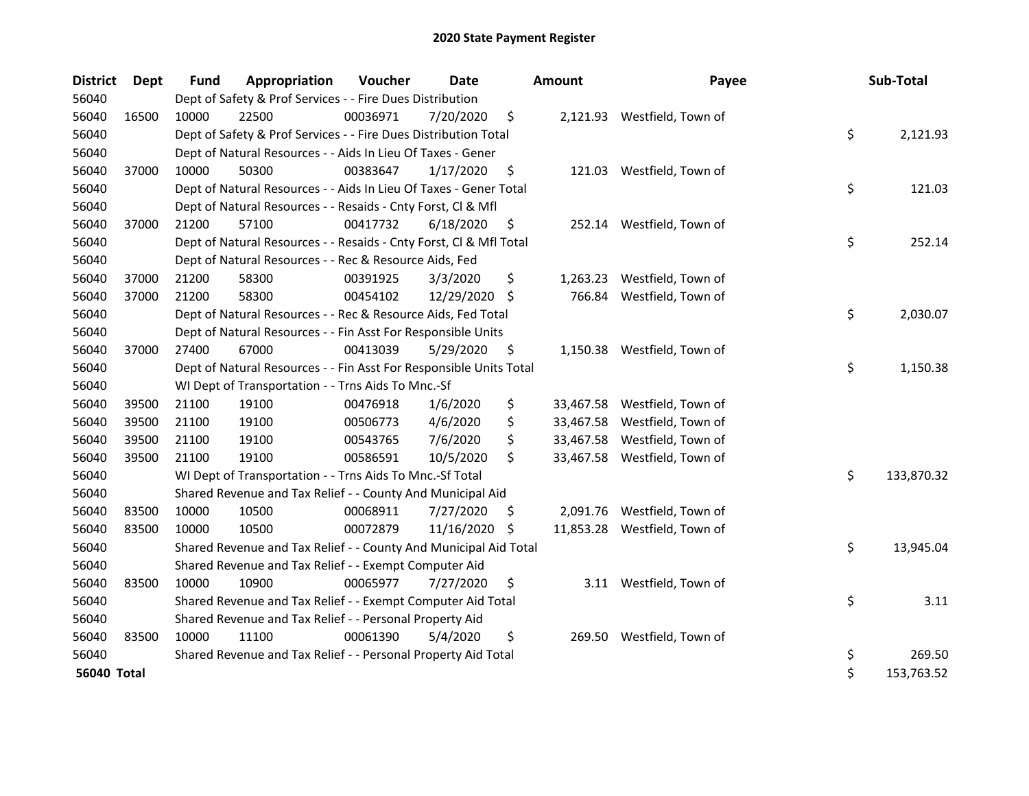| <b>District</b> | Dept  | <b>Fund</b> | Appropriation                                                      | Voucher  | <b>Date</b> |     | <b>Amount</b> | Payee                        | Sub-Total        |
|-----------------|-------|-------------|--------------------------------------------------------------------|----------|-------------|-----|---------------|------------------------------|------------------|
| 56040           |       |             | Dept of Safety & Prof Services - - Fire Dues Distribution          |          |             |     |               |                              |                  |
| 56040           | 16500 | 10000       | 22500                                                              | 00036971 | 7/20/2020   | \$  |               | 2,121.93 Westfield, Town of  |                  |
| 56040           |       |             | Dept of Safety & Prof Services - - Fire Dues Distribution Total    |          |             |     |               |                              | \$<br>2,121.93   |
| 56040           |       |             | Dept of Natural Resources - - Aids In Lieu Of Taxes - Gener        |          |             |     |               |                              |                  |
| 56040           | 37000 | 10000       | 50300                                                              | 00383647 | 1/17/2020   | \$  |               | 121.03 Westfield, Town of    |                  |
| 56040           |       |             | Dept of Natural Resources - - Aids In Lieu Of Taxes - Gener Total  |          |             |     |               |                              | \$<br>121.03     |
| 56040           |       |             | Dept of Natural Resources - - Resaids - Cnty Forst, Cl & Mfl       |          |             |     |               |                              |                  |
| 56040           | 37000 | 21200       | 57100                                                              | 00417732 | 6/18/2020   | \$  |               | 252.14 Westfield, Town of    |                  |
| 56040           |       |             | Dept of Natural Resources - - Resaids - Cnty Forst, Cl & Mfl Total |          |             |     |               |                              | \$<br>252.14     |
| 56040           |       |             | Dept of Natural Resources - - Rec & Resource Aids, Fed             |          |             |     |               |                              |                  |
| 56040           | 37000 | 21200       | 58300                                                              | 00391925 | 3/3/2020    | \$  | 1,263.23      | Westfield, Town of           |                  |
| 56040           | 37000 | 21200       | 58300                                                              | 00454102 | 12/29/2020  | \$  | 766.84        | Westfield, Town of           |                  |
| 56040           |       |             | Dept of Natural Resources - - Rec & Resource Aids, Fed Total       |          |             |     |               |                              | \$<br>2,030.07   |
| 56040           |       |             | Dept of Natural Resources - - Fin Asst For Responsible Units       |          |             |     |               |                              |                  |
| 56040           | 37000 | 27400       | 67000                                                              | 00413039 | 5/29/2020   | \$  |               | 1,150.38 Westfield, Town of  |                  |
| 56040           |       |             | Dept of Natural Resources - - Fin Asst For Responsible Units Total |          |             |     |               |                              | \$<br>1,150.38   |
| 56040           |       |             | WI Dept of Transportation - - Trns Aids To Mnc.-Sf                 |          |             |     |               |                              |                  |
| 56040           | 39500 | 21100       | 19100                                                              | 00476918 | 1/6/2020    | \$  |               | 33,467.58 Westfield, Town of |                  |
| 56040           | 39500 | 21100       | 19100                                                              | 00506773 | 4/6/2020    | \$  | 33,467.58     | Westfield, Town of           |                  |
| 56040           | 39500 | 21100       | 19100                                                              | 00543765 | 7/6/2020    | \$  | 33,467.58     | Westfield, Town of           |                  |
| 56040           | 39500 | 21100       | 19100                                                              | 00586591 | 10/5/2020   | \$  |               | 33,467.58 Westfield, Town of |                  |
| 56040           |       |             | WI Dept of Transportation - - Trns Aids To Mnc.-Sf Total           |          |             |     |               |                              | \$<br>133,870.32 |
| 56040           |       |             | Shared Revenue and Tax Relief - - County And Municipal Aid         |          |             |     |               |                              |                  |
| 56040           | 83500 | 10000       | 10500                                                              | 00068911 | 7/27/2020   | S.  | 2,091.76      | Westfield, Town of           |                  |
| 56040           | 83500 | 10000       | 10500                                                              | 00072879 | 11/16/2020  | \$, |               | 11,853.28 Westfield, Town of |                  |
| 56040           |       |             | Shared Revenue and Tax Relief - - County And Municipal Aid Total   |          |             |     |               |                              | \$<br>13,945.04  |
| 56040           |       |             | Shared Revenue and Tax Relief - - Exempt Computer Aid              |          |             |     |               |                              |                  |
| 56040           | 83500 | 10000       | 10900                                                              | 00065977 | 7/27/2020   | \$  |               | 3.11 Westfield, Town of      |                  |
| 56040           |       |             | Shared Revenue and Tax Relief - - Exempt Computer Aid Total        |          |             |     |               |                              | \$<br>3.11       |
| 56040           |       |             | Shared Revenue and Tax Relief - - Personal Property Aid            |          |             |     |               |                              |                  |
| 56040           | 83500 | 10000       | 11100                                                              | 00061390 | 5/4/2020    | \$  |               | 269.50 Westfield, Town of    |                  |
| 56040           |       |             | Shared Revenue and Tax Relief - - Personal Property Aid Total      |          |             |     |               |                              | \$<br>269.50     |
| 56040 Total     |       |             |                                                                    |          |             |     |               |                              | \$<br>153,763.52 |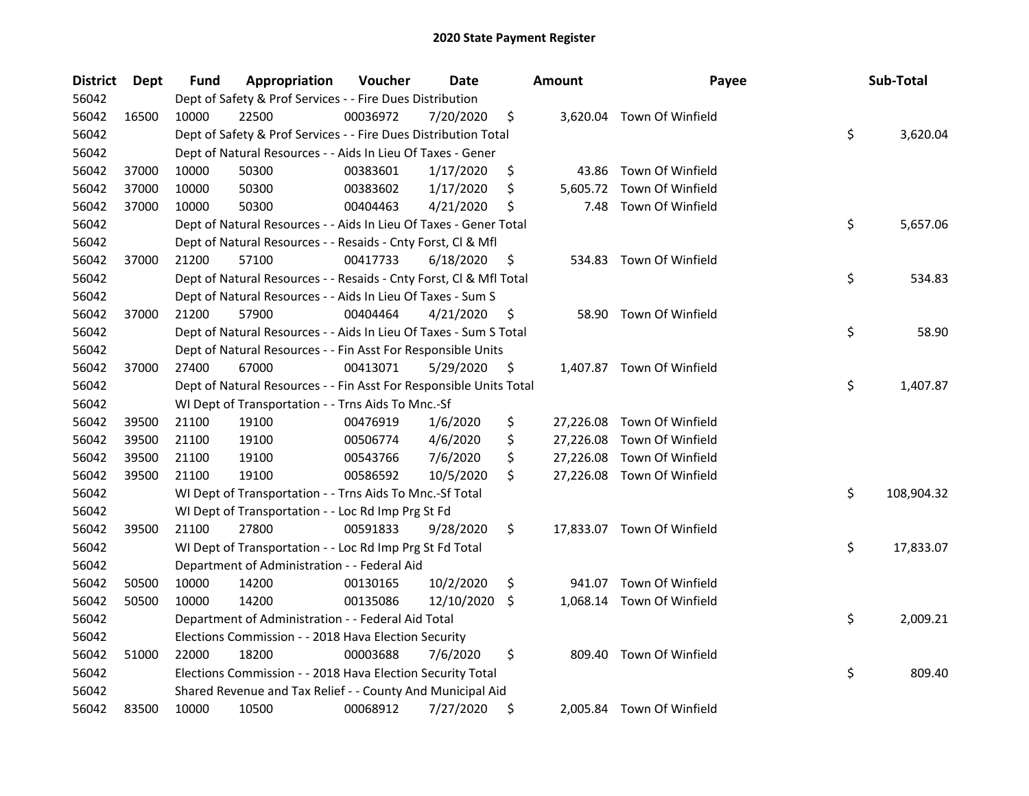| <b>District</b> | <b>Dept</b> | Fund  | Appropriation                                                      | Voucher  | Date       |     | <b>Amount</b> | Payee                      | Sub-Total        |
|-----------------|-------------|-------|--------------------------------------------------------------------|----------|------------|-----|---------------|----------------------------|------------------|
| 56042           |             |       | Dept of Safety & Prof Services - - Fire Dues Distribution          |          |            |     |               |                            |                  |
| 56042           | 16500       | 10000 | 22500                                                              | 00036972 | 7/20/2020  | \$  |               | 3,620.04 Town Of Winfield  |                  |
| 56042           |             |       | Dept of Safety & Prof Services - - Fire Dues Distribution Total    |          |            |     |               |                            | \$<br>3,620.04   |
| 56042           |             |       | Dept of Natural Resources - - Aids In Lieu Of Taxes - Gener        |          |            |     |               |                            |                  |
| 56042           | 37000       | 10000 | 50300                                                              | 00383601 | 1/17/2020  | \$  | 43.86         | Town Of Winfield           |                  |
| 56042           | 37000       | 10000 | 50300                                                              | 00383602 | 1/17/2020  | \$  | 5,605.72      | Town Of Winfield           |                  |
| 56042           | 37000       | 10000 | 50300                                                              | 00404463 | 4/21/2020  | \$  | 7.48          | Town Of Winfield           |                  |
| 56042           |             |       | Dept of Natural Resources - - Aids In Lieu Of Taxes - Gener Total  |          |            |     |               |                            | \$<br>5,657.06   |
| 56042           |             |       | Dept of Natural Resources - - Resaids - Cnty Forst, Cl & Mfl       |          |            |     |               |                            |                  |
| 56042           | 37000       | 21200 | 57100                                                              | 00417733 | 6/18/2020  | \$  |               | 534.83 Town Of Winfield    |                  |
| 56042           |             |       | Dept of Natural Resources - - Resaids - Cnty Forst, Cl & Mfl Total |          |            |     |               |                            | \$<br>534.83     |
| 56042           |             |       | Dept of Natural Resources - - Aids In Lieu Of Taxes - Sum S        |          |            |     |               |                            |                  |
| 56042           | 37000       | 21200 | 57900                                                              | 00404464 | 4/21/2020  | \$  | 58.90         | Town Of Winfield           |                  |
| 56042           |             |       | Dept of Natural Resources - - Aids In Lieu Of Taxes - Sum S Total  |          |            |     |               |                            | \$<br>58.90      |
| 56042           |             |       | Dept of Natural Resources - - Fin Asst For Responsible Units       |          |            |     |               |                            |                  |
| 56042           | 37000       | 27400 | 67000                                                              | 00413071 | 5/29/2020  | \$  |               | 1,407.87 Town Of Winfield  |                  |
| 56042           |             |       | Dept of Natural Resources - - Fin Asst For Responsible Units Total |          |            |     |               |                            | \$<br>1,407.87   |
| 56042           |             |       | WI Dept of Transportation - - Trns Aids To Mnc.-Sf                 |          |            |     |               |                            |                  |
| 56042           | 39500       | 21100 | 19100                                                              | 00476919 | 1/6/2020   | \$  | 27,226.08     | Town Of Winfield           |                  |
| 56042           | 39500       | 21100 | 19100                                                              | 00506774 | 4/6/2020   | \$  |               | 27,226.08 Town Of Winfield |                  |
| 56042           | 39500       | 21100 | 19100                                                              | 00543766 | 7/6/2020   | \$  |               | 27,226.08 Town Of Winfield |                  |
| 56042           | 39500       | 21100 | 19100                                                              | 00586592 | 10/5/2020  | \$  |               | 27,226.08 Town Of Winfield |                  |
| 56042           |             |       | WI Dept of Transportation - - Trns Aids To Mnc.-Sf Total           |          |            |     |               |                            | \$<br>108,904.32 |
| 56042           |             |       | WI Dept of Transportation - - Loc Rd Imp Prg St Fd                 |          |            |     |               |                            |                  |
| 56042           | 39500       | 21100 | 27800                                                              | 00591833 | 9/28/2020  | \$  |               | 17,833.07 Town Of Winfield |                  |
| 56042           |             |       | WI Dept of Transportation - - Loc Rd Imp Prg St Fd Total           |          |            |     |               |                            | \$<br>17,833.07  |
| 56042           |             |       | Department of Administration - - Federal Aid                       |          |            |     |               |                            |                  |
| 56042           | 50500       | 10000 | 14200                                                              | 00130165 | 10/2/2020  | \$  |               | 941.07 Town Of Winfield    |                  |
| 56042           | 50500       | 10000 | 14200                                                              | 00135086 | 12/10/2020 | \$. |               | 1,068.14 Town Of Winfield  |                  |
| 56042           |             |       | Department of Administration - - Federal Aid Total                 |          |            |     |               |                            | \$<br>2,009.21   |
| 56042           |             |       | Elections Commission - - 2018 Hava Election Security               |          |            |     |               |                            |                  |
| 56042           | 51000       | 22000 | 18200                                                              | 00003688 | 7/6/2020   | \$  | 809.40        | Town Of Winfield           |                  |
| 56042           |             |       | Elections Commission - - 2018 Hava Election Security Total         |          |            |     |               |                            | \$<br>809.40     |
| 56042           |             |       | Shared Revenue and Tax Relief - - County And Municipal Aid         |          |            |     |               |                            |                  |
| 56042           | 83500       | 10000 | 10500                                                              | 00068912 | 7/27/2020  | \$  |               | 2,005.84 Town Of Winfield  |                  |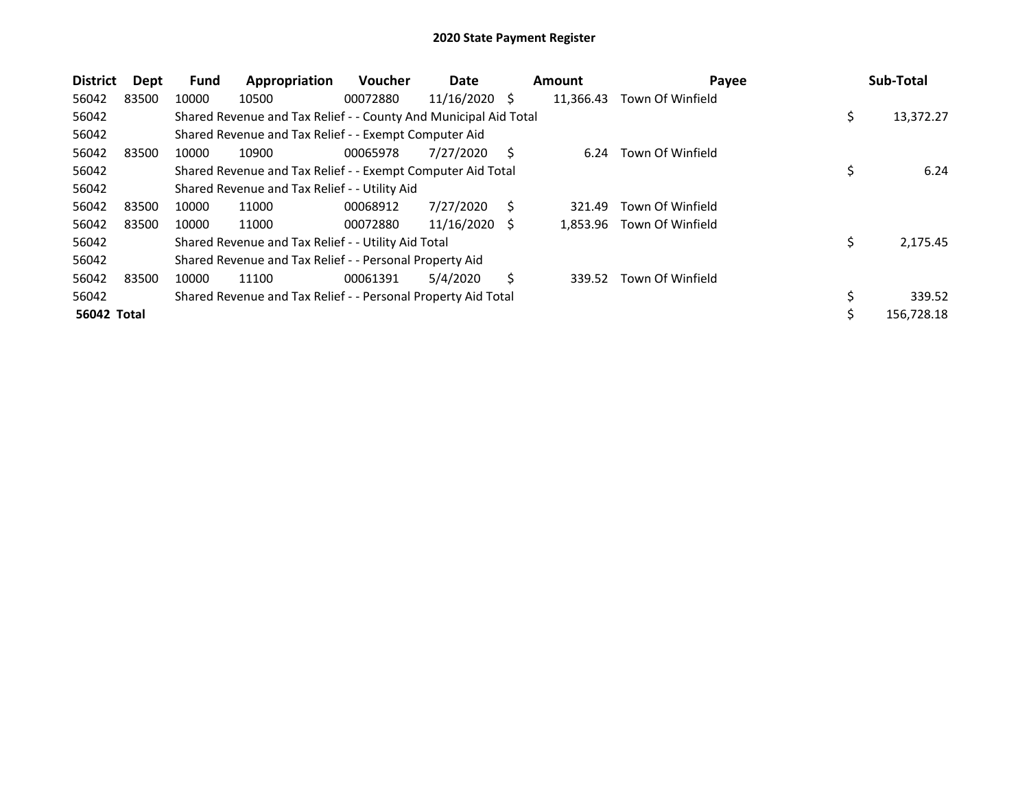| <b>District</b>    | <b>Dept</b> | Fund  | Appropriation                                                    | <b>Voucher</b> | Date            |   | <b>Amount</b> | Payee            |    | Sub-Total  |
|--------------------|-------------|-------|------------------------------------------------------------------|----------------|-----------------|---|---------------|------------------|----|------------|
| 56042              | 83500       | 10000 | 10500                                                            | 00072880       | $11/16/2020$ \$ |   | 11,366.43     | Town Of Winfield |    |            |
| 56042              |             |       | Shared Revenue and Tax Relief - - County And Municipal Aid Total |                |                 |   |               |                  | \$ | 13,372.27  |
| 56042              |             |       | Shared Revenue and Tax Relief - - Exempt Computer Aid            |                |                 |   |               |                  |    |            |
| 56042              | 83500       | 10000 | 10900                                                            | 00065978       | 7/27/2020       | S | 6.24          | Town Of Winfield |    |            |
| 56042              |             |       | Shared Revenue and Tax Relief - - Exempt Computer Aid Total      |                |                 |   |               |                  |    | 6.24       |
| 56042              |             |       | Shared Revenue and Tax Relief - - Utility Aid                    |                |                 |   |               |                  |    |            |
| 56042              | 83500       | 10000 | 11000                                                            | 00068912       | 7/27/2020       | S | 321.49        | Town Of Winfield |    |            |
| 56042              | 83500       | 10000 | 11000                                                            | 00072880       | 11/16/2020      | S | 1.853.96      | Town Of Winfield |    |            |
| 56042              |             |       | Shared Revenue and Tax Relief - - Utility Aid Total              |                |                 |   |               |                  | \$ | 2,175.45   |
| 56042              |             |       | Shared Revenue and Tax Relief - - Personal Property Aid          |                |                 |   |               |                  |    |            |
| 56042              | 83500       | 10000 | 11100                                                            | 00061391       | 5/4/2020        | Ś | 339.52        | Town Of Winfield |    |            |
| 56042              |             |       | Shared Revenue and Tax Relief - - Personal Property Aid Total    |                |                 |   |               |                  | \$ | 339.52     |
| <b>56042 Total</b> |             |       |                                                                  |                |                 |   |               |                  | Ś  | 156,728.18 |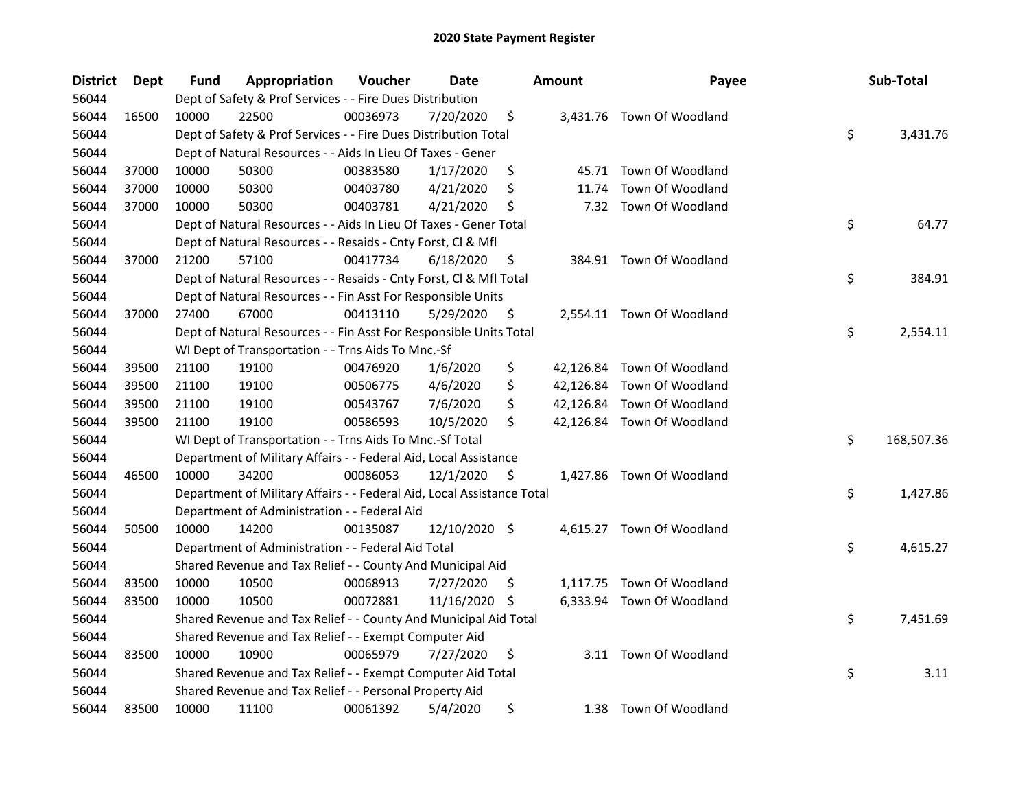| <b>District</b> | Dept  | <b>Fund</b> | Appropriation                                                          | Voucher  | Date          |     | <b>Amount</b> | Payee                      | Sub-Total        |
|-----------------|-------|-------------|------------------------------------------------------------------------|----------|---------------|-----|---------------|----------------------------|------------------|
| 56044           |       |             | Dept of Safety & Prof Services - - Fire Dues Distribution              |          |               |     |               |                            |                  |
| 56044           | 16500 | 10000       | 22500                                                                  | 00036973 | 7/20/2020     | \$  |               | 3,431.76 Town Of Woodland  |                  |
| 56044           |       |             | Dept of Safety & Prof Services - - Fire Dues Distribution Total        |          |               |     |               |                            | \$<br>3,431.76   |
| 56044           |       |             | Dept of Natural Resources - - Aids In Lieu Of Taxes - Gener            |          |               |     |               |                            |                  |
| 56044           | 37000 | 10000       | 50300                                                                  | 00383580 | 1/17/2020     | \$  |               | 45.71 Town Of Woodland     |                  |
| 56044           | 37000 | 10000       | 50300                                                                  | 00403780 | 4/21/2020     | \$  | 11.74         | Town Of Woodland           |                  |
| 56044           | 37000 | 10000       | 50300                                                                  | 00403781 | 4/21/2020     | \$  |               | 7.32 Town Of Woodland      |                  |
| 56044           |       |             | Dept of Natural Resources - - Aids In Lieu Of Taxes - Gener Total      |          |               |     |               |                            | \$<br>64.77      |
| 56044           |       |             | Dept of Natural Resources - - Resaids - Cnty Forst, Cl & Mfl           |          |               |     |               |                            |                  |
| 56044           | 37000 | 21200       | 57100                                                                  | 00417734 | 6/18/2020     | \$  |               | 384.91 Town Of Woodland    |                  |
| 56044           |       |             | Dept of Natural Resources - - Resaids - Cnty Forst, Cl & Mfl Total     |          |               |     |               |                            | \$<br>384.91     |
| 56044           |       |             | Dept of Natural Resources - - Fin Asst For Responsible Units           |          |               |     |               |                            |                  |
| 56044           | 37000 | 27400       | 67000                                                                  | 00413110 | 5/29/2020     | \$, |               | 2,554.11 Town Of Woodland  |                  |
| 56044           |       |             | Dept of Natural Resources - - Fin Asst For Responsible Units Total     |          |               |     |               |                            | \$<br>2,554.11   |
| 56044           |       |             | WI Dept of Transportation - - Trns Aids To Mnc.-Sf                     |          |               |     |               |                            |                  |
| 56044           | 39500 | 21100       | 19100                                                                  | 00476920 | 1/6/2020      | \$  |               | 42,126.84 Town Of Woodland |                  |
| 56044           | 39500 | 21100       | 19100                                                                  | 00506775 | 4/6/2020      | \$  |               | 42,126.84 Town Of Woodland |                  |
| 56044           | 39500 | 21100       | 19100                                                                  | 00543767 | 7/6/2020      | \$  |               | 42,126.84 Town Of Woodland |                  |
| 56044           | 39500 | 21100       | 19100                                                                  | 00586593 | 10/5/2020     | \$  |               | 42,126.84 Town Of Woodland |                  |
| 56044           |       |             | WI Dept of Transportation - - Trns Aids To Mnc.-Sf Total               |          |               |     |               |                            | \$<br>168,507.36 |
| 56044           |       |             | Department of Military Affairs - - Federal Aid, Local Assistance       |          |               |     |               |                            |                  |
| 56044           | 46500 | 10000       | 34200                                                                  | 00086053 | 12/1/2020     | -\$ |               | 1,427.86 Town Of Woodland  |                  |
| 56044           |       |             | Department of Military Affairs - - Federal Aid, Local Assistance Total |          |               |     |               |                            | \$<br>1,427.86   |
| 56044           |       |             | Department of Administration - - Federal Aid                           |          |               |     |               |                            |                  |
| 56044           | 50500 | 10000       | 14200                                                                  | 00135087 | 12/10/2020 \$ |     |               | 4,615.27 Town Of Woodland  |                  |
| 56044           |       |             | Department of Administration - - Federal Aid Total                     |          |               |     |               |                            | \$<br>4,615.27   |
| 56044           |       |             | Shared Revenue and Tax Relief - - County And Municipal Aid             |          |               |     |               |                            |                  |
| 56044           | 83500 | 10000       | 10500                                                                  | 00068913 | 7/27/2020     | \$, |               | 1,117.75 Town Of Woodland  |                  |
| 56044           | 83500 | 10000       | 10500                                                                  | 00072881 | 11/16/2020    | -\$ |               | 6,333.94 Town Of Woodland  |                  |
| 56044           |       |             | Shared Revenue and Tax Relief - - County And Municipal Aid Total       |          |               |     |               |                            | \$<br>7,451.69   |
| 56044           |       |             | Shared Revenue and Tax Relief - - Exempt Computer Aid                  |          |               |     |               |                            |                  |
| 56044           | 83500 | 10000       | 10900                                                                  | 00065979 | 7/27/2020     | \$  | 3.11          | Town Of Woodland           |                  |
| 56044           |       |             | Shared Revenue and Tax Relief - - Exempt Computer Aid Total            |          |               |     |               |                            | \$<br>3.11       |
| 56044           |       |             | Shared Revenue and Tax Relief - - Personal Property Aid                |          |               |     |               |                            |                  |
| 56044           | 83500 | 10000       | 11100                                                                  | 00061392 | 5/4/2020      | \$  |               | 1.38 Town Of Woodland      |                  |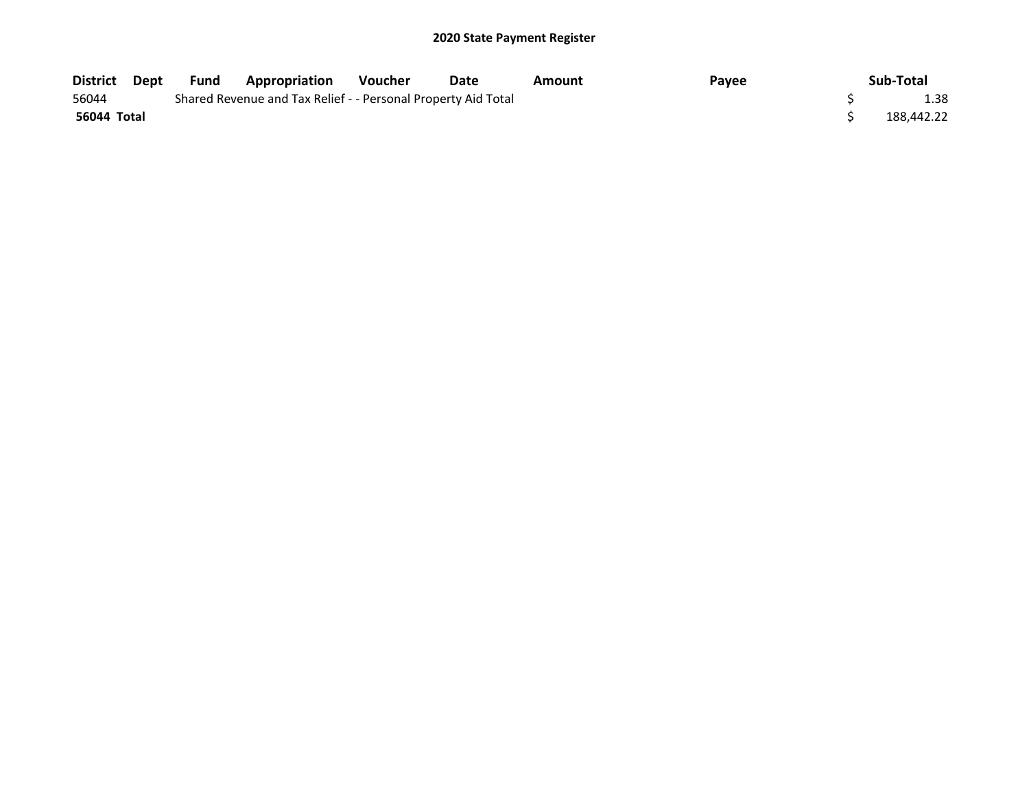| District Dept | Fund | <b>Appropriation</b>                                          | Voucher | Date | Amount | Payee | Sub-Total  |
|---------------|------|---------------------------------------------------------------|---------|------|--------|-------|------------|
| 56044         |      | Shared Revenue and Tax Relief - - Personal Property Aid Total |         |      |        |       | 1.38       |
| 56044 Total   |      |                                                               |         |      |        |       | 188.442.22 |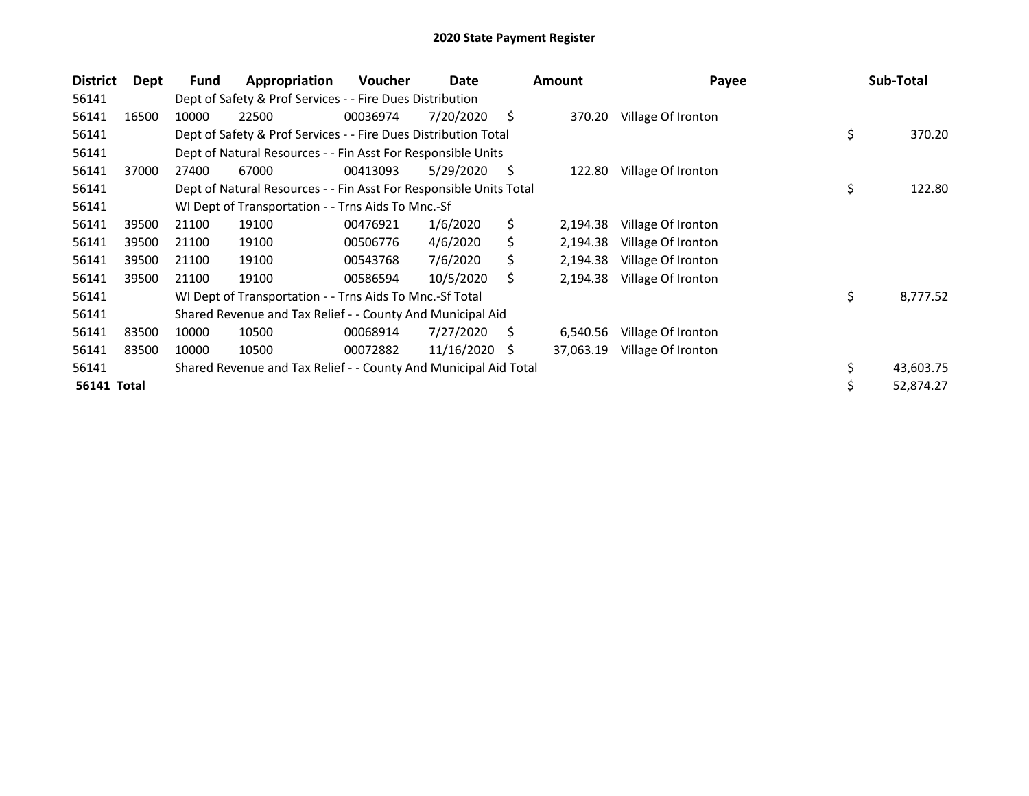| <b>District</b> | Dept  | Fund  | Appropriation                                                      | Voucher  | Date       |    | <b>Amount</b> | Payee              | Sub-Total       |
|-----------------|-------|-------|--------------------------------------------------------------------|----------|------------|----|---------------|--------------------|-----------------|
| 56141           |       |       | Dept of Safety & Prof Services - - Fire Dues Distribution          |          |            |    |               |                    |                 |
| 56141           | 16500 | 10000 | 22500                                                              | 00036974 | 7/20/2020  | \$ | 370.20        | Village Of Ironton |                 |
| 56141           |       |       | Dept of Safety & Prof Services - - Fire Dues Distribution Total    |          |            |    |               |                    | \$<br>370.20    |
| 56141           |       |       | Dept of Natural Resources - - Fin Asst For Responsible Units       |          |            |    |               |                    |                 |
| 56141           | 37000 | 27400 | 67000                                                              | 00413093 | 5/29/2020  | \$ | 122.80        | Village Of Ironton |                 |
| 56141           |       |       | Dept of Natural Resources - - Fin Asst For Responsible Units Total |          |            |    |               |                    | \$<br>122.80    |
| 56141           |       |       | WI Dept of Transportation - - Trns Aids To Mnc.-Sf                 |          |            |    |               |                    |                 |
| 56141           | 39500 | 21100 | 19100                                                              | 00476921 | 1/6/2020   | \$ | 2,194.38      | Village Of Ironton |                 |
| 56141           | 39500 | 21100 | 19100                                                              | 00506776 | 4/6/2020   | S. | 2,194.38      | Village Of Ironton |                 |
| 56141           | 39500 | 21100 | 19100                                                              | 00543768 | 7/6/2020   | S  | 2,194.38      | Village Of Ironton |                 |
| 56141           | 39500 | 21100 | 19100                                                              | 00586594 | 10/5/2020  | Ś. | 2,194.38      | Village Of Ironton |                 |
| 56141           |       |       | WI Dept of Transportation - - Trns Aids To Mnc.-Sf Total           |          |            |    |               |                    | \$<br>8,777.52  |
| 56141           |       |       | Shared Revenue and Tax Relief - - County And Municipal Aid         |          |            |    |               |                    |                 |
| 56141           | 83500 | 10000 | 10500                                                              | 00068914 | 7/27/2020  | Ś  | 6,540.56      | Village Of Ironton |                 |
| 56141           | 83500 | 10000 | 10500                                                              | 00072882 | 11/16/2020 | S  | 37,063.19     | Village Of Ironton |                 |
| 56141           |       |       | Shared Revenue and Tax Relief - - County And Municipal Aid Total   |          |            |    |               |                    | \$<br>43,603.75 |
| 56141 Total     |       |       |                                                                    |          |            |    |               |                    | \$<br>52,874.27 |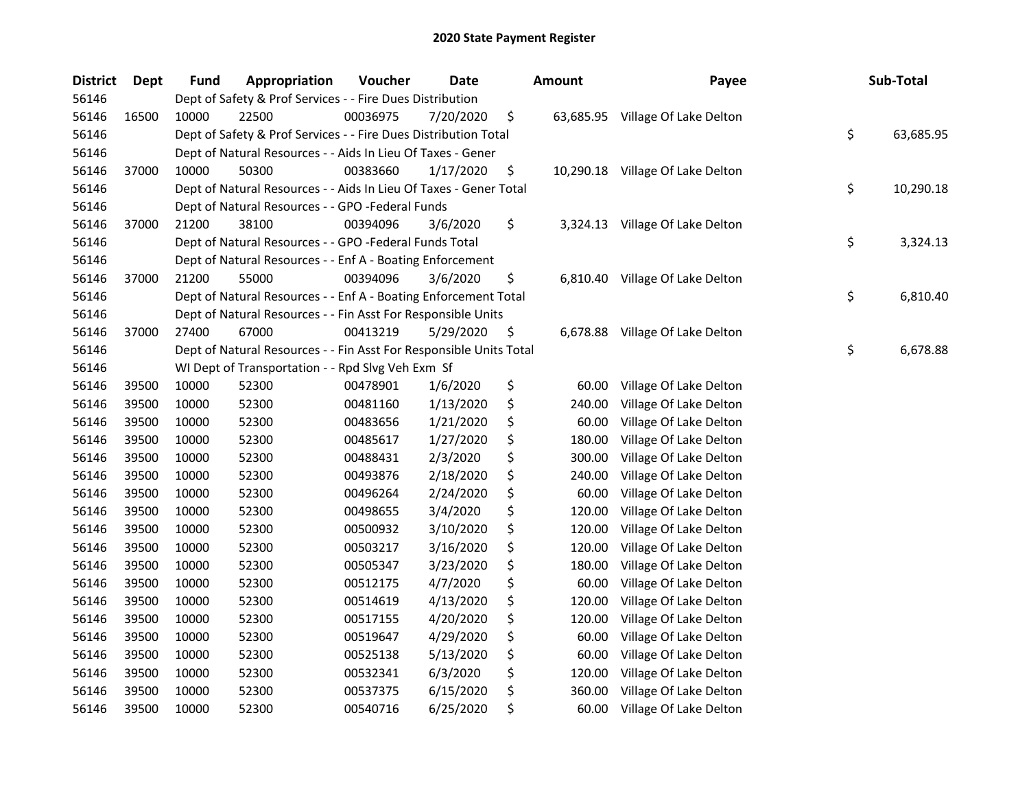| District | Dept  | <b>Fund</b> | Appropriation                                                      | Voucher  | Date      | <b>Amount</b>  | Payee                            | Sub-Total       |
|----------|-------|-------------|--------------------------------------------------------------------|----------|-----------|----------------|----------------------------------|-----------------|
| 56146    |       |             | Dept of Safety & Prof Services - - Fire Dues Distribution          |          |           |                |                                  |                 |
| 56146    | 16500 | 10000       | 22500                                                              | 00036975 | 7/20/2020 | \$             | 63,685.95 Village Of Lake Delton |                 |
| 56146    |       |             | Dept of Safety & Prof Services - - Fire Dues Distribution Total    |          |           |                |                                  | \$<br>63,685.95 |
| 56146    |       |             | Dept of Natural Resources - - Aids In Lieu Of Taxes - Gener        |          |           |                |                                  |                 |
| 56146    | 37000 | 10000       | 50300                                                              | 00383660 | 1/17/2020 | \$             | 10,290.18 Village Of Lake Delton |                 |
| 56146    |       |             | Dept of Natural Resources - - Aids In Lieu Of Taxes - Gener Total  |          |           |                |                                  | \$<br>10,290.18 |
| 56146    |       |             | Dept of Natural Resources - - GPO -Federal Funds                   |          |           |                |                                  |                 |
| 56146    | 37000 | 21200       | 38100                                                              | 00394096 | 3/6/2020  | \$             | 3,324.13 Village Of Lake Delton  |                 |
| 56146    |       |             | Dept of Natural Resources - - GPO -Federal Funds Total             |          |           |                |                                  | \$<br>3,324.13  |
| 56146    |       |             | Dept of Natural Resources - - Enf A - Boating Enforcement          |          |           |                |                                  |                 |
| 56146    | 37000 | 21200       | 55000                                                              | 00394096 | 3/6/2020  | \$             | 6,810.40 Village Of Lake Delton  |                 |
| 56146    |       |             | Dept of Natural Resources - - Enf A - Boating Enforcement Total    |          |           |                |                                  | \$<br>6,810.40  |
| 56146    |       |             | Dept of Natural Resources - - Fin Asst For Responsible Units       |          |           |                |                                  |                 |
| 56146    | 37000 | 27400       | 67000                                                              | 00413219 | 5/29/2020 | \$<br>6,678.88 | Village Of Lake Delton           |                 |
| 56146    |       |             | Dept of Natural Resources - - Fin Asst For Responsible Units Total |          |           |                |                                  | \$<br>6,678.88  |
| 56146    |       |             | WI Dept of Transportation - - Rpd Slvg Veh Exm Sf                  |          |           |                |                                  |                 |
| 56146    | 39500 | 10000       | 52300                                                              | 00478901 | 1/6/2020  | \$<br>60.00    | Village Of Lake Delton           |                 |
| 56146    | 39500 | 10000       | 52300                                                              | 00481160 | 1/13/2020 | \$<br>240.00   | Village Of Lake Delton           |                 |
| 56146    | 39500 | 10000       | 52300                                                              | 00483656 | 1/21/2020 | \$<br>60.00    | Village Of Lake Delton           |                 |
| 56146    | 39500 | 10000       | 52300                                                              | 00485617 | 1/27/2020 | \$<br>180.00   | Village Of Lake Delton           |                 |
| 56146    | 39500 | 10000       | 52300                                                              | 00488431 | 2/3/2020  | \$<br>300.00   | Village Of Lake Delton           |                 |
| 56146    | 39500 | 10000       | 52300                                                              | 00493876 | 2/18/2020 | \$<br>240.00   | Village Of Lake Delton           |                 |
| 56146    | 39500 | 10000       | 52300                                                              | 00496264 | 2/24/2020 | \$<br>60.00    | Village Of Lake Delton           |                 |
| 56146    | 39500 | 10000       | 52300                                                              | 00498655 | 3/4/2020  | \$<br>120.00   | Village Of Lake Delton           |                 |
| 56146    | 39500 | 10000       | 52300                                                              | 00500932 | 3/10/2020 | \$<br>120.00   | Village Of Lake Delton           |                 |
| 56146    | 39500 | 10000       | 52300                                                              | 00503217 | 3/16/2020 | \$<br>120.00   | Village Of Lake Delton           |                 |
| 56146    | 39500 | 10000       | 52300                                                              | 00505347 | 3/23/2020 | \$<br>180.00   | Village Of Lake Delton           |                 |
| 56146    | 39500 | 10000       | 52300                                                              | 00512175 | 4/7/2020  | \$<br>60.00    | Village Of Lake Delton           |                 |
| 56146    | 39500 | 10000       | 52300                                                              | 00514619 | 4/13/2020 | \$<br>120.00   | Village Of Lake Delton           |                 |
| 56146    | 39500 | 10000       | 52300                                                              | 00517155 | 4/20/2020 | \$<br>120.00   | Village Of Lake Delton           |                 |
| 56146    | 39500 | 10000       | 52300                                                              | 00519647 | 4/29/2020 | \$<br>60.00    | Village Of Lake Delton           |                 |
| 56146    | 39500 | 10000       | 52300                                                              | 00525138 | 5/13/2020 | \$<br>60.00    | Village Of Lake Delton           |                 |
| 56146    | 39500 | 10000       | 52300                                                              | 00532341 | 6/3/2020  | \$<br>120.00   | Village Of Lake Delton           |                 |
| 56146    | 39500 | 10000       | 52300                                                              | 00537375 | 6/15/2020 | \$<br>360.00   | Village Of Lake Delton           |                 |
| 56146    | 39500 | 10000       | 52300                                                              | 00540716 | 6/25/2020 | \$<br>60.00    | Village Of Lake Delton           |                 |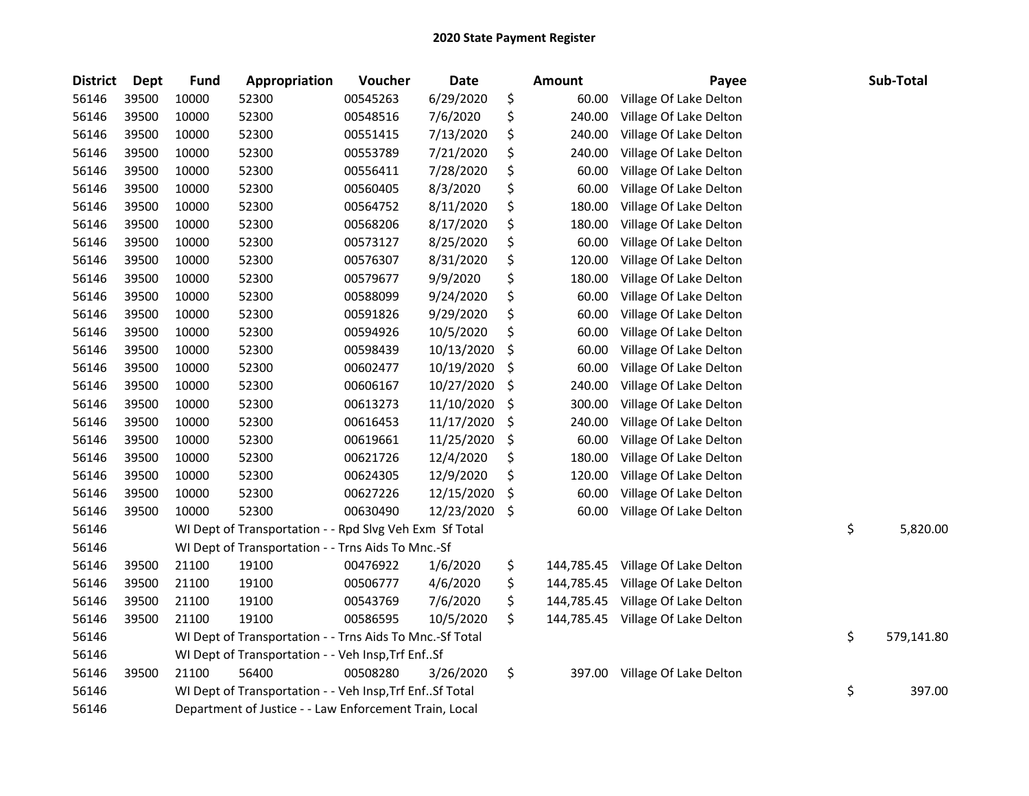| <b>District</b> | Dept  | <b>Fund</b> | Appropriation                                            | Voucher  | <b>Date</b> | <b>Amount</b>    | Payee                  | Sub-Total        |
|-----------------|-------|-------------|----------------------------------------------------------|----------|-------------|------------------|------------------------|------------------|
| 56146           | 39500 | 10000       | 52300                                                    | 00545263 | 6/29/2020   | \$<br>60.00      | Village Of Lake Delton |                  |
| 56146           | 39500 | 10000       | 52300                                                    | 00548516 | 7/6/2020    | \$<br>240.00     | Village Of Lake Delton |                  |
| 56146           | 39500 | 10000       | 52300                                                    | 00551415 | 7/13/2020   | \$<br>240.00     | Village Of Lake Delton |                  |
| 56146           | 39500 | 10000       | 52300                                                    | 00553789 | 7/21/2020   | \$<br>240.00     | Village Of Lake Delton |                  |
| 56146           | 39500 | 10000       | 52300                                                    | 00556411 | 7/28/2020   | \$<br>60.00      | Village Of Lake Delton |                  |
| 56146           | 39500 | 10000       | 52300                                                    | 00560405 | 8/3/2020    | \$<br>60.00      | Village Of Lake Delton |                  |
| 56146           | 39500 | 10000       | 52300                                                    | 00564752 | 8/11/2020   | \$<br>180.00     | Village Of Lake Delton |                  |
| 56146           | 39500 | 10000       | 52300                                                    | 00568206 | 8/17/2020   | \$<br>180.00     | Village Of Lake Delton |                  |
| 56146           | 39500 | 10000       | 52300                                                    | 00573127 | 8/25/2020   | \$<br>60.00      | Village Of Lake Delton |                  |
| 56146           | 39500 | 10000       | 52300                                                    | 00576307 | 8/31/2020   | \$<br>120.00     | Village Of Lake Delton |                  |
| 56146           | 39500 | 10000       | 52300                                                    | 00579677 | 9/9/2020    | \$<br>180.00     | Village Of Lake Delton |                  |
| 56146           | 39500 | 10000       | 52300                                                    | 00588099 | 9/24/2020   | \$<br>60.00      | Village Of Lake Delton |                  |
| 56146           | 39500 | 10000       | 52300                                                    | 00591826 | 9/29/2020   | \$<br>60.00      | Village Of Lake Delton |                  |
| 56146           | 39500 | 10000       | 52300                                                    | 00594926 | 10/5/2020   | \$<br>60.00      | Village Of Lake Delton |                  |
| 56146           | 39500 | 10000       | 52300                                                    | 00598439 | 10/13/2020  | \$<br>60.00      | Village Of Lake Delton |                  |
| 56146           | 39500 | 10000       | 52300                                                    | 00602477 | 10/19/2020  | \$<br>60.00      | Village Of Lake Delton |                  |
| 56146           | 39500 | 10000       | 52300                                                    | 00606167 | 10/27/2020  | \$<br>240.00     | Village Of Lake Delton |                  |
| 56146           | 39500 | 10000       | 52300                                                    | 00613273 | 11/10/2020  | \$<br>300.00     | Village Of Lake Delton |                  |
| 56146           | 39500 | 10000       | 52300                                                    | 00616453 | 11/17/2020  | \$<br>240.00     | Village Of Lake Delton |                  |
| 56146           | 39500 | 10000       | 52300                                                    | 00619661 | 11/25/2020  | \$<br>60.00      | Village Of Lake Delton |                  |
| 56146           | 39500 | 10000       | 52300                                                    | 00621726 | 12/4/2020   | \$<br>180.00     | Village Of Lake Delton |                  |
| 56146           | 39500 | 10000       | 52300                                                    | 00624305 | 12/9/2020   | \$<br>120.00     | Village Of Lake Delton |                  |
| 56146           | 39500 | 10000       | 52300                                                    | 00627226 | 12/15/2020  | \$<br>60.00      | Village Of Lake Delton |                  |
| 56146           | 39500 | 10000       | 52300                                                    | 00630490 | 12/23/2020  | \$<br>60.00      | Village Of Lake Delton |                  |
| 56146           |       |             | WI Dept of Transportation - - Rpd Slvg Veh Exm Sf Total  |          |             |                  |                        | \$<br>5,820.00   |
| 56146           |       |             | WI Dept of Transportation - - Trns Aids To Mnc.-Sf       |          |             |                  |                        |                  |
| 56146           | 39500 | 21100       | 19100                                                    | 00476922 | 1/6/2020    | \$<br>144,785.45 | Village Of Lake Delton |                  |
| 56146           | 39500 | 21100       | 19100                                                    | 00506777 | 4/6/2020    | \$<br>144,785.45 | Village Of Lake Delton |                  |
| 56146           | 39500 | 21100       | 19100                                                    | 00543769 | 7/6/2020    | \$<br>144,785.45 | Village Of Lake Delton |                  |
| 56146           | 39500 | 21100       | 19100                                                    | 00586595 | 10/5/2020   | \$<br>144,785.45 | Village Of Lake Delton |                  |
| 56146           |       |             | WI Dept of Transportation - - Trns Aids To Mnc.-Sf Total |          |             |                  |                        | \$<br>579,141.80 |
| 56146           |       |             | WI Dept of Transportation - - Veh Insp, Trf EnfSf        |          |             |                  |                        |                  |
| 56146           | 39500 | 21100       | 56400                                                    | 00508280 | 3/26/2020   | \$<br>397.00     | Village Of Lake Delton |                  |
| 56146           |       |             | WI Dept of Transportation - - Veh Insp, Trf EnfSf Total  |          |             |                  |                        | \$<br>397.00     |
| 56146           |       |             | Department of Justice - - Law Enforcement Train, Local   |          |             |                  |                        |                  |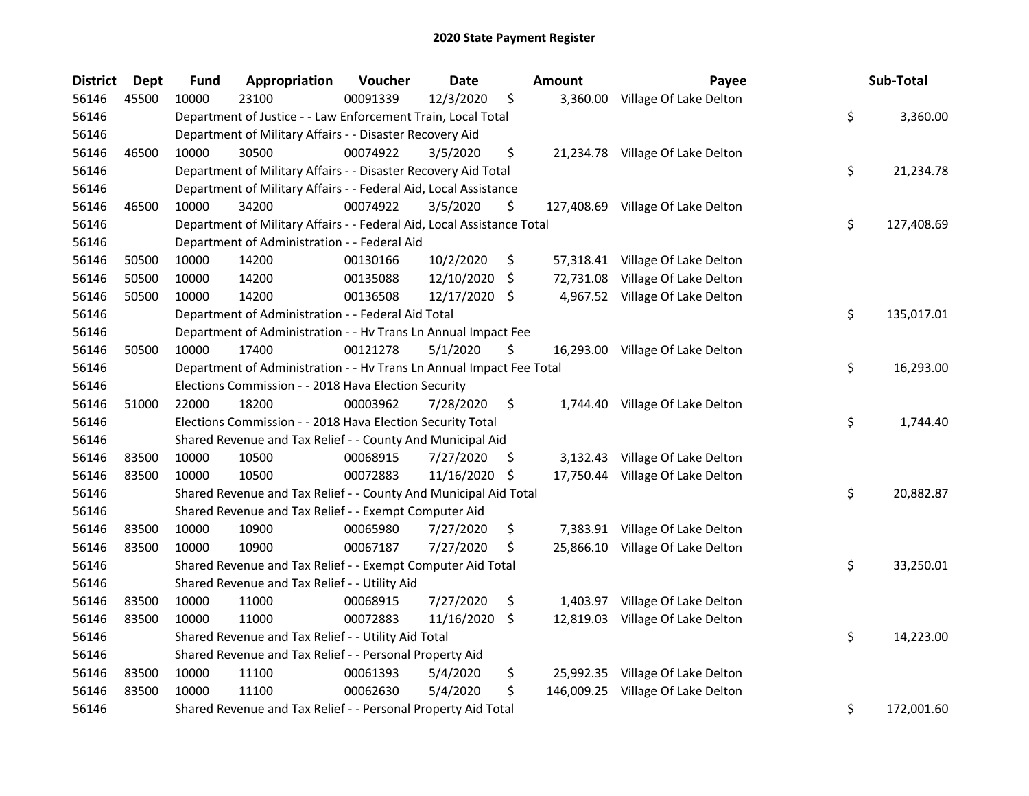| <b>District</b> | <b>Dept</b> | <b>Fund</b> | Appropriation                                                          | Voucher  | Date          | <b>Amount</b>    | Payee                             | Sub-Total        |
|-----------------|-------------|-------------|------------------------------------------------------------------------|----------|---------------|------------------|-----------------------------------|------------------|
| 56146           | 45500       | 10000       | 23100                                                                  | 00091339 | 12/3/2020     | \$<br>3,360.00   | Village Of Lake Delton            |                  |
| 56146           |             |             | Department of Justice - - Law Enforcement Train, Local Total           |          |               |                  |                                   | \$<br>3,360.00   |
| 56146           |             |             | Department of Military Affairs - - Disaster Recovery Aid               |          |               |                  |                                   |                  |
| 56146           | 46500       | 10000       | 30500                                                                  | 00074922 | 3/5/2020      | \$               | 21,234.78 Village Of Lake Delton  |                  |
| 56146           |             |             | Department of Military Affairs - - Disaster Recovery Aid Total         |          |               |                  |                                   | \$<br>21,234.78  |
| 56146           |             |             | Department of Military Affairs - - Federal Aid, Local Assistance       |          |               |                  |                                   |                  |
| 56146           | 46500       | 10000       | 34200                                                                  | 00074922 | 3/5/2020      | \$               | 127,408.69 Village Of Lake Delton |                  |
| 56146           |             |             | Department of Military Affairs - - Federal Aid, Local Assistance Total |          |               |                  |                                   | \$<br>127,408.69 |
| 56146           |             |             | Department of Administration - - Federal Aid                           |          |               |                  |                                   |                  |
| 56146           | 50500       | 10000       | 14200                                                                  | 00130166 | 10/2/2020     | \$               | 57,318.41 Village Of Lake Delton  |                  |
| 56146           | 50500       | 10000       | 14200                                                                  | 00135088 | 12/10/2020    | \$               | 72,731.08 Village Of Lake Delton  |                  |
| 56146           | 50500       | 10000       | 14200                                                                  | 00136508 | 12/17/2020 \$ |                  | 4,967.52 Village Of Lake Delton   |                  |
| 56146           |             |             | Department of Administration - - Federal Aid Total                     |          |               |                  |                                   | \$<br>135,017.01 |
| 56146           |             |             | Department of Administration - - Hv Trans Ln Annual Impact Fee         |          |               |                  |                                   |                  |
| 56146           | 50500       | 10000       | 17400                                                                  | 00121278 | 5/1/2020      | \$               | 16,293.00 Village Of Lake Delton  |                  |
| 56146           |             |             | Department of Administration - - Hv Trans Ln Annual Impact Fee Total   |          |               |                  |                                   | \$<br>16,293.00  |
| 56146           |             |             | Elections Commission - - 2018 Hava Election Security                   |          |               |                  |                                   |                  |
| 56146           | 51000       | 22000       | 18200                                                                  | 00003962 | 7/28/2020     | \$<br>1,744.40   | Village Of Lake Delton            |                  |
| 56146           |             |             | Elections Commission - - 2018 Hava Election Security Total             |          |               |                  |                                   | \$<br>1,744.40   |
| 56146           |             |             | Shared Revenue and Tax Relief - - County And Municipal Aid             |          |               |                  |                                   |                  |
| 56146           | 83500       | 10000       | 10500                                                                  | 00068915 | 7/27/2020     | \$<br>3,132.43   | Village Of Lake Delton            |                  |
| 56146           | 83500       | 10000       | 10500                                                                  | 00072883 | 11/16/2020    | \$               | 17,750.44 Village Of Lake Delton  |                  |
| 56146           |             |             | Shared Revenue and Tax Relief - - County And Municipal Aid Total       |          |               |                  |                                   | \$<br>20,882.87  |
| 56146           |             |             | Shared Revenue and Tax Relief - - Exempt Computer Aid                  |          |               |                  |                                   |                  |
| 56146           | 83500       | 10000       | 10900                                                                  | 00065980 | 7/27/2020     | \$               | 7,383.91 Village Of Lake Delton   |                  |
| 56146           | 83500       | 10000       | 10900                                                                  | 00067187 | 7/27/2020     | \$               | 25,866.10 Village Of Lake Delton  |                  |
| 56146           |             |             | Shared Revenue and Tax Relief - - Exempt Computer Aid Total            |          |               |                  |                                   | \$<br>33,250.01  |
| 56146           |             |             | Shared Revenue and Tax Relief - - Utility Aid                          |          |               |                  |                                   |                  |
| 56146           | 83500       | 10000       | 11000                                                                  | 00068915 | 7/27/2020     | \$<br>1,403.97   | Village Of Lake Delton            |                  |
| 56146           | 83500       | 10000       | 11000                                                                  | 00072883 | 11/16/2020    | \$<br>12,819.03  | Village Of Lake Delton            |                  |
| 56146           |             |             | Shared Revenue and Tax Relief - - Utility Aid Total                    |          |               |                  |                                   | \$<br>14,223.00  |
| 56146           |             |             | Shared Revenue and Tax Relief - - Personal Property Aid                |          |               |                  |                                   |                  |
| 56146           | 83500       | 10000       | 11100                                                                  | 00061393 | 5/4/2020      | \$<br>25,992.35  | Village Of Lake Delton            |                  |
| 56146           | 83500       | 10000       | 11100                                                                  | 00062630 | 5/4/2020      | \$<br>146,009.25 | Village Of Lake Delton            |                  |
| 56146           |             |             | Shared Revenue and Tax Relief - - Personal Property Aid Total          |          |               |                  |                                   | \$<br>172,001.60 |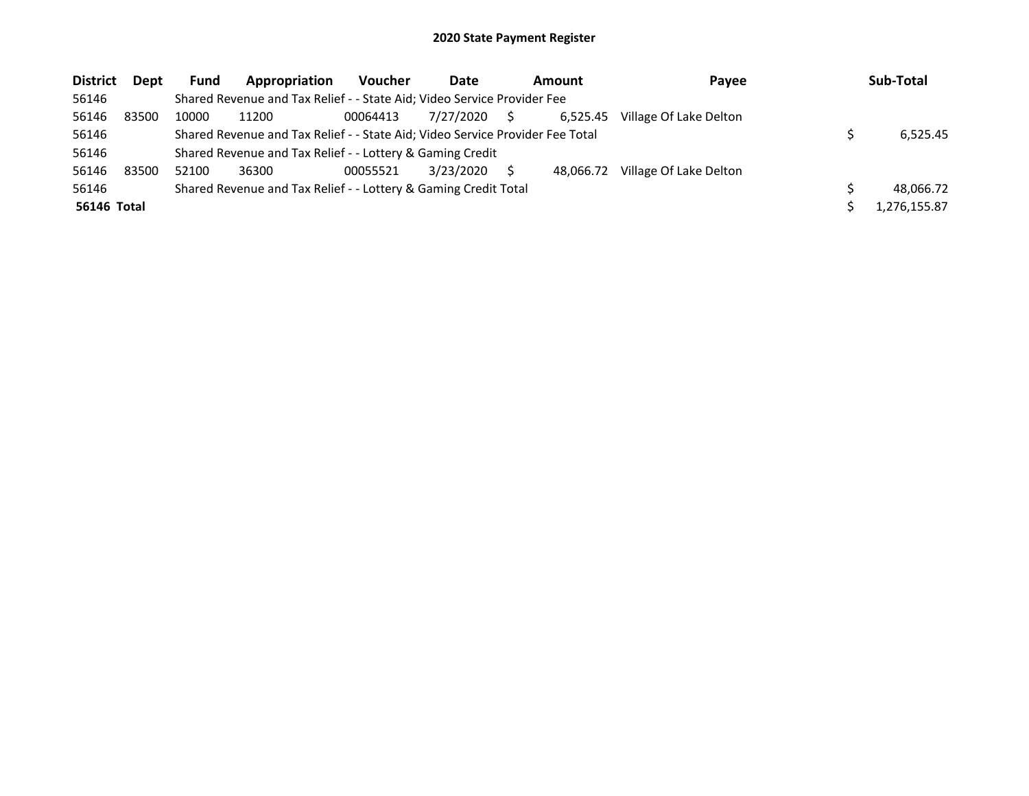| <b>District</b>    | <b>Dept</b> | <b>Fund</b> | Appropriation                                                                 | <b>Voucher</b> | Date      |    | Amount    | Payee                  | Sub-Total    |
|--------------------|-------------|-------------|-------------------------------------------------------------------------------|----------------|-----------|----|-----------|------------------------|--------------|
| 56146              |             |             | Shared Revenue and Tax Relief - - State Aid; Video Service Provider Fee       |                |           |    |           |                        |              |
| 56146              | 83500       | 10000       | 11200                                                                         | 00064413       | 7/27/2020 | S. | 6.525.45  | Village Of Lake Delton |              |
| 56146              |             |             | Shared Revenue and Tax Relief - - State Aid; Video Service Provider Fee Total |                |           |    |           |                        | 6.525.45     |
| 56146              |             |             | Shared Revenue and Tax Relief - - Lottery & Gaming Credit                     |                |           |    |           |                        |              |
| 56146              | 83500       | 52100       | 36300                                                                         | 00055521       | 3/23/2020 |    | 48.066.72 | Village Of Lake Delton |              |
| 56146              |             |             | Shared Revenue and Tax Relief - - Lottery & Gaming Credit Total               |                |           |    |           |                        | 48.066.72    |
| <b>56146 Total</b> |             |             |                                                                               |                |           |    |           |                        | 1.276.155.87 |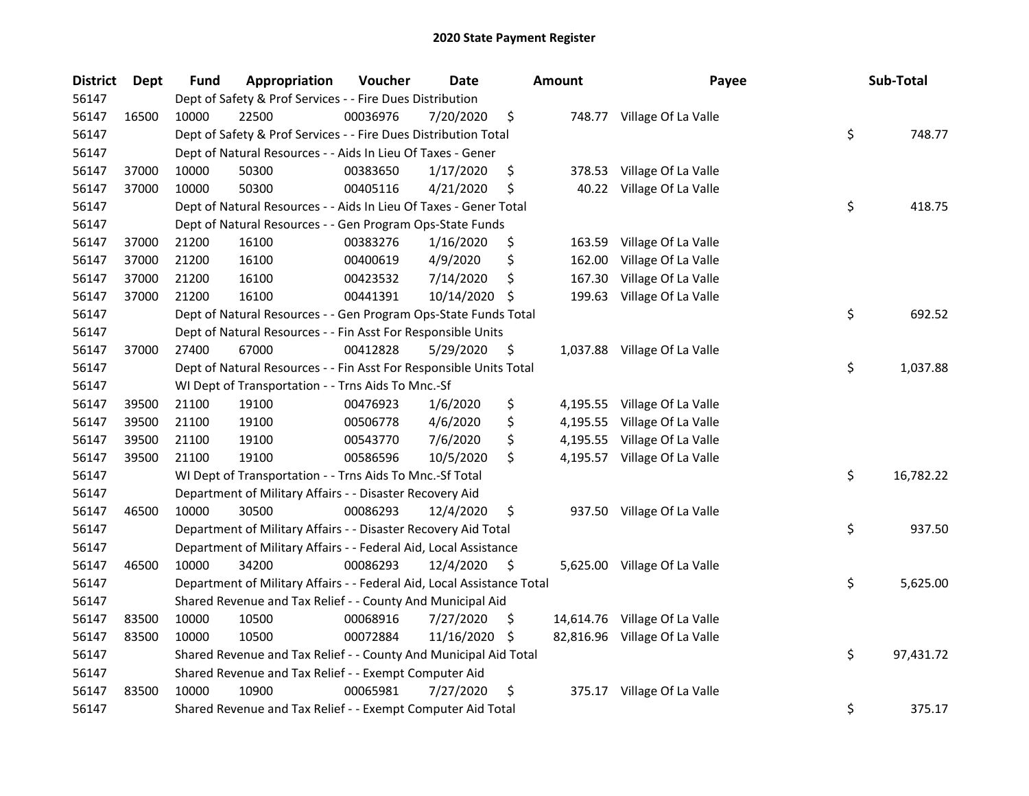| <b>District</b> | Dept  | Fund  | Appropriation                                                          | Voucher  | <b>Date</b> |     | <b>Amount</b> | Payee                         | Sub-Total       |
|-----------------|-------|-------|------------------------------------------------------------------------|----------|-------------|-----|---------------|-------------------------------|-----------------|
| 56147           |       |       | Dept of Safety & Prof Services - - Fire Dues Distribution              |          |             |     |               |                               |                 |
| 56147           | 16500 | 10000 | 22500                                                                  | 00036976 | 7/20/2020   | \$  |               | 748.77 Village Of La Valle    |                 |
| 56147           |       |       | Dept of Safety & Prof Services - - Fire Dues Distribution Total        |          |             |     |               |                               | \$<br>748.77    |
| 56147           |       |       | Dept of Natural Resources - - Aids In Lieu Of Taxes - Gener            |          |             |     |               |                               |                 |
| 56147           | 37000 | 10000 | 50300                                                                  | 00383650 | 1/17/2020   | \$  | 378.53        | Village Of La Valle           |                 |
| 56147           | 37000 | 10000 | 50300                                                                  | 00405116 | 4/21/2020   | \$  |               | 40.22 Village Of La Valle     |                 |
| 56147           |       |       | Dept of Natural Resources - - Aids In Lieu Of Taxes - Gener Total      |          |             |     |               |                               | \$<br>418.75    |
| 56147           |       |       | Dept of Natural Resources - - Gen Program Ops-State Funds              |          |             |     |               |                               |                 |
| 56147           | 37000 | 21200 | 16100                                                                  | 00383276 | 1/16/2020   | \$  |               | 163.59 Village Of La Valle    |                 |
| 56147           | 37000 | 21200 | 16100                                                                  | 00400619 | 4/9/2020    | \$  | 162.00        | Village Of La Valle           |                 |
| 56147           | 37000 | 21200 | 16100                                                                  | 00423532 | 7/14/2020   | \$  | 167.30        | Village Of La Valle           |                 |
| 56147           | 37000 | 21200 | 16100                                                                  | 00441391 | 10/14/2020  | -\$ |               | 199.63 Village Of La Valle    |                 |
| 56147           |       |       | Dept of Natural Resources - - Gen Program Ops-State Funds Total        |          |             |     |               |                               | \$<br>692.52    |
| 56147           |       |       | Dept of Natural Resources - - Fin Asst For Responsible Units           |          |             |     |               |                               |                 |
| 56147           | 37000 | 27400 | 67000                                                                  | 00412828 | 5/29/2020   | \$  |               | 1,037.88 Village Of La Valle  |                 |
| 56147           |       |       | Dept of Natural Resources - - Fin Asst For Responsible Units Total     |          |             |     |               |                               | \$<br>1,037.88  |
| 56147           |       |       | WI Dept of Transportation - - Trns Aids To Mnc.-Sf                     |          |             |     |               |                               |                 |
| 56147           | 39500 | 21100 | 19100                                                                  | 00476923 | 1/6/2020    | \$  | 4,195.55      | Village Of La Valle           |                 |
| 56147           | 39500 | 21100 | 19100                                                                  | 00506778 | 4/6/2020    | \$  |               | 4,195.55 Village Of La Valle  |                 |
| 56147           | 39500 | 21100 | 19100                                                                  | 00543770 | 7/6/2020    | \$  |               | 4,195.55 Village Of La Valle  |                 |
| 56147           | 39500 | 21100 | 19100                                                                  | 00586596 | 10/5/2020   | \$  |               | 4,195.57 Village Of La Valle  |                 |
| 56147           |       |       | WI Dept of Transportation - - Trns Aids To Mnc.-Sf Total               |          |             |     |               |                               | \$<br>16,782.22 |
| 56147           |       |       | Department of Military Affairs - - Disaster Recovery Aid               |          |             |     |               |                               |                 |
| 56147           | 46500 | 10000 | 30500                                                                  | 00086293 | 12/4/2020   | \$  |               | 937.50 Village Of La Valle    |                 |
| 56147           |       |       | Department of Military Affairs - - Disaster Recovery Aid Total         |          |             |     |               |                               | \$<br>937.50    |
| 56147           |       |       | Department of Military Affairs - - Federal Aid, Local Assistance       |          |             |     |               |                               |                 |
| 56147           | 46500 | 10000 | 34200                                                                  | 00086293 | 12/4/2020   | \$  |               | 5,625.00 Village Of La Valle  |                 |
| 56147           |       |       | Department of Military Affairs - - Federal Aid, Local Assistance Total |          |             |     |               |                               | \$<br>5,625.00  |
| 56147           |       |       | Shared Revenue and Tax Relief - - County And Municipal Aid             |          |             |     |               |                               |                 |
| 56147           | 83500 | 10000 | 10500                                                                  | 00068916 | 7/27/2020   | \$  |               | 14,614.76 Village Of La Valle |                 |
| 56147           | 83500 | 10000 | 10500                                                                  | 00072884 | 11/16/2020  | -\$ |               | 82,816.96 Village Of La Valle |                 |
| 56147           |       |       | Shared Revenue and Tax Relief - - County And Municipal Aid Total       |          |             |     |               |                               | \$<br>97,431.72 |
| 56147           |       |       | Shared Revenue and Tax Relief - - Exempt Computer Aid                  |          |             |     |               |                               |                 |
| 56147           | 83500 | 10000 | 10900                                                                  | 00065981 | 7/27/2020   | \$  |               | 375.17 Village Of La Valle    |                 |
| 56147           |       |       | Shared Revenue and Tax Relief - - Exempt Computer Aid Total            |          |             |     |               |                               | \$<br>375.17    |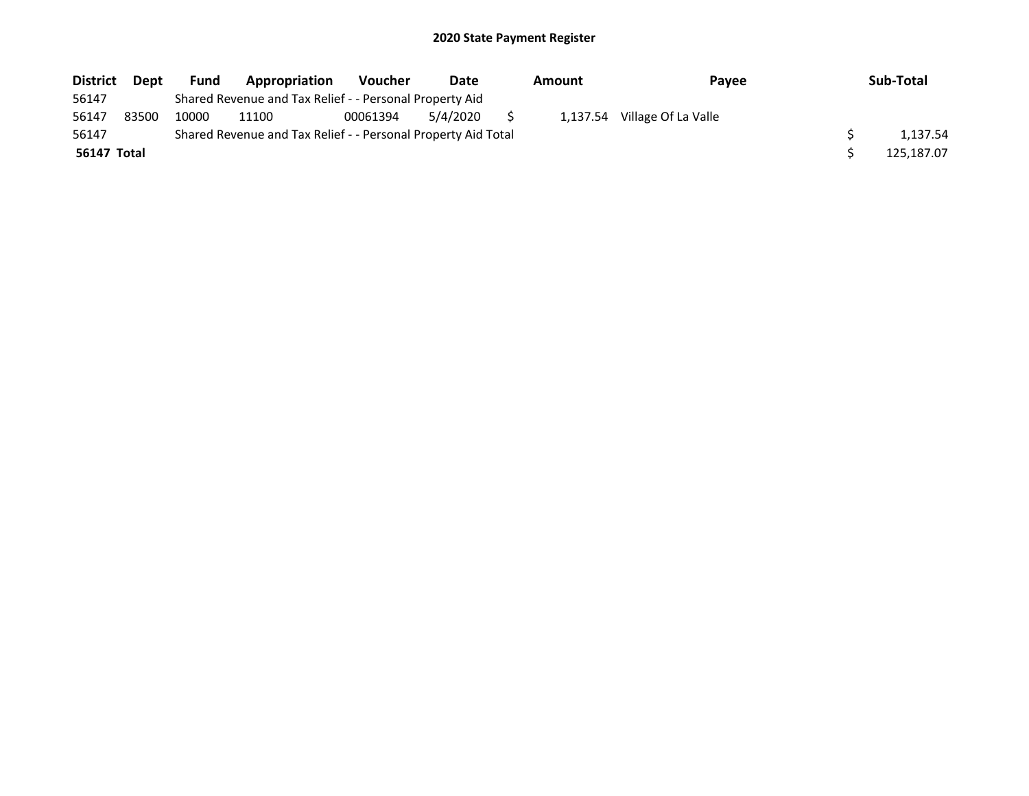| <b>District</b> | <b>Dept</b> | <b>Fund</b> | Appropriation                                                 | <b>Voucher</b> | Date     | Amount |  | <b>Pavee</b>                 |  | Sub-Total  |
|-----------------|-------------|-------------|---------------------------------------------------------------|----------------|----------|--------|--|------------------------------|--|------------|
| 56147           |             |             | Shared Revenue and Tax Relief - - Personal Property Aid       |                |          |        |  |                              |  |            |
| 56147           | 83500       | 10000       | 11100                                                         | 00061394       | 5/4/2020 |        |  | 1,137.54 Village Of La Valle |  |            |
| 56147           |             |             | Shared Revenue and Tax Relief - - Personal Property Aid Total |                |          |        |  |                              |  | 1.137.54   |
| 56147 Total     |             |             |                                                               |                |          |        |  |                              |  | 125.187.07 |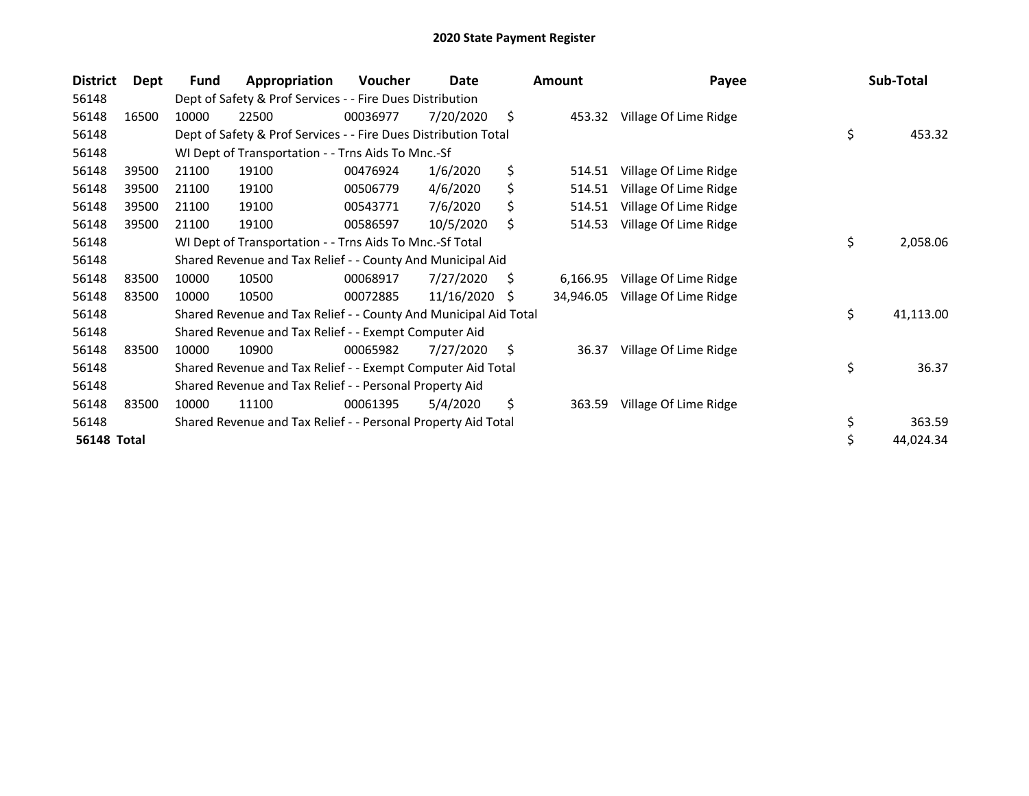| 56148<br>Dept of Safety & Prof Services - - Fire Dues Distribution                                    | 453.32    |
|-------------------------------------------------------------------------------------------------------|-----------|
|                                                                                                       |           |
| \$<br>56148<br>22500<br>00036977<br>7/20/2020<br>Village Of Lime Ridge<br>16500<br>10000<br>453.32    |           |
| \$<br>56148<br>Dept of Safety & Prof Services - - Fire Dues Distribution Total                        |           |
| 56148<br>WI Dept of Transportation - - Trns Aids To Mnc.-Sf                                           |           |
| 1/6/2020<br>\$<br>56148<br>21100<br>Village Of Lime Ridge<br>39500<br>19100<br>00476924<br>514.51     |           |
| 56148<br>39500<br>4/6/2020<br>Ś.<br>21100<br>19100<br>00506779<br>514.51<br>Village Of Lime Ridge     |           |
| 56148<br>39500<br>00543771<br>7/6/2020<br>\$<br>21100<br>19100<br>514.51<br>Village Of Lime Ridge     |           |
| 10/5/2020<br>56148<br>39500<br>19100<br>\$<br>Village Of Lime Ridge<br>21100<br>00586597<br>514.53    |           |
| \$<br>56148<br>WI Dept of Transportation - - Trns Aids To Mnc.-Sf Total                               | 2,058.06  |
| 56148<br>Shared Revenue and Tax Relief - - County And Municipal Aid                                   |           |
| 7/27/2020<br>56148<br>83500<br>10000<br>10500<br>00068917<br>S<br>Village Of Lime Ridge<br>6,166.95   |           |
| 56148<br>83500<br>10000<br>10500<br>00072885<br>11/16/2020<br>Village Of Lime Ridge<br>S<br>34,946.05 |           |
| \$<br>56148<br>Shared Revenue and Tax Relief - - County And Municipal Aid Total                       | 41,113.00 |
| Shared Revenue and Tax Relief - - Exempt Computer Aid<br>56148                                        |           |
| 56148<br>83500<br>10000<br>10900<br>00065982<br>7/27/2020<br>S<br>Village Of Lime Ridge<br>36.37      |           |
| \$<br>56148<br>Shared Revenue and Tax Relief - - Exempt Computer Aid Total                            | 36.37     |
| 56148<br>Shared Revenue and Tax Relief - - Personal Property Aid                                      |           |
| \$<br>56148<br>83500<br>10000<br>11100<br>00061395<br>5/4/2020<br>363.59<br>Village Of Lime Ridge     |           |
| \$<br>56148<br>Shared Revenue and Tax Relief - - Personal Property Aid Total                          | 363.59    |
| \$<br><b>56148 Total</b>                                                                              | 44,024.34 |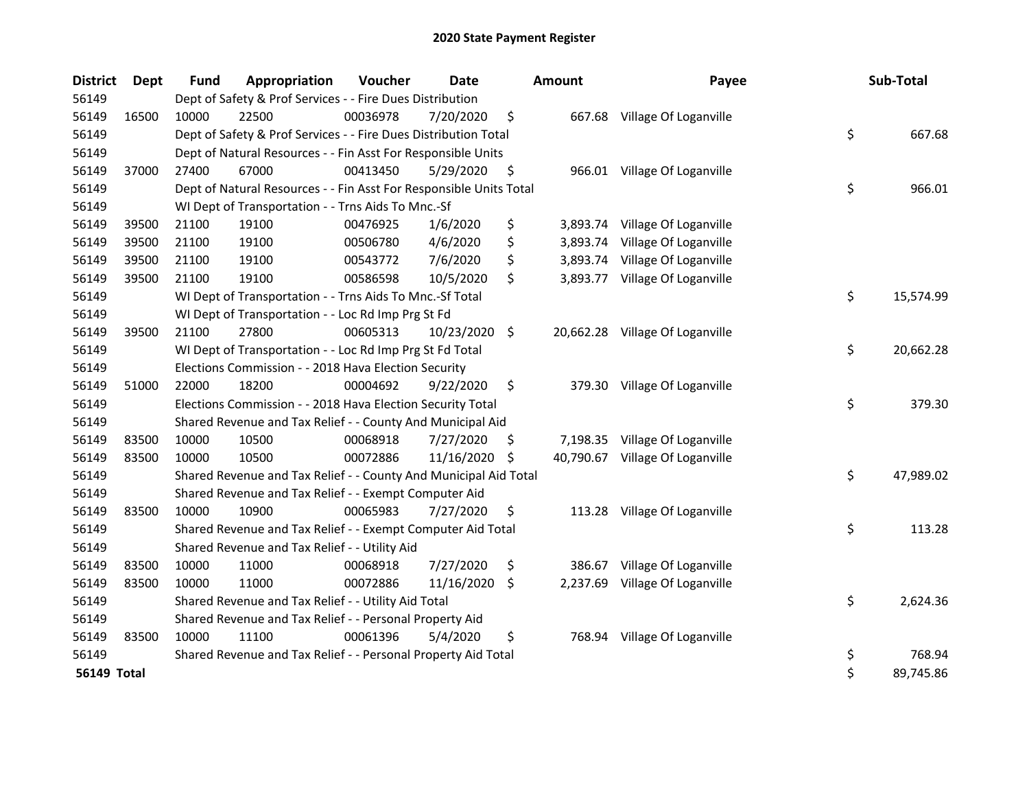| <b>District</b>    | <b>Dept</b> | <b>Fund</b> | Appropriation                                                      | Voucher  | <b>Date</b>   |     | <b>Amount</b> | Payee                           | Sub-Total       |
|--------------------|-------------|-------------|--------------------------------------------------------------------|----------|---------------|-----|---------------|---------------------------------|-----------------|
| 56149              |             |             | Dept of Safety & Prof Services - - Fire Dues Distribution          |          |               |     |               |                                 |                 |
| 56149              | 16500       | 10000       | 22500                                                              | 00036978 | 7/20/2020     | \$  |               | 667.68 Village Of Loganville    |                 |
| 56149              |             |             | Dept of Safety & Prof Services - - Fire Dues Distribution Total    |          |               |     |               |                                 | \$<br>667.68    |
| 56149              |             |             | Dept of Natural Resources - - Fin Asst For Responsible Units       |          |               |     |               |                                 |                 |
| 56149              | 37000       | 27400       | 67000                                                              | 00413450 | 5/29/2020     | \$  |               | 966.01 Village Of Loganville    |                 |
| 56149              |             |             | Dept of Natural Resources - - Fin Asst For Responsible Units Total |          |               |     |               |                                 | \$<br>966.01    |
| 56149              |             |             | WI Dept of Transportation - - Trns Aids To Mnc.-Sf                 |          |               |     |               |                                 |                 |
| 56149              | 39500       | 21100       | 19100                                                              | 00476925 | 1/6/2020      | \$  | 3,893.74      | Village Of Loganville           |                 |
| 56149              | 39500       | 21100       | 19100                                                              | 00506780 | 4/6/2020      | \$  | 3,893.74      | Village Of Loganville           |                 |
| 56149              | 39500       | 21100       | 19100                                                              | 00543772 | 7/6/2020      | \$  | 3,893.74      | Village Of Loganville           |                 |
| 56149              | 39500       | 21100       | 19100                                                              | 00586598 | 10/5/2020     | \$  | 3,893.77      | Village Of Loganville           |                 |
| 56149              |             |             | WI Dept of Transportation - - Trns Aids To Mnc.-Sf Total           |          |               |     |               |                                 | \$<br>15,574.99 |
| 56149              |             |             | WI Dept of Transportation - - Loc Rd Imp Prg St Fd                 |          |               |     |               |                                 |                 |
| 56149              | 39500       | 21100       | 27800                                                              | 00605313 | 10/23/2020 \$ |     |               | 20,662.28 Village Of Loganville |                 |
| 56149              |             |             | WI Dept of Transportation - - Loc Rd Imp Prg St Fd Total           |          |               |     |               |                                 | \$<br>20,662.28 |
| 56149              |             |             | Elections Commission - - 2018 Hava Election Security               |          |               |     |               |                                 |                 |
| 56149              | 51000       | 22000       | 18200                                                              | 00004692 | 9/22/2020     | \$  | 379.30        | Village Of Loganville           |                 |
| 56149              |             |             | Elections Commission - - 2018 Hava Election Security Total         |          |               |     |               |                                 | \$<br>379.30    |
| 56149              |             |             | Shared Revenue and Tax Relief - - County And Municipal Aid         |          |               |     |               |                                 |                 |
| 56149              | 83500       | 10000       | 10500                                                              | 00068918 | 7/27/2020     | \$. |               | 7,198.35 Village Of Loganville  |                 |
| 56149              | 83500       | 10000       | 10500                                                              | 00072886 | 11/16/2020    | \$  | 40,790.67     | Village Of Loganville           |                 |
| 56149              |             |             | Shared Revenue and Tax Relief - - County And Municipal Aid Total   |          |               |     |               |                                 | \$<br>47,989.02 |
| 56149              |             |             | Shared Revenue and Tax Relief - - Exempt Computer Aid              |          |               |     |               |                                 |                 |
| 56149              | 83500       | 10000       | 10900                                                              | 00065983 | 7/27/2020     | \$  |               | 113.28 Village Of Loganville    |                 |
| 56149              |             |             | Shared Revenue and Tax Relief - - Exempt Computer Aid Total        |          |               |     |               |                                 | \$<br>113.28    |
| 56149              |             |             | Shared Revenue and Tax Relief - - Utility Aid                      |          |               |     |               |                                 |                 |
| 56149              | 83500       | 10000       | 11000                                                              | 00068918 | 7/27/2020     | \$  | 386.67        | Village Of Loganville           |                 |
| 56149              | 83500       | 10000       | 11000                                                              | 00072886 | 11/16/2020    | \$  | 2,237.69      | Village Of Loganville           |                 |
| 56149              |             |             | Shared Revenue and Tax Relief - - Utility Aid Total                |          |               |     |               |                                 | \$<br>2,624.36  |
| 56149              |             |             | Shared Revenue and Tax Relief - - Personal Property Aid            |          |               |     |               |                                 |                 |
| 56149              | 83500       | 10000       | 11100                                                              | 00061396 | 5/4/2020      | \$  |               | 768.94 Village Of Loganville    |                 |
| 56149              |             |             | Shared Revenue and Tax Relief - - Personal Property Aid Total      |          |               |     |               |                                 | \$<br>768.94    |
| <b>56149 Total</b> |             |             |                                                                    |          |               |     |               |                                 | \$<br>89,745.86 |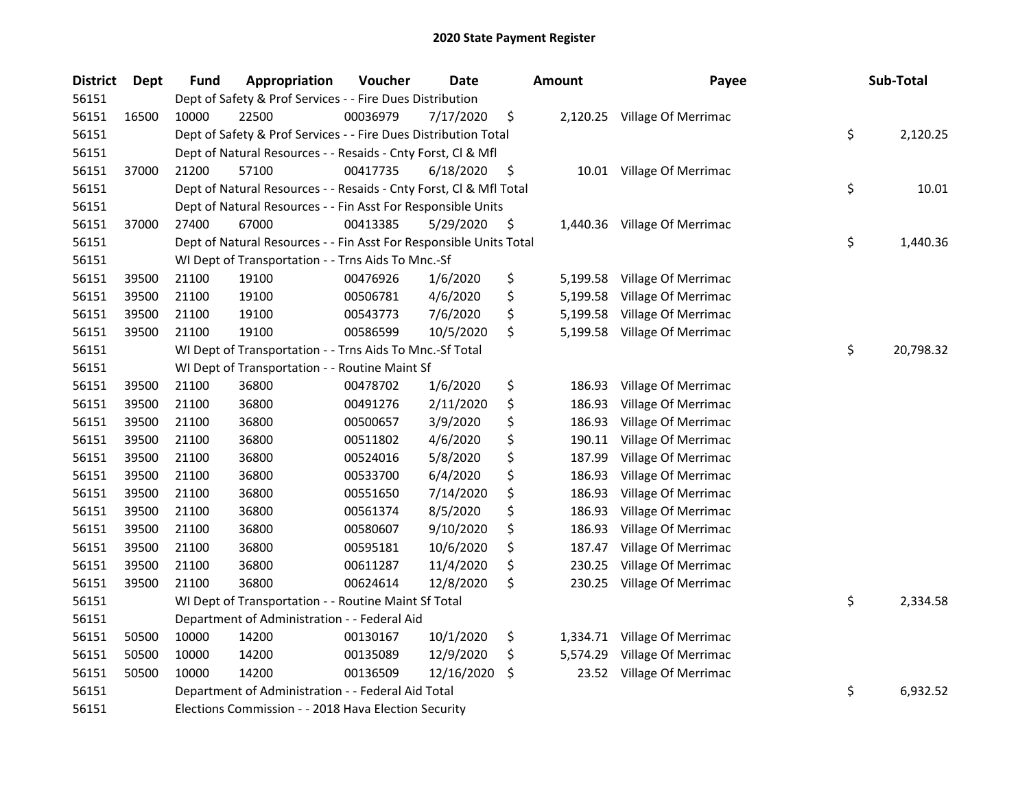| <b>District</b> | Dept  | <b>Fund</b> | Appropriation                                                      | Voucher  | Date       |     | Amount   | Payee                        |    | Sub-Total |
|-----------------|-------|-------------|--------------------------------------------------------------------|----------|------------|-----|----------|------------------------------|----|-----------|
| 56151           |       |             | Dept of Safety & Prof Services - - Fire Dues Distribution          |          |            |     |          |                              |    |           |
| 56151           | 16500 | 10000       | 22500                                                              | 00036979 | 7/17/2020  | \$  |          | 2,120.25 Village Of Merrimac |    |           |
| 56151           |       |             | Dept of Safety & Prof Services - - Fire Dues Distribution Total    |          |            |     |          |                              | \$ | 2,120.25  |
| 56151           |       |             | Dept of Natural Resources - - Resaids - Cnty Forst, Cl & Mfl       |          |            |     |          |                              |    |           |
| 56151           | 37000 | 21200       | 57100                                                              | 00417735 | 6/18/2020  | \$  |          | 10.01 Village Of Merrimac    |    |           |
| 56151           |       |             | Dept of Natural Resources - - Resaids - Cnty Forst, Cl & Mfl Total |          |            |     |          |                              | \$ | 10.01     |
| 56151           |       |             | Dept of Natural Resources - - Fin Asst For Responsible Units       |          |            |     |          |                              |    |           |
| 56151           | 37000 | 27400       | 67000                                                              | 00413385 | 5/29/2020  | \$  |          | 1,440.36 Village Of Merrimac |    |           |
| 56151           |       |             | Dept of Natural Resources - - Fin Asst For Responsible Units Total |          |            |     |          |                              | \$ | 1,440.36  |
| 56151           |       |             | WI Dept of Transportation - - Trns Aids To Mnc.-Sf                 |          |            |     |          |                              |    |           |
| 56151           | 39500 | 21100       | 19100                                                              | 00476926 | 1/6/2020   | \$  | 5,199.58 | Village Of Merrimac          |    |           |
| 56151           | 39500 | 21100       | 19100                                                              | 00506781 | 4/6/2020   | \$  | 5,199.58 | Village Of Merrimac          |    |           |
| 56151           | 39500 | 21100       | 19100                                                              | 00543773 | 7/6/2020   | \$  | 5,199.58 | Village Of Merrimac          |    |           |
| 56151           | 39500 | 21100       | 19100                                                              | 00586599 | 10/5/2020  | \$  | 5,199.58 | Village Of Merrimac          |    |           |
| 56151           |       |             | WI Dept of Transportation - - Trns Aids To Mnc.-Sf Total           |          |            |     |          |                              | \$ | 20,798.32 |
| 56151           |       |             | WI Dept of Transportation - - Routine Maint Sf                     |          |            |     |          |                              |    |           |
| 56151           | 39500 | 21100       | 36800                                                              | 00478702 | 1/6/2020   | \$  | 186.93   | Village Of Merrimac          |    |           |
| 56151           | 39500 | 21100       | 36800                                                              | 00491276 | 2/11/2020  | \$  | 186.93   | Village Of Merrimac          |    |           |
| 56151           | 39500 | 21100       | 36800                                                              | 00500657 | 3/9/2020   | \$  | 186.93   | Village Of Merrimac          |    |           |
| 56151           | 39500 | 21100       | 36800                                                              | 00511802 | 4/6/2020   | \$  | 190.11   | Village Of Merrimac          |    |           |
| 56151           | 39500 | 21100       | 36800                                                              | 00524016 | 5/8/2020   | \$  | 187.99   | Village Of Merrimac          |    |           |
| 56151           | 39500 | 21100       | 36800                                                              | 00533700 | 6/4/2020   | \$  | 186.93   | Village Of Merrimac          |    |           |
| 56151           | 39500 | 21100       | 36800                                                              | 00551650 | 7/14/2020  | \$  | 186.93   | Village Of Merrimac          |    |           |
| 56151           | 39500 | 21100       | 36800                                                              | 00561374 | 8/5/2020   | \$  | 186.93   | Village Of Merrimac          |    |           |
| 56151           | 39500 | 21100       | 36800                                                              | 00580607 | 9/10/2020  | \$  | 186.93   | Village Of Merrimac          |    |           |
| 56151           | 39500 | 21100       | 36800                                                              | 00595181 | 10/6/2020  | \$  | 187.47   | Village Of Merrimac          |    |           |
| 56151           | 39500 | 21100       | 36800                                                              | 00611287 | 11/4/2020  | \$  | 230.25   | Village Of Merrimac          |    |           |
| 56151           | 39500 | 21100       | 36800                                                              | 00624614 | 12/8/2020  | \$  | 230.25   | Village Of Merrimac          |    |           |
| 56151           |       |             | WI Dept of Transportation - - Routine Maint Sf Total               |          |            |     |          |                              | \$ | 2,334.58  |
| 56151           |       |             | Department of Administration - - Federal Aid                       |          |            |     |          |                              |    |           |
| 56151           | 50500 | 10000       | 14200                                                              | 00130167 | 10/1/2020  | \$  | 1,334.71 | Village Of Merrimac          |    |           |
| 56151           | 50500 | 10000       | 14200                                                              | 00135089 | 12/9/2020  | \$  | 5,574.29 | Village Of Merrimac          |    |           |
| 56151           | 50500 | 10000       | 14200                                                              | 00136509 | 12/16/2020 | \$, | 23.52    | Village Of Merrimac          |    |           |
| 56151           |       |             | Department of Administration - - Federal Aid Total                 |          |            |     |          |                              |    |           |
| 56151           |       |             | Elections Commission - - 2018 Hava Election Security               |          |            |     |          |                              |    |           |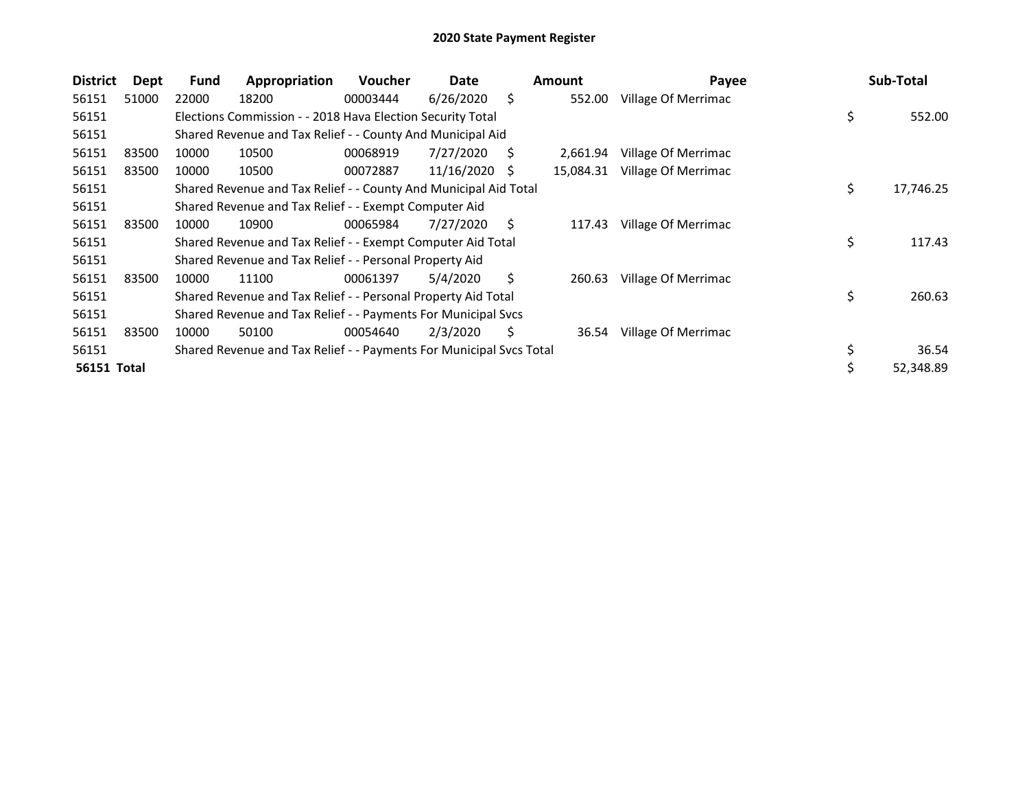| <b>District</b> | Dept  | Fund  | Appropriation                                                       | <b>Voucher</b> | Date       |    | <b>Amount</b> | Payee               | Sub-Total       |
|-----------------|-------|-------|---------------------------------------------------------------------|----------------|------------|----|---------------|---------------------|-----------------|
| 56151           | 51000 | 22000 | 18200                                                               | 00003444       | 6/26/2020  | Ś. | 552.00        | Village Of Merrimac |                 |
| 56151           |       |       | Elections Commission - - 2018 Hava Election Security Total          |                |            |    |               |                     | \$<br>552.00    |
| 56151           |       |       | Shared Revenue and Tax Relief - - County And Municipal Aid          |                |            |    |               |                     |                 |
| 56151           | 83500 | 10000 | 10500                                                               | 00068919       | 7/27/2020  | S  | 2,661.94      | Village Of Merrimac |                 |
| 56151           | 83500 | 10000 | 10500                                                               | 00072887       | 11/16/2020 | S  | 15,084.31     | Village Of Merrimac |                 |
| 56151           |       |       | Shared Revenue and Tax Relief - - County And Municipal Aid Total    |                |            |    |               |                     | \$<br>17,746.25 |
| 56151           |       |       | Shared Revenue and Tax Relief - - Exempt Computer Aid               |                |            |    |               |                     |                 |
| 56151           | 83500 | 10000 | 10900                                                               | 00065984       | 7/27/2020  | S  | 117.43        | Village Of Merrimac |                 |
| 56151           |       |       | Shared Revenue and Tax Relief - - Exempt Computer Aid Total         |                |            |    |               |                     | \$<br>117.43    |
| 56151           |       |       | Shared Revenue and Tax Relief - - Personal Property Aid             |                |            |    |               |                     |                 |
| 56151           | 83500 | 10000 | 11100                                                               | 00061397       | 5/4/2020   | S  | 260.63        | Village Of Merrimac |                 |
| 56151           |       |       | Shared Revenue and Tax Relief - - Personal Property Aid Total       |                |            |    |               |                     | \$<br>260.63    |
| 56151           |       |       | Shared Revenue and Tax Relief - - Payments For Municipal Svcs       |                |            |    |               |                     |                 |
| 56151           | 83500 | 10000 | 50100                                                               | 00054640       | 2/3/2020   | \$ | 36.54         | Village Of Merrimac |                 |
| 56151           |       |       | Shared Revenue and Tax Relief - - Payments For Municipal Svcs Total |                |            |    |               |                     | 36.54           |
| 56151 Total     |       |       |                                                                     |                |            |    |               |                     | 52,348.89       |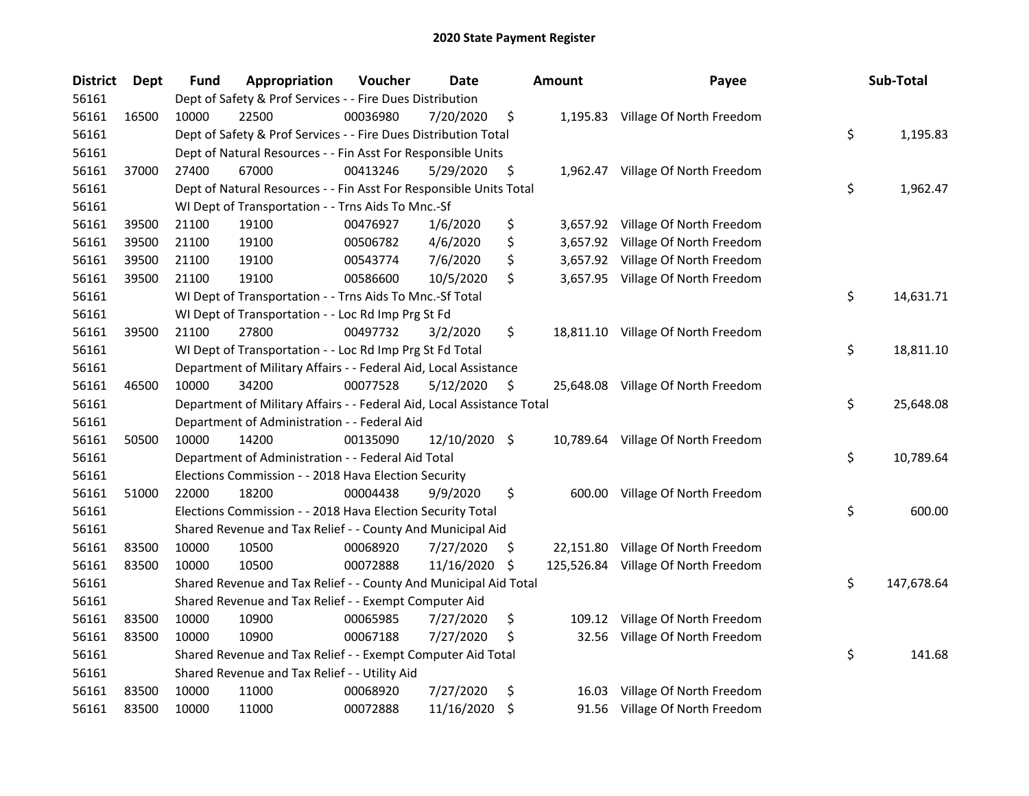| <b>District</b> | Dept  | <b>Fund</b> | Appropriation                                                          | Voucher  | Date          |     | <b>Amount</b> | Payee                               | Sub-Total        |
|-----------------|-------|-------------|------------------------------------------------------------------------|----------|---------------|-----|---------------|-------------------------------------|------------------|
| 56161           |       |             | Dept of Safety & Prof Services - - Fire Dues Distribution              |          |               |     |               |                                     |                  |
| 56161           | 16500 | 10000       | 22500                                                                  | 00036980 | 7/20/2020     | \$  |               | 1,195.83 Village Of North Freedom   |                  |
| 56161           |       |             | Dept of Safety & Prof Services - - Fire Dues Distribution Total        |          |               |     |               |                                     | \$<br>1,195.83   |
| 56161           |       |             | Dept of Natural Resources - - Fin Asst For Responsible Units           |          |               |     |               |                                     |                  |
| 56161           | 37000 | 27400       | 67000                                                                  | 00413246 | 5/29/2020     | \$  |               | 1,962.47 Village Of North Freedom   |                  |
| 56161           |       |             | Dept of Natural Resources - - Fin Asst For Responsible Units Total     |          |               |     |               |                                     | \$<br>1,962.47   |
| 56161           |       |             | WI Dept of Transportation - - Trns Aids To Mnc.-Sf                     |          |               |     |               |                                     |                  |
| 56161           | 39500 | 21100       | 19100                                                                  | 00476927 | 1/6/2020      | \$  |               | 3,657.92 Village Of North Freedom   |                  |
| 56161           | 39500 | 21100       | 19100                                                                  | 00506782 | 4/6/2020      | \$  |               | 3,657.92 Village Of North Freedom   |                  |
| 56161           | 39500 | 21100       | 19100                                                                  | 00543774 | 7/6/2020      | \$  |               | 3,657.92 Village Of North Freedom   |                  |
| 56161           | 39500 | 21100       | 19100                                                                  | 00586600 | 10/5/2020     | \$  |               | 3,657.95 Village Of North Freedom   |                  |
| 56161           |       |             | WI Dept of Transportation - - Trns Aids To Mnc.-Sf Total               |          |               |     |               |                                     | \$<br>14,631.71  |
| 56161           |       |             | WI Dept of Transportation - - Loc Rd Imp Prg St Fd                     |          |               |     |               |                                     |                  |
| 56161           | 39500 | 21100       | 27800                                                                  | 00497732 | 3/2/2020      | \$  |               | 18,811.10 Village Of North Freedom  |                  |
| 56161           |       |             | WI Dept of Transportation - - Loc Rd Imp Prg St Fd Total               |          |               |     |               |                                     | \$<br>18,811.10  |
| 56161           |       |             | Department of Military Affairs - - Federal Aid, Local Assistance       |          |               |     |               |                                     |                  |
| 56161           | 46500 | 10000       | 34200                                                                  | 00077528 | 5/12/2020     | \$  |               | 25,648.08 Village Of North Freedom  |                  |
| 56161           |       |             | Department of Military Affairs - - Federal Aid, Local Assistance Total |          |               |     |               |                                     | \$<br>25,648.08  |
| 56161           |       |             | Department of Administration - - Federal Aid                           |          |               |     |               |                                     |                  |
| 56161           | 50500 | 10000       | 14200                                                                  | 00135090 | 12/10/2020 \$ |     |               | 10,789.64 Village Of North Freedom  |                  |
| 56161           |       |             | Department of Administration - - Federal Aid Total                     |          |               |     |               |                                     | \$<br>10,789.64  |
| 56161           |       |             | Elections Commission - - 2018 Hava Election Security                   |          |               |     |               |                                     |                  |
| 56161           | 51000 | 22000       | 18200                                                                  | 00004438 | 9/9/2020      | \$  |               | 600.00 Village Of North Freedom     |                  |
| 56161           |       |             | Elections Commission - - 2018 Hava Election Security Total             |          |               |     |               |                                     | \$<br>600.00     |
| 56161           |       |             | Shared Revenue and Tax Relief - - County And Municipal Aid             |          |               |     |               |                                     |                  |
| 56161           | 83500 | 10000       | 10500                                                                  | 00068920 | 7/27/2020     | \$. |               | 22,151.80 Village Of North Freedom  |                  |
| 56161           | 83500 | 10000       | 10500                                                                  | 00072888 | 11/16/2020    | \$  |               | 125,526.84 Village Of North Freedom |                  |
| 56161           |       |             | Shared Revenue and Tax Relief - - County And Municipal Aid Total       |          |               |     |               |                                     | \$<br>147,678.64 |
| 56161           |       |             | Shared Revenue and Tax Relief - - Exempt Computer Aid                  |          |               |     |               |                                     |                  |
| 56161           | 83500 | 10000       | 10900                                                                  | 00065985 | 7/27/2020     | \$  | 109.12        | Village Of North Freedom            |                  |
| 56161           | 83500 | 10000       | 10900                                                                  | 00067188 | 7/27/2020     | \$  | 32.56         | Village Of North Freedom            |                  |
| 56161           |       |             | Shared Revenue and Tax Relief - - Exempt Computer Aid Total            |          |               |     |               |                                     | \$<br>141.68     |
| 56161           |       |             | Shared Revenue and Tax Relief - - Utility Aid                          |          |               |     |               |                                     |                  |
| 56161           | 83500 | 10000       | 11000                                                                  | 00068920 | 7/27/2020     | \$  | 16.03         | Village Of North Freedom            |                  |
| 56161           | 83500 | 10000       | 11000                                                                  | 00072888 | 11/16/2020    | \$  |               | 91.56 Village Of North Freedom      |                  |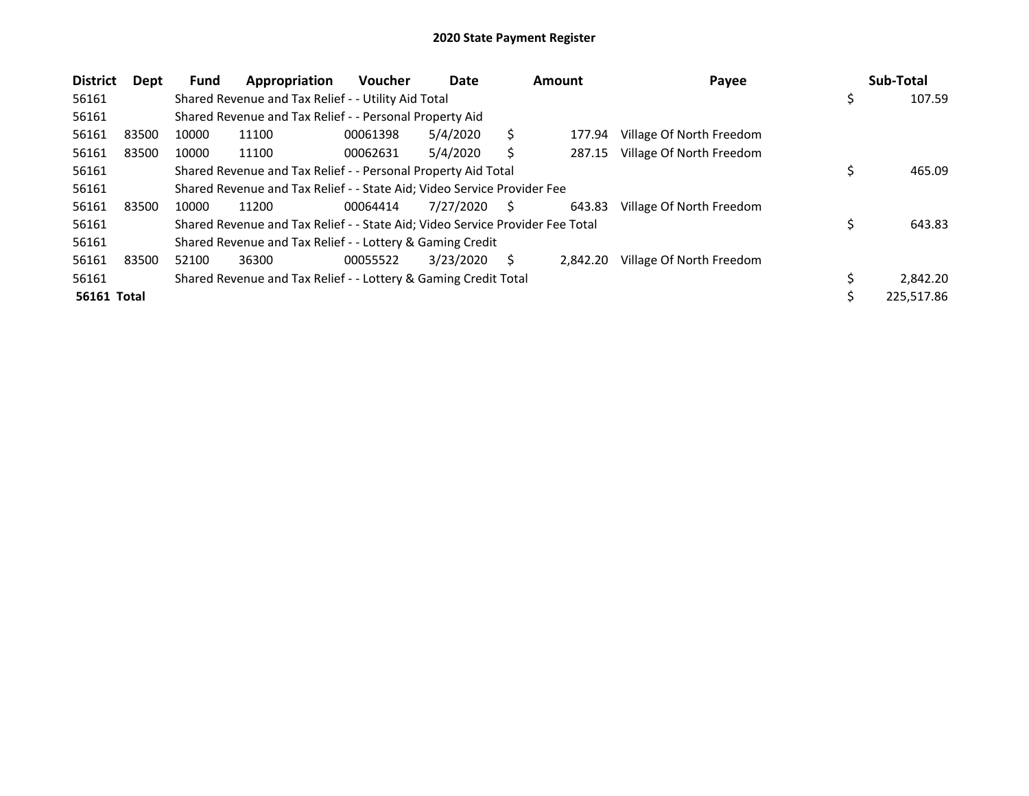| <b>District</b>    | Dept  | <b>Fund</b> | Appropriation                                                                 | <b>Voucher</b> | Date      | <b>Amount</b> |          | Payee                    |     | Sub-Total  |
|--------------------|-------|-------------|-------------------------------------------------------------------------------|----------------|-----------|---------------|----------|--------------------------|-----|------------|
| 56161              |       |             | Shared Revenue and Tax Relief - - Utility Aid Total                           |                |           |               |          |                          | \$. | 107.59     |
| 56161              |       |             | Shared Revenue and Tax Relief - - Personal Property Aid                       |                |           |               |          |                          |     |            |
| 56161              | 83500 | 10000       | 11100                                                                         | 00061398       | 5/4/2020  |               | 177.94   | Village Of North Freedom |     |            |
| 56161              | 83500 | 10000       | 11100                                                                         | 00062631       | 5/4/2020  |               | 287.15   | Village Of North Freedom |     |            |
| 56161              |       |             | Shared Revenue and Tax Relief - - Personal Property Aid Total                 |                |           |               |          |                          |     | 465.09     |
| 56161              |       |             | Shared Revenue and Tax Relief - - State Aid; Video Service Provider Fee       |                |           |               |          |                          |     |            |
| 56161              | 83500 | 10000       | 11200                                                                         | 00064414       | 7/27/2020 | S             | 643.83   | Village Of North Freedom |     |            |
| 56161              |       |             | Shared Revenue and Tax Relief - - State Aid; Video Service Provider Fee Total |                |           |               |          |                          | \$  | 643.83     |
| 56161              |       |             | Shared Revenue and Tax Relief - - Lottery & Gaming Credit                     |                |           |               |          |                          |     |            |
| 56161              | 83500 | 52100       | 36300                                                                         | 00055522       | 3/23/2020 | S             | 2.842.20 | Village Of North Freedom |     |            |
| 56161              |       |             | Shared Revenue and Tax Relief - - Lottery & Gaming Credit Total               |                |           |               |          |                          |     | 2.842.20   |
| <b>56161 Total</b> |       |             |                                                                               |                |           |               |          |                          |     | 225,517.86 |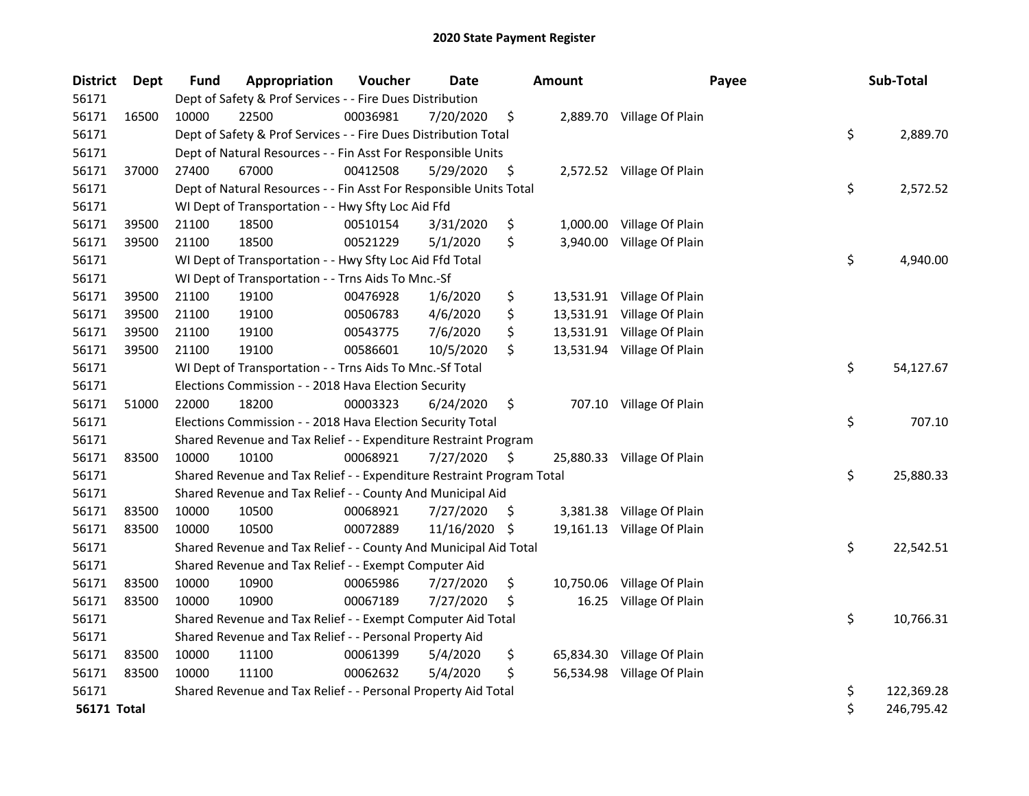| <b>District</b>    | <b>Dept</b> | <b>Fund</b> | Appropriation                                                         | Voucher  | Date       | <b>Amount</b>   | Payee                      | Sub-Total        |
|--------------------|-------------|-------------|-----------------------------------------------------------------------|----------|------------|-----------------|----------------------------|------------------|
| 56171              |             |             | Dept of Safety & Prof Services - - Fire Dues Distribution             |          |            |                 |                            |                  |
| 56171              | 16500       | 10000       | 22500                                                                 | 00036981 | 7/20/2020  | \$              | 2,889.70 Village Of Plain  |                  |
| 56171              |             |             | Dept of Safety & Prof Services - - Fire Dues Distribution Total       |          |            |                 |                            | \$<br>2,889.70   |
| 56171              |             |             | Dept of Natural Resources - - Fin Asst For Responsible Units          |          |            |                 |                            |                  |
| 56171              | 37000       | 27400       | 67000                                                                 | 00412508 | 5/29/2020  | \$              | 2,572.52 Village Of Plain  |                  |
| 56171              |             |             | Dept of Natural Resources - - Fin Asst For Responsible Units Total    |          |            |                 |                            | \$<br>2,572.52   |
| 56171              |             |             | WI Dept of Transportation - - Hwy Sfty Loc Aid Ffd                    |          |            |                 |                            |                  |
| 56171              | 39500       | 21100       | 18500                                                                 | 00510154 | 3/31/2020  | \$              | 1,000.00 Village Of Plain  |                  |
| 56171              | 39500       | 21100       | 18500                                                                 | 00521229 | 5/1/2020   | \$<br>3,940.00  | Village Of Plain           |                  |
| 56171              |             |             | WI Dept of Transportation - - Hwy Sfty Loc Aid Ffd Total              |          |            |                 |                            | \$<br>4,940.00   |
| 56171              |             |             | WI Dept of Transportation - - Trns Aids To Mnc.-Sf                    |          |            |                 |                            |                  |
| 56171              | 39500       | 21100       | 19100                                                                 | 00476928 | 1/6/2020   | \$              | 13,531.91 Village Of Plain |                  |
| 56171              | 39500       | 21100       | 19100                                                                 | 00506783 | 4/6/2020   | \$              | 13,531.91 Village Of Plain |                  |
| 56171              | 39500       | 21100       | 19100                                                                 | 00543775 | 7/6/2020   | \$              | 13,531.91 Village Of Plain |                  |
| 56171              | 39500       | 21100       | 19100                                                                 | 00586601 | 10/5/2020  | \$              | 13,531.94 Village Of Plain |                  |
| 56171              |             |             | WI Dept of Transportation - - Trns Aids To Mnc.-Sf Total              |          |            |                 |                            | \$<br>54,127.67  |
| 56171              |             |             | Elections Commission - - 2018 Hava Election Security                  |          |            |                 |                            |                  |
| 56171              | 51000       | 22000       | 18200                                                                 | 00003323 | 6/24/2020  | \$              | 707.10 Village Of Plain    |                  |
| 56171              |             |             | Elections Commission - - 2018 Hava Election Security Total            |          |            |                 |                            | \$<br>707.10     |
| 56171              |             |             | Shared Revenue and Tax Relief - - Expenditure Restraint Program       |          |            |                 |                            |                  |
| 56171              | 83500       | 10000       | 10100                                                                 | 00068921 | 7/27/2020  | \$              | 25,880.33 Village Of Plain |                  |
| 56171              |             |             | Shared Revenue and Tax Relief - - Expenditure Restraint Program Total |          |            |                 |                            | \$<br>25,880.33  |
| 56171              |             |             | Shared Revenue and Tax Relief - - County And Municipal Aid            |          |            |                 |                            |                  |
| 56171              | 83500       | 10000       | 10500                                                                 | 00068921 | 7/27/2020  | \$              | 3,381.38 Village Of Plain  |                  |
| 56171              | 83500       | 10000       | 10500                                                                 | 00072889 | 11/16/2020 | \$              | 19,161.13 Village Of Plain |                  |
| 56171              |             |             | Shared Revenue and Tax Relief - - County And Municipal Aid Total      |          |            |                 |                            | \$<br>22,542.51  |
| 56171              |             |             | Shared Revenue and Tax Relief - - Exempt Computer Aid                 |          |            |                 |                            |                  |
| 56171              | 83500       | 10000       | 10900                                                                 | 00065986 | 7/27/2020  | \$<br>10,750.06 | Village Of Plain           |                  |
| 56171              | 83500       | 10000       | 10900                                                                 | 00067189 | 7/27/2020  | \$<br>16.25     | Village Of Plain           |                  |
| 56171              |             |             | Shared Revenue and Tax Relief - - Exempt Computer Aid Total           |          |            |                 |                            | \$<br>10,766.31  |
| 56171              |             |             | Shared Revenue and Tax Relief - - Personal Property Aid               |          |            |                 |                            |                  |
| 56171              | 83500       | 10000       | 11100                                                                 | 00061399 | 5/4/2020   | \$              | 65,834.30 Village Of Plain |                  |
| 56171              | 83500       | 10000       | 11100                                                                 | 00062632 | 5/4/2020   | \$              | 56,534.98 Village Of Plain |                  |
| 56171              |             |             | Shared Revenue and Tax Relief - - Personal Property Aid Total         |          |            |                 |                            | \$<br>122,369.28 |
| <b>56171 Total</b> |             |             |                                                                       |          |            |                 |                            | \$<br>246,795.42 |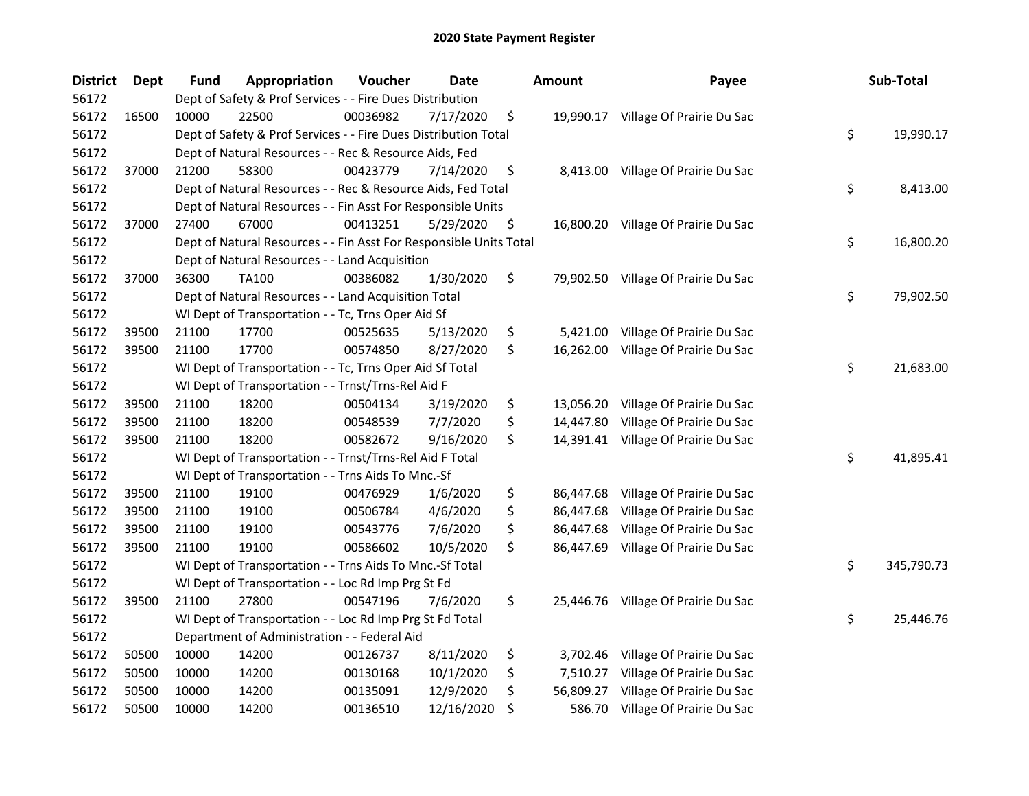| <b>District</b> | <b>Dept</b> | Fund  | Appropriation                                                      | Voucher  | <b>Date</b> | <b>Amount</b>   | Payee                               | Sub-Total        |
|-----------------|-------------|-------|--------------------------------------------------------------------|----------|-------------|-----------------|-------------------------------------|------------------|
| 56172           |             |       | Dept of Safety & Prof Services - - Fire Dues Distribution          |          |             |                 |                                     |                  |
| 56172           | 16500       | 10000 | 22500                                                              | 00036982 | 7/17/2020   | \$              | 19,990.17 Village Of Prairie Du Sac |                  |
| 56172           |             |       | Dept of Safety & Prof Services - - Fire Dues Distribution Total    |          |             |                 |                                     | \$<br>19,990.17  |
| 56172           |             |       | Dept of Natural Resources - - Rec & Resource Aids, Fed             |          |             |                 |                                     |                  |
| 56172           | 37000       | 21200 | 58300                                                              | 00423779 | 7/14/2020   | \$              | 8,413.00 Village Of Prairie Du Sac  |                  |
| 56172           |             |       | Dept of Natural Resources - - Rec & Resource Aids, Fed Total       |          |             |                 |                                     | \$<br>8,413.00   |
| 56172           |             |       | Dept of Natural Resources - - Fin Asst For Responsible Units       |          |             |                 |                                     |                  |
| 56172           | 37000       | 27400 | 67000                                                              | 00413251 | 5/29/2020   | \$              | 16,800.20 Village Of Prairie Du Sac |                  |
| 56172           |             |       | Dept of Natural Resources - - Fin Asst For Responsible Units Total |          |             |                 |                                     | \$<br>16,800.20  |
| 56172           |             |       | Dept of Natural Resources - - Land Acquisition                     |          |             |                 |                                     |                  |
| 56172           | 37000       | 36300 | TA100                                                              | 00386082 | 1/30/2020   | \$              | 79,902.50 Village Of Prairie Du Sac |                  |
| 56172           |             |       | Dept of Natural Resources - - Land Acquisition Total               |          |             |                 |                                     | \$<br>79,902.50  |
| 56172           |             |       | WI Dept of Transportation - - Tc, Trns Oper Aid Sf                 |          |             |                 |                                     |                  |
| 56172           | 39500       | 21100 | 17700                                                              | 00525635 | 5/13/2020   | \$<br>5,421.00  | Village Of Prairie Du Sac           |                  |
| 56172           | 39500       | 21100 | 17700                                                              | 00574850 | 8/27/2020   | \$<br>16,262.00 | Village Of Prairie Du Sac           |                  |
| 56172           |             |       | WI Dept of Transportation - - Tc, Trns Oper Aid Sf Total           |          |             |                 |                                     | \$<br>21,683.00  |
| 56172           |             |       | WI Dept of Transportation - - Trnst/Trns-Rel Aid F                 |          |             |                 |                                     |                  |
| 56172           | 39500       | 21100 | 18200                                                              | 00504134 | 3/19/2020   | \$<br>13,056.20 | Village Of Prairie Du Sac           |                  |
| 56172           | 39500       | 21100 | 18200                                                              | 00548539 | 7/7/2020    | \$<br>14,447.80 | Village Of Prairie Du Sac           |                  |
| 56172           | 39500       | 21100 | 18200                                                              | 00582672 | 9/16/2020   | \$<br>14,391.41 | Village Of Prairie Du Sac           |                  |
| 56172           |             |       | WI Dept of Transportation - - Trnst/Trns-Rel Aid F Total           |          |             |                 |                                     | \$<br>41,895.41  |
| 56172           |             |       | WI Dept of Transportation - - Trns Aids To Mnc.-Sf                 |          |             |                 |                                     |                  |
| 56172           | 39500       | 21100 | 19100                                                              | 00476929 | 1/6/2020    | \$<br>86,447.68 | Village Of Prairie Du Sac           |                  |
| 56172           | 39500       | 21100 | 19100                                                              | 00506784 | 4/6/2020    | \$<br>86,447.68 | Village Of Prairie Du Sac           |                  |
| 56172           | 39500       | 21100 | 19100                                                              | 00543776 | 7/6/2020    | \$<br>86,447.68 | Village Of Prairie Du Sac           |                  |
| 56172           | 39500       | 21100 | 19100                                                              | 00586602 | 10/5/2020   | \$              | 86,447.69 Village Of Prairie Du Sac |                  |
| 56172           |             |       | WI Dept of Transportation - - Trns Aids To Mnc.-Sf Total           |          |             |                 |                                     | \$<br>345,790.73 |
| 56172           |             |       | WI Dept of Transportation - - Loc Rd Imp Prg St Fd                 |          |             |                 |                                     |                  |
| 56172           | 39500       | 21100 | 27800                                                              | 00547196 | 7/6/2020    | \$              | 25,446.76 Village Of Prairie Du Sac |                  |
| 56172           |             |       | WI Dept of Transportation - - Loc Rd Imp Prg St Fd Total           |          |             |                 |                                     | \$<br>25,446.76  |
| 56172           |             |       | Department of Administration - - Federal Aid                       |          |             |                 |                                     |                  |
| 56172           | 50500       | 10000 | 14200                                                              | 00126737 | 8/11/2020   | \$<br>3,702.46  | Village Of Prairie Du Sac           |                  |
| 56172           | 50500       | 10000 | 14200                                                              | 00130168 | 10/1/2020   | \$<br>7,510.27  | Village Of Prairie Du Sac           |                  |
| 56172           | 50500       | 10000 | 14200                                                              | 00135091 | 12/9/2020   | \$<br>56,809.27 | Village Of Prairie Du Sac           |                  |
| 56172           | 50500       | 10000 | 14200                                                              | 00136510 | 12/16/2020  | \$<br>586.70    | Village Of Prairie Du Sac           |                  |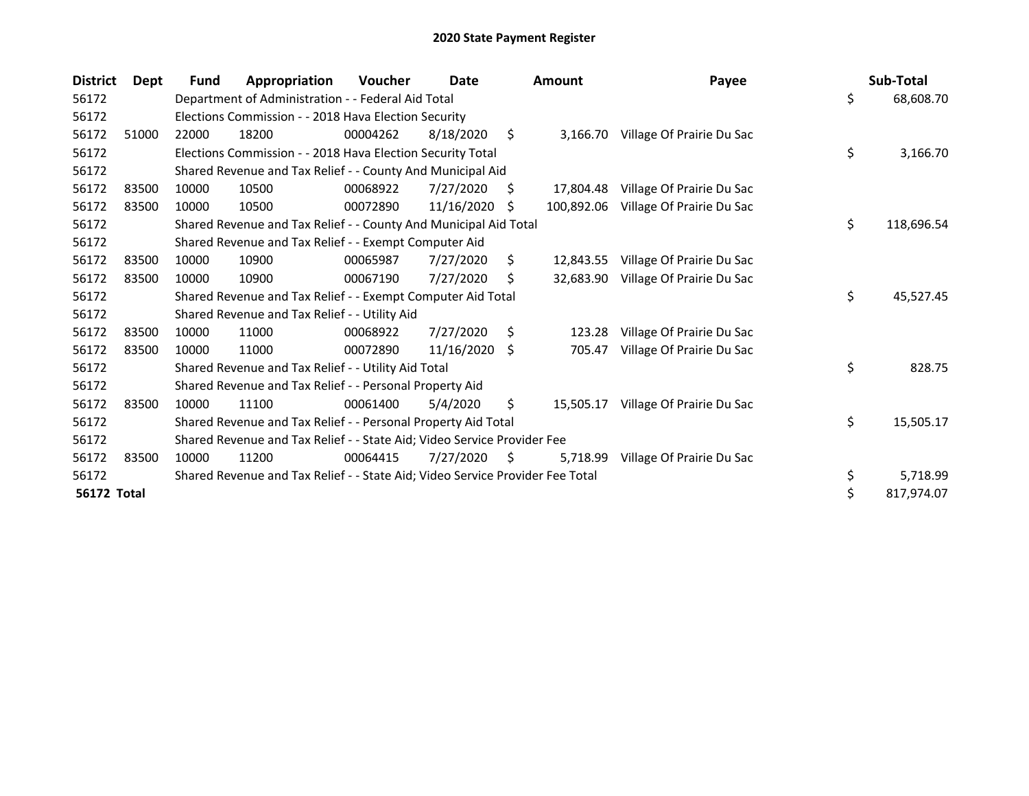| <b>District</b>    | Dept  | Fund  | Appropriation                                                                 | <b>Voucher</b> | Date       |    | <b>Amount</b> | Payee                     |     | Sub-Total  |
|--------------------|-------|-------|-------------------------------------------------------------------------------|----------------|------------|----|---------------|---------------------------|-----|------------|
| 56172              |       |       | Department of Administration - - Federal Aid Total                            |                |            |    |               |                           | \$  | 68,608.70  |
| 56172              |       |       | Elections Commission - - 2018 Hava Election Security                          |                |            |    |               |                           |     |            |
| 56172              | 51000 | 22000 | 18200                                                                         | 00004262       | 8/18/2020  | \$ | 3,166.70      | Village Of Prairie Du Sac |     |            |
| 56172              |       |       | Elections Commission - - 2018 Hava Election Security Total                    |                |            |    |               |                           | \$  | 3,166.70   |
| 56172              |       |       | Shared Revenue and Tax Relief - - County And Municipal Aid                    |                |            |    |               |                           |     |            |
| 56172              | 83500 | 10000 | 10500                                                                         | 00068922       | 7/27/2020  | S. | 17,804.48     | Village Of Prairie Du Sac |     |            |
| 56172              | 83500 | 10000 | 10500                                                                         | 00072890       | 11/16/2020 | S  | 100,892.06    | Village Of Prairie Du Sac |     |            |
| 56172              |       |       | Shared Revenue and Tax Relief - - County And Municipal Aid Total              |                |            |    |               |                           | \$  | 118,696.54 |
| 56172              |       |       | Shared Revenue and Tax Relief - - Exempt Computer Aid                         |                |            |    |               |                           |     |            |
| 56172              | 83500 | 10000 | 10900                                                                         | 00065987       | 7/27/2020  | \$ | 12.843.55     | Village Of Prairie Du Sac |     |            |
| 56172              | 83500 | 10000 | 10900                                                                         | 00067190       | 7/27/2020  | S  | 32.683.90     | Village Of Prairie Du Sac |     |            |
| 56172              |       |       | Shared Revenue and Tax Relief - - Exempt Computer Aid Total                   |                |            |    |               |                           | \$. | 45,527.45  |
| 56172              |       |       | Shared Revenue and Tax Relief - - Utility Aid                                 |                |            |    |               |                           |     |            |
| 56172              | 83500 | 10000 | 11000                                                                         | 00068922       | 7/27/2020  | Ŝ. | 123.28        | Village Of Prairie Du Sac |     |            |
| 56172              | 83500 | 10000 | 11000                                                                         | 00072890       | 11/16/2020 | -S | 705.47        | Village Of Prairie Du Sac |     |            |
| 56172              |       |       | Shared Revenue and Tax Relief - - Utility Aid Total                           |                |            |    |               |                           | \$  | 828.75     |
| 56172              |       |       | Shared Revenue and Tax Relief - - Personal Property Aid                       |                |            |    |               |                           |     |            |
| 56172              | 83500 | 10000 | 11100                                                                         | 00061400       | 5/4/2020   | \$ | 15,505.17     | Village Of Prairie Du Sac |     |            |
| 56172              |       |       | Shared Revenue and Tax Relief - - Personal Property Aid Total                 |                |            |    |               |                           | \$  | 15,505.17  |
| 56172              |       |       | Shared Revenue and Tax Relief - - State Aid; Video Service Provider Fee       |                |            |    |               |                           |     |            |
| 56172              | 83500 | 10000 | 11200                                                                         | 00064415       | 7/27/2020  | S  | 5,718.99      | Village Of Prairie Du Sac |     |            |
| 56172              |       |       | Shared Revenue and Tax Relief - - State Aid; Video Service Provider Fee Total |                |            |    |               |                           | \$  | 5,718.99   |
| <b>56172 Total</b> |       |       |                                                                               |                |            |    |               |                           | \$  | 817,974.07 |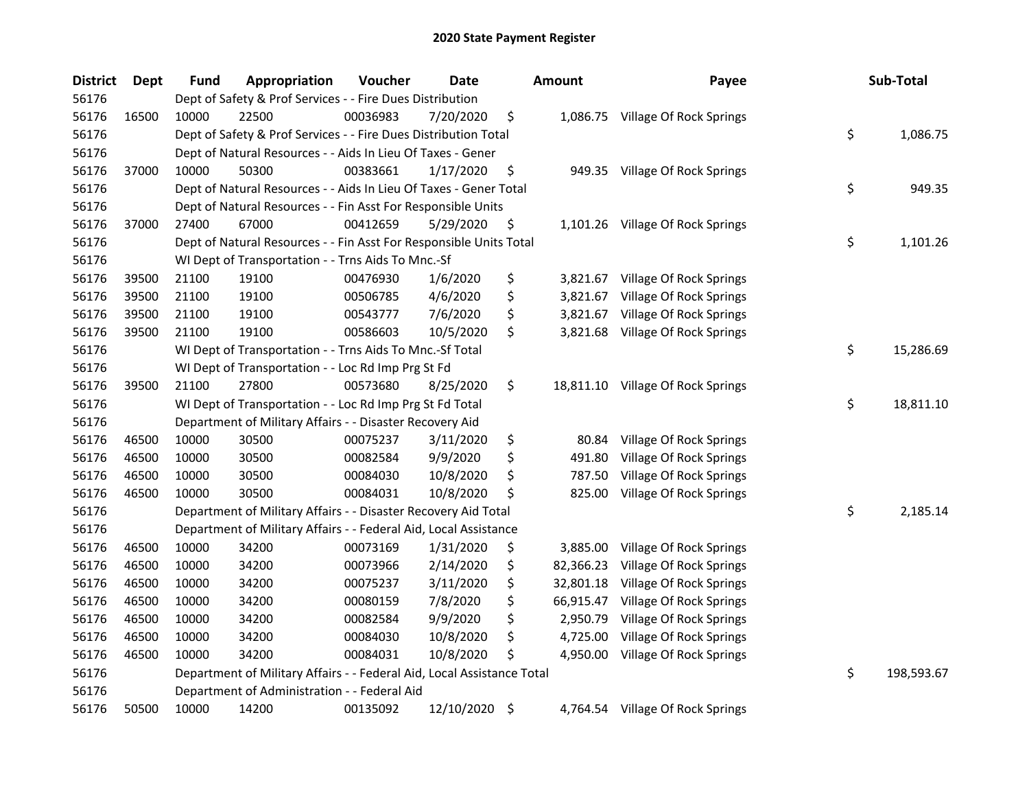| <b>District</b> | <b>Dept</b> | <b>Fund</b> | Appropriation                                                          | Voucher  | Date       | <b>Amount</b>   | Payee                             | Sub-Total        |
|-----------------|-------------|-------------|------------------------------------------------------------------------|----------|------------|-----------------|-----------------------------------|------------------|
| 56176           |             |             | Dept of Safety & Prof Services - - Fire Dues Distribution              |          |            |                 |                                   |                  |
| 56176           | 16500       | 10000       | 22500                                                                  | 00036983 | 7/20/2020  | \$              | 1,086.75 Village Of Rock Springs  |                  |
| 56176           |             |             | Dept of Safety & Prof Services - - Fire Dues Distribution Total        |          |            |                 |                                   | \$<br>1,086.75   |
| 56176           |             |             | Dept of Natural Resources - - Aids In Lieu Of Taxes - Gener            |          |            |                 |                                   |                  |
| 56176           | 37000       | 10000       | 50300                                                                  | 00383661 | 1/17/2020  | \$              | 949.35 Village Of Rock Springs    |                  |
| 56176           |             |             | Dept of Natural Resources - - Aids In Lieu Of Taxes - Gener Total      |          |            |                 |                                   | \$<br>949.35     |
| 56176           |             |             | Dept of Natural Resources - - Fin Asst For Responsible Units           |          |            |                 |                                   |                  |
| 56176           | 37000       | 27400       | 67000                                                                  | 00412659 | 5/29/2020  | \$              | 1,101.26 Village Of Rock Springs  |                  |
| 56176           |             |             | Dept of Natural Resources - - Fin Asst For Responsible Units Total     |          |            |                 |                                   | \$<br>1,101.26   |
| 56176           |             |             | WI Dept of Transportation - - Trns Aids To Mnc.-Sf                     |          |            |                 |                                   |                  |
| 56176           | 39500       | 21100       | 19100                                                                  | 00476930 | 1/6/2020   | \$              | 3,821.67 Village Of Rock Springs  |                  |
| 56176           | 39500       | 21100       | 19100                                                                  | 00506785 | 4/6/2020   | \$<br>3,821.67  | Village Of Rock Springs           |                  |
| 56176           | 39500       | 21100       | 19100                                                                  | 00543777 | 7/6/2020   | \$<br>3,821.67  | Village Of Rock Springs           |                  |
| 56176           | 39500       | 21100       | 19100                                                                  | 00586603 | 10/5/2020  | \$<br>3,821.68  | Village Of Rock Springs           |                  |
| 56176           |             |             | WI Dept of Transportation - - Trns Aids To Mnc.-Sf Total               |          |            |                 |                                   | \$<br>15,286.69  |
| 56176           |             |             | WI Dept of Transportation - - Loc Rd Imp Prg St Fd                     |          |            |                 |                                   |                  |
| 56176           | 39500       | 21100       | 27800                                                                  | 00573680 | 8/25/2020  | \$              | 18,811.10 Village Of Rock Springs |                  |
| 56176           |             |             | WI Dept of Transportation - - Loc Rd Imp Prg St Fd Total               |          |            |                 |                                   | \$<br>18,811.10  |
| 56176           |             |             | Department of Military Affairs - - Disaster Recovery Aid               |          |            |                 |                                   |                  |
| 56176           | 46500       | 10000       | 30500                                                                  | 00075237 | 3/11/2020  | \$<br>80.84     | Village Of Rock Springs           |                  |
| 56176           | 46500       | 10000       | 30500                                                                  | 00082584 | 9/9/2020   | \$<br>491.80    | Village Of Rock Springs           |                  |
| 56176           | 46500       | 10000       | 30500                                                                  | 00084030 | 10/8/2020  | \$<br>787.50    | Village Of Rock Springs           |                  |
| 56176           | 46500       | 10000       | 30500                                                                  | 00084031 | 10/8/2020  | \$<br>825.00    | Village Of Rock Springs           |                  |
| 56176           |             |             | Department of Military Affairs - - Disaster Recovery Aid Total         |          |            |                 |                                   | \$<br>2,185.14   |
| 56176           |             |             | Department of Military Affairs - - Federal Aid, Local Assistance       |          |            |                 |                                   |                  |
| 56176           | 46500       | 10000       | 34200                                                                  | 00073169 | 1/31/2020  | \$<br>3,885.00  | Village Of Rock Springs           |                  |
| 56176           | 46500       | 10000       | 34200                                                                  | 00073966 | 2/14/2020  | \$<br>82,366.23 | Village Of Rock Springs           |                  |
| 56176           | 46500       | 10000       | 34200                                                                  | 00075237 | 3/11/2020  | \$<br>32,801.18 | Village Of Rock Springs           |                  |
| 56176           | 46500       | 10000       | 34200                                                                  | 00080159 | 7/8/2020   | \$<br>66,915.47 | Village Of Rock Springs           |                  |
| 56176           | 46500       | 10000       | 34200                                                                  | 00082584 | 9/9/2020   | \$<br>2,950.79  | Village Of Rock Springs           |                  |
| 56176           | 46500       | 10000       | 34200                                                                  | 00084030 | 10/8/2020  | \$<br>4,725.00  | Village Of Rock Springs           |                  |
| 56176           | 46500       | 10000       | 34200                                                                  | 00084031 | 10/8/2020  | \$<br>4,950.00  | Village Of Rock Springs           |                  |
| 56176           |             |             | Department of Military Affairs - - Federal Aid, Local Assistance Total |          |            |                 |                                   | \$<br>198,593.67 |
| 56176           |             |             | Department of Administration - - Federal Aid                           |          |            |                 |                                   |                  |
| 56176           | 50500       | 10000       | 14200                                                                  | 00135092 | 12/10/2020 | \$              | 4,764.54 Village Of Rock Springs  |                  |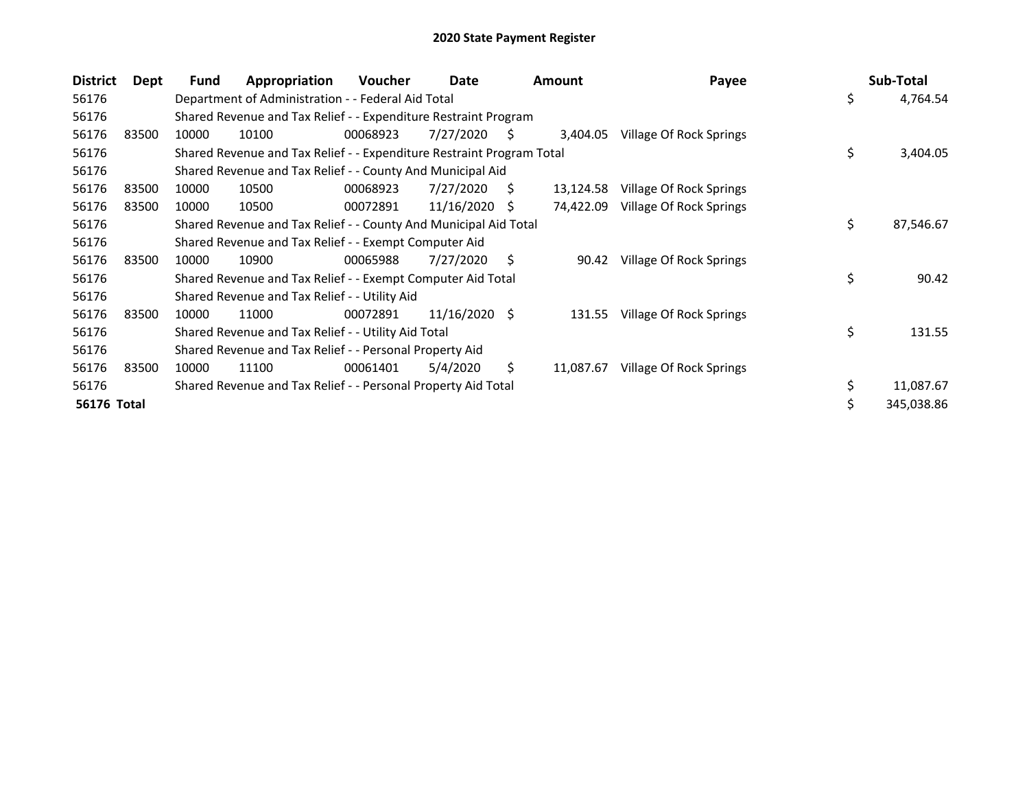| <b>District</b> | <b>Dept</b> | Fund  | Appropriation                                                         | <b>Voucher</b> | Date            |     | <b>Amount</b> | Payee                   |    | Sub-Total  |
|-----------------|-------------|-------|-----------------------------------------------------------------------|----------------|-----------------|-----|---------------|-------------------------|----|------------|
| 56176           |             |       | Department of Administration - - Federal Aid Total                    |                |                 |     |               |                         | \$ | 4,764.54   |
| 56176           |             |       | Shared Revenue and Tax Relief - - Expenditure Restraint Program       |                |                 |     |               |                         |    |            |
| 56176           | 83500       | 10000 | 10100                                                                 | 00068923       | 7/27/2020       | S   | 3,404.05      | Village Of Rock Springs |    |            |
| 56176           |             |       | Shared Revenue and Tax Relief - - Expenditure Restraint Program Total |                |                 |     |               |                         | \$ | 3,404.05   |
| 56176           |             |       | Shared Revenue and Tax Relief - - County And Municipal Aid            |                |                 |     |               |                         |    |            |
| 56176           | 83500       | 10000 | 10500                                                                 | 00068923       | 7/27/2020       | S.  | 13,124.58     | Village Of Rock Springs |    |            |
| 56176           | 83500       | 10000 | 10500                                                                 | 00072891       | 11/16/2020      | -S  | 74,422.09     | Village Of Rock Springs |    |            |
| 56176           |             |       | Shared Revenue and Tax Relief - - County And Municipal Aid Total      |                |                 |     |               |                         | \$ | 87,546.67  |
| 56176           |             |       | Shared Revenue and Tax Relief - - Exempt Computer Aid                 |                |                 |     |               |                         |    |            |
| 56176           | 83500       | 10000 | 10900                                                                 | 00065988       | 7/27/2020       | \$. | 90.42         | Village Of Rock Springs |    |            |
| 56176           |             |       | Shared Revenue and Tax Relief - - Exempt Computer Aid Total           |                |                 |     |               |                         | \$ | 90.42      |
| 56176           |             |       | Shared Revenue and Tax Relief - - Utility Aid                         |                |                 |     |               |                         |    |            |
| 56176           | 83500       | 10000 | 11000                                                                 | 00072891       | $11/16/2020$ \$ |     | 131.55        | Village Of Rock Springs |    |            |
| 56176           |             |       | Shared Revenue and Tax Relief - - Utility Aid Total                   |                |                 |     |               |                         | \$ | 131.55     |
| 56176           |             |       | Shared Revenue and Tax Relief - - Personal Property Aid               |                |                 |     |               |                         |    |            |
| 56176           | 83500       | 10000 | 11100                                                                 | 00061401       | 5/4/2020        | \$  | 11,087.67     | Village Of Rock Springs |    |            |
| 56176           |             |       | Shared Revenue and Tax Relief - - Personal Property Aid Total         |                |                 |     |               |                         | \$ | 11,087.67  |
| 56176 Total     |             |       |                                                                       |                |                 |     |               |                         | Ś  | 345,038.86 |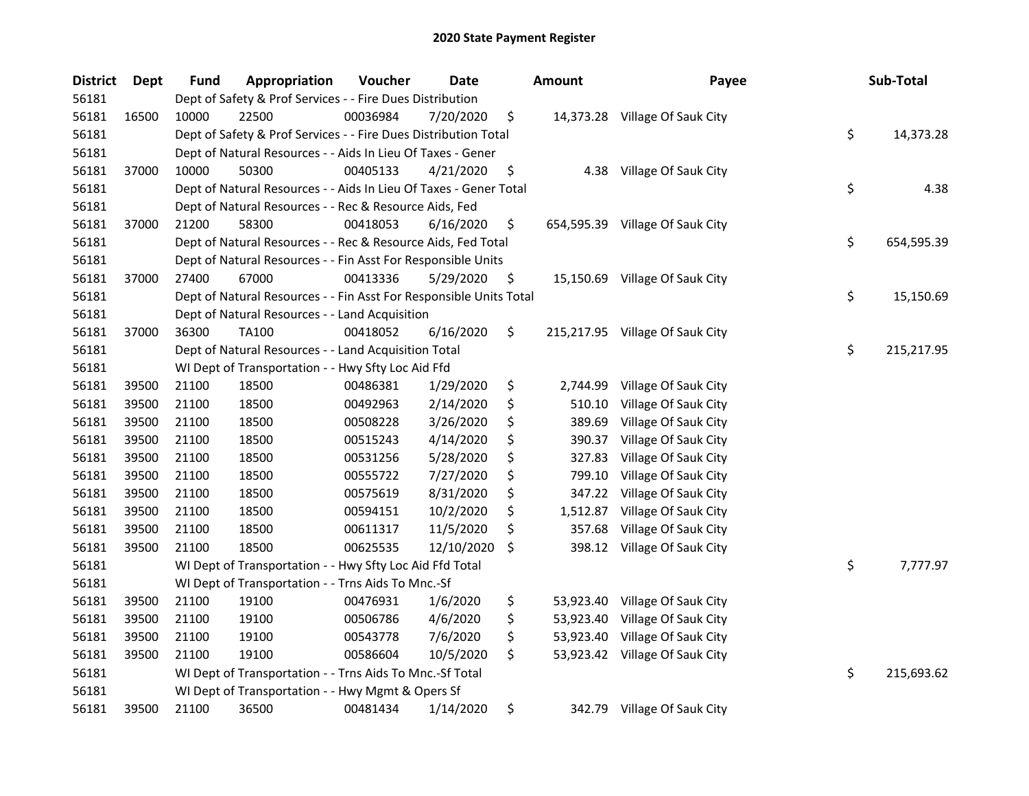| <b>District</b> | <b>Dept</b> | <b>Fund</b> | Appropriation                                                      | Voucher  | <b>Date</b> | <b>Amount</b>   | Payee                           | Sub-Total        |
|-----------------|-------------|-------------|--------------------------------------------------------------------|----------|-------------|-----------------|---------------------------------|------------------|
| 56181           |             |             | Dept of Safety & Prof Services - - Fire Dues Distribution          |          |             |                 |                                 |                  |
| 56181           | 16500       | 10000       | 22500                                                              | 00036984 | 7/20/2020   | \$              | 14,373.28 Village Of Sauk City  |                  |
| 56181           |             |             | Dept of Safety & Prof Services - - Fire Dues Distribution Total    |          |             |                 |                                 | \$<br>14,373.28  |
| 56181           |             |             | Dept of Natural Resources - - Aids In Lieu Of Taxes - Gener        |          |             |                 |                                 |                  |
| 56181           | 37000       | 10000       | 50300                                                              | 00405133 | 4/21/2020   | \$<br>4.38      | Village Of Sauk City            |                  |
| 56181           |             |             | Dept of Natural Resources - - Aids In Lieu Of Taxes - Gener Total  |          |             |                 |                                 | \$<br>4.38       |
| 56181           |             |             | Dept of Natural Resources - - Rec & Resource Aids, Fed             |          |             |                 |                                 |                  |
| 56181           | 37000       | 21200       | 58300                                                              | 00418053 | 6/16/2020   | \$              | 654,595.39 Village Of Sauk City |                  |
| 56181           |             |             | Dept of Natural Resources - - Rec & Resource Aids, Fed Total       |          |             |                 |                                 | \$<br>654,595.39 |
| 56181           |             |             | Dept of Natural Resources - - Fin Asst For Responsible Units       |          |             |                 |                                 |                  |
| 56181           | 37000       | 27400       | 67000                                                              | 00413336 | 5/29/2020   | \$              | 15,150.69 Village Of Sauk City  |                  |
| 56181           |             |             | Dept of Natural Resources - - Fin Asst For Responsible Units Total |          |             |                 |                                 | \$<br>15,150.69  |
| 56181           |             |             | Dept of Natural Resources - - Land Acquisition                     |          |             |                 |                                 |                  |
| 56181           | 37000       | 36300       | TA100                                                              | 00418052 | 6/16/2020   | \$              | 215,217.95 Village Of Sauk City |                  |
| 56181           |             |             | Dept of Natural Resources - - Land Acquisition Total               |          |             |                 |                                 | \$<br>215,217.95 |
| 56181           |             |             | WI Dept of Transportation - - Hwy Sfty Loc Aid Ffd                 |          |             |                 |                                 |                  |
| 56181           | 39500       | 21100       | 18500                                                              | 00486381 | 1/29/2020   | \$<br>2,744.99  | Village Of Sauk City            |                  |
| 56181           | 39500       | 21100       | 18500                                                              | 00492963 | 2/14/2020   | \$<br>510.10    | Village Of Sauk City            |                  |
| 56181           | 39500       | 21100       | 18500                                                              | 00508228 | 3/26/2020   | \$<br>389.69    | Village Of Sauk City            |                  |
| 56181           | 39500       | 21100       | 18500                                                              | 00515243 | 4/14/2020   | \$<br>390.37    | Village Of Sauk City            |                  |
| 56181           | 39500       | 21100       | 18500                                                              | 00531256 | 5/28/2020   | \$<br>327.83    | Village Of Sauk City            |                  |
| 56181           | 39500       | 21100       | 18500                                                              | 00555722 | 7/27/2020   | \$<br>799.10    | Village Of Sauk City            |                  |
| 56181           | 39500       | 21100       | 18500                                                              | 00575619 | 8/31/2020   | \$<br>347.22    | Village Of Sauk City            |                  |
| 56181           | 39500       | 21100       | 18500                                                              | 00594151 | 10/2/2020   | \$<br>1,512.87  | Village Of Sauk City            |                  |
| 56181           | 39500       | 21100       | 18500                                                              | 00611317 | 11/5/2020   | \$<br>357.68    | Village Of Sauk City            |                  |
| 56181           | 39500       | 21100       | 18500                                                              | 00625535 | 12/10/2020  | \$<br>398.12    | Village Of Sauk City            |                  |
| 56181           |             |             | WI Dept of Transportation - - Hwy Sfty Loc Aid Ffd Total           |          |             |                 |                                 | \$<br>7,777.97   |
| 56181           |             |             | WI Dept of Transportation - - Trns Aids To Mnc.-Sf                 |          |             |                 |                                 |                  |
| 56181           | 39500       | 21100       | 19100                                                              | 00476931 | 1/6/2020    | \$<br>53,923.40 | Village Of Sauk City            |                  |
| 56181           | 39500       | 21100       | 19100                                                              | 00506786 | 4/6/2020    | \$<br>53,923.40 | Village Of Sauk City            |                  |
| 56181           | 39500       | 21100       | 19100                                                              | 00543778 | 7/6/2020    | \$<br>53,923.40 | Village Of Sauk City            |                  |
| 56181           | 39500       | 21100       | 19100                                                              | 00586604 | 10/5/2020   | \$              | 53,923.42 Village Of Sauk City  |                  |
| 56181           |             |             | WI Dept of Transportation - - Trns Aids To Mnc.-Sf Total           |          |             |                 |                                 | \$<br>215,693.62 |
| 56181           |             |             | WI Dept of Transportation - - Hwy Mgmt & Opers Sf                  |          |             |                 |                                 |                  |
| 56181           | 39500       | 21100       | 36500                                                              | 00481434 | 1/14/2020   | \$              | 342.79 Village Of Sauk City     |                  |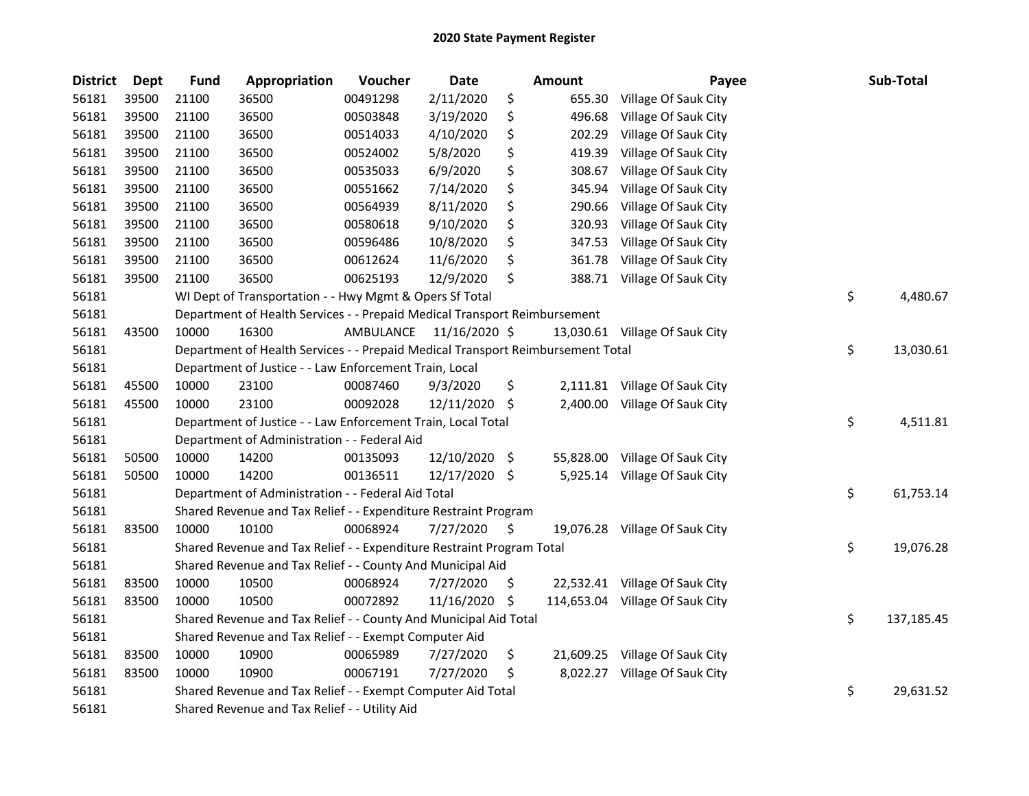| <b>District</b> | Dept  | <b>Fund</b> | Appropriation                                                                   | Voucher   | Date          |     | <b>Amount</b> | Payee                           | Sub-Total        |
|-----------------|-------|-------------|---------------------------------------------------------------------------------|-----------|---------------|-----|---------------|---------------------------------|------------------|
| 56181           | 39500 | 21100       | 36500                                                                           | 00491298  | 2/11/2020     | \$  | 655.30        | Village Of Sauk City            |                  |
| 56181           | 39500 | 21100       | 36500                                                                           | 00503848  | 3/19/2020     | \$  | 496.68        | Village Of Sauk City            |                  |
| 56181           | 39500 | 21100       | 36500                                                                           | 00514033  | 4/10/2020     | \$  | 202.29        | Village Of Sauk City            |                  |
| 56181           | 39500 | 21100       | 36500                                                                           | 00524002  | 5/8/2020      | \$  | 419.39        | Village Of Sauk City            |                  |
| 56181           | 39500 | 21100       | 36500                                                                           | 00535033  | 6/9/2020      | \$  | 308.67        | Village Of Sauk City            |                  |
| 56181           | 39500 | 21100       | 36500                                                                           | 00551662  | 7/14/2020     | \$  | 345.94        | Village Of Sauk City            |                  |
| 56181           | 39500 | 21100       | 36500                                                                           | 00564939  | 8/11/2020     | \$  | 290.66        | Village Of Sauk City            |                  |
| 56181           | 39500 | 21100       | 36500                                                                           | 00580618  | 9/10/2020     | \$  | 320.93        | Village Of Sauk City            |                  |
| 56181           | 39500 | 21100       | 36500                                                                           | 00596486  | 10/8/2020     | \$  | 347.53        | Village Of Sauk City            |                  |
| 56181           | 39500 | 21100       | 36500                                                                           | 00612624  | 11/6/2020     | \$  | 361.78        | Village Of Sauk City            |                  |
| 56181           | 39500 | 21100       | 36500                                                                           | 00625193  | 12/9/2020     | \$  |               | 388.71 Village Of Sauk City     |                  |
| 56181           |       |             | WI Dept of Transportation - - Hwy Mgmt & Opers Sf Total                         |           |               |     |               |                                 | \$<br>4,480.67   |
| 56181           |       |             | Department of Health Services - - Prepaid Medical Transport Reimbursement       |           |               |     |               |                                 |                  |
| 56181           | 43500 | 10000       | 16300                                                                           | AMBULANCE | 11/16/2020 \$ |     |               | 13,030.61 Village Of Sauk City  |                  |
| 56181           |       |             | Department of Health Services - - Prepaid Medical Transport Reimbursement Total |           |               |     |               |                                 | \$<br>13,030.61  |
| 56181           |       |             | Department of Justice - - Law Enforcement Train, Local                          |           |               |     |               |                                 |                  |
| 56181           | 45500 | 10000       | 23100                                                                           | 00087460  | 9/3/2020      | \$  |               | 2,111.81 Village Of Sauk City   |                  |
| 56181           | 45500 | 10000       | 23100                                                                           | 00092028  | 12/11/2020    | \$  | 2,400.00      | Village Of Sauk City            |                  |
| 56181           |       |             | Department of Justice - - Law Enforcement Train, Local Total                    |           |               |     |               |                                 | \$<br>4,511.81   |
| 56181           |       |             | Department of Administration - - Federal Aid                                    |           |               |     |               |                                 |                  |
| 56181           | 50500 | 10000       | 14200                                                                           | 00135093  | 12/10/2020    | -\$ |               | 55,828.00 Village Of Sauk City  |                  |
| 56181           | 50500 | 10000       | 14200                                                                           | 00136511  | 12/17/2020 \$ |     |               | 5,925.14 Village Of Sauk City   |                  |
| 56181           |       |             | Department of Administration - - Federal Aid Total                              |           |               |     |               |                                 | \$<br>61,753.14  |
| 56181           |       |             | Shared Revenue and Tax Relief - - Expenditure Restraint Program                 |           |               |     |               |                                 |                  |
| 56181           | 83500 | 10000       | 10100                                                                           | 00068924  | 7/27/2020     | \$  |               | 19,076.28 Village Of Sauk City  |                  |
| 56181           |       |             | Shared Revenue and Tax Relief - - Expenditure Restraint Program Total           |           |               |     |               |                                 | \$<br>19,076.28  |
| 56181           |       |             | Shared Revenue and Tax Relief - - County And Municipal Aid                      |           |               |     |               |                                 |                  |
| 56181           | 83500 | 10000       | 10500                                                                           | 00068924  | 7/27/2020     | \$. |               | 22,532.41 Village Of Sauk City  |                  |
| 56181           | 83500 | 10000       | 10500                                                                           | 00072892  | 11/16/2020    | \$  |               | 114,653.04 Village Of Sauk City |                  |
| 56181           |       |             | Shared Revenue and Tax Relief - - County And Municipal Aid Total                |           |               |     |               |                                 | \$<br>137,185.45 |
| 56181           |       |             | Shared Revenue and Tax Relief - - Exempt Computer Aid                           |           |               |     |               |                                 |                  |
| 56181           | 83500 | 10000       | 10900                                                                           | 00065989  | 7/27/2020     | \$  |               | 21,609.25 Village Of Sauk City  |                  |
| 56181           | 83500 | 10000       | 10900                                                                           | 00067191  | 7/27/2020     | \$  |               | 8,022.27 Village Of Sauk City   |                  |
| 56181           |       |             | Shared Revenue and Tax Relief - - Exempt Computer Aid Total                     |           |               |     |               |                                 | \$<br>29,631.52  |
| 56181           |       |             | Shared Revenue and Tax Relief - - Utility Aid                                   |           |               |     |               |                                 |                  |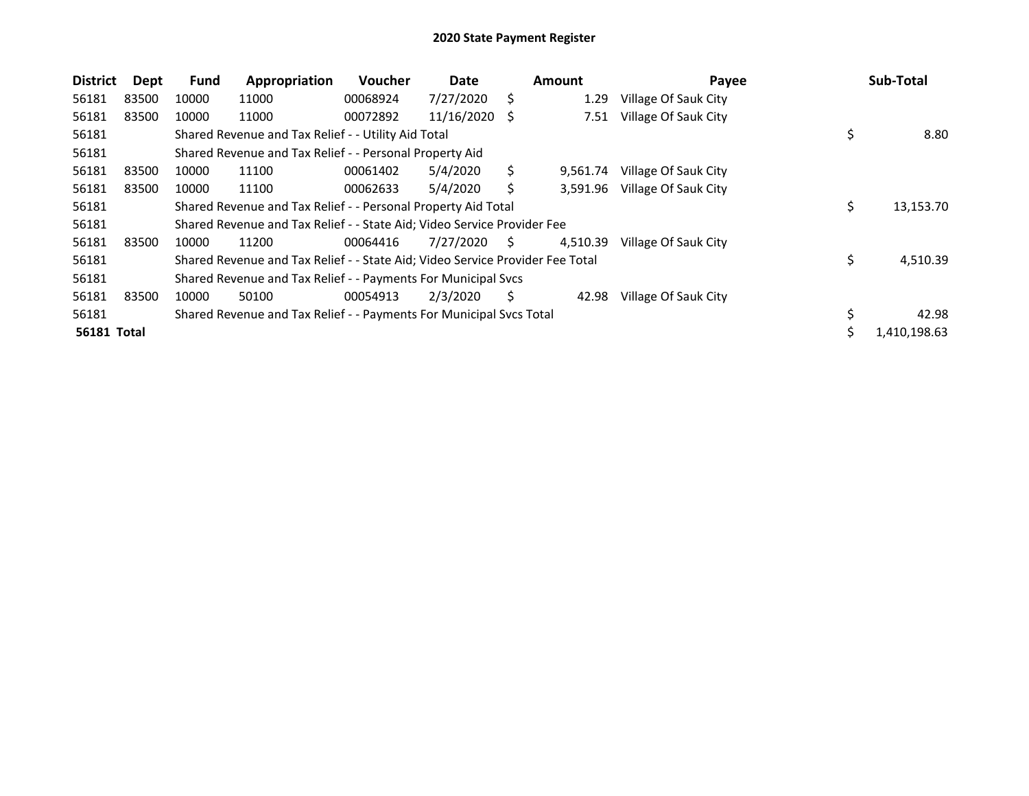| <b>District</b> | Dept  | <b>Fund</b> | Appropriation                                                                 | <b>Voucher</b> | Date          |    | <b>Amount</b> | Payee                |    | Sub-Total    |
|-----------------|-------|-------------|-------------------------------------------------------------------------------|----------------|---------------|----|---------------|----------------------|----|--------------|
| 56181           | 83500 | 10000       | 11000                                                                         | 00068924       | 7/27/2020     | S  | 1.29          | Village Of Sauk City |    |              |
| 56181           | 83500 | 10000       | 11000                                                                         | 00072892       | 11/16/2020 \$ |    | 7.51          | Village Of Sauk City |    |              |
| 56181           |       |             | Shared Revenue and Tax Relief - - Utility Aid Total                           |                |               |    |               |                      | \$ | 8.80         |
| 56181           |       |             | Shared Revenue and Tax Relief - - Personal Property Aid                       |                |               |    |               |                      |    |              |
| 56181           | 83500 | 10000       | 11100                                                                         | 00061402       | 5/4/2020      | S  | 9,561.74      | Village Of Sauk City |    |              |
| 56181           | 83500 | 10000       | 11100                                                                         | 00062633       | 5/4/2020      | S  | 3,591.96      | Village Of Sauk City |    |              |
| 56181           |       |             | Shared Revenue and Tax Relief - - Personal Property Aid Total                 |                |               |    |               |                      | \$ | 13,153.70    |
| 56181           |       |             | Shared Revenue and Tax Relief - - State Aid; Video Service Provider Fee       |                |               |    |               |                      |    |              |
| 56181           | 83500 | 10000       | 11200                                                                         | 00064416       | 7/27/2020     | S. | 4,510.39      | Village Of Sauk City |    |              |
| 56181           |       |             | Shared Revenue and Tax Relief - - State Aid; Video Service Provider Fee Total |                |               |    |               |                      | \$ | 4,510.39     |
| 56181           |       |             | Shared Revenue and Tax Relief - - Payments For Municipal Svcs                 |                |               |    |               |                      |    |              |
| 56181           | 83500 | 10000       | 50100                                                                         | 00054913       | 2/3/2020      | S  | 42.98         | Village Of Sauk City |    |              |
| 56181           |       |             | Shared Revenue and Tax Relief - - Payments For Municipal Svcs Total           |                |               |    |               |                      | \$ | 42.98        |
| 56181 Total     |       |             |                                                                               |                |               |    |               |                      | Ś  | 1,410,198.63 |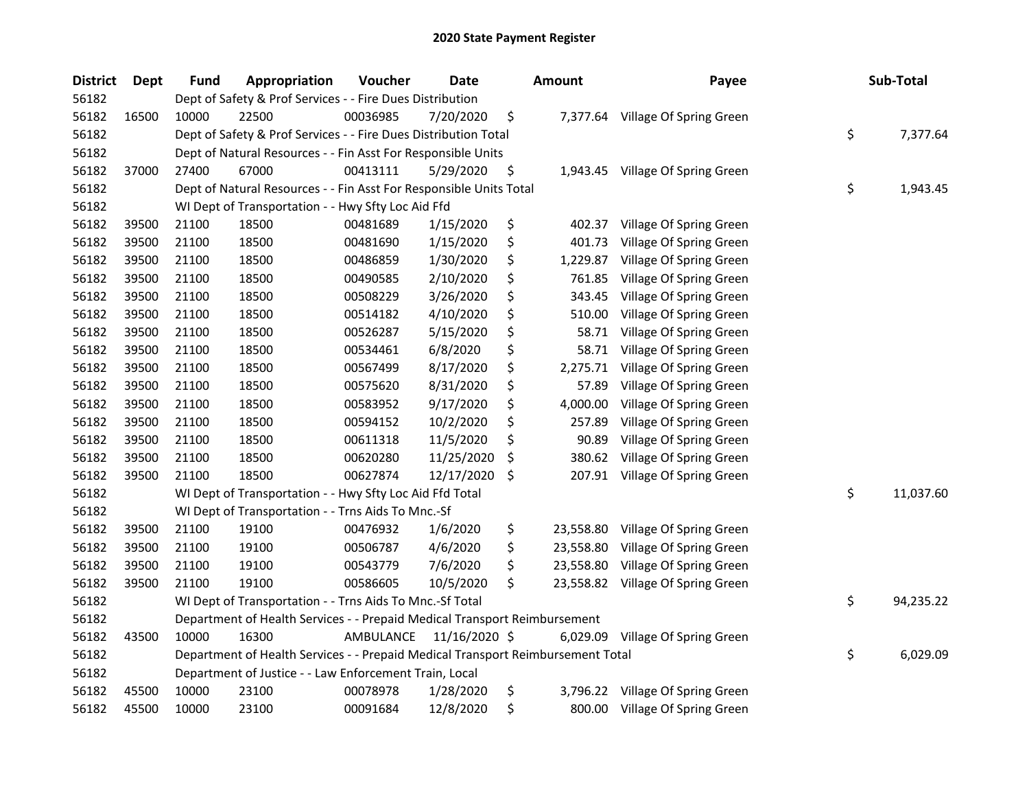| <b>District</b> | <b>Dept</b> | <b>Fund</b> | Appropriation                                                                   | Voucher   | Date          |     | <b>Amount</b> | Payee                             | Sub-Total       |
|-----------------|-------------|-------------|---------------------------------------------------------------------------------|-----------|---------------|-----|---------------|-----------------------------------|-----------------|
| 56182           |             |             | Dept of Safety & Prof Services - - Fire Dues Distribution                       |           |               |     |               |                                   |                 |
| 56182           | 16500       | 10000       | 22500                                                                           | 00036985  | 7/20/2020     | \$  |               | 7,377.64 Village Of Spring Green  |                 |
| 56182           |             |             | Dept of Safety & Prof Services - - Fire Dues Distribution Total                 |           |               |     |               |                                   | \$<br>7,377.64  |
| 56182           |             |             | Dept of Natural Resources - - Fin Asst For Responsible Units                    |           |               |     |               |                                   |                 |
| 56182           | 37000       | 27400       | 67000                                                                           | 00413111  | 5/29/2020     | \$  |               | 1,943.45 Village Of Spring Green  |                 |
| 56182           |             |             | Dept of Natural Resources - - Fin Asst For Responsible Units Total              |           |               |     |               |                                   | \$<br>1,943.45  |
| 56182           |             |             | WI Dept of Transportation - - Hwy Sfty Loc Aid Ffd                              |           |               |     |               |                                   |                 |
| 56182           | 39500       | 21100       | 18500                                                                           | 00481689  | 1/15/2020     | \$  |               | 402.37 Village Of Spring Green    |                 |
| 56182           | 39500       | 21100       | 18500                                                                           | 00481690  | 1/15/2020     | \$  | 401.73        | Village Of Spring Green           |                 |
| 56182           | 39500       | 21100       | 18500                                                                           | 00486859  | 1/30/2020     | \$  | 1,229.87      | Village Of Spring Green           |                 |
| 56182           | 39500       | 21100       | 18500                                                                           | 00490585  | 2/10/2020     | \$  | 761.85        | Village Of Spring Green           |                 |
| 56182           | 39500       | 21100       | 18500                                                                           | 00508229  | 3/26/2020     | \$  | 343.45        | Village Of Spring Green           |                 |
| 56182           | 39500       | 21100       | 18500                                                                           | 00514182  | 4/10/2020     | \$  | 510.00        | Village Of Spring Green           |                 |
| 56182           | 39500       | 21100       | 18500                                                                           | 00526287  | 5/15/2020     | \$  | 58.71         | Village Of Spring Green           |                 |
| 56182           | 39500       | 21100       | 18500                                                                           | 00534461  | 6/8/2020      | \$  | 58.71         | Village Of Spring Green           |                 |
| 56182           | 39500       | 21100       | 18500                                                                           | 00567499  | 8/17/2020     | \$  | 2,275.71      | Village Of Spring Green           |                 |
| 56182           | 39500       | 21100       | 18500                                                                           | 00575620  | 8/31/2020     | \$  | 57.89         | Village Of Spring Green           |                 |
| 56182           | 39500       | 21100       | 18500                                                                           | 00583952  | 9/17/2020     | \$  | 4,000.00      | Village Of Spring Green           |                 |
| 56182           | 39500       | 21100       | 18500                                                                           | 00594152  | 10/2/2020     | \$  | 257.89        | Village Of Spring Green           |                 |
| 56182           | 39500       | 21100       | 18500                                                                           | 00611318  | 11/5/2020     | \$  | 90.89         | Village Of Spring Green           |                 |
| 56182           | 39500       | 21100       | 18500                                                                           | 00620280  | 11/25/2020    | \$  | 380.62        | Village Of Spring Green           |                 |
| 56182           | 39500       | 21100       | 18500                                                                           | 00627874  | 12/17/2020    | -\$ |               | 207.91 Village Of Spring Green    |                 |
| 56182           |             |             | WI Dept of Transportation - - Hwy Sfty Loc Aid Ffd Total                        |           |               |     |               |                                   | \$<br>11,037.60 |
| 56182           |             |             | WI Dept of Transportation - - Trns Aids To Mnc.-Sf                              |           |               |     |               |                                   |                 |
| 56182           | 39500       | 21100       | 19100                                                                           | 00476932  | 1/6/2020      | \$  | 23,558.80     | Village Of Spring Green           |                 |
| 56182           | 39500       | 21100       | 19100                                                                           | 00506787  | 4/6/2020      | \$  | 23,558.80     | Village Of Spring Green           |                 |
| 56182           | 39500       | 21100       | 19100                                                                           | 00543779  | 7/6/2020      | \$  | 23,558.80     | Village Of Spring Green           |                 |
| 56182           | 39500       | 21100       | 19100                                                                           | 00586605  | 10/5/2020     | \$  |               | 23,558.82 Village Of Spring Green |                 |
| 56182           |             |             | WI Dept of Transportation - - Trns Aids To Mnc.-Sf Total                        |           |               |     |               |                                   | \$<br>94,235.22 |
| 56182           |             |             | Department of Health Services - - Prepaid Medical Transport Reimbursement       |           |               |     |               |                                   |                 |
| 56182           | 43500       | 10000       | 16300                                                                           | AMBULANCE | 11/16/2020 \$ |     |               | 6,029.09 Village Of Spring Green  |                 |
| 56182           |             |             | Department of Health Services - - Prepaid Medical Transport Reimbursement Total |           |               |     |               |                                   | \$<br>6,029.09  |
| 56182           |             |             | Department of Justice - - Law Enforcement Train, Local                          |           |               |     |               |                                   |                 |
| 56182           | 45500       | 10000       | 23100                                                                           | 00078978  | 1/28/2020     | \$  | 3,796.22      | Village Of Spring Green           |                 |
| 56182           | 45500       | 10000       | 23100                                                                           | 00091684  | 12/8/2020     | \$  | 800.00        | Village Of Spring Green           |                 |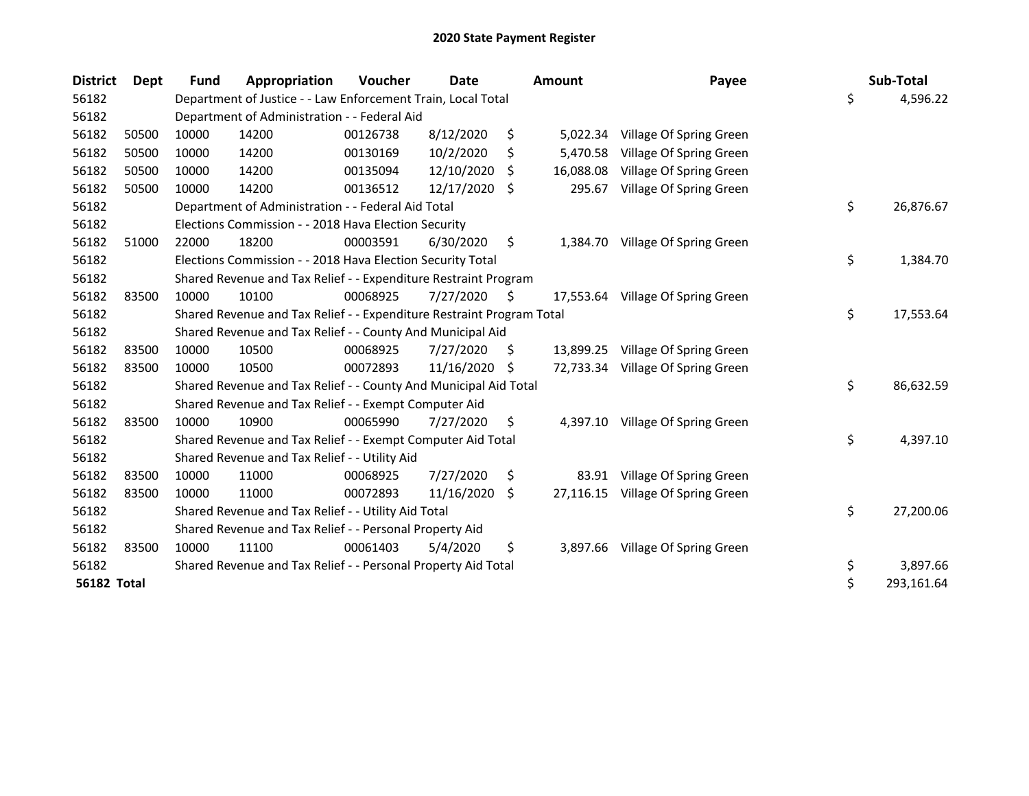| <b>District</b>    | <b>Dept</b> | Fund  | Appropriation                                                         | Voucher  | Date       |     | <b>Amount</b> | Payee                             | Sub-Total        |
|--------------------|-------------|-------|-----------------------------------------------------------------------|----------|------------|-----|---------------|-----------------------------------|------------------|
| 56182              |             |       | Department of Justice - - Law Enforcement Train, Local Total          |          |            |     |               |                                   | \$<br>4,596.22   |
| 56182              |             |       | Department of Administration - - Federal Aid                          |          |            |     |               |                                   |                  |
| 56182              | 50500       | 10000 | 14200                                                                 | 00126738 | 8/12/2020  | \$  | 5,022.34      | Village Of Spring Green           |                  |
| 56182              | 50500       | 10000 | 14200                                                                 | 00130169 | 10/2/2020  | Ś   | 5,470.58      | Village Of Spring Green           |                  |
| 56182              | 50500       | 10000 | 14200                                                                 | 00135094 | 12/10/2020 | \$  | 16,088.08     | Village Of Spring Green           |                  |
| 56182              | 50500       | 10000 | 14200                                                                 | 00136512 | 12/17/2020 | \$  | 295.67        | Village Of Spring Green           |                  |
| 56182              |             |       | Department of Administration - - Federal Aid Total                    |          |            |     |               |                                   | \$<br>26,876.67  |
| 56182              |             |       | Elections Commission - - 2018 Hava Election Security                  |          |            |     |               |                                   |                  |
| 56182              | 51000       | 22000 | 18200                                                                 | 00003591 | 6/30/2020  | \$  | 1,384.70      | Village Of Spring Green           |                  |
| 56182              |             |       | Elections Commission - - 2018 Hava Election Security Total            |          |            |     |               |                                   | \$<br>1,384.70   |
| 56182              |             |       | Shared Revenue and Tax Relief - - Expenditure Restraint Program       |          |            |     |               |                                   |                  |
| 56182              | 83500       | 10000 | 10100                                                                 | 00068925 | 7/27/2020  | -\$ |               | 17,553.64 Village Of Spring Green |                  |
| 56182              |             |       | Shared Revenue and Tax Relief - - Expenditure Restraint Program Total |          |            |     |               |                                   | \$<br>17,553.64  |
| 56182              |             |       | Shared Revenue and Tax Relief - - County And Municipal Aid            |          |            |     |               |                                   |                  |
| 56182              | 83500       | 10000 | 10500                                                                 | 00068925 | 7/27/2020  | \$  |               | 13,899.25 Village Of Spring Green |                  |
| 56182              | 83500       | 10000 | 10500                                                                 | 00072893 | 11/16/2020 | \$  |               | 72,733.34 Village Of Spring Green |                  |
| 56182              |             |       | Shared Revenue and Tax Relief - - County And Municipal Aid Total      |          |            |     |               |                                   | \$<br>86,632.59  |
| 56182              |             |       | Shared Revenue and Tax Relief - - Exempt Computer Aid                 |          |            |     |               |                                   |                  |
| 56182              | 83500       | 10000 | 10900                                                                 | 00065990 | 7/27/2020  | \$  | 4,397.10      | Village Of Spring Green           |                  |
| 56182              |             |       | Shared Revenue and Tax Relief - - Exempt Computer Aid Total           |          |            |     |               |                                   | \$<br>4,397.10   |
| 56182              |             |       | Shared Revenue and Tax Relief - - Utility Aid                         |          |            |     |               |                                   |                  |
| 56182              | 83500       | 10000 | 11000                                                                 | 00068925 | 7/27/2020  | \$  | 83.91         | Village Of Spring Green           |                  |
| 56182              | 83500       | 10000 | 11000                                                                 | 00072893 | 11/16/2020 | \$  | 27,116.15     | Village Of Spring Green           |                  |
| 56182              |             |       | Shared Revenue and Tax Relief - - Utility Aid Total                   |          |            |     |               |                                   | \$<br>27,200.06  |
| 56182              |             |       | Shared Revenue and Tax Relief - - Personal Property Aid               |          |            |     |               |                                   |                  |
| 56182              | 83500       | 10000 | 11100                                                                 | 00061403 | 5/4/2020   | \$  | 3,897.66      | Village Of Spring Green           |                  |
| 56182              |             |       | Shared Revenue and Tax Relief - - Personal Property Aid Total         |          |            |     |               |                                   | \$<br>3,897.66   |
| <b>56182 Total</b> |             |       |                                                                       |          |            |     |               |                                   | \$<br>293,161.64 |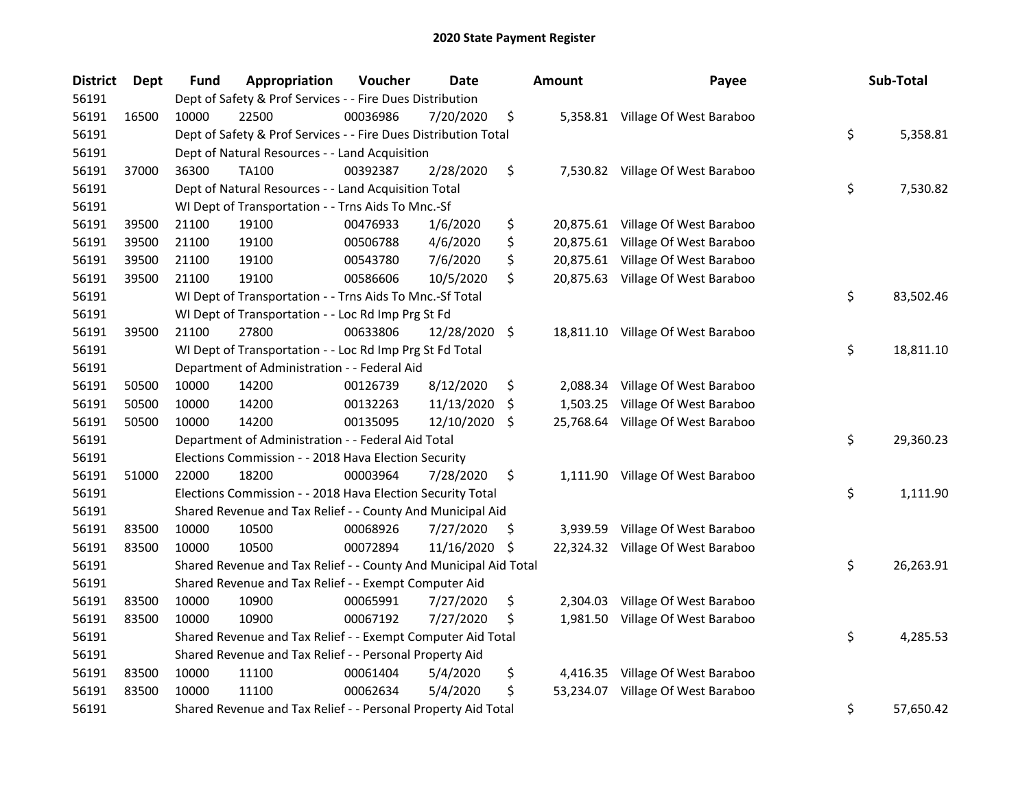| <b>District</b> | <b>Dept</b> | Fund  | Appropriation                                                    | Voucher  | <b>Date</b>   |     | <b>Amount</b> | Payee                             | Sub-Total       |
|-----------------|-------------|-------|------------------------------------------------------------------|----------|---------------|-----|---------------|-----------------------------------|-----------------|
| 56191           |             |       | Dept of Safety & Prof Services - - Fire Dues Distribution        |          |               |     |               |                                   |                 |
| 56191           | 16500       | 10000 | 22500                                                            | 00036986 | 7/20/2020     | \$  |               | 5,358.81 Village Of West Baraboo  |                 |
| 56191           |             |       | Dept of Safety & Prof Services - - Fire Dues Distribution Total  |          |               |     |               |                                   | \$<br>5,358.81  |
| 56191           |             |       | Dept of Natural Resources - - Land Acquisition                   |          |               |     |               |                                   |                 |
| 56191           | 37000       | 36300 | <b>TA100</b>                                                     | 00392387 | 2/28/2020     | \$  |               | 7,530.82 Village Of West Baraboo  |                 |
| 56191           |             |       | Dept of Natural Resources - - Land Acquisition Total             |          |               |     |               |                                   | \$<br>7,530.82  |
| 56191           |             |       | WI Dept of Transportation - - Trns Aids To Mnc.-Sf               |          |               |     |               |                                   |                 |
| 56191           | 39500       | 21100 | 19100                                                            | 00476933 | 1/6/2020      | \$  |               | 20,875.61 Village Of West Baraboo |                 |
| 56191           | 39500       | 21100 | 19100                                                            | 00506788 | 4/6/2020      | \$  |               | 20,875.61 Village Of West Baraboo |                 |
| 56191           | 39500       | 21100 | 19100                                                            | 00543780 | 7/6/2020      | \$  |               | 20,875.61 Village Of West Baraboo |                 |
| 56191           | 39500       | 21100 | 19100                                                            | 00586606 | 10/5/2020     | \$  |               | 20,875.63 Village Of West Baraboo |                 |
| 56191           |             |       | WI Dept of Transportation - - Trns Aids To Mnc.-Sf Total         |          |               |     |               |                                   | \$<br>83,502.46 |
| 56191           |             |       | WI Dept of Transportation - - Loc Rd Imp Prg St Fd               |          |               |     |               |                                   |                 |
| 56191           | 39500       | 21100 | 27800                                                            | 00633806 | 12/28/2020 \$ |     |               | 18,811.10 Village Of West Baraboo |                 |
| 56191           |             |       | WI Dept of Transportation - - Loc Rd Imp Prg St Fd Total         |          |               |     |               |                                   | \$<br>18,811.10 |
| 56191           |             |       | Department of Administration - - Federal Aid                     |          |               |     |               |                                   |                 |
| 56191           | 50500       | 10000 | 14200                                                            | 00126739 | 8/12/2020     | \$  | 2,088.34      | Village Of West Baraboo           |                 |
| 56191           | 50500       | 10000 | 14200                                                            | 00132263 | 11/13/2020    | \$  | 1,503.25      | Village Of West Baraboo           |                 |
| 56191           | 50500       | 10000 | 14200                                                            | 00135095 | 12/10/2020    | \$. |               | 25,768.64 Village Of West Baraboo |                 |
| 56191           |             |       | Department of Administration - - Federal Aid Total               |          |               |     |               |                                   | \$<br>29,360.23 |
| 56191           |             |       | Elections Commission - - 2018 Hava Election Security             |          |               |     |               |                                   |                 |
| 56191           | 51000       | 22000 | 18200                                                            | 00003964 | 7/28/2020     | \$  |               | 1,111.90 Village Of West Baraboo  |                 |
| 56191           |             |       | Elections Commission - - 2018 Hava Election Security Total       |          |               |     |               |                                   | \$<br>1,111.90  |
| 56191           |             |       | Shared Revenue and Tax Relief - - County And Municipal Aid       |          |               |     |               |                                   |                 |
| 56191           | 83500       | 10000 | 10500                                                            | 00068926 | 7/27/2020     | \$. |               | 3,939.59 Village Of West Baraboo  |                 |
| 56191           | 83500       | 10000 | 10500                                                            | 00072894 | 11/16/2020    | \$  |               | 22,324.32 Village Of West Baraboo |                 |
| 56191           |             |       | Shared Revenue and Tax Relief - - County And Municipal Aid Total |          |               |     |               |                                   | \$<br>26,263.91 |
| 56191           |             |       | Shared Revenue and Tax Relief - - Exempt Computer Aid            |          |               |     |               |                                   |                 |
| 56191           | 83500       | 10000 | 10900                                                            | 00065991 | 7/27/2020     | \$  | 2,304.03      | Village Of West Baraboo           |                 |
| 56191           | 83500       | 10000 | 10900                                                            | 00067192 | 7/27/2020     | \$  |               | 1,981.50 Village Of West Baraboo  |                 |
| 56191           |             |       | Shared Revenue and Tax Relief - - Exempt Computer Aid Total      |          |               |     |               |                                   | \$<br>4,285.53  |
| 56191           |             |       | Shared Revenue and Tax Relief - - Personal Property Aid          |          |               |     |               |                                   |                 |
| 56191           | 83500       | 10000 | 11100                                                            | 00061404 | 5/4/2020      | \$  |               | 4,416.35 Village Of West Baraboo  |                 |
| 56191           | 83500       | 10000 | 11100                                                            | 00062634 | 5/4/2020      | \$  |               | 53,234.07 Village Of West Baraboo |                 |
| 56191           |             |       | Shared Revenue and Tax Relief - - Personal Property Aid Total    |          |               |     |               |                                   | \$<br>57,650.42 |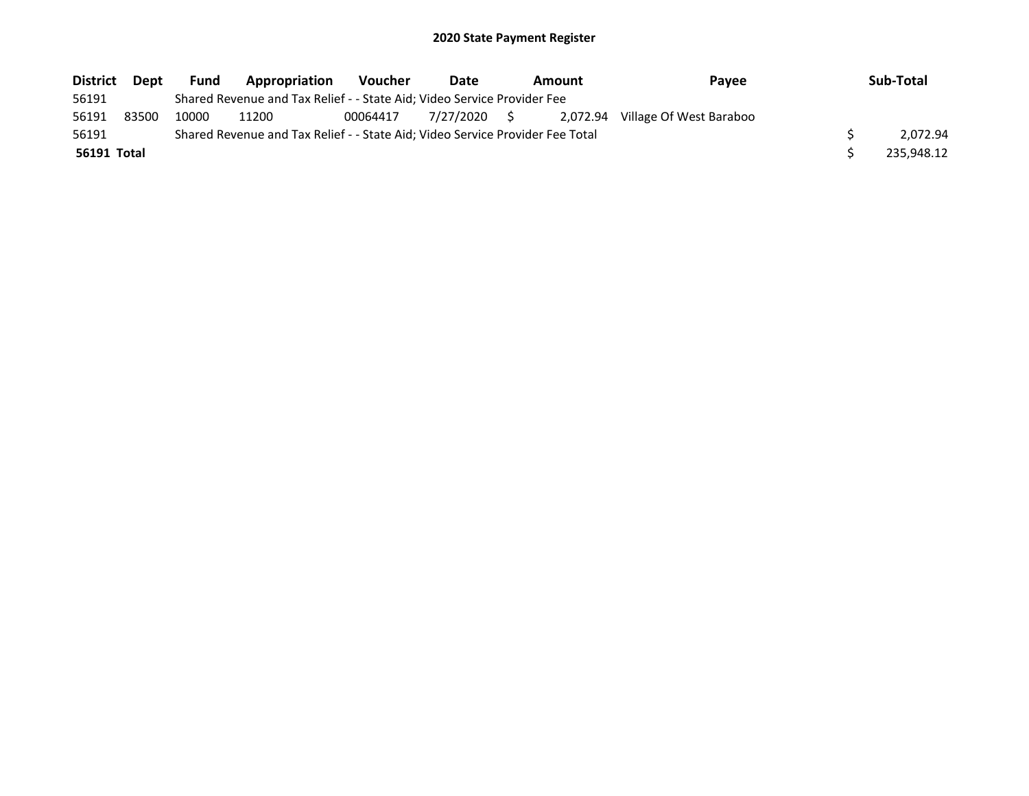| <b>District</b> | Dept  | Fund  | Appropriation                                                                 | <b>Voucher</b> | Date         | Amount | Pavee                            | Sub-Total  |
|-----------------|-------|-------|-------------------------------------------------------------------------------|----------------|--------------|--------|----------------------------------|------------|
| 56191           |       |       | Shared Revenue and Tax Relief - - State Aid; Video Service Provider Fee       |                |              |        |                                  |            |
| 56191           | 83500 | 10000 | 11200                                                                         | 00064417       | 7/27/2020 \$ |        | 2,072.94 Village Of West Baraboo |            |
| 56191           |       |       | Shared Revenue and Tax Relief - - State Aid; Video Service Provider Fee Total |                |              |        |                                  | 2.072.94   |
| 56191 Total     |       |       |                                                                               |                |              |        |                                  | 235.948.12 |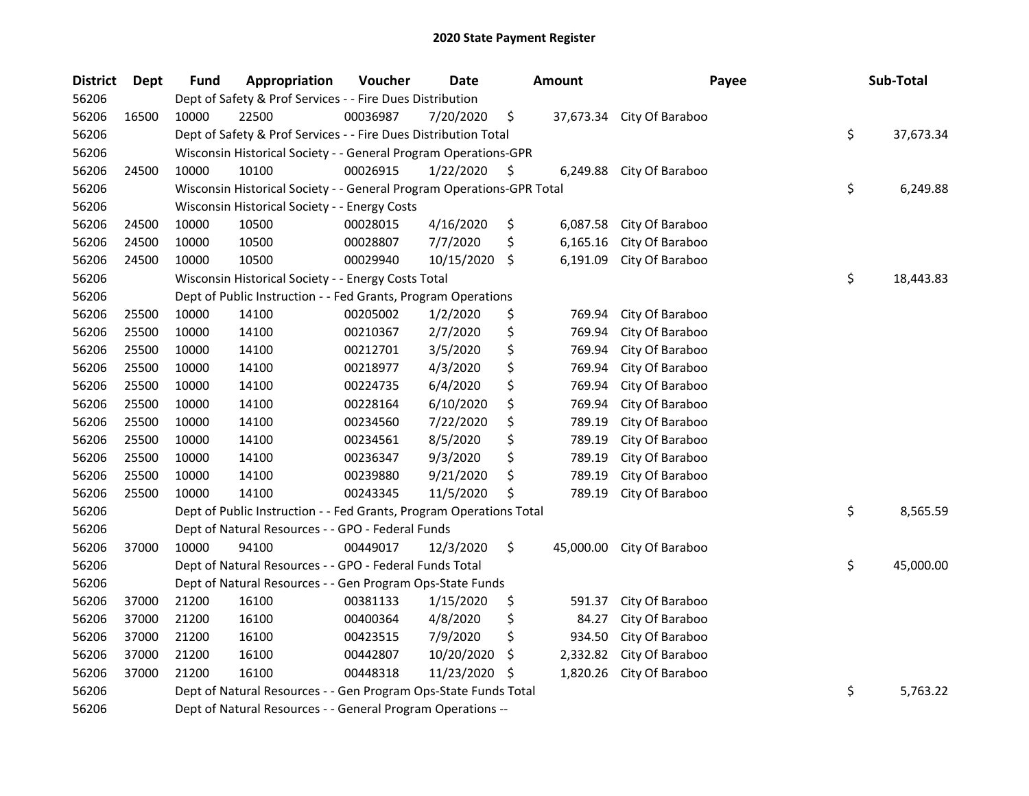| <b>District</b> | <b>Dept</b> | <b>Fund</b> | Appropriation                                                         | Voucher  | <b>Date</b> |     | Amount    | Payee           | Sub-Total       |
|-----------------|-------------|-------------|-----------------------------------------------------------------------|----------|-------------|-----|-----------|-----------------|-----------------|
| 56206           |             |             | Dept of Safety & Prof Services - - Fire Dues Distribution             |          |             |     |           |                 |                 |
| 56206           | 16500       | 10000       | 22500                                                                 | 00036987 | 7/20/2020   | \$  | 37,673.34 | City Of Baraboo |                 |
| 56206           |             |             | Dept of Safety & Prof Services - - Fire Dues Distribution Total       |          |             |     |           |                 | \$<br>37,673.34 |
| 56206           |             |             | Wisconsin Historical Society - - General Program Operations-GPR       |          |             |     |           |                 |                 |
| 56206           | 24500       | 10000       | 10100                                                                 | 00026915 | 1/22/2020   | \$  | 6,249.88  | City Of Baraboo |                 |
| 56206           |             |             | Wisconsin Historical Society - - General Program Operations-GPR Total |          |             |     |           |                 | \$<br>6,249.88  |
| 56206           |             |             | Wisconsin Historical Society - - Energy Costs                         |          |             |     |           |                 |                 |
| 56206           | 24500       | 10000       | 10500                                                                 | 00028015 | 4/16/2020   | \$  | 6,087.58  | City Of Baraboo |                 |
| 56206           | 24500       | 10000       | 10500                                                                 | 00028807 | 7/7/2020    | \$  | 6,165.16  | City Of Baraboo |                 |
| 56206           | 24500       | 10000       | 10500                                                                 | 00029940 | 10/15/2020  | \$  | 6,191.09  | City Of Baraboo |                 |
| 56206           |             |             | Wisconsin Historical Society - - Energy Costs Total                   |          |             |     |           |                 | \$<br>18,443.83 |
| 56206           |             |             | Dept of Public Instruction - - Fed Grants, Program Operations         |          |             |     |           |                 |                 |
| 56206           | 25500       | 10000       | 14100                                                                 | 00205002 | 1/2/2020    | \$  | 769.94    | City Of Baraboo |                 |
| 56206           | 25500       | 10000       | 14100                                                                 | 00210367 | 2/7/2020    | \$  | 769.94    | City Of Baraboo |                 |
| 56206           | 25500       | 10000       | 14100                                                                 | 00212701 | 3/5/2020    | \$  | 769.94    | City Of Baraboo |                 |
| 56206           | 25500       | 10000       | 14100                                                                 | 00218977 | 4/3/2020    | \$  | 769.94    | City Of Baraboo |                 |
| 56206           | 25500       | 10000       | 14100                                                                 | 00224735 | 6/4/2020    | \$  | 769.94    | City Of Baraboo |                 |
| 56206           | 25500       | 10000       | 14100                                                                 | 00228164 | 6/10/2020   | \$  | 769.94    | City Of Baraboo |                 |
| 56206           | 25500       | 10000       | 14100                                                                 | 00234560 | 7/22/2020   | \$  | 789.19    | City Of Baraboo |                 |
| 56206           | 25500       | 10000       | 14100                                                                 | 00234561 | 8/5/2020    | \$  | 789.19    | City Of Baraboo |                 |
| 56206           | 25500       | 10000       | 14100                                                                 | 00236347 | 9/3/2020    | \$  | 789.19    | City Of Baraboo |                 |
| 56206           | 25500       | 10000       | 14100                                                                 | 00239880 | 9/21/2020   | \$  | 789.19    | City Of Baraboo |                 |
| 56206           | 25500       | 10000       | 14100                                                                 | 00243345 | 11/5/2020   | \$  | 789.19    | City Of Baraboo |                 |
| 56206           |             |             | Dept of Public Instruction - - Fed Grants, Program Operations Total   |          |             |     |           |                 | \$<br>8,565.59  |
| 56206           |             |             | Dept of Natural Resources - - GPO - Federal Funds                     |          |             |     |           |                 |                 |
| 56206           | 37000       | 10000       | 94100                                                                 | 00449017 | 12/3/2020   | \$  | 45,000.00 | City Of Baraboo |                 |
| 56206           |             |             | Dept of Natural Resources - - GPO - Federal Funds Total               |          |             |     |           |                 | \$<br>45,000.00 |
| 56206           |             |             | Dept of Natural Resources - - Gen Program Ops-State Funds             |          |             |     |           |                 |                 |
| 56206           | 37000       | 21200       | 16100                                                                 | 00381133 | 1/15/2020   | \$  | 591.37    | City Of Baraboo |                 |
| 56206           | 37000       | 21200       | 16100                                                                 | 00400364 | 4/8/2020    | \$  | 84.27     | City Of Baraboo |                 |
| 56206           | 37000       | 21200       | 16100                                                                 | 00423515 | 7/9/2020    | \$  | 934.50    | City Of Baraboo |                 |
| 56206           | 37000       | 21200       | 16100                                                                 | 00442807 | 10/20/2020  | \$  | 2,332.82  | City Of Baraboo |                 |
| 56206           | 37000       | 21200       | 16100                                                                 | 00448318 | 11/23/2020  | \$, | 1,820.26  | City Of Baraboo |                 |
| 56206           |             |             | Dept of Natural Resources - - Gen Program Ops-State Funds Total       |          |             |     |           |                 | \$<br>5,763.22  |
| 56206           |             |             | Dept of Natural Resources - - General Program Operations --           |          |             |     |           |                 |                 |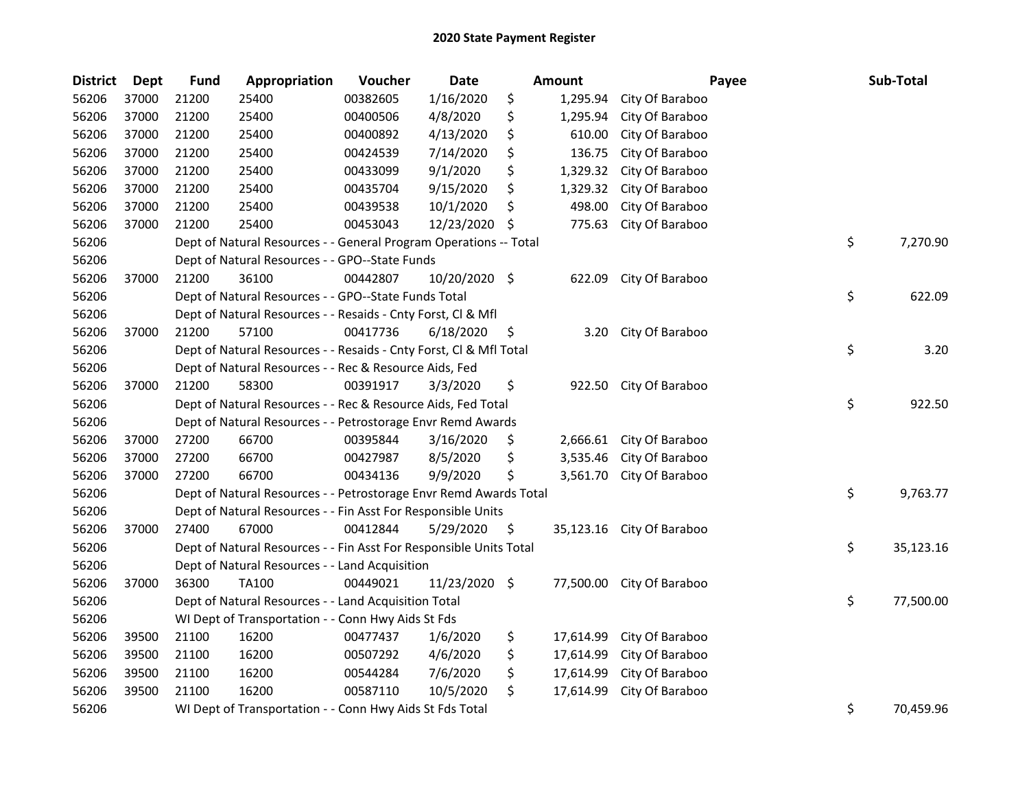| <b>District</b> | <b>Dept</b> | <b>Fund</b> | Appropriation                                                      | Voucher  | <b>Date</b>   |    | Amount    | Payee                     | Sub-Total       |
|-----------------|-------------|-------------|--------------------------------------------------------------------|----------|---------------|----|-----------|---------------------------|-----------------|
| 56206           | 37000       | 21200       | 25400                                                              | 00382605 | 1/16/2020     | \$ | 1,295.94  | City Of Baraboo           |                 |
| 56206           | 37000       | 21200       | 25400                                                              | 00400506 | 4/8/2020      | \$ | 1,295.94  | City Of Baraboo           |                 |
| 56206           | 37000       | 21200       | 25400                                                              | 00400892 | 4/13/2020     | \$ | 610.00    | City Of Baraboo           |                 |
| 56206           | 37000       | 21200       | 25400                                                              | 00424539 | 7/14/2020     | \$ | 136.75    | City Of Baraboo           |                 |
| 56206           | 37000       | 21200       | 25400                                                              | 00433099 | 9/1/2020      | \$ | 1,329.32  | City Of Baraboo           |                 |
| 56206           | 37000       | 21200       | 25400                                                              | 00435704 | 9/15/2020     | \$ | 1,329.32  | City Of Baraboo           |                 |
| 56206           | 37000       | 21200       | 25400                                                              | 00439538 | 10/1/2020     | \$ | 498.00    | City Of Baraboo           |                 |
| 56206           | 37000       | 21200       | 25400                                                              | 00453043 | 12/23/2020    | S  | 775.63    | City Of Baraboo           |                 |
| 56206           |             |             | Dept of Natural Resources - - General Program Operations -- Total  |          |               |    |           |                           | \$<br>7,270.90  |
| 56206           |             |             | Dept of Natural Resources - - GPO--State Funds                     |          |               |    |           |                           |                 |
| 56206           | 37000       | 21200       | 36100                                                              | 00442807 | 10/20/2020 \$ |    | 622.09    | City Of Baraboo           |                 |
| 56206           |             |             | Dept of Natural Resources - - GPO--State Funds Total               |          |               |    |           |                           | \$<br>622.09    |
| 56206           |             |             | Dept of Natural Resources - - Resaids - Cnty Forst, Cl & Mfl       |          |               |    |           |                           |                 |
| 56206           | 37000       | 21200       | 57100                                                              | 00417736 | 6/18/2020     | \$ | 3.20      | City Of Baraboo           |                 |
| 56206           |             |             | Dept of Natural Resources - - Resaids - Cnty Forst, Cl & Mfl Total |          |               |    |           |                           | \$<br>3.20      |
| 56206           |             |             | Dept of Natural Resources - - Rec & Resource Aids, Fed             |          |               |    |           |                           |                 |
| 56206           | 37000       | 21200       | 58300                                                              | 00391917 | 3/3/2020      | \$ | 922.50    | City Of Baraboo           |                 |
| 56206           |             |             | Dept of Natural Resources - - Rec & Resource Aids, Fed Total       |          |               |    |           |                           | \$<br>922.50    |
| 56206           |             |             | Dept of Natural Resources - - Petrostorage Envr Remd Awards        |          |               |    |           |                           |                 |
| 56206           | 37000       | 27200       | 66700                                                              | 00395844 | 3/16/2020     | \$ | 2,666.61  | City Of Baraboo           |                 |
| 56206           | 37000       | 27200       | 66700                                                              | 00427987 | 8/5/2020      | \$ | 3,535.46  | City Of Baraboo           |                 |
| 56206           | 37000       | 27200       | 66700                                                              | 00434136 | 9/9/2020      | \$ | 3,561.70  | City Of Baraboo           |                 |
| 56206           |             |             | Dept of Natural Resources - - Petrostorage Envr Remd Awards Total  |          |               |    |           |                           | \$<br>9,763.77  |
| 56206           |             |             | Dept of Natural Resources - - Fin Asst For Responsible Units       |          |               |    |           |                           |                 |
| 56206           | 37000       | 27400       | 67000                                                              | 00412844 | 5/29/2020     | \$ |           | 35,123.16 City Of Baraboo |                 |
| 56206           |             |             | Dept of Natural Resources - - Fin Asst For Responsible Units Total |          |               |    |           |                           | \$<br>35,123.16 |
| 56206           |             |             | Dept of Natural Resources - - Land Acquisition                     |          |               |    |           |                           |                 |
| 56206           | 37000       | 36300       | <b>TA100</b>                                                       | 00449021 | 11/23/2020 \$ |    |           | 77,500.00 City Of Baraboo |                 |
| 56206           |             |             | Dept of Natural Resources - - Land Acquisition Total               |          |               |    |           |                           | \$<br>77,500.00 |
| 56206           |             |             | WI Dept of Transportation - - Conn Hwy Aids St Fds                 |          |               |    |           |                           |                 |
| 56206           | 39500       | 21100       | 16200                                                              | 00477437 | 1/6/2020      | \$ | 17,614.99 | City Of Baraboo           |                 |
| 56206           | 39500       | 21100       | 16200                                                              | 00507292 | 4/6/2020      | \$ | 17,614.99 | City Of Baraboo           |                 |
| 56206           | 39500       | 21100       | 16200                                                              | 00544284 | 7/6/2020      | \$ | 17,614.99 | City Of Baraboo           |                 |
| 56206           | 39500       | 21100       | 16200                                                              | 00587110 | 10/5/2020     | \$ | 17,614.99 | City Of Baraboo           |                 |
| 56206           |             |             | WI Dept of Transportation - - Conn Hwy Aids St Fds Total           |          |               |    |           |                           | \$<br>70,459.96 |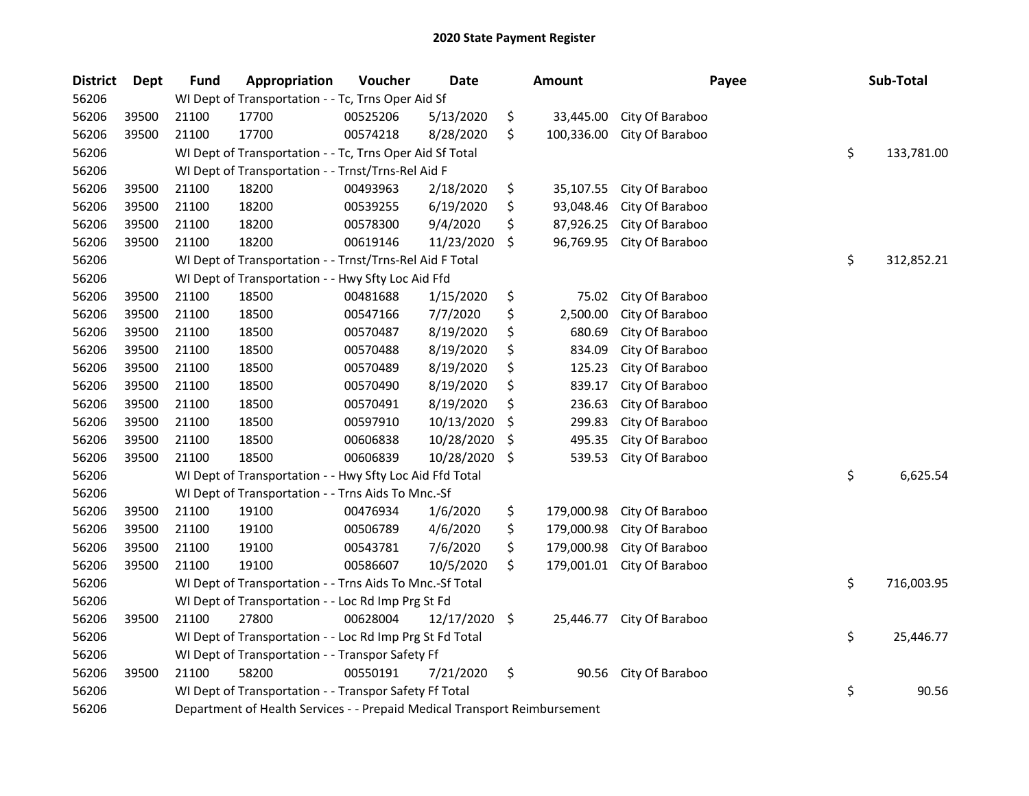| <b>District</b> | <b>Dept</b> | <b>Fund</b> | Appropriation                                                             | Voucher  | <b>Date</b> | <b>Amount</b>    | Payee           | Sub-Total        |
|-----------------|-------------|-------------|---------------------------------------------------------------------------|----------|-------------|------------------|-----------------|------------------|
| 56206           |             |             | WI Dept of Transportation - - Tc, Trns Oper Aid Sf                        |          |             |                  |                 |                  |
| 56206           | 39500       | 21100       | 17700                                                                     | 00525206 | 5/13/2020   | \$<br>33,445.00  | City Of Baraboo |                  |
| 56206           | 39500       | 21100       | 17700                                                                     | 00574218 | 8/28/2020   | \$<br>100,336.00 | City Of Baraboo |                  |
| 56206           |             |             | WI Dept of Transportation - - Tc, Trns Oper Aid Sf Total                  |          |             |                  |                 | \$<br>133,781.00 |
| 56206           |             |             | WI Dept of Transportation - - Trnst/Trns-Rel Aid F                        |          |             |                  |                 |                  |
| 56206           | 39500       | 21100       | 18200                                                                     | 00493963 | 2/18/2020   | \$<br>35,107.55  | City Of Baraboo |                  |
| 56206           | 39500       | 21100       | 18200                                                                     | 00539255 | 6/19/2020   | \$<br>93,048.46  | City Of Baraboo |                  |
| 56206           | 39500       | 21100       | 18200                                                                     | 00578300 | 9/4/2020    | \$<br>87,926.25  | City Of Baraboo |                  |
| 56206           | 39500       | 21100       | 18200                                                                     | 00619146 | 11/23/2020  | \$<br>96,769.95  | City Of Baraboo |                  |
| 56206           |             |             | WI Dept of Transportation - - Trnst/Trns-Rel Aid F Total                  |          |             |                  |                 | \$<br>312,852.21 |
| 56206           |             |             | WI Dept of Transportation - - Hwy Sfty Loc Aid Ffd                        |          |             |                  |                 |                  |
| 56206           | 39500       | 21100       | 18500                                                                     | 00481688 | 1/15/2020   | \$<br>75.02      | City Of Baraboo |                  |
| 56206           | 39500       | 21100       | 18500                                                                     | 00547166 | 7/7/2020    | \$<br>2,500.00   | City Of Baraboo |                  |
| 56206           | 39500       | 21100       | 18500                                                                     | 00570487 | 8/19/2020   | \$<br>680.69     | City Of Baraboo |                  |
| 56206           | 39500       | 21100       | 18500                                                                     | 00570488 | 8/19/2020   | \$<br>834.09     | City Of Baraboo |                  |
| 56206           | 39500       | 21100       | 18500                                                                     | 00570489 | 8/19/2020   | \$<br>125.23     | City Of Baraboo |                  |
| 56206           | 39500       | 21100       | 18500                                                                     | 00570490 | 8/19/2020   | \$<br>839.17     | City Of Baraboo |                  |
| 56206           | 39500       | 21100       | 18500                                                                     | 00570491 | 8/19/2020   | \$<br>236.63     | City Of Baraboo |                  |
| 56206           | 39500       | 21100       | 18500                                                                     | 00597910 | 10/13/2020  | \$<br>299.83     | City Of Baraboo |                  |
| 56206           | 39500       | 21100       | 18500                                                                     | 00606838 | 10/28/2020  | \$<br>495.35     | City Of Baraboo |                  |
| 56206           | 39500       | 21100       | 18500                                                                     | 00606839 | 10/28/2020  | \$<br>539.53     | City Of Baraboo |                  |
| 56206           |             |             | WI Dept of Transportation - - Hwy Sfty Loc Aid Ffd Total                  |          |             |                  |                 | \$<br>6,625.54   |
| 56206           |             |             | WI Dept of Transportation - - Trns Aids To Mnc.-Sf                        |          |             |                  |                 |                  |
| 56206           | 39500       | 21100       | 19100                                                                     | 00476934 | 1/6/2020    | \$<br>179,000.98 | City Of Baraboo |                  |
| 56206           | 39500       | 21100       | 19100                                                                     | 00506789 | 4/6/2020    | \$<br>179,000.98 | City Of Baraboo |                  |
| 56206           | 39500       | 21100       | 19100                                                                     | 00543781 | 7/6/2020    | \$<br>179,000.98 | City Of Baraboo |                  |
| 56206           | 39500       | 21100       | 19100                                                                     | 00586607 | 10/5/2020   | \$<br>179,001.01 | City Of Baraboo |                  |
| 56206           |             |             | WI Dept of Transportation - - Trns Aids To Mnc.-Sf Total                  |          |             |                  |                 | \$<br>716,003.95 |
| 56206           |             |             | WI Dept of Transportation - - Loc Rd Imp Prg St Fd                        |          |             |                  |                 |                  |
| 56206           | 39500       | 21100       | 27800                                                                     | 00628004 | 12/17/2020  | \$<br>25,446.77  | City Of Baraboo |                  |
| 56206           |             |             | WI Dept of Transportation - - Loc Rd Imp Prg St Fd Total                  |          |             |                  |                 | \$<br>25,446.77  |
| 56206           |             |             | WI Dept of Transportation - - Transpor Safety Ff                          |          |             |                  |                 |                  |
| 56206           | 39500       | 21100       | 58200                                                                     | 00550191 | 7/21/2020   | \$<br>90.56      | City Of Baraboo |                  |
| 56206           |             |             | WI Dept of Transportation - - Transpor Safety Ff Total                    |          |             |                  |                 | \$<br>90.56      |
| 56206           |             |             | Department of Health Services - - Prepaid Medical Transport Reimbursement |          |             |                  |                 |                  |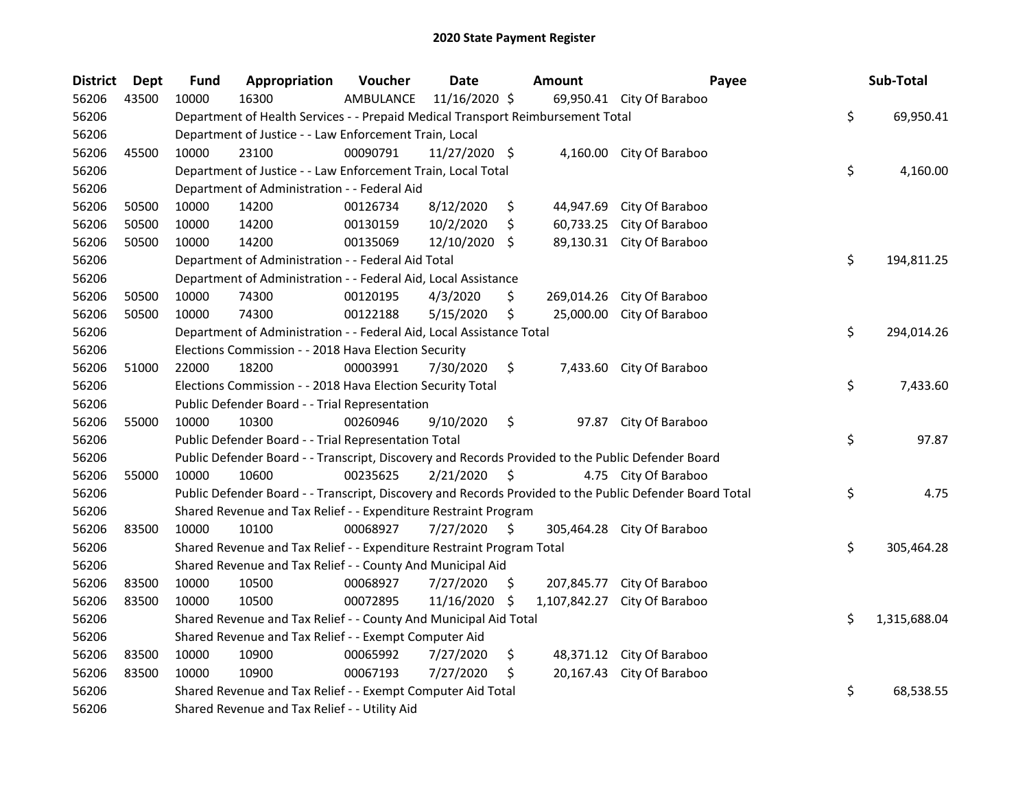| <b>District</b> | Dept  | Fund  | Appropriation                                                                                     | Voucher   | <b>Date</b>    |         | <b>Amount</b> | Payee                                                                                                   | Sub-Total          |
|-----------------|-------|-------|---------------------------------------------------------------------------------------------------|-----------|----------------|---------|---------------|---------------------------------------------------------------------------------------------------------|--------------------|
| 56206           | 43500 | 10000 | 16300                                                                                             | AMBULANCE | 11/16/2020 \$  |         |               | 69,950.41 City Of Baraboo                                                                               |                    |
| 56206           |       |       | Department of Health Services - - Prepaid Medical Transport Reimbursement Total                   |           |                |         |               |                                                                                                         | \$<br>69,950.41    |
| 56206           |       |       | Department of Justice - - Law Enforcement Train, Local                                            |           |                |         |               |                                                                                                         |                    |
| 56206           | 45500 | 10000 | 23100                                                                                             | 00090791  | 11/27/2020 \$  |         |               | 4,160.00 City Of Baraboo                                                                                |                    |
| 56206           |       |       | Department of Justice - - Law Enforcement Train, Local Total                                      |           |                |         |               |                                                                                                         | \$<br>4,160.00     |
| 56206           |       |       | Department of Administration - - Federal Aid                                                      |           |                |         |               |                                                                                                         |                    |
| 56206           | 50500 | 10000 | 14200                                                                                             | 00126734  | 8/12/2020      | \$      | 44,947.69     | City Of Baraboo                                                                                         |                    |
| 56206           | 50500 | 10000 | 14200                                                                                             | 00130159  | 10/2/2020      | S.      | 60,733.25     | City Of Baraboo                                                                                         |                    |
| 56206           | 50500 | 10000 | 14200                                                                                             | 00135069  | 12/10/2020 \$  |         |               | 89,130.31 City Of Baraboo                                                                               |                    |
| 56206           |       |       | Department of Administration - - Federal Aid Total                                                |           |                |         |               |                                                                                                         | \$<br>194,811.25   |
| 56206           |       |       | Department of Administration - - Federal Aid, Local Assistance                                    |           |                |         |               |                                                                                                         |                    |
| 56206           | 50500 | 10000 | 74300                                                                                             | 00120195  | 4/3/2020       | S.      | 269,014.26    | City Of Baraboo                                                                                         |                    |
| 56206           | 50500 | 10000 | 74300                                                                                             | 00122188  | 5/15/2020      | \$      | 25,000.00     | City Of Baraboo                                                                                         |                    |
| 56206           |       |       | Department of Administration - - Federal Aid, Local Assistance Total                              |           |                |         |               |                                                                                                         | \$<br>294,014.26   |
| 56206           |       |       | Elections Commission - - 2018 Hava Election Security                                              |           |                |         |               |                                                                                                         |                    |
| 56206           | 51000 | 22000 | 18200                                                                                             | 00003991  | 7/30/2020      | \$      |               | 7,433.60 City Of Baraboo                                                                                |                    |
| 56206           |       |       | Elections Commission - - 2018 Hava Election Security Total                                        |           |                |         |               |                                                                                                         | \$<br>7,433.60     |
| 56206           |       |       | Public Defender Board - - Trial Representation                                                    |           |                |         |               |                                                                                                         |                    |
| 56206           | 55000 | 10000 | 10300                                                                                             | 00260946  | 9/10/2020      | \$      | 97.87         | City Of Baraboo                                                                                         |                    |
| 56206           |       |       | Public Defender Board - - Trial Representation Total                                              |           |                |         |               |                                                                                                         | \$<br>97.87        |
| 56206           |       |       | Public Defender Board - - Transcript, Discovery and Records Provided to the Public Defender Board |           |                |         |               |                                                                                                         |                    |
| 56206           | 55000 | 10000 | 10600                                                                                             | 00235625  | $2/21/2020$ \$ |         |               | 4.75 City Of Baraboo                                                                                    |                    |
| 56206           |       |       |                                                                                                   |           |                |         |               | Public Defender Board - - Transcript, Discovery and Records Provided to the Public Defender Board Total | \$<br>4.75         |
| 56206           |       |       | Shared Revenue and Tax Relief - - Expenditure Restraint Program                                   |           |                |         |               |                                                                                                         |                    |
| 56206           | 83500 | 10000 | 10100                                                                                             | 00068927  | 7/27/2020      | $\zeta$ |               | 305,464.28 City Of Baraboo                                                                              |                    |
| 56206           |       |       | Shared Revenue and Tax Relief - - Expenditure Restraint Program Total                             |           |                |         |               |                                                                                                         | \$<br>305,464.28   |
| 56206           |       |       | Shared Revenue and Tax Relief - - County And Municipal Aid                                        |           |                |         |               |                                                                                                         |                    |
| 56206           | 83500 | 10000 | 10500                                                                                             | 00068927  | 7/27/2020      | S.      | 207,845.77    | City Of Baraboo                                                                                         |                    |
| 56206           | 83500 | 10000 | 10500                                                                                             | 00072895  | 11/16/2020     | -S      | 1,107,842.27  | City Of Baraboo                                                                                         |                    |
| 56206           |       |       | Shared Revenue and Tax Relief - - County And Municipal Aid Total                                  |           |                |         |               |                                                                                                         | \$<br>1,315,688.04 |
| 56206           |       |       | Shared Revenue and Tax Relief - - Exempt Computer Aid                                             |           |                |         |               |                                                                                                         |                    |
| 56206           | 83500 | 10000 | 10900                                                                                             | 00065992  | 7/27/2020      | \$      | 48,371.12     | City Of Baraboo                                                                                         |                    |
| 56206           | 83500 | 10000 | 10900                                                                                             | 00067193  | 7/27/2020      | \$.     |               | 20,167.43 City Of Baraboo                                                                               |                    |
| 56206           |       |       | Shared Revenue and Tax Relief - - Exempt Computer Aid Total                                       |           |                |         |               |                                                                                                         | \$<br>68,538.55    |
| 56206           |       |       | Shared Revenue and Tax Relief - - Utility Aid                                                     |           |                |         |               |                                                                                                         |                    |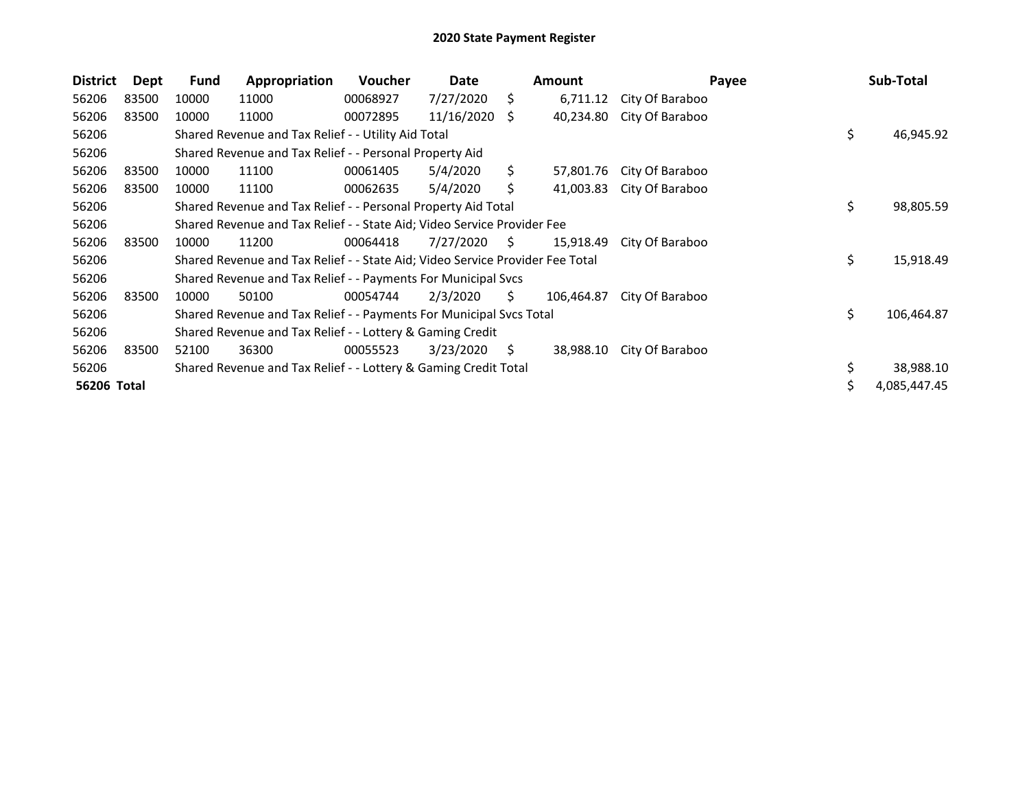| <b>District</b> | Dept  | Fund                                                      | Appropriation                                                                 | <b>Voucher</b> | Date           |    | <b>Amount</b> | Payee           | Sub-Total |              |
|-----------------|-------|-----------------------------------------------------------|-------------------------------------------------------------------------------|----------------|----------------|----|---------------|-----------------|-----------|--------------|
| 56206           | 83500 | 10000                                                     | 11000                                                                         | 00068927       | 7/27/2020      | S. | 6,711.12      | City Of Baraboo |           |              |
| 56206           | 83500 | 10000                                                     | 11000                                                                         | 00072895       | 11/16/2020     | S. | 40,234.80     | City Of Baraboo |           |              |
| 56206           |       |                                                           | Shared Revenue and Tax Relief - - Utility Aid Total                           |                |                |    |               |                 | \$        | 46,945.92    |
| 56206           |       | Shared Revenue and Tax Relief - - Personal Property Aid   |                                                                               |                |                |    |               |                 |           |              |
| 56206           | 83500 | 10000                                                     | 11100                                                                         | 00061405       | 5/4/2020       | S. | 57,801.76     | City Of Baraboo |           |              |
| 56206           | 83500 | 10000                                                     | 11100                                                                         | 00062635       | 5/4/2020       | Ś. | 41,003.83     | City Of Baraboo |           |              |
| 56206           |       |                                                           | Shared Revenue and Tax Relief - - Personal Property Aid Total                 |                |                |    |               |                 | \$        | 98,805.59    |
| 56206           |       |                                                           | Shared Revenue and Tax Relief - - State Aid; Video Service Provider Fee       |                |                |    |               |                 |           |              |
| 56206           | 83500 | 10000                                                     | 11200                                                                         | 00064418       | $7/27/2020$ \$ |    | 15,918.49     | City Of Baraboo |           |              |
| 56206           |       |                                                           | Shared Revenue and Tax Relief - - State Aid; Video Service Provider Fee Total |                |                |    |               |                 | \$        | 15,918.49    |
| 56206           |       |                                                           | Shared Revenue and Tax Relief - - Payments For Municipal Svcs                 |                |                |    |               |                 |           |              |
| 56206           | 83500 | 10000                                                     | 50100                                                                         | 00054744       | 2/3/2020       | S. | 106,464.87    | City Of Baraboo |           |              |
| 56206           |       |                                                           | Shared Revenue and Tax Relief - - Payments For Municipal Svcs Total           |                |                |    |               |                 | \$        | 106,464.87   |
| 56206           |       | Shared Revenue and Tax Relief - - Lottery & Gaming Credit |                                                                               |                |                |    |               |                 |           |              |
| 56206           | 83500 | 52100                                                     | 36300                                                                         | 00055523       | 3/23/2020      | S. | 38,988.10     | City Of Baraboo |           |              |
| 56206           |       |                                                           | Shared Revenue and Tax Relief - - Lottery & Gaming Credit Total               |                |                |    |               |                 | \$        | 38,988.10    |
| 56206 Total     |       |                                                           |                                                                               |                |                |    |               |                 |           | 4,085,447.45 |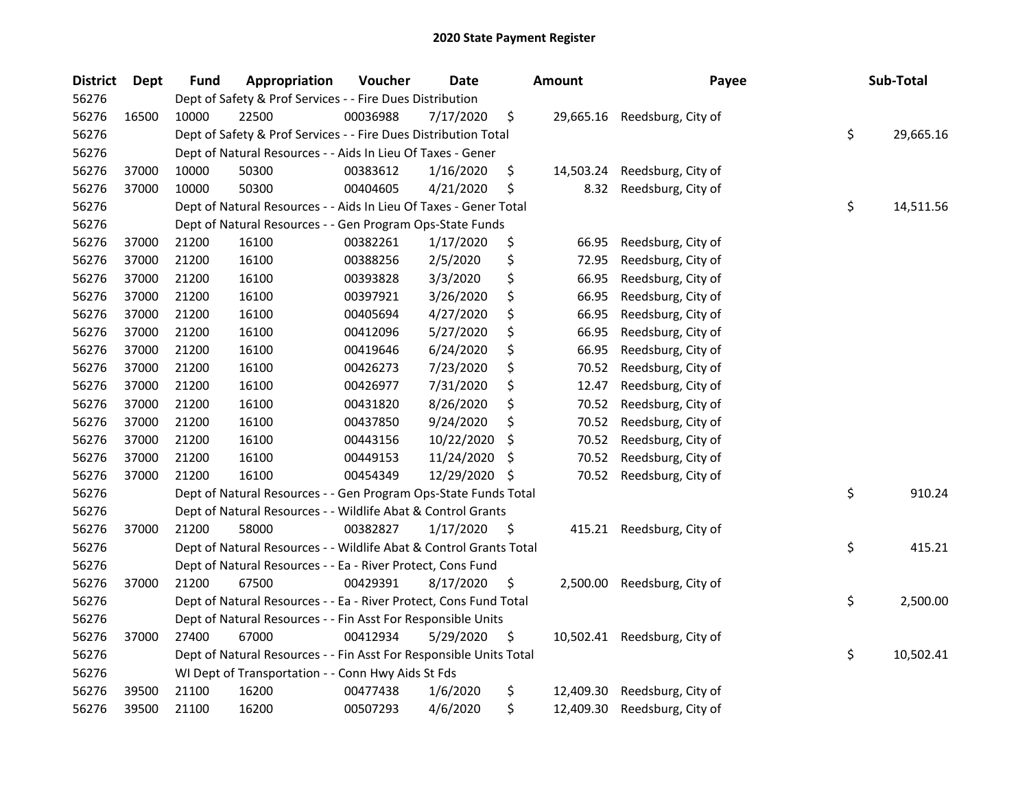| <b>District</b> | <b>Dept</b> | <b>Fund</b>                                               | Appropriation                                                      | Voucher  | <b>Date</b> |     | <b>Amount</b> | Payee              |    | Sub-Total |
|-----------------|-------------|-----------------------------------------------------------|--------------------------------------------------------------------|----------|-------------|-----|---------------|--------------------|----|-----------|
| 56276           |             | Dept of Safety & Prof Services - - Fire Dues Distribution |                                                                    |          |             |     |               |                    |    |           |
| 56276           | 16500       | 10000                                                     | 22500                                                              | 00036988 | 7/17/2020   | \$  | 29,665.16     | Reedsburg, City of |    |           |
| 56276           |             |                                                           | Dept of Safety & Prof Services - - Fire Dues Distribution Total    |          |             |     |               |                    |    |           |
| 56276           |             |                                                           | Dept of Natural Resources - - Aids In Lieu Of Taxes - Gener        |          |             |     |               |                    |    |           |
| 56276           | 37000       | 10000                                                     | 50300                                                              | 00383612 | 1/16/2020   | \$  | 14,503.24     | Reedsburg, City of |    |           |
| 56276           | 37000       | 10000                                                     | 50300                                                              | 00404605 | 4/21/2020   | \$  | 8.32          | Reedsburg, City of |    |           |
| 56276           |             |                                                           | Dept of Natural Resources - - Aids In Lieu Of Taxes - Gener Total  |          |             |     |               |                    | \$ | 14,511.56 |
| 56276           |             |                                                           | Dept of Natural Resources - - Gen Program Ops-State Funds          |          |             |     |               |                    |    |           |
| 56276           | 37000       | 21200                                                     | 16100                                                              | 00382261 | 1/17/2020   | \$  | 66.95         | Reedsburg, City of |    |           |
| 56276           | 37000       | 21200                                                     | 16100                                                              | 00388256 | 2/5/2020    | \$  | 72.95         | Reedsburg, City of |    |           |
| 56276           | 37000       | 21200                                                     | 16100                                                              | 00393828 | 3/3/2020    | \$  | 66.95         | Reedsburg, City of |    |           |
| 56276           | 37000       | 21200                                                     | 16100                                                              | 00397921 | 3/26/2020   | \$  | 66.95         | Reedsburg, City of |    |           |
| 56276           | 37000       | 21200                                                     | 16100                                                              | 00405694 | 4/27/2020   | \$  | 66.95         | Reedsburg, City of |    |           |
| 56276           | 37000       | 21200                                                     | 16100                                                              | 00412096 | 5/27/2020   | \$  | 66.95         | Reedsburg, City of |    |           |
| 56276           | 37000       | 21200                                                     | 16100                                                              | 00419646 | 6/24/2020   | \$  | 66.95         | Reedsburg, City of |    |           |
| 56276           | 37000       | 21200                                                     | 16100                                                              | 00426273 | 7/23/2020   | \$  | 70.52         | Reedsburg, City of |    |           |
| 56276           | 37000       | 21200                                                     | 16100                                                              | 00426977 | 7/31/2020   | \$  | 12.47         | Reedsburg, City of |    |           |
| 56276           | 37000       | 21200                                                     | 16100                                                              | 00431820 | 8/26/2020   | \$  | 70.52         | Reedsburg, City of |    |           |
| 56276           | 37000       | 21200                                                     | 16100                                                              | 00437850 | 9/24/2020   | \$  | 70.52         | Reedsburg, City of |    |           |
| 56276           | 37000       | 21200                                                     | 16100                                                              | 00443156 | 10/22/2020  | \$  | 70.52         | Reedsburg, City of |    |           |
| 56276           | 37000       | 21200                                                     | 16100                                                              | 00449153 | 11/24/2020  | \$  | 70.52         | Reedsburg, City of |    |           |
| 56276           | 37000       | 21200                                                     | 16100                                                              | 00454349 | 12/29/2020  | -S  | 70.52         | Reedsburg, City of |    |           |
| 56276           |             |                                                           | Dept of Natural Resources - - Gen Program Ops-State Funds Total    |          |             |     |               |                    | \$ | 910.24    |
| 56276           |             |                                                           | Dept of Natural Resources - - Wildlife Abat & Control Grants       |          |             |     |               |                    |    |           |
| 56276           | 37000       | 21200                                                     | 58000                                                              | 00382827 | 1/17/2020   | \$, | 415.21        | Reedsburg, City of |    |           |
| 56276           |             |                                                           | Dept of Natural Resources - - Wildlife Abat & Control Grants Total |          |             |     |               |                    | \$ | 415.21    |
| 56276           |             |                                                           | Dept of Natural Resources - - Ea - River Protect, Cons Fund        |          |             |     |               |                    |    |           |
| 56276           | 37000       | 21200                                                     | 67500                                                              | 00429391 | 8/17/2020   | \$, | 2,500.00      | Reedsburg, City of |    |           |
| 56276           |             |                                                           | Dept of Natural Resources - - Ea - River Protect, Cons Fund Total  |          |             |     |               |                    | \$ | 2,500.00  |
| 56276           |             |                                                           | Dept of Natural Resources - - Fin Asst For Responsible Units       |          |             |     |               |                    |    |           |
| 56276           | 37000       | 27400                                                     | 67000                                                              | 00412934 | 5/29/2020   | \$  | 10,502.41     | Reedsburg, City of |    |           |
| 56276           |             |                                                           | Dept of Natural Resources - - Fin Asst For Responsible Units Total |          |             |     |               |                    | \$ | 10,502.41 |
| 56276           |             |                                                           | WI Dept of Transportation - - Conn Hwy Aids St Fds                 |          |             |     |               |                    |    |           |
| 56276           | 39500       | 21100                                                     | 16200                                                              | 00477438 | 1/6/2020    | \$  | 12,409.30     | Reedsburg, City of |    |           |
| 56276           | 39500       | 21100                                                     | 16200                                                              | 00507293 | 4/6/2020    | \$  | 12,409.30     | Reedsburg, City of |    |           |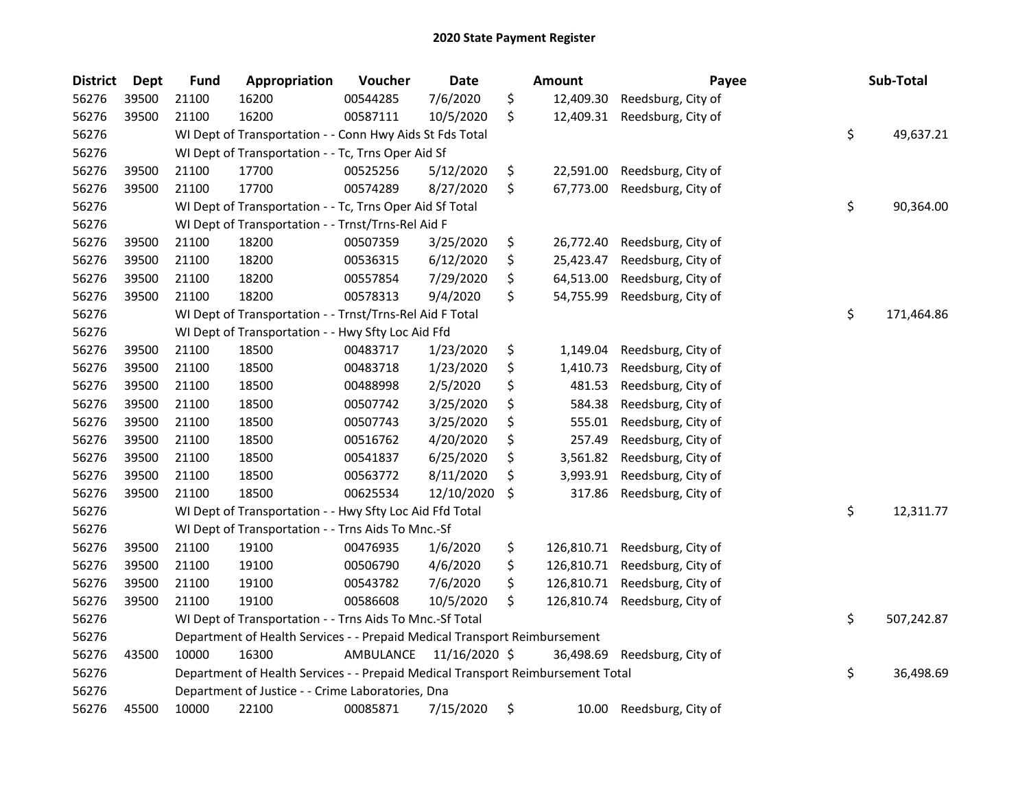| <b>District</b> | <b>Dept</b> | <b>Fund</b>                                                               | Appropriation                                                                   | Voucher   | Date          |    | <b>Amount</b> | Payee              |    | Sub-Total  |
|-----------------|-------------|---------------------------------------------------------------------------|---------------------------------------------------------------------------------|-----------|---------------|----|---------------|--------------------|----|------------|
| 56276           | 39500       | 21100                                                                     | 16200                                                                           | 00544285  | 7/6/2020      | \$ | 12,409.30     | Reedsburg, City of |    |            |
| 56276           | 39500       | 21100                                                                     | 16200                                                                           | 00587111  | 10/5/2020     | \$ | 12,409.31     | Reedsburg, City of |    |            |
| 56276           |             |                                                                           | WI Dept of Transportation - - Conn Hwy Aids St Fds Total                        |           |               |    |               |                    | \$ | 49,637.21  |
| 56276           |             |                                                                           | WI Dept of Transportation - - Tc, Trns Oper Aid Sf                              |           |               |    |               |                    |    |            |
| 56276           | 39500       | 21100                                                                     | 17700                                                                           | 00525256  | 5/12/2020     | \$ | 22,591.00     | Reedsburg, City of |    |            |
| 56276           | 39500       | 21100                                                                     | 17700                                                                           | 00574289  | 8/27/2020     | \$ | 67,773.00     | Reedsburg, City of |    |            |
| 56276           |             |                                                                           | WI Dept of Transportation - - Tc, Trns Oper Aid Sf Total                        |           |               |    |               |                    | \$ | 90,364.00  |
| 56276           |             |                                                                           | WI Dept of Transportation - - Trnst/Trns-Rel Aid F                              |           |               |    |               |                    |    |            |
| 56276           | 39500       | 21100                                                                     | 18200                                                                           | 00507359  | 3/25/2020     | \$ | 26,772.40     | Reedsburg, City of |    |            |
| 56276           | 39500       | 21100                                                                     | 18200                                                                           | 00536315  | 6/12/2020     | \$ | 25,423.47     | Reedsburg, City of |    |            |
| 56276           | 39500       | 21100                                                                     | 18200                                                                           | 00557854  | 7/29/2020     | \$ | 64,513.00     | Reedsburg, City of |    |            |
| 56276           | 39500       | 21100                                                                     | 18200                                                                           | 00578313  | 9/4/2020      | \$ | 54,755.99     | Reedsburg, City of |    |            |
| 56276           |             |                                                                           | WI Dept of Transportation - - Trnst/Trns-Rel Aid F Total                        |           |               |    |               |                    | \$ | 171,464.86 |
| 56276           |             |                                                                           | WI Dept of Transportation - - Hwy Sfty Loc Aid Ffd                              |           |               |    |               |                    |    |            |
| 56276           | 39500       | 21100                                                                     | 18500                                                                           | 00483717  | 1/23/2020     | \$ | 1,149.04      | Reedsburg, City of |    |            |
| 56276           | 39500       | 21100                                                                     | 18500                                                                           | 00483718  | 1/23/2020     | \$ | 1,410.73      | Reedsburg, City of |    |            |
| 56276           | 39500       | 21100                                                                     | 18500                                                                           | 00488998  | 2/5/2020      | \$ | 481.53        | Reedsburg, City of |    |            |
| 56276           | 39500       | 21100                                                                     | 18500                                                                           | 00507742  | 3/25/2020     | \$ | 584.38        | Reedsburg, City of |    |            |
| 56276           | 39500       | 21100                                                                     | 18500                                                                           | 00507743  | 3/25/2020     | \$ | 555.01        | Reedsburg, City of |    |            |
| 56276           | 39500       | 21100                                                                     | 18500                                                                           | 00516762  | 4/20/2020     | \$ | 257.49        | Reedsburg, City of |    |            |
| 56276           | 39500       | 21100                                                                     | 18500                                                                           | 00541837  | 6/25/2020     | \$ | 3,561.82      | Reedsburg, City of |    |            |
| 56276           | 39500       | 21100                                                                     | 18500                                                                           | 00563772  | 8/11/2020     | \$ | 3,993.91      | Reedsburg, City of |    |            |
| 56276           | 39500       | 21100                                                                     | 18500                                                                           | 00625534  | 12/10/2020    | \$ | 317.86        | Reedsburg, City of |    |            |
| 56276           |             |                                                                           | WI Dept of Transportation - - Hwy Sfty Loc Aid Ffd Total                        |           |               |    |               |                    | \$ | 12,311.77  |
| 56276           |             |                                                                           | WI Dept of Transportation - - Trns Aids To Mnc.-Sf                              |           |               |    |               |                    |    |            |
| 56276           | 39500       | 21100                                                                     | 19100                                                                           | 00476935  | 1/6/2020      | \$ | 126,810.71    | Reedsburg, City of |    |            |
| 56276           | 39500       | 21100                                                                     | 19100                                                                           | 00506790  | 4/6/2020      | \$ | 126,810.71    | Reedsburg, City of |    |            |
| 56276           | 39500       | 21100                                                                     | 19100                                                                           | 00543782  | 7/6/2020      | \$ | 126,810.71    | Reedsburg, City of |    |            |
| 56276           | 39500       | 21100                                                                     | 19100                                                                           | 00586608  | 10/5/2020     | \$ | 126,810.74    | Reedsburg, City of |    |            |
| 56276           |             |                                                                           | WI Dept of Transportation - - Trns Aids To Mnc.-Sf Total                        |           |               |    |               |                    | \$ | 507,242.87 |
| 56276           |             | Department of Health Services - - Prepaid Medical Transport Reimbursement |                                                                                 |           |               |    |               |                    |    |            |
| 56276           | 43500       | 10000                                                                     | 16300                                                                           | AMBULANCE | 11/16/2020 \$ |    | 36,498.69     | Reedsburg, City of |    |            |
| 56276           |             |                                                                           | Department of Health Services - - Prepaid Medical Transport Reimbursement Total |           |               |    |               |                    | \$ | 36,498.69  |
| 56276           |             |                                                                           | Department of Justice - - Crime Laboratories, Dna                               |           |               |    |               |                    |    |            |
| 56276           | 45500       | 10000                                                                     | 22100                                                                           | 00085871  | 7/15/2020     | \$ | 10.00         | Reedsburg, City of |    |            |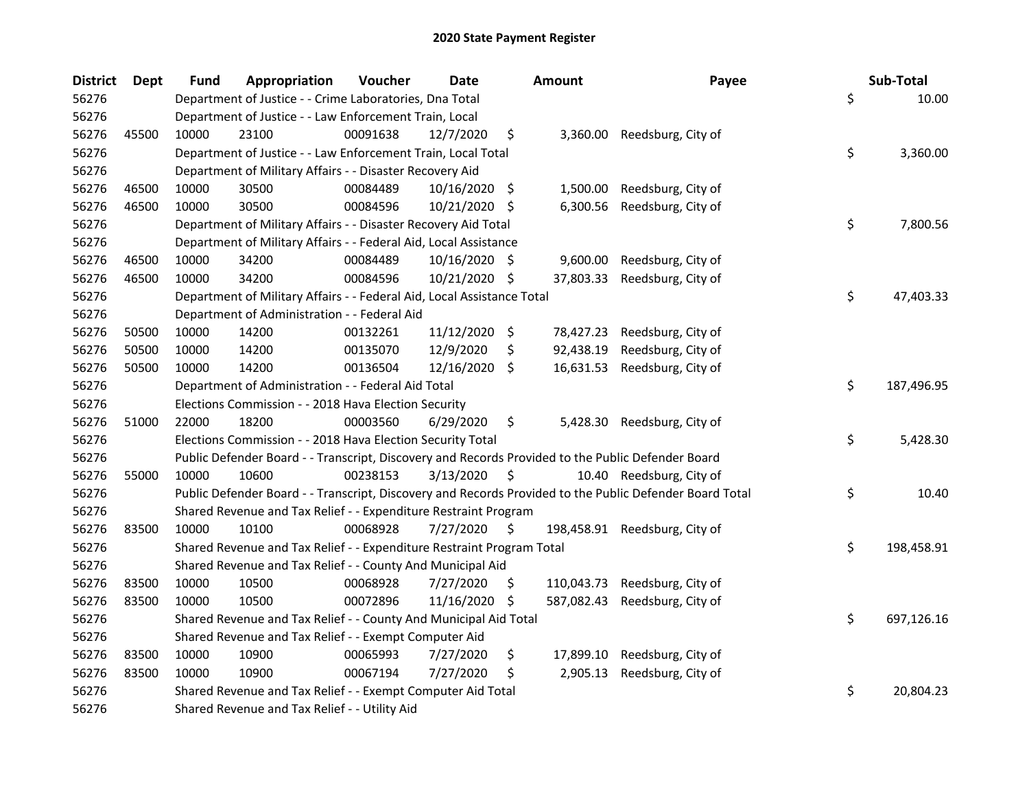| <b>District</b> | Dept  | <b>Fund</b> | Appropriation                                                                                     | Voucher  | <b>Date</b>     |      | <b>Amount</b> | Payee                                                                                                   | Sub-Total        |
|-----------------|-------|-------------|---------------------------------------------------------------------------------------------------|----------|-----------------|------|---------------|---------------------------------------------------------------------------------------------------------|------------------|
| 56276           |       |             | Department of Justice - - Crime Laboratories, Dna Total                                           |          |                 |      |               |                                                                                                         | \$<br>10.00      |
| 56276           |       |             | Department of Justice - - Law Enforcement Train, Local                                            |          |                 |      |               |                                                                                                         |                  |
| 56276           | 45500 | 10000       | 23100                                                                                             | 00091638 | 12/7/2020       | \$   | 3,360.00      | Reedsburg, City of                                                                                      |                  |
| 56276           |       |             | Department of Justice - - Law Enforcement Train, Local Total                                      |          |                 |      |               |                                                                                                         | \$<br>3,360.00   |
| 56276           |       |             | Department of Military Affairs - - Disaster Recovery Aid                                          |          |                 |      |               |                                                                                                         |                  |
| 56276           | 46500 | 10000       | 30500                                                                                             | 00084489 | $10/16/2020$ \$ |      | 1,500.00      | Reedsburg, City of                                                                                      |                  |
| 56276           | 46500 | 10000       | 30500                                                                                             | 00084596 | 10/21/2020 \$   |      | 6,300.56      | Reedsburg, City of                                                                                      |                  |
| 56276           |       |             | Department of Military Affairs - - Disaster Recovery Aid Total                                    |          |                 |      |               |                                                                                                         | \$<br>7,800.56   |
| 56276           |       |             | Department of Military Affairs - - Federal Aid, Local Assistance                                  |          |                 |      |               |                                                                                                         |                  |
| 56276           | 46500 | 10000       | 34200                                                                                             | 00084489 | $10/16/2020$ \$ |      | 9,600.00      | Reedsburg, City of                                                                                      |                  |
| 56276           | 46500 | 10000       | 34200                                                                                             | 00084596 | 10/21/2020 \$   |      | 37,803.33     | Reedsburg, City of                                                                                      |                  |
| 56276           |       |             | Department of Military Affairs - - Federal Aid, Local Assistance Total                            |          |                 |      |               |                                                                                                         | \$<br>47,403.33  |
| 56276           |       |             | Department of Administration - - Federal Aid                                                      |          |                 |      |               |                                                                                                         |                  |
| 56276           | 50500 | 10000       | 14200                                                                                             | 00132261 | 11/12/2020 \$   |      | 78,427.23     | Reedsburg, City of                                                                                      |                  |
| 56276           | 50500 | 10000       | 14200                                                                                             | 00135070 | 12/9/2020       | \$   | 92,438.19     | Reedsburg, City of                                                                                      |                  |
| 56276           | 50500 | 10000       | 14200                                                                                             | 00136504 | 12/16/2020 \$   |      | 16,631.53     | Reedsburg, City of                                                                                      |                  |
| 56276           |       |             | Department of Administration - - Federal Aid Total                                                |          |                 |      |               |                                                                                                         | \$<br>187,496.95 |
| 56276           |       |             | Elections Commission - - 2018 Hava Election Security                                              |          |                 |      |               |                                                                                                         |                  |
| 56276           | 51000 | 22000       | 18200                                                                                             | 00003560 | 6/29/2020       | \$   | 5,428.30      | Reedsburg, City of                                                                                      |                  |
| 56276           |       |             | Elections Commission - - 2018 Hava Election Security Total                                        |          |                 |      |               |                                                                                                         | \$<br>5,428.30   |
| 56276           |       |             | Public Defender Board - - Transcript, Discovery and Records Provided to the Public Defender Board |          |                 |      |               |                                                                                                         |                  |
| 56276           | 55000 | 10000       | 10600                                                                                             | 00238153 | 3/13/2020       | - \$ |               | 10.40 Reedsburg, City of                                                                                |                  |
| 56276           |       |             |                                                                                                   |          |                 |      |               | Public Defender Board - - Transcript, Discovery and Records Provided to the Public Defender Board Total | \$<br>10.40      |
| 56276           |       |             | Shared Revenue and Tax Relief - - Expenditure Restraint Program                                   |          |                 |      |               |                                                                                                         |                  |
| 56276           | 83500 | 10000       | 10100                                                                                             | 00068928 | 7/27/2020       | \$   | 198,458.91    | Reedsburg, City of                                                                                      |                  |
| 56276           |       |             | Shared Revenue and Tax Relief - - Expenditure Restraint Program Total                             |          |                 |      |               |                                                                                                         | \$<br>198,458.91 |
| 56276           |       |             | Shared Revenue and Tax Relief - - County And Municipal Aid                                        |          |                 |      |               |                                                                                                         |                  |
| 56276           | 83500 | 10000       | 10500                                                                                             | 00068928 | 7/27/2020       | \$   | 110,043.73    | Reedsburg, City of                                                                                      |                  |
| 56276           | 83500 | 10000       | 10500                                                                                             | 00072896 | 11/16/2020 \$   |      | 587,082.43    | Reedsburg, City of                                                                                      |                  |
| 56276           |       |             | Shared Revenue and Tax Relief - - County And Municipal Aid Total                                  |          |                 |      |               |                                                                                                         | \$<br>697,126.16 |
| 56276           |       |             | Shared Revenue and Tax Relief - - Exempt Computer Aid                                             |          |                 |      |               |                                                                                                         |                  |
| 56276           | 83500 | 10000       | 10900                                                                                             | 00065993 | 7/27/2020       | \$   | 17,899.10     | Reedsburg, City of                                                                                      |                  |
| 56276           | 83500 | 10000       | 10900                                                                                             | 00067194 | 7/27/2020       | \$   | 2,905.13      | Reedsburg, City of                                                                                      |                  |
| 56276           |       |             | Shared Revenue and Tax Relief - - Exempt Computer Aid Total                                       |          |                 |      |               |                                                                                                         | \$<br>20,804.23  |
| 56276           |       |             | Shared Revenue and Tax Relief - - Utility Aid                                                     |          |                 |      |               |                                                                                                         |                  |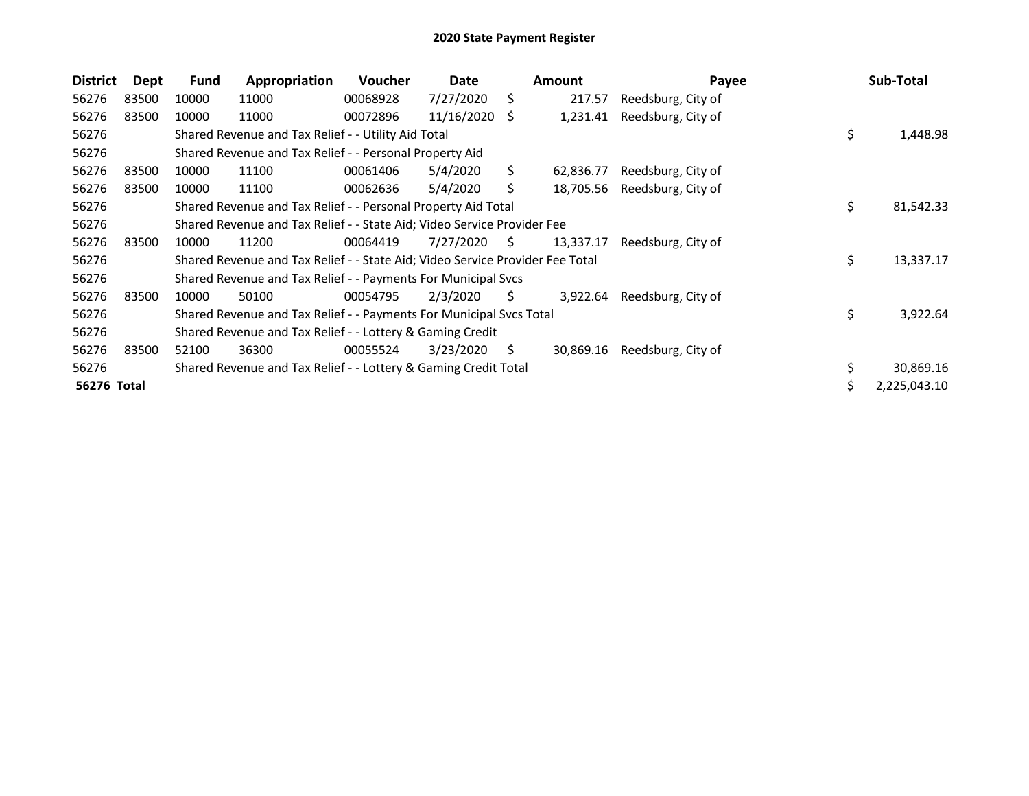| <b>District</b> | Dept  | <b>Fund</b>                                               | Appropriation                                                                 | <b>Voucher</b> | Date       |    | <b>Amount</b> | Payee              |    | Sub-Total    |
|-----------------|-------|-----------------------------------------------------------|-------------------------------------------------------------------------------|----------------|------------|----|---------------|--------------------|----|--------------|
| 56276           | 83500 | 10000                                                     | 11000                                                                         | 00068928       | 7/27/2020  | Ś. | 217.57        | Reedsburg, City of |    |              |
| 56276           | 83500 | 10000                                                     | 11000                                                                         | 00072896       | 11/16/2020 | S  | 1,231.41      | Reedsburg, City of |    |              |
| 56276           |       |                                                           | Shared Revenue and Tax Relief - - Utility Aid Total                           |                |            |    |               |                    | \$ | 1,448.98     |
| 56276           |       | Shared Revenue and Tax Relief - - Personal Property Aid   |                                                                               |                |            |    |               |                    |    |              |
| 56276           | 83500 | 10000                                                     | 11100                                                                         | 00061406       | 5/4/2020   | Ś. | 62,836.77     | Reedsburg, City of |    |              |
| 56276           | 83500 | 10000                                                     | 11100                                                                         | 00062636       | 5/4/2020   | Ś. | 18,705.56     | Reedsburg, City of |    |              |
| 56276           |       |                                                           | Shared Revenue and Tax Relief - - Personal Property Aid Total                 |                |            |    |               |                    | \$ | 81,542.33    |
| 56276           |       |                                                           | Shared Revenue and Tax Relief - - State Aid; Video Service Provider Fee       |                |            |    |               |                    |    |              |
| 56276           | 83500 | 10000                                                     | 11200                                                                         | 00064419       | 7/27/2020  | -S | 13,337.17     | Reedsburg, City of |    |              |
| 56276           |       |                                                           | Shared Revenue and Tax Relief - - State Aid; Video Service Provider Fee Total |                |            |    |               |                    | \$ | 13,337.17    |
| 56276           |       |                                                           | Shared Revenue and Tax Relief - - Payments For Municipal Svcs                 |                |            |    |               |                    |    |              |
| 56276           | 83500 | 10000                                                     | 50100                                                                         | 00054795       | 2/3/2020   | S. | 3,922.64      | Reedsburg, City of |    |              |
| 56276           |       |                                                           | Shared Revenue and Tax Relief - - Payments For Municipal Svcs Total           |                |            |    |               |                    | \$ | 3,922.64     |
| 56276           |       | Shared Revenue and Tax Relief - - Lottery & Gaming Credit |                                                                               |                |            |    |               |                    |    |              |
| 56276           | 83500 | 52100                                                     | 36300                                                                         | 00055524       | 3/23/2020  | \$ | 30,869.16     | Reedsburg, City of |    |              |
| 56276           |       |                                                           | Shared Revenue and Tax Relief - - Lottery & Gaming Credit Total               |                |            |    |               |                    |    | 30,869.16    |
| 56276 Total     |       |                                                           |                                                                               |                |            |    |               |                    | \$ | 2,225,043.10 |